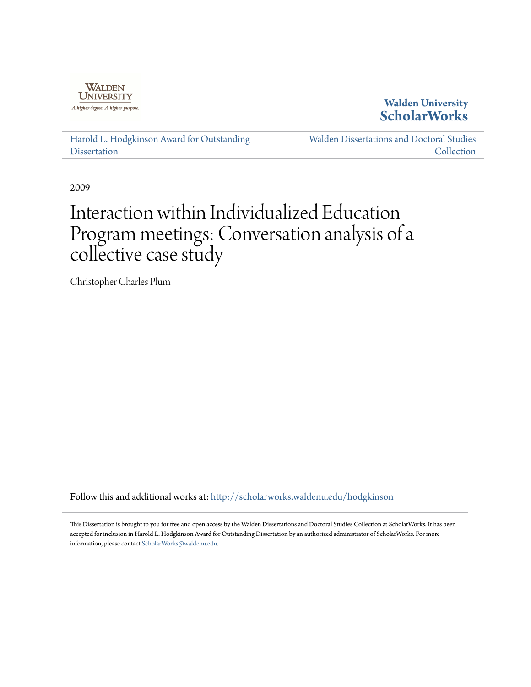

**Walden University [ScholarWorks](http://scholarworks.waldenu.edu?utm_source=scholarworks.waldenu.edu%2Fhodgkinson%2F20&utm_medium=PDF&utm_campaign=PDFCoverPages)**

[Harold L. Hodgkinson Award for Outstanding](http://scholarworks.waldenu.edu/hodgkinson?utm_source=scholarworks.waldenu.edu%2Fhodgkinson%2F20&utm_medium=PDF&utm_campaign=PDFCoverPages) **[Dissertation](http://scholarworks.waldenu.edu/hodgkinson?utm_source=scholarworks.waldenu.edu%2Fhodgkinson%2F20&utm_medium=PDF&utm_campaign=PDFCoverPages)** 

[Walden Dissertations and Doctoral Studies](http://scholarworks.waldenu.edu/dissanddoc?utm_source=scholarworks.waldenu.edu%2Fhodgkinson%2F20&utm_medium=PDF&utm_campaign=PDFCoverPages) **[Collection](http://scholarworks.waldenu.edu/dissanddoc?utm_source=scholarworks.waldenu.edu%2Fhodgkinson%2F20&utm_medium=PDF&utm_campaign=PDFCoverPages)** 

2009

# Interaction within Individualized Education Program meetings: Conversation analysis of a collective case study

Christopher Charles Plum

Follow this and additional works at: [http://scholarworks.waldenu.edu/hodgkinson](http://scholarworks.waldenu.edu/hodgkinson?utm_source=scholarworks.waldenu.edu%2Fhodgkinson%2F20&utm_medium=PDF&utm_campaign=PDFCoverPages)

This Dissertation is brought to you for free and open access by the Walden Dissertations and Doctoral Studies Collection at ScholarWorks. It has been accepted for inclusion in Harold L. Hodgkinson Award for Outstanding Dissertation by an authorized administrator of ScholarWorks. For more information, please contact [ScholarWorks@waldenu.edu](mailto:ScholarWorks@waldenu.edu).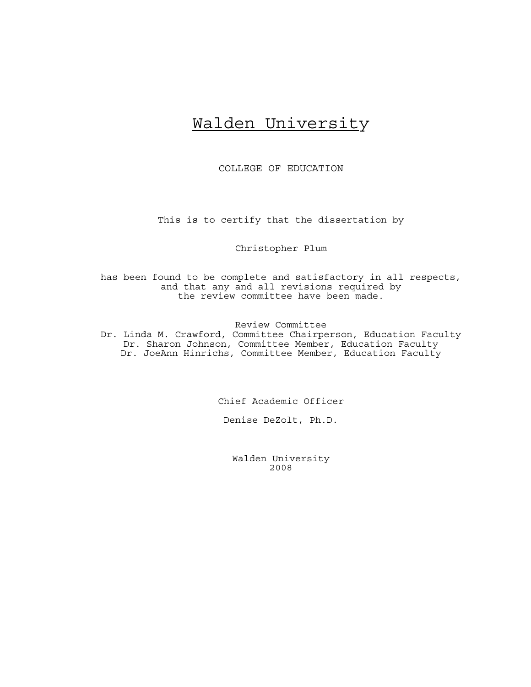## Walden University

COLLEGE OF EDUCATION

This is to certify that the dissertation by

Christopher Plum

has been found to be complete and satisfactory in all respects, and that any and all revisions required by the review committee have been made.

Review Committee

Dr. Linda M. Crawford, Committee Chairperson, Education Faculty Dr. Sharon Johnson, Committee Member, Education Faculty Dr. JoeAnn Hinrichs, Committee Member, Education Faculty

Chief Academic Officer

Denise DeZolt, Ph.D.

Walden University 2008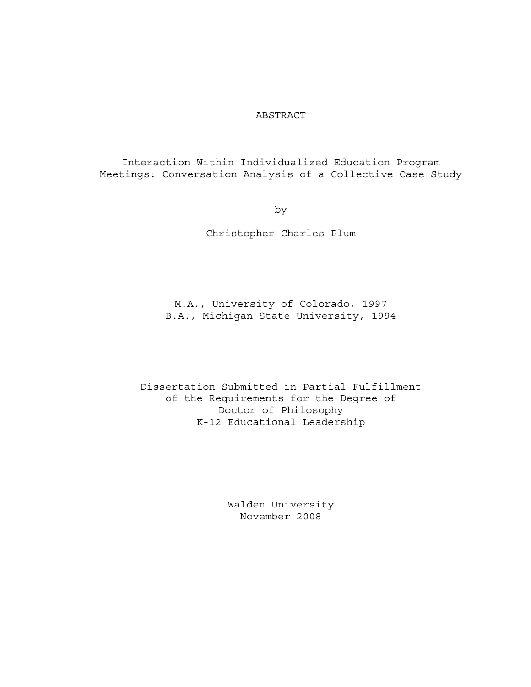### ABSTRACT

Interaction Within Individualized Education Program Meetings: Conversation Analysis of a Collective Case Study

by

Christopher Charles Plum

M.A., University of Colorado, 1997 B.A., Michigan State University, 1994

Dissertation Submitted in Partial Fulfillment of the Requirements for the Degree of Doctor of Philosophy K-12 Educational Leadership

> Walden University November 2008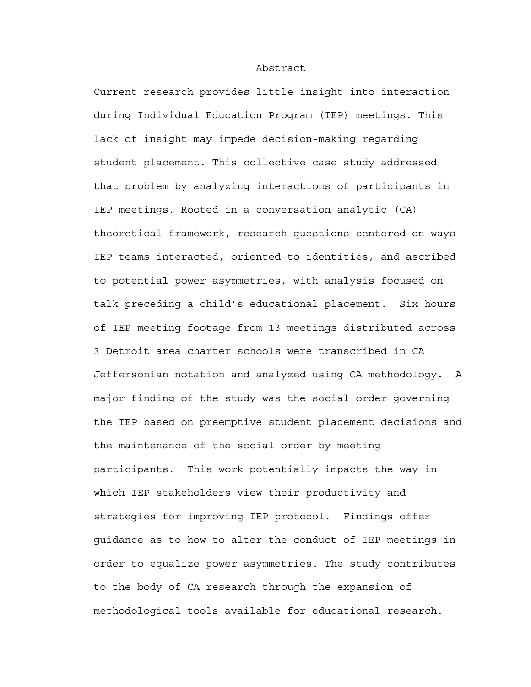#### Abstract

Current research provides little insight into interaction during Individual Education Program (IEP) meetings. This lack of insight may impede decision-making regarding student placement. This collective case study addressed that problem by analyzing interactions of participants in IEP meetings. Rooted in a conversation analytic (CA) theoretical framework, research questions centered on ways IEP teams interacted, oriented to identities, and ascribed to potential power asymmetries, with analysis focused on talk preceding a child's educational placement. Six hours of IEP meeting footage from 13 meetings distributed across 3 Detroit area charter schools were transcribed in CA Jeffersonian notation and analyzed using CA methodology**.** A major finding of the study was the social order governing the IEP based on preemptive student placement decisions and the maintenance of the social order by meeting participants.This work potentially impacts the way in which IEP stakeholders view their productivity and strategies for improving IEP protocol. Findings offer guidance as to how to alter the conduct of IEP meetings in order to equalize power asymmetries. The study contributes to the body of CA research through the expansion of methodological tools available for educational research.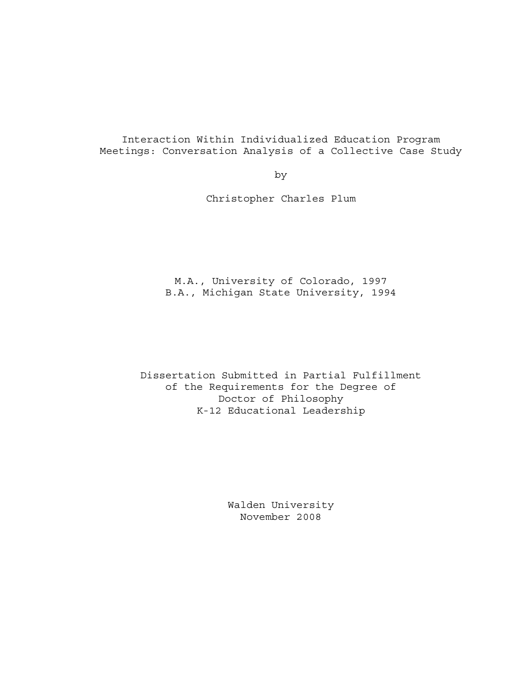Interaction Within Individualized Education Program Meetings: Conversation Analysis of a Collective Case Study

by

Christopher Charles Plum

M.A., University of Colorado, 1997 B.A., Michigan State University, 1994

Dissertation Submitted in Partial Fulfillment of the Requirements for the Degree of Doctor of Philosophy K-12 Educational Leadership

> Walden University November 2008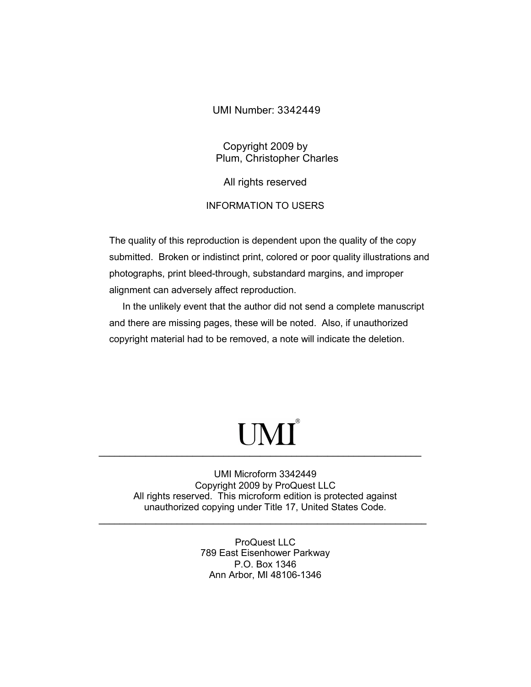## UMI Number: 3342449

Copyright 2009 by Plum, Christopher Charles

All rights reserved

## INFORMATION TO USERS

The quality of this reproduction is dependent upon the quality of the copy submitted. Broken or indistinct print, colored or poor quality illustrations and photographs, print bleed-through, substandard margins, and improper alignment can adversely affect reproduction.

 In the unlikely event that the author did not send a complete manuscript and there are missing pages, these will be noted. Also, if unauthorized copyright material had to be removed, a note will indicate the deletion.

## UMI<sup>®</sup>  $\mathcal{L} = \{ \mathcal{L} = \{ \mathcal{L} \} \cup \{ \mathcal{L} \} \cup \{ \mathcal{L} \} \cup \{ \mathcal{L} \} \cup \{ \mathcal{L} \} \cup \{ \mathcal{L} \} \cup \{ \mathcal{L} \} \cup \{ \mathcal{L} \} \cup \{ \mathcal{L} \} \cup \{ \mathcal{L} \} \cup \{ \mathcal{L} \} \cup \{ \mathcal{L} \} \cup \{ \mathcal{L} \} \cup \{ \mathcal{L} \} \cup \{ \mathcal{L} \} \cup \{ \mathcal{L} \} \cup \{ \mathcal{L} \} \cup$

UMI Microform 3342449 Copyright 2009 by ProQuest LLC All rights reserved. This microform edition is protected against unauthorized copying under Title 17, United States Code.

 $\mathcal{L} = \{ \mathcal{L} = \{ \mathcal{L} \} \cup \{ \mathcal{L} = \{ \mathcal{L} \} \cup \{ \mathcal{L} = \{ \mathcal{L} \} \cup \{ \mathcal{L} = \{ \mathcal{L} \} \cup \{ \mathcal{L} = \{ \mathcal{L} \} \cup \{ \mathcal{L} = \{ \mathcal{L} \} \cup \{ \mathcal{L} = \{ \mathcal{L} \} \cup \{ \mathcal{L} = \{ \mathcal{L} \} \cup \{ \mathcal{L} = \{ \mathcal{L} \} \cup \{ \mathcal{L} = \{ \mathcal{L} \} \cup \{ \$ 

ProQuest LLC 789 East Eisenhower Parkway P.O. Box 1346 Ann Arbor, MI 48106-1346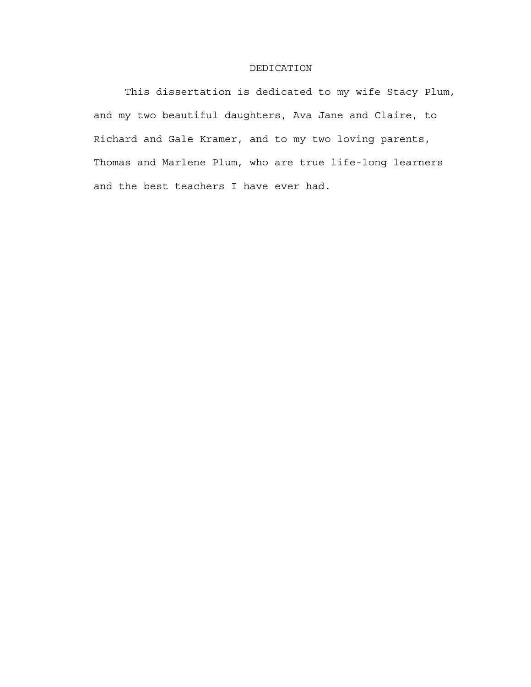#### DEDICATION

This dissertation is dedicated to my wife Stacy Plum, and my two beautiful daughters, Ava Jane and Claire, to Richard and Gale Kramer, and to my two loving parents, Thomas and Marlene Plum, who are true life-long learners and the best teachers I have ever had.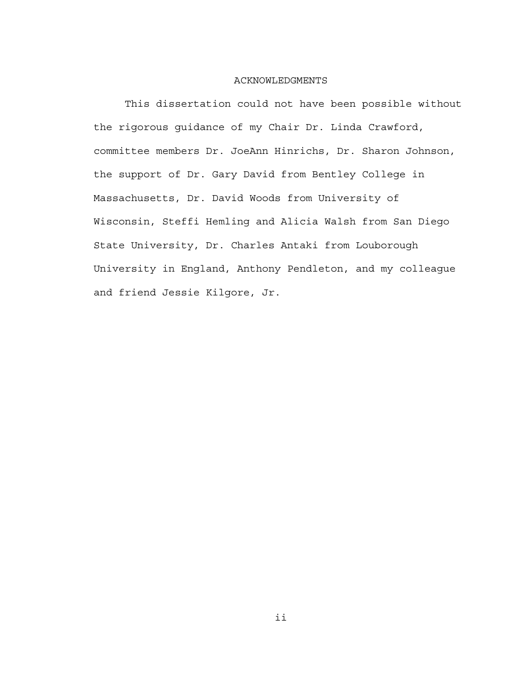#### ACKNOWLEDGMENTS

This dissertation could not have been possible without the rigorous guidance of my Chair Dr. Linda Crawford, committee members Dr. JoeAnn Hinrichs, Dr. Sharon Johnson, the support of Dr. Gary David from Bentley College in Massachusetts, Dr. David Woods from University of Wisconsin, Steffi Hemling and Alicia Walsh from San Diego State University, Dr. Charles Antaki from Louborough University in England, Anthony Pendleton, and my colleague and friend Jessie Kilgore, Jr.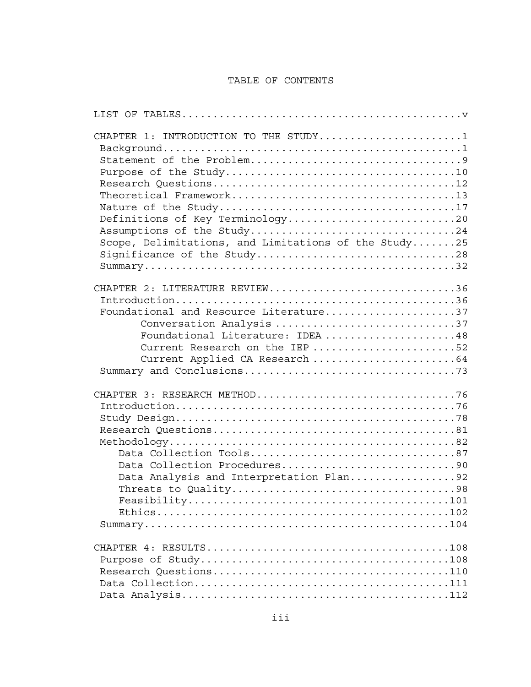## TABLE OF CONTENTS

| CHAPTER 1: INTRODUCTION TO THE STUDY1<br>Definitions of Key Terminology20<br>Assumptions of the Study24<br>Scope, Delimitations, and Limitations of the Study25<br>Significance of the Study28               |
|--------------------------------------------------------------------------------------------------------------------------------------------------------------------------------------------------------------|
| CHAPTER 2: LITERATURE REVIEW36<br>Foundational and Resource Literature37<br>Conversation Analysis 37<br>Foundational Literature: IDEA 48<br>Current Research on the IEP 52<br>Current Applied CA Research 64 |
| Data Collection Tools87<br>Data Collection Procedures90<br>Data Analysis and Interpretation Plan92                                                                                                           |
|                                                                                                                                                                                                              |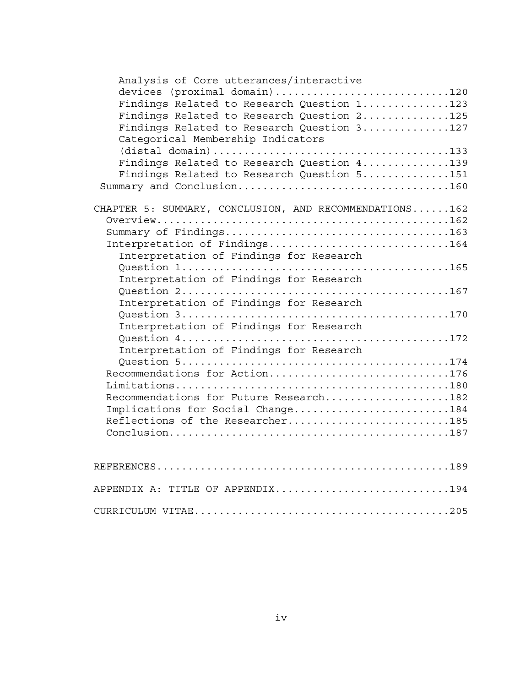| Analysis of Core utterances/interactive                |
|--------------------------------------------------------|
| devices (proximal domain)120                           |
| Findings Related to Research Question 1123             |
| Findings Related to Research Question 2125             |
| Findings Related to Research Question 3127             |
| Categorical Membership Indicators                      |
|                                                        |
|                                                        |
| Findings Related to Research Question 4139             |
| Findings Related to Research Question 5151             |
|                                                        |
|                                                        |
| CHAPTER 5: SUMMARY, CONCLUSION, AND RECOMMENDATIONS162 |
|                                                        |
|                                                        |
| Interpretation of Findings164                          |
| Interpretation of Findings for Research                |
|                                                        |
| Interpretation of Findings for Research                |
|                                                        |
| Interpretation of Findings for Research                |
|                                                        |
| Interpretation of Findings for Research                |
|                                                        |
|                                                        |
| Interpretation of Findings for Research                |
|                                                        |
| Recommendations for Action176                          |
|                                                        |
| Recommendations for Future Research182                 |
| Implications for Social Change184                      |
| Reflections of the Researcher185                       |
|                                                        |
|                                                        |
|                                                        |
|                                                        |
|                                                        |
| APPENDIX A: TITLE OF APPENDIX194                       |
|                                                        |
|                                                        |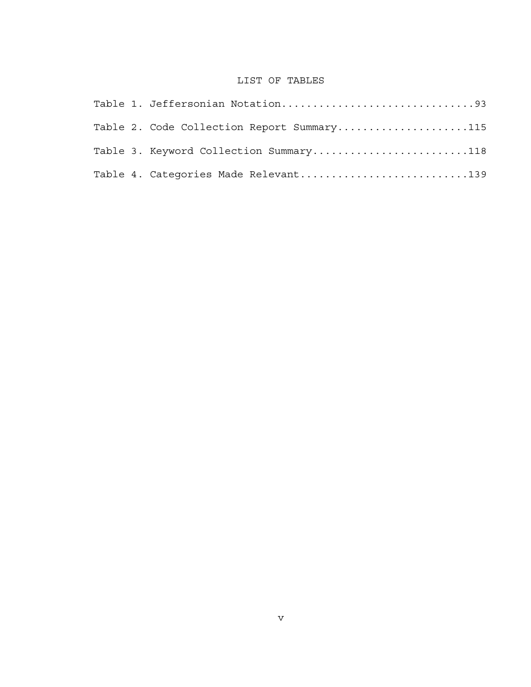## LIST OF TABLES

| Table 2. Code Collection Report Summary115 |
|--------------------------------------------|
| Table 3. Keyword Collection Summary118     |
| Table 4. Categories Made Relevant139       |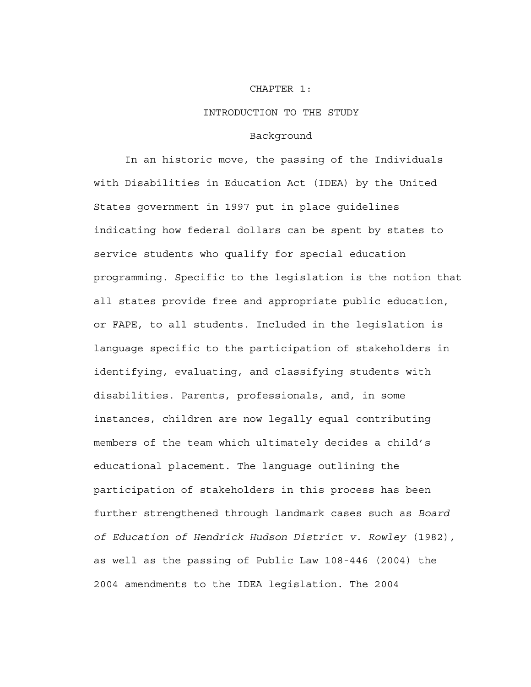#### CHAPTER 1:

#### INTRODUCTION TO THE STUDY

#### Background

In an historic move, the passing of the Individuals with Disabilities in Education Act (IDEA) by the United States government in 1997 put in place guidelines indicating how federal dollars can be spent by states to service students who qualify for special education programming. Specific to the legislation is the notion that all states provide free and appropriate public education, or FAPE, to all students. Included in the legislation is language specific to the participation of stakeholders in identifying, evaluating, and classifying students with disabilities. Parents, professionals, and, in some instances, children are now legally equal contributing members of the team which ultimately decides a child's educational placement. The language outlining the participation of stakeholders in this process has been further strengthened through landmark cases such as *Board of Education of Hendrick Hudson District v. Rowley* (1982), as well as the passing of Public Law 108-446 (2004) the 2004 amendments to the IDEA legislation. The 2004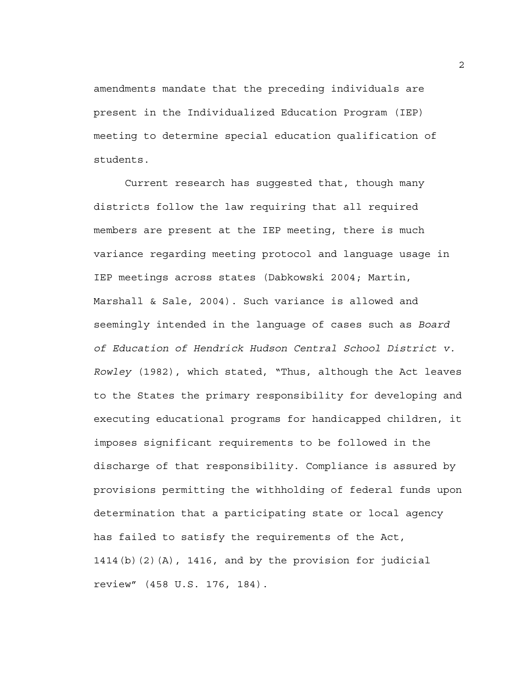amendments mandate that the preceding individuals are present in the Individualized Education Program (IEP) meeting to determine special education qualification of students.

Current research has suggested that, though many districts follow the law requiring that all required members are present at the IEP meeting, there is much variance regarding meeting protocol and language usage in IEP meetings across states (Dabkowski 2004; Martin, Marshall & Sale, 2004). Such variance is allowed and seemingly intended in the language of cases such as *Board of Education of Hendrick Hudson Central School District v. Rowley* (1982), which stated, "Thus, although the Act leaves to the States the primary responsibility for developing and executing educational programs for handicapped children, it imposes significant requirements to be followed in the discharge of that responsibility. Compliance is assured by provisions permitting the withholding of federal funds upon determination that a participating state or local agency has failed to satisfy the requirements of the Act, 1414(b)(2)(A), 1416, and by the provision for judicial review" (458 U.S. 176, 184).

2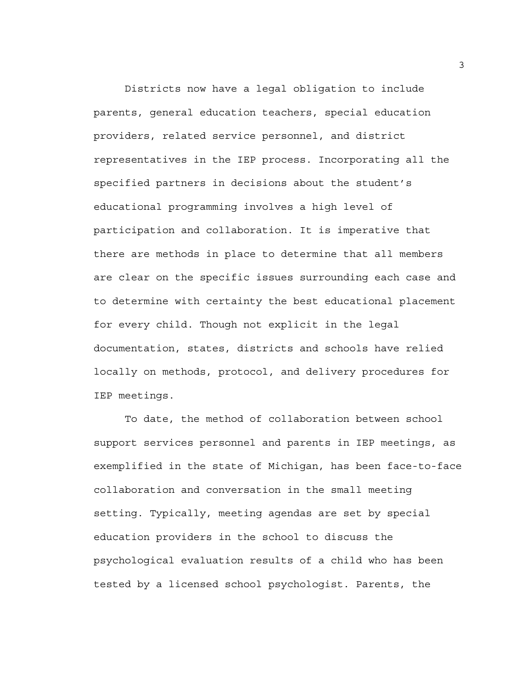Districts now have a legal obligation to include parents, general education teachers, special education providers, related service personnel, and district representatives in the IEP process. Incorporating all the specified partners in decisions about the student's educational programming involves a high level of participation and collaboration. It is imperative that there are methods in place to determine that all members are clear on the specific issues surrounding each case and to determine with certainty the best educational placement for every child. Though not explicit in the legal documentation, states, districts and schools have relied locally on methods, protocol, and delivery procedures for IEP meetings.

To date, the method of collaboration between school support services personnel and parents in IEP meetings, as exemplified in the state of Michigan, has been face-to-face collaboration and conversation in the small meeting setting. Typically, meeting agendas are set by special education providers in the school to discuss the psychological evaluation results of a child who has been tested by a licensed school psychologist. Parents, the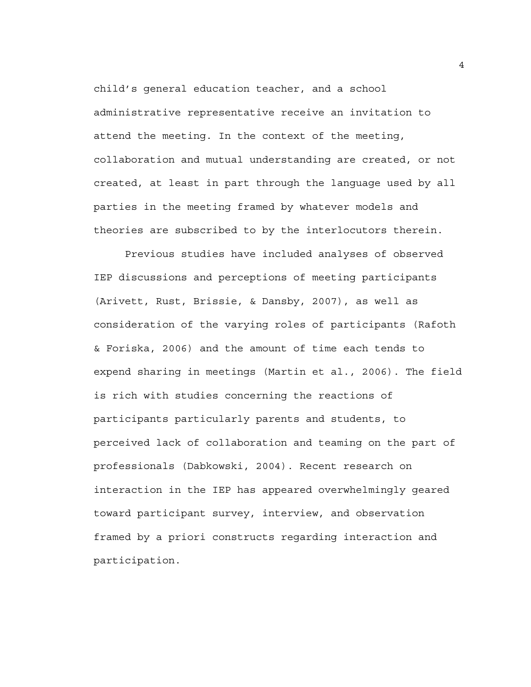child's general education teacher, and a school administrative representative receive an invitation to attend the meeting. In the context of the meeting, collaboration and mutual understanding are created, or not created, at least in part through the language used by all parties in the meeting framed by whatever models and theories are subscribed to by the interlocutors therein.

Previous studies have included analyses of observed IEP discussions and perceptions of meeting participants (Arivett, Rust, Brissie, & Dansby, 2007), as well as consideration of the varying roles of participants (Rafoth & Foriska, 2006) and the amount of time each tends to expend sharing in meetings (Martin et al., 2006). The field is rich with studies concerning the reactions of participants particularly parents and students, to perceived lack of collaboration and teaming on the part of professionals (Dabkowski, 2004). Recent research on interaction in the IEP has appeared overwhelmingly geared toward participant survey, interview, and observation framed by a priori constructs regarding interaction and participation.

4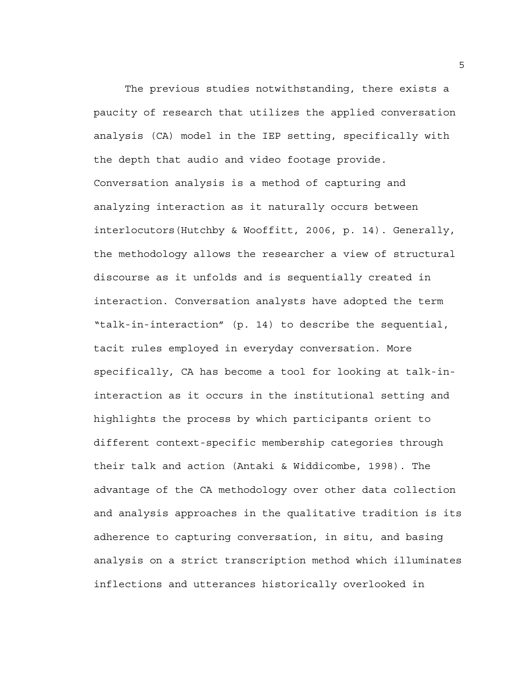The previous studies notwithstanding, there exists a paucity of research that utilizes the applied conversation analysis (CA) model in the IEP setting, specifically with the depth that audio and video footage provide. Conversation analysis is a method of capturing and analyzing interaction as it naturally occurs between interlocutors(Hutchby & Wooffitt, 2006, p. 14). Generally, the methodology allows the researcher a view of structural discourse as it unfolds and is sequentially created in interaction. Conversation analysts have adopted the term "talk-in-interaction" (p. 14) to describe the sequential, tacit rules employed in everyday conversation. More specifically, CA has become a tool for looking at talk-ininteraction as it occurs in the institutional setting and highlights the process by which participants orient to different context-specific membership categories through their talk and action (Antaki & Widdicombe, 1998). The advantage of the CA methodology over other data collection and analysis approaches in the qualitative tradition is its adherence to capturing conversation, in situ, and basing analysis on a strict transcription method which illuminates inflections and utterances historically overlooked in

5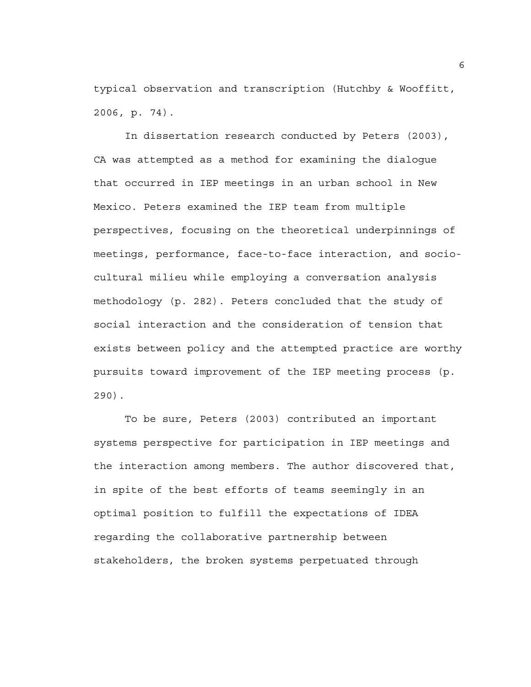typical observation and transcription (Hutchby & Wooffitt, 2006, p. 74).

In dissertation research conducted by Peters (2003), CA was attempted as a method for examining the dialogue that occurred in IEP meetings in an urban school in New Mexico. Peters examined the IEP team from multiple perspectives, focusing on the theoretical underpinnings of meetings, performance, face-to-face interaction, and sociocultural milieu while employing a conversation analysis methodology (p. 282). Peters concluded that the study of social interaction and the consideration of tension that exists between policy and the attempted practice are worthy pursuits toward improvement of the IEP meeting process (p. 290).

To be sure, Peters (2003) contributed an important systems perspective for participation in IEP meetings and the interaction among members. The author discovered that, in spite of the best efforts of teams seemingly in an optimal position to fulfill the expectations of IDEA regarding the collaborative partnership between stakeholders, the broken systems perpetuated through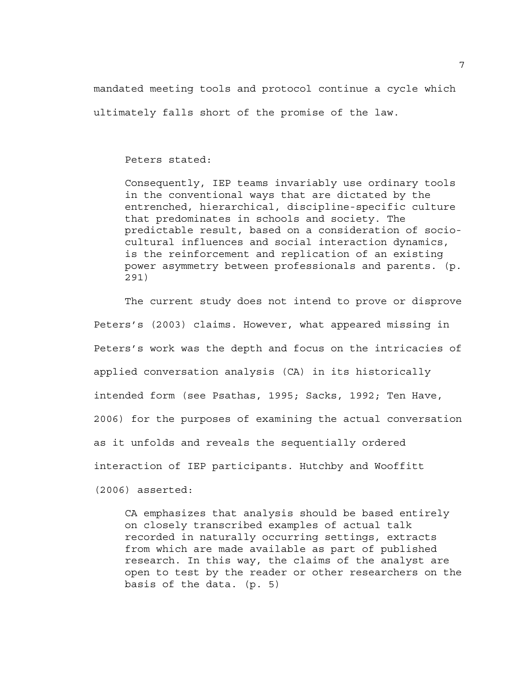mandated meeting tools and protocol continue a cycle which ultimately falls short of the promise of the law.

Peters stated:

Consequently, IEP teams invariably use ordinary tools in the conventional ways that are dictated by the entrenched, hierarchical, discipline-specific culture that predominates in schools and society. The predictable result, based on a consideration of sociocultural influences and social interaction dynamics, is the reinforcement and replication of an existing power asymmetry between professionals and parents. (p. 291)

The current study does not intend to prove or disprove Peters's (2003) claims. However, what appeared missing in Peters's work was the depth and focus on the intricacies of applied conversation analysis (CA) in its historically intended form (see Psathas, 1995; Sacks, 1992; Ten Have, 2006) for the purposes of examining the actual conversation as it unfolds and reveals the sequentially ordered interaction of IEP participants. Hutchby and Wooffitt (2006) asserted:

CA emphasizes that analysis should be based entirely on closely transcribed examples of actual talk recorded in naturally occurring settings, extracts from which are made available as part of published research. In this way, the claims of the analyst are open to test by the reader or other researchers on the basis of the data. (p. 5)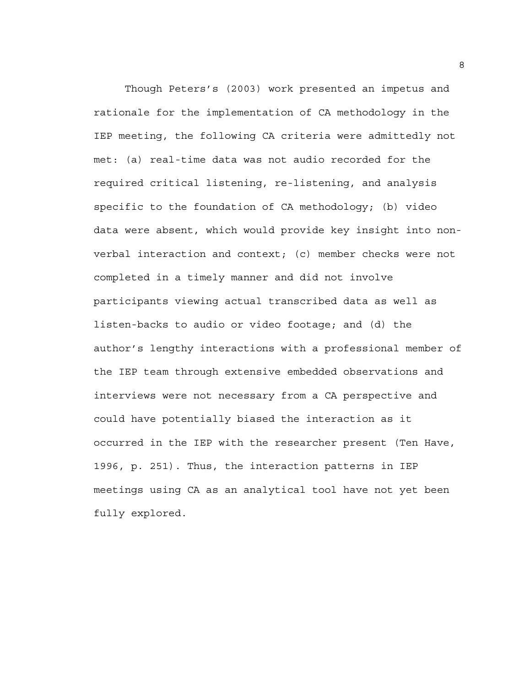Though Peters's (2003) work presented an impetus and rationale for the implementation of CA methodology in the IEP meeting, the following CA criteria were admittedly not met: (a) real-time data was not audio recorded for the required critical listening, re-listening, and analysis specific to the foundation of CA methodology; (b) video data were absent, which would provide key insight into nonverbal interaction and context; (c) member checks were not completed in a timely manner and did not involve participants viewing actual transcribed data as well as listen-backs to audio or video footage; and (d) the author's lengthy interactions with a professional member of the IEP team through extensive embedded observations and interviews were not necessary from a CA perspective and could have potentially biased the interaction as it occurred in the IEP with the researcher present (Ten Have, 1996, p. 251). Thus, the interaction patterns in IEP meetings using CA as an analytical tool have not yet been fully explored.

8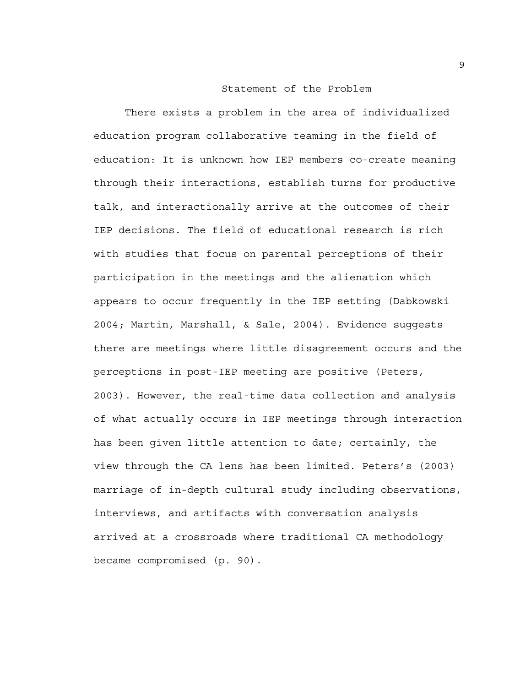#### Statement of the Problem

There exists a problem in the area of individualized education program collaborative teaming in the field of education: It is unknown how IEP members co-create meaning through their interactions, establish turns for productive talk, and interactionally arrive at the outcomes of their IEP decisions. The field of educational research is rich with studies that focus on parental perceptions of their participation in the meetings and the alienation which appears to occur frequently in the IEP setting (Dabkowski 2004; Martin, Marshall, & Sale, 2004). Evidence suggests there are meetings where little disagreement occurs and the perceptions in post-IEP meeting are positive (Peters, 2003). However, the real-time data collection and analysis of what actually occurs in IEP meetings through interaction has been given little attention to date; certainly, the view through the CA lens has been limited. Peters's (2003) marriage of in-depth cultural study including observations, interviews, and artifacts with conversation analysis arrived at a crossroads where traditional CA methodology became compromised (p. 90).

9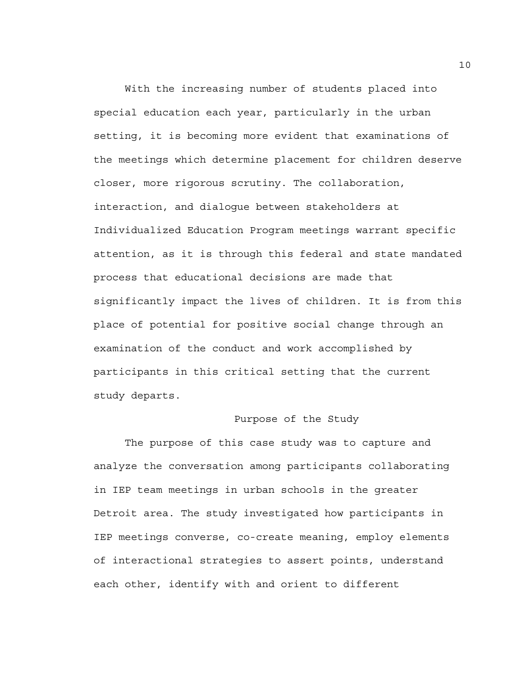With the increasing number of students placed into special education each year, particularly in the urban setting, it is becoming more evident that examinations of the meetings which determine placement for children deserve closer, more rigorous scrutiny. The collaboration, interaction, and dialogue between stakeholders at Individualized Education Program meetings warrant specific attention, as it is through this federal and state mandated process that educational decisions are made that significantly impact the lives of children. It is from this place of potential for positive social change through an examination of the conduct and work accomplished by participants in this critical setting that the current study departs.

## Purpose of the Study

The purpose of this case study was to capture and analyze the conversation among participants collaborating in IEP team meetings in urban schools in the greater Detroit area. The study investigated how participants in IEP meetings converse, co-create meaning, employ elements of interactional strategies to assert points, understand each other, identify with and orient to different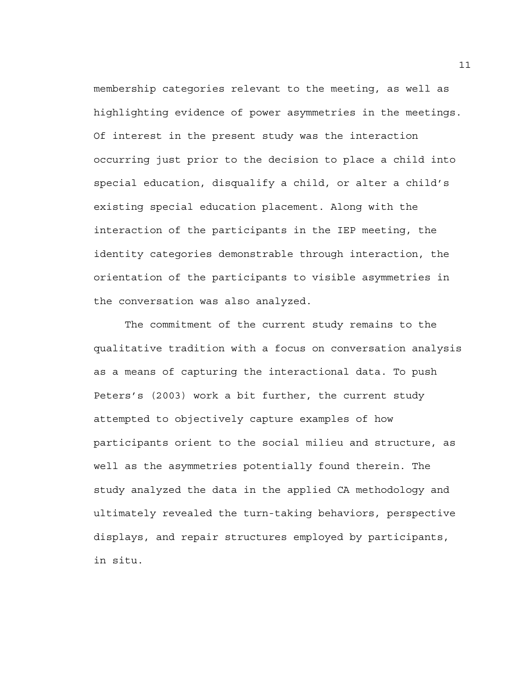membership categories relevant to the meeting, as well as highlighting evidence of power asymmetries in the meetings. Of interest in the present study was the interaction occurring just prior to the decision to place a child into special education, disqualify a child, or alter a child's existing special education placement. Along with the interaction of the participants in the IEP meeting, the identity categories demonstrable through interaction, the orientation of the participants to visible asymmetries in the conversation was also analyzed.

The commitment of the current study remains to the qualitative tradition with a focus on conversation analysis as a means of capturing the interactional data. To push Peters's (2003) work a bit further, the current study attempted to objectively capture examples of how participants orient to the social milieu and structure, as well as the asymmetries potentially found therein. The study analyzed the data in the applied CA methodology and ultimately revealed the turn-taking behaviors, perspective displays, and repair structures employed by participants, in situ.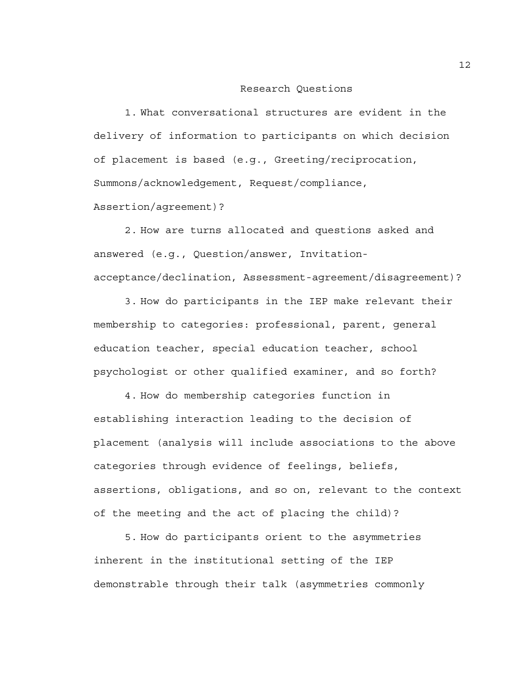#### Research Questions

1. What conversational structures are evident in the delivery of information to participants on which decision of placement is based (e.g., Greeting/reciprocation, Summons/acknowledgement, Request/compliance,

Assertion/agreement)?

2. How are turns allocated and questions asked and answered (e.g., Question/answer, Invitationacceptance/declination, Assessment-agreement/disagreement)?

3. How do participants in the IEP make relevant their membership to categories: professional, parent, general education teacher, special education teacher, school psychologist or other qualified examiner, and so forth?

4. How do membership categories function in establishing interaction leading to the decision of placement (analysis will include associations to the above categories through evidence of feelings, beliefs, assertions, obligations, and so on, relevant to the context of the meeting and the act of placing the child)?

5. How do participants orient to the asymmetries inherent in the institutional setting of the IEP demonstrable through their talk (asymmetries commonly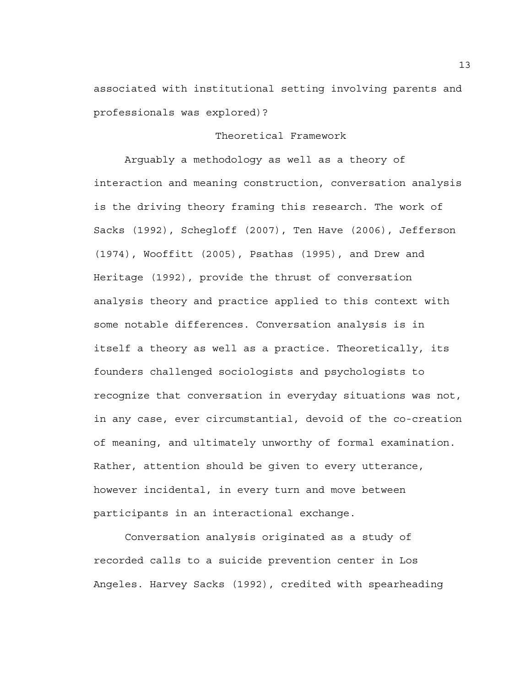associated with institutional setting involving parents and professionals was explored)?

## Theoretical Framework

 Arguably a methodology as well as a theory of interaction and meaning construction, conversation analysis is the driving theory framing this research. The work of Sacks (1992), Schegloff (2007), Ten Have (2006), Jefferson (1974), Wooffitt (2005), Psathas (1995), and Drew and Heritage (1992), provide the thrust of conversation analysis theory and practice applied to this context with some notable differences. Conversation analysis is in itself a theory as well as a practice. Theoretically, its founders challenged sociologists and psychologists to recognize that conversation in everyday situations was not, in any case, ever circumstantial, devoid of the co-creation of meaning, and ultimately unworthy of formal examination. Rather, attention should be given to every utterance, however incidental, in every turn and move between participants in an interactional exchange.

 Conversation analysis originated as a study of recorded calls to a suicide prevention center in Los Angeles. Harvey Sacks (1992), credited with spearheading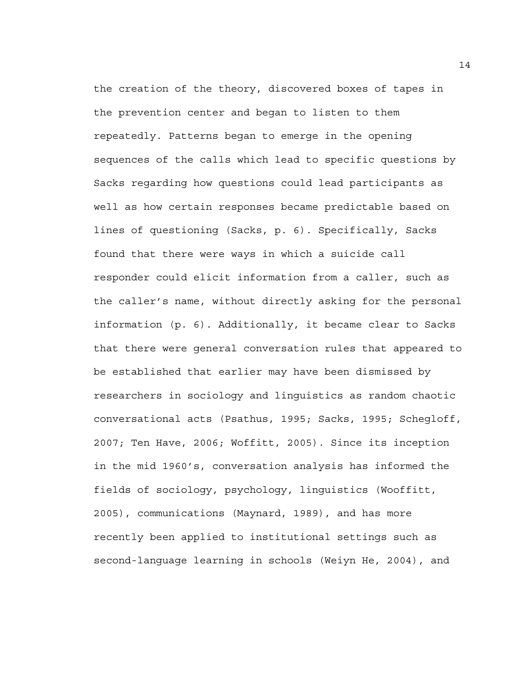the creation of the theory, discovered boxes of tapes in the prevention center and began to listen to them repeatedly. Patterns began to emerge in the opening sequences of the calls which lead to specific questions by Sacks regarding how questions could lead participants as well as how certain responses became predictable based on lines of questioning (Sacks, p. 6). Specifically, Sacks found that there were ways in which a suicide call responder could elicit information from a caller, such as the caller's name, without directly asking for the personal information (p. 6). Additionally, it became clear to Sacks that there were general conversation rules that appeared to be established that earlier may have been dismissed by researchers in sociology and linguistics as random chaotic conversational acts (Psathus, 1995; Sacks, 1995; Schegloff, 2007; Ten Have, 2006; Woffitt, 2005). Since its inception in the mid 1960's, conversation analysis has informed the fields of sociology, psychology, linguistics (Wooffitt, 2005), communications (Maynard, 1989), and has more recently been applied to institutional settings such as second-language learning in schools (Weiyn He, 2004), and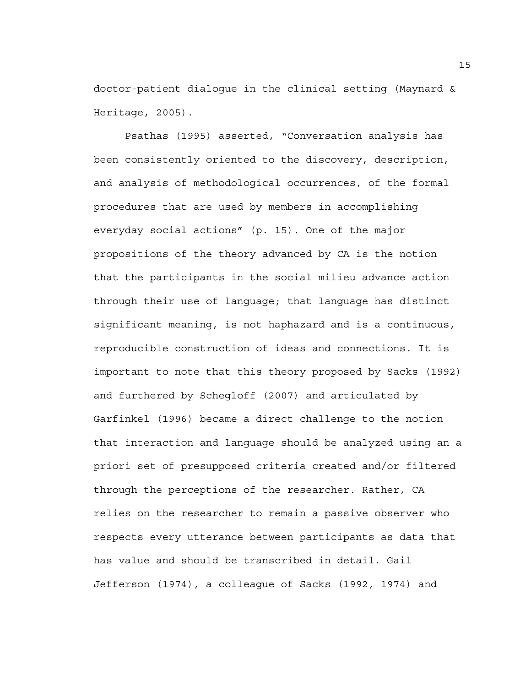doctor-patient dialogue in the clinical setting (Maynard & Heritage, 2005).

 Psathas (1995) asserted, "Conversation analysis has been consistently oriented to the discovery, description, and analysis of methodological occurrences, of the formal procedures that are used by members in accomplishing everyday social actions" (p. 15). One of the major propositions of the theory advanced by CA is the notion that the participants in the social milieu advance action through their use of language; that language has distinct significant meaning, is not haphazard and is a continuous, reproducible construction of ideas and connections. It is important to note that this theory proposed by Sacks (1992) and furthered by Schegloff (2007) and articulated by Garfinkel (1996) became a direct challenge to the notion that interaction and language should be analyzed using an a priori set of presupposed criteria created and/or filtered through the perceptions of the researcher. Rather, CA relies on the researcher to remain a passive observer who respects every utterance between participants as data that has value and should be transcribed in detail. Gail Jefferson (1974), a colleague of Sacks (1992, 1974) and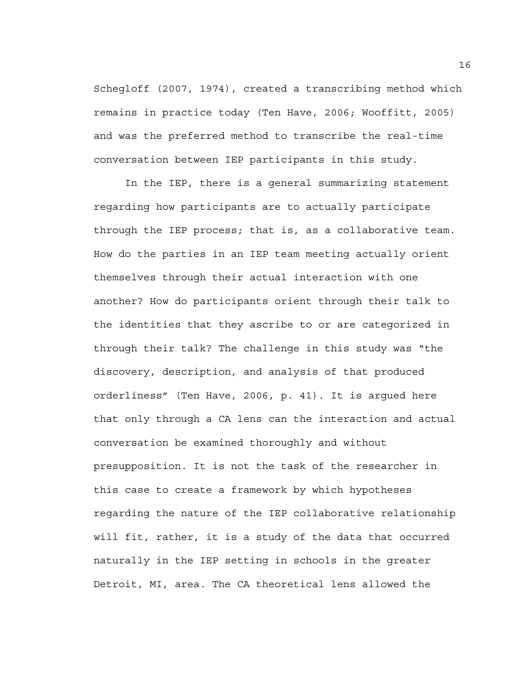Schegloff (2007, 1974), created a transcribing method which remains in practice today (Ten Have, 2006; Wooffitt, 2005) and was the preferred method to transcribe the real-time conversation between IEP participants in this study.

In the IEP, there is a general summarizing statement regarding how participants are to actually participate through the IEP process; that is, as a collaborative team. How do the parties in an IEP team meeting actually orient themselves through their actual interaction with one another? How do participants orient through their talk to the identities that they ascribe to or are categorized in through their talk? The challenge in this study was "the discovery, description, and analysis of that produced orderliness" (Ten Have, 2006, p. 41). It is argued here that only through a CA lens can the interaction and actual conversation be examined thoroughly and without presupposition. It is not the task of the researcher in this case to create a framework by which hypotheses regarding the nature of the IEP collaborative relationship will fit, rather, it is a study of the data that occurred naturally in the IEP setting in schools in the greater Detroit, MI, area. The CA theoretical lens allowed the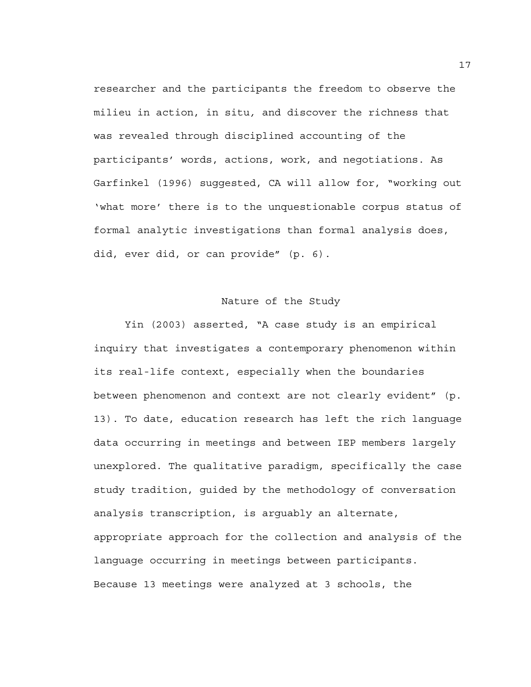researcher and the participants the freedom to observe the milieu in action, in situ*,* and discover the richness that was revealed through disciplined accounting of the participants' words, actions, work, and negotiations. As Garfinkel (1996) suggested, CA will allow for, "working out 'what more' there is to the unquestionable corpus status of formal analytic investigations than formal analysis does, did, ever did, or can provide" (p. 6).

## Nature of the Study

 Yin (2003) asserted, "A case study is an empirical inquiry that investigates a contemporary phenomenon within its real-life context, especially when the boundaries between phenomenon and context are not clearly evident" (p. 13). To date, education research has left the rich language data occurring in meetings and between IEP members largely unexplored. The qualitative paradigm, specifically the case study tradition, guided by the methodology of conversation analysis transcription, is arguably an alternate, appropriate approach for the collection and analysis of the language occurring in meetings between participants. Because 13 meetings were analyzed at 3 schools, the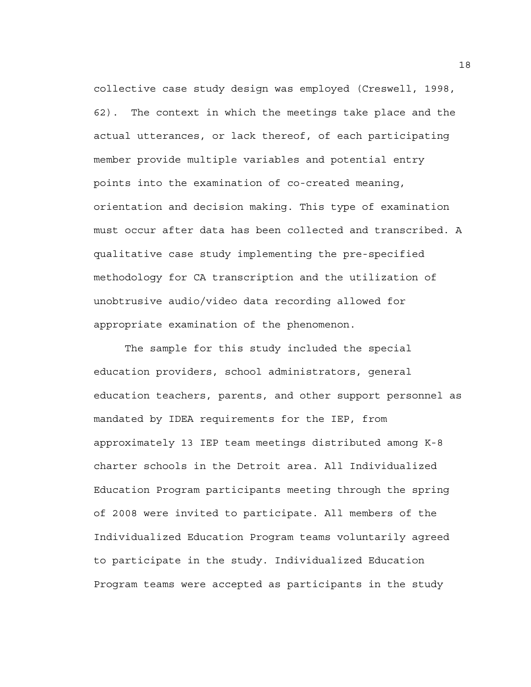collective case study design was employed (Creswell, 1998, 62). The context in which the meetings take place and the actual utterances, or lack thereof, of each participating member provide multiple variables and potential entry points into the examination of co-created meaning, orientation and decision making. This type of examination must occur after data has been collected and transcribed. A qualitative case study implementing the pre-specified methodology for CA transcription and the utilization of unobtrusive audio/video data recording allowed for appropriate examination of the phenomenon.

The sample for this study included the special education providers, school administrators, general education teachers, parents, and other support personnel as mandated by IDEA requirements for the IEP, from approximately 13 IEP team meetings distributed among K-8 charter schools in the Detroit area. All Individualized Education Program participants meeting through the spring of 2008 were invited to participate. All members of the Individualized Education Program teams voluntarily agreed to participate in the study. Individualized Education Program teams were accepted as participants in the study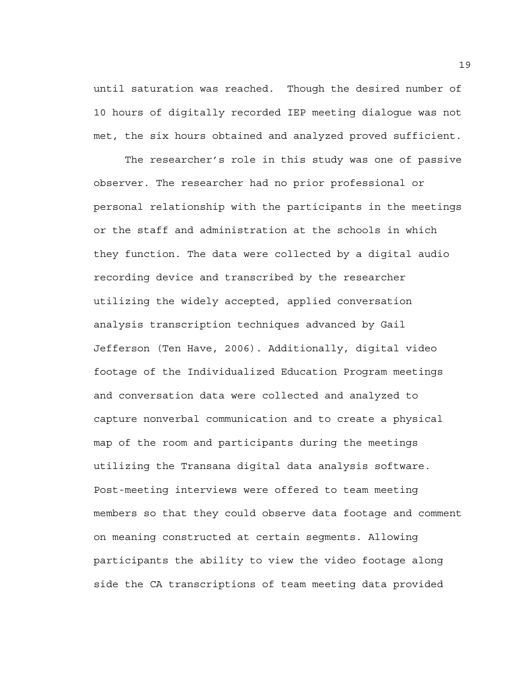until saturation was reached. Though the desired number of 10 hours of digitally recorded IEP meeting dialogue was not met, the six hours obtained and analyzed proved sufficient.

The researcher's role in this study was one of passive observer. The researcher had no prior professional or personal relationship with the participants in the meetings or the staff and administration at the schools in which they function. The data were collected by a digital audio recording device and transcribed by the researcher utilizing the widely accepted, applied conversation analysis transcription techniques advanced by Gail Jefferson (Ten Have, 2006). Additionally, digital video footage of the Individualized Education Program meetings and conversation data were collected and analyzed to capture nonverbal communication and to create a physical map of the room and participants during the meetings utilizing the Transana digital data analysis software. Post-meeting interviews were offered to team meeting members so that they could observe data footage and comment on meaning constructed at certain segments. Allowing participants the ability to view the video footage along side the CA transcriptions of team meeting data provided

19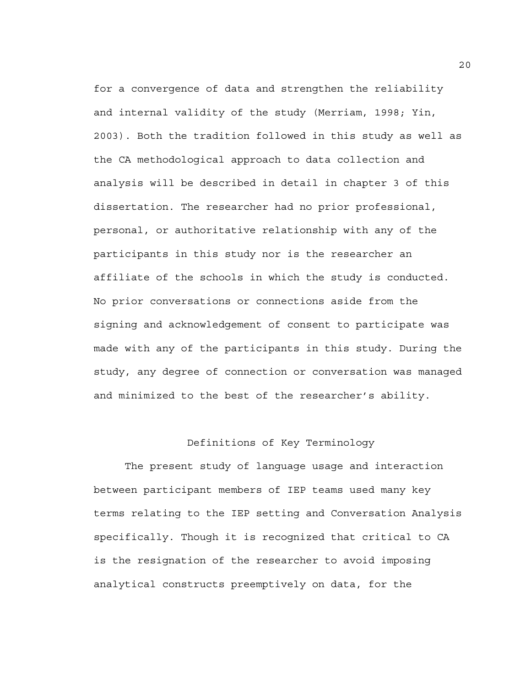for a convergence of data and strengthen the reliability and internal validity of the study (Merriam, 1998; Yin, 2003). Both the tradition followed in this study as well as the CA methodological approach to data collection and analysis will be described in detail in chapter 3 of this dissertation. The researcher had no prior professional, personal, or authoritative relationship with any of the participants in this study nor is the researcher an affiliate of the schools in which the study is conducted. No prior conversations or connections aside from the signing and acknowledgement of consent to participate was made with any of the participants in this study. During the study, any degree of connection or conversation was managed and minimized to the best of the researcher's ability.

### Definitions of Key Terminology

The present study of language usage and interaction between participant members of IEP teams used many key terms relating to the IEP setting and Conversation Analysis specifically. Though it is recognized that critical to CA is the resignation of the researcher to avoid imposing analytical constructs preemptively on data, for the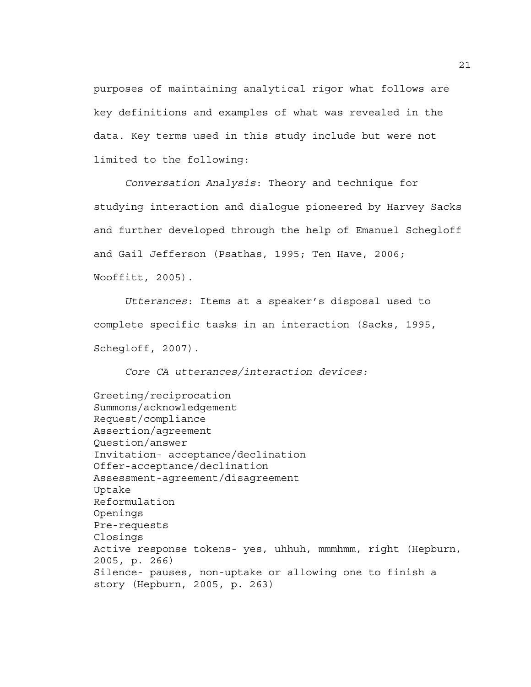purposes of maintaining analytical rigor what follows are key definitions and examples of what was revealed in the data. Key terms used in this study include but were not limited to the following:

*Conversation Analysis*: Theory and technique for studying interaction and dialogue pioneered by Harvey Sacks and further developed through the help of Emanuel Schegloff and Gail Jefferson (Psathas, 1995; Ten Have, 2006; Wooffitt, 2005).

*Utterances*: Items at a speaker's disposal used to complete specific tasks in an interaction (Sacks, 1995, Schegloff, 2007).

*Core CA utterances/interaction devices:* 

Greeting/reciprocation Summons/acknowledgement Request/compliance Assertion/agreement Question/answer Invitation- acceptance/declination Offer-acceptance/declination Assessment-agreement/disagreement Uptake Reformulation Openings Pre-requests Closings Active response tokens- yes, uhhuh, mmmhmm, right (Hepburn, 2005, p. 266) Silence- pauses, non-uptake or allowing one to finish a story (Hepburn, 2005, p. 263)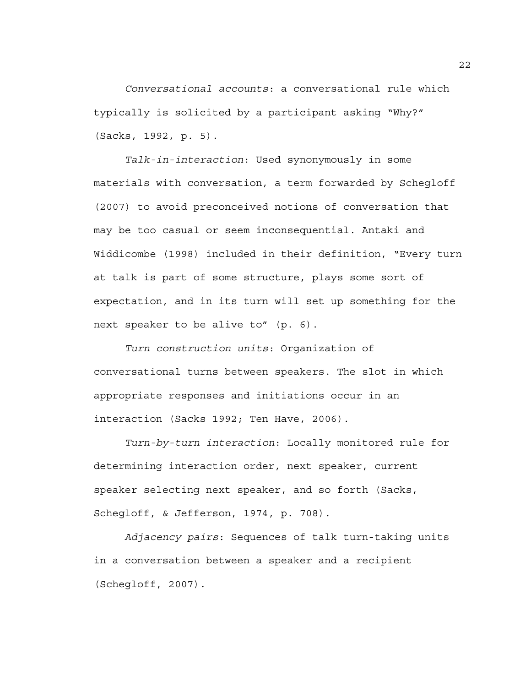*Conversational accounts*: a conversational rule which typically is solicited by a participant asking "Why?" (Sacks, 1992, p. 5).

*Talk-in-interaction*: Used synonymously in some materials with conversation, a term forwarded by Schegloff (2007) to avoid preconceived notions of conversation that may be too casual or seem inconsequential. Antaki and Widdicombe (1998) included in their definition, "Every turn at talk is part of some structure, plays some sort of expectation, and in its turn will set up something for the next speaker to be alive to" (p. 6).

*Turn construction units*: Organization of conversational turns between speakers. The slot in which appropriate responses and initiations occur in an interaction (Sacks 1992; Ten Have, 2006).

*Turn-by-turn interaction*: Locally monitored rule for determining interaction order, next speaker, current speaker selecting next speaker, and so forth (Sacks, Schegloff, & Jefferson, 1974, p. 708).

*Adjacency pairs*: Sequences of talk turn-taking units in a conversation between a speaker and a recipient (Schegloff, 2007).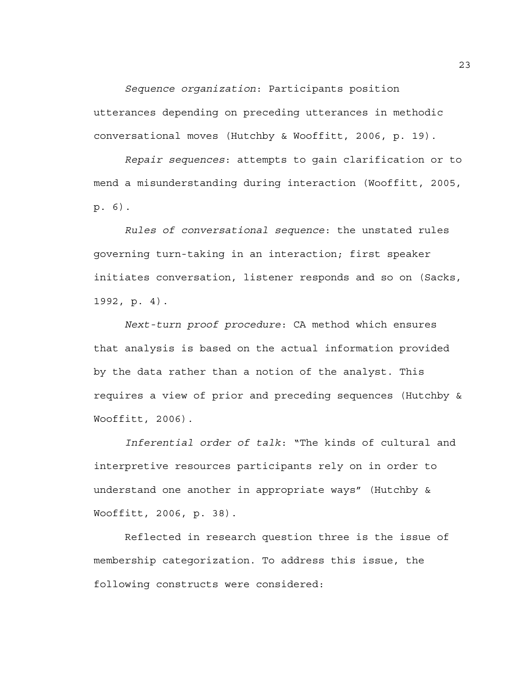*Sequence organization*: Participants position utterances depending on preceding utterances in methodic conversational moves (Hutchby & Wooffitt, 2006, p. 19).

*Repair sequences*: attempts to gain clarification or to mend a misunderstanding during interaction (Wooffitt, 2005, p. 6).

*Rules of conversational sequence*: the unstated rules governing turn-taking in an interaction; first speaker initiates conversation, listener responds and so on (Sacks, 1992, p. 4).

*Next-turn proof procedure*: CA method which ensures that analysis is based on the actual information provided by the data rather than a notion of the analyst. This requires a view of prior and preceding sequences (Hutchby & Wooffitt, 2006).

*Inferential order of talk*: "The kinds of cultural and interpretive resources participants rely on in order to understand one another in appropriate ways" (Hutchby & Wooffitt, 2006, p. 38).

 Reflected in research question three is the issue of membership categorization. To address this issue, the following constructs were considered: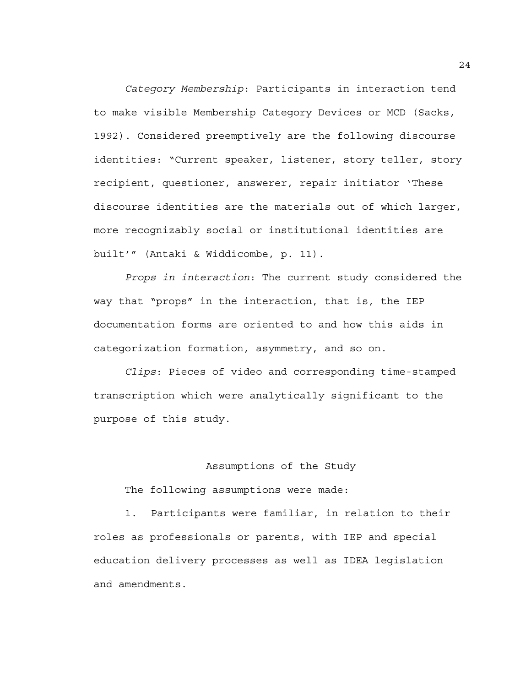*Category Membership*: Participants in interaction tend to make visible Membership Category Devices or MCD (Sacks, 1992). Considered preemptively are the following discourse identities: "Current speaker, listener, story teller, story recipient, questioner, answerer, repair initiator 'These discourse identities are the materials out of which larger, more recognizably social or institutional identities are built'" (Antaki & Widdicombe, p. 11).

*Props in interaction*: The current study considered the way that "props" in the interaction, that is, the IEP documentation forms are oriented to and how this aids in categorization formation, asymmetry, and so on.

*Clips*: Pieces of video and corresponding time-stamped transcription which were analytically significant to the purpose of this study.

#### Assumptions of the Study

The following assumptions were made:

1. Participants were familiar, in relation to their roles as professionals or parents, with IEP and special education delivery processes as well as IDEA legislation and amendments.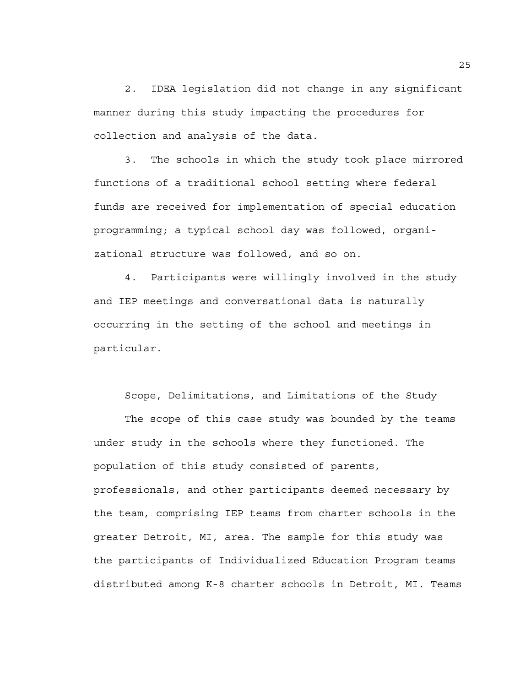2. IDEA legislation did not change in any significant manner during this study impacting the procedures for collection and analysis of the data.

3. The schools in which the study took place mirrored functions of a traditional school setting where federal funds are received for implementation of special education programming; a typical school day was followed, organizational structure was followed, and so on.

4. Participants were willingly involved in the study and IEP meetings and conversational data is naturally occurring in the setting of the school and meetings in particular.

Scope, Delimitations, and Limitations of the Study

The scope of this case study was bounded by the teams under study in the schools where they functioned. The population of this study consisted of parents, professionals, and other participants deemed necessary by the team, comprising IEP teams from charter schools in the greater Detroit, MI, area. The sample for this study was the participants of Individualized Education Program teams distributed among K-8 charter schools in Detroit, MI. Teams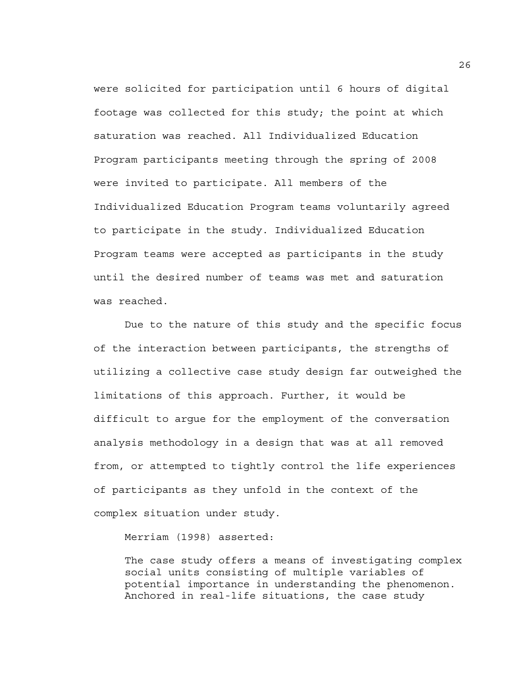were solicited for participation until 6 hours of digital footage was collected for this study; the point at which saturation was reached. All Individualized Education Program participants meeting through the spring of 2008 were invited to participate. All members of the Individualized Education Program teams voluntarily agreed to participate in the study. Individualized Education Program teams were accepted as participants in the study until the desired number of teams was met and saturation was reached.

Due to the nature of this study and the specific focus of the interaction between participants, the strengths of utilizing a collective case study design far outweighed the limitations of this approach. Further, it would be difficult to argue for the employment of the conversation analysis methodology in a design that was at all removed from, or attempted to tightly control the life experiences of participants as they unfold in the context of the complex situation under study.

Merriam (1998) asserted:

The case study offers a means of investigating complex social units consisting of multiple variables of potential importance in understanding the phenomenon. Anchored in real-life situations, the case study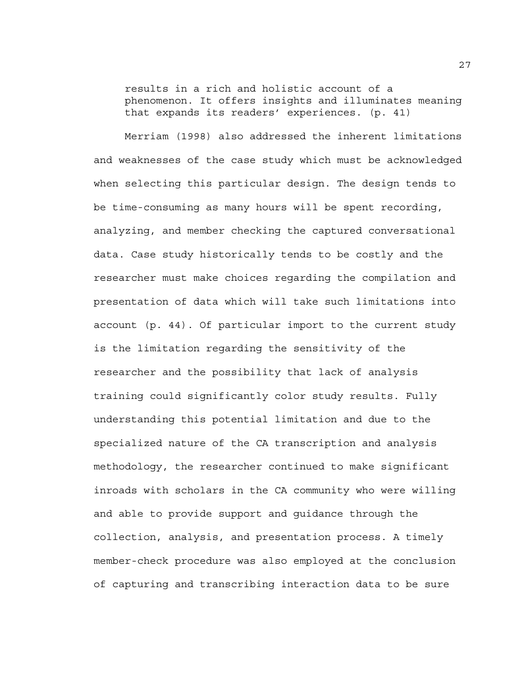results in a rich and holistic account of a phenomenon. It offers insights and illuminates meaning that expands its readers' experiences. (p. 41)

Merriam (1998) also addressed the inherent limitations and weaknesses of the case study which must be acknowledged when selecting this particular design. The design tends to be time-consuming as many hours will be spent recording, analyzing, and member checking the captured conversational data. Case study historically tends to be costly and the researcher must make choices regarding the compilation and presentation of data which will take such limitations into account (p. 44). Of particular import to the current study is the limitation regarding the sensitivity of the researcher and the possibility that lack of analysis training could significantly color study results. Fully understanding this potential limitation and due to the specialized nature of the CA transcription and analysis methodology, the researcher continued to make significant inroads with scholars in the CA community who were willing and able to provide support and guidance through the collection, analysis, and presentation process. A timely member-check procedure was also employed at the conclusion of capturing and transcribing interaction data to be sure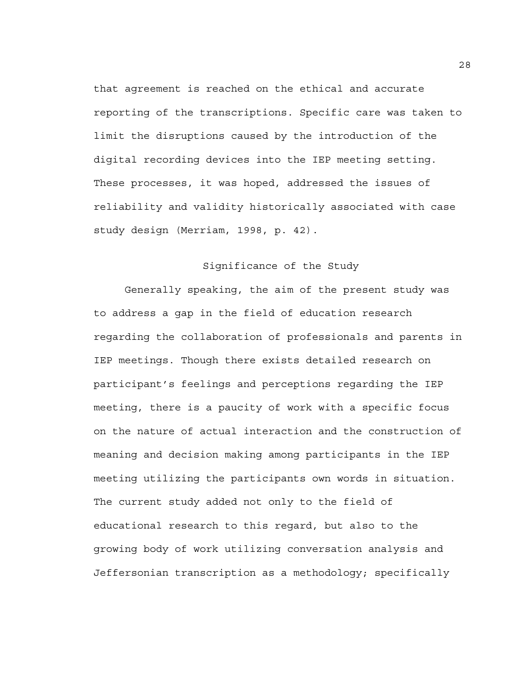that agreement is reached on the ethical and accurate reporting of the transcriptions. Specific care was taken to limit the disruptions caused by the introduction of the digital recording devices into the IEP meeting setting. These processes, it was hoped, addressed the issues of reliability and validity historically associated with case study design (Merriam, 1998, p. 42).

## Significance of the Study

 Generally speaking, the aim of the present study was to address a gap in the field of education research regarding the collaboration of professionals and parents in IEP meetings. Though there exists detailed research on participant's feelings and perceptions regarding the IEP meeting, there is a paucity of work with a specific focus on the nature of actual interaction and the construction of meaning and decision making among participants in the IEP meeting utilizing the participants own words in situation. The current study added not only to the field of educational research to this regard, but also to the growing body of work utilizing conversation analysis and Jeffersonian transcription as a methodology; specifically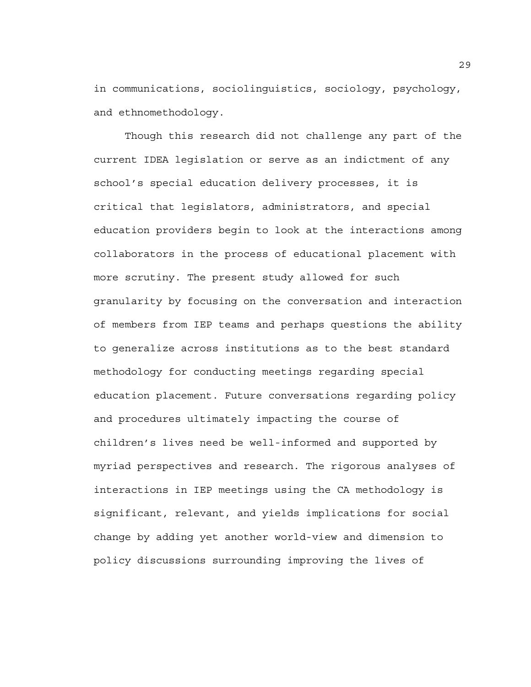in communications, sociolinguistics, sociology, psychology, and ethnomethodology.

 Though this research did not challenge any part of the current IDEA legislation or serve as an indictment of any school's special education delivery processes, it is critical that legislators, administrators, and special education providers begin to look at the interactions among collaborators in the process of educational placement with more scrutiny. The present study allowed for such granularity by focusing on the conversation and interaction of members from IEP teams and perhaps questions the ability to generalize across institutions as to the best standard methodology for conducting meetings regarding special education placement. Future conversations regarding policy and procedures ultimately impacting the course of children's lives need be well-informed and supported by myriad perspectives and research. The rigorous analyses of interactions in IEP meetings using the CA methodology is significant, relevant, and yields implications for social change by adding yet another world-view and dimension to policy discussions surrounding improving the lives of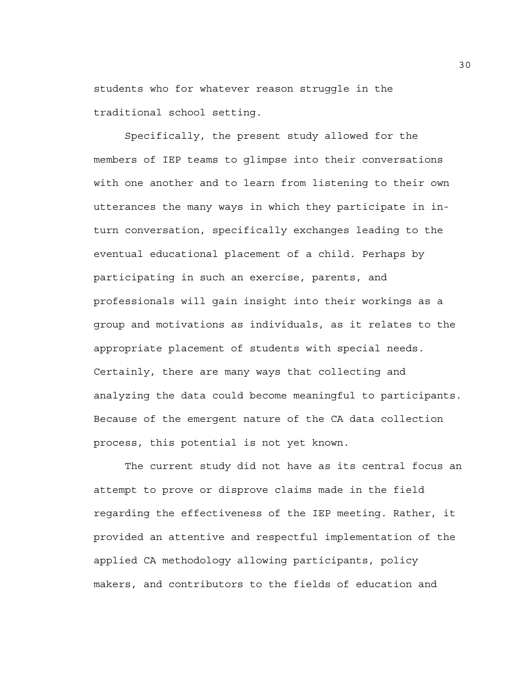students who for whatever reason struggle in the traditional school setting.

 Specifically, the present study allowed for the members of IEP teams to glimpse into their conversations with one another and to learn from listening to their own utterances the many ways in which they participate in inturn conversation, specifically exchanges leading to the eventual educational placement of a child. Perhaps by participating in such an exercise, parents, and professionals will gain insight into their workings as a group and motivations as individuals, as it relates to the appropriate placement of students with special needs. Certainly, there are many ways that collecting and analyzing the data could become meaningful to participants. Because of the emergent nature of the CA data collection process, this potential is not yet known.

The current study did not have as its central focus an attempt to prove or disprove claims made in the field regarding the effectiveness of the IEP meeting. Rather, it provided an attentive and respectful implementation of the applied CA methodology allowing participants, policy makers, and contributors to the fields of education and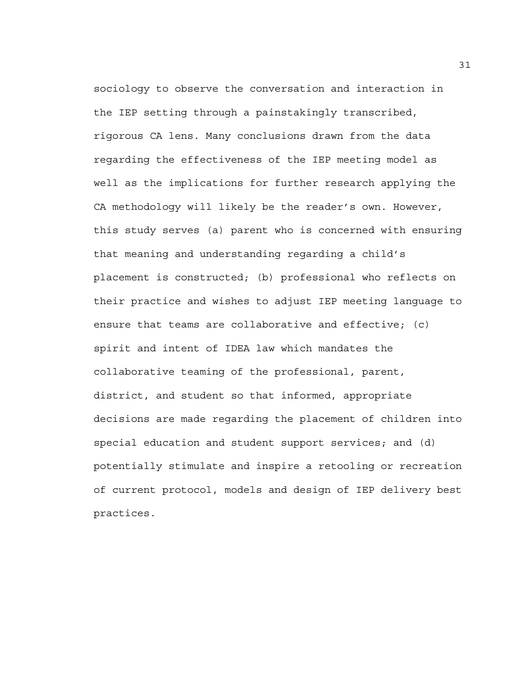sociology to observe the conversation and interaction in the IEP setting through a painstakingly transcribed, rigorous CA lens. Many conclusions drawn from the data regarding the effectiveness of the IEP meeting model as well as the implications for further research applying the CA methodology will likely be the reader's own. However, this study serves (a) parent who is concerned with ensuring that meaning and understanding regarding a child's placement is constructed; (b) professional who reflects on their practice and wishes to adjust IEP meeting language to ensure that teams are collaborative and effective; (c) spirit and intent of IDEA law which mandates the collaborative teaming of the professional, parent, district, and student so that informed, appropriate decisions are made regarding the placement of children into special education and student support services; and (d) potentially stimulate and inspire a retooling or recreation of current protocol, models and design of IEP delivery best practices.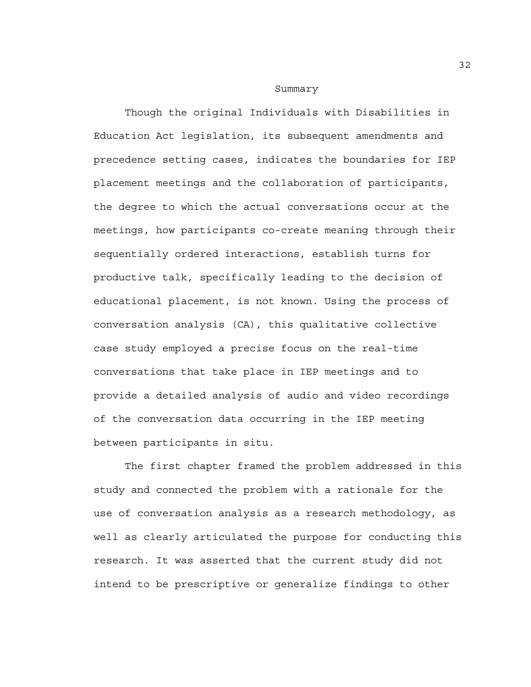#### Summary

Though the original Individuals with Disabilities in Education Act legislation, its subsequent amendments and precedence setting cases, indicates the boundaries for IEP placement meetings and the collaboration of participants, the degree to which the actual conversations occur at the meetings, how participants co-create meaning through their sequentially ordered interactions, establish turns for productive talk, specifically leading to the decision of educational placement, is not known. Using the process of conversation analysis (CA), this qualitative collective case study employed a precise focus on the real-time conversations that take place in IEP meetings and to provide a detailed analysis of audio and video recordings of the conversation data occurring in the IEP meeting between participants in situ.

The first chapter framed the problem addressed in this study and connected the problem with a rationale for the use of conversation analysis as a research methodology, as well as clearly articulated the purpose for conducting this research. It was asserted that the current study did not intend to be prescriptive or generalize findings to other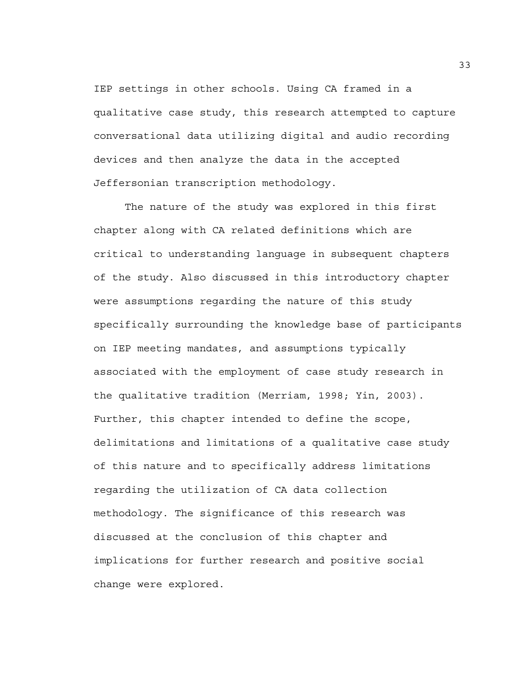IEP settings in other schools. Using CA framed in a qualitative case study, this research attempted to capture conversational data utilizing digital and audio recording devices and then analyze the data in the accepted Jeffersonian transcription methodology.

The nature of the study was explored in this first chapter along with CA related definitions which are critical to understanding language in subsequent chapters of the study. Also discussed in this introductory chapter were assumptions regarding the nature of this study specifically surrounding the knowledge base of participants on IEP meeting mandates, and assumptions typically associated with the employment of case study research in the qualitative tradition (Merriam, 1998; Yin, 2003). Further, this chapter intended to define the scope, delimitations and limitations of a qualitative case study of this nature and to specifically address limitations regarding the utilization of CA data collection methodology. The significance of this research was discussed at the conclusion of this chapter and implications for further research and positive social change were explored.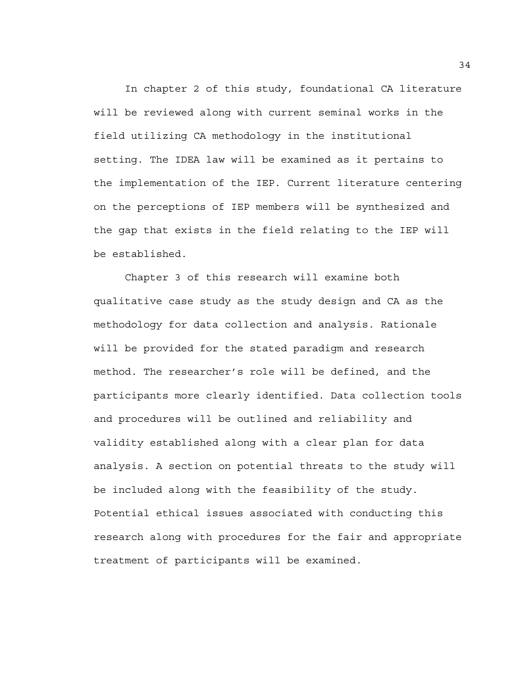In chapter 2 of this study, foundational CA literature will be reviewed along with current seminal works in the field utilizing CA methodology in the institutional setting. The IDEA law will be examined as it pertains to the implementation of the IEP. Current literature centering on the perceptions of IEP members will be synthesized and the gap that exists in the field relating to the IEP will be established.

Chapter 3 of this research will examine both qualitative case study as the study design and CA as the methodology for data collection and analysis. Rationale will be provided for the stated paradigm and research method. The researcher's role will be defined, and the participants more clearly identified. Data collection tools and procedures will be outlined and reliability and validity established along with a clear plan for data analysis. A section on potential threats to the study will be included along with the feasibility of the study. Potential ethical issues associated with conducting this research along with procedures for the fair and appropriate treatment of participants will be examined.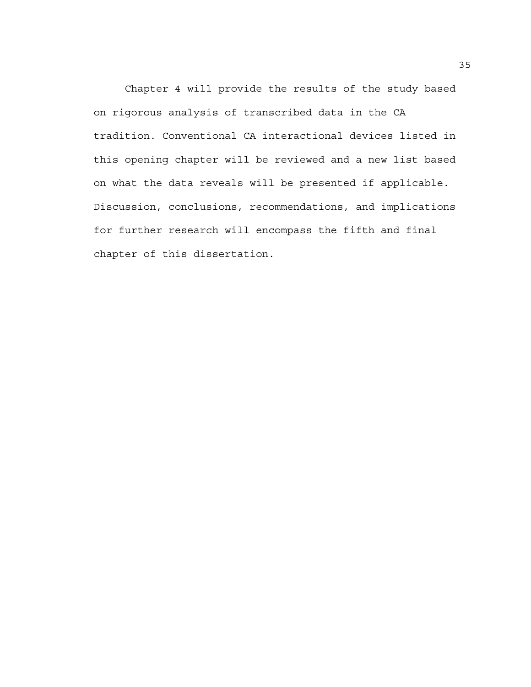Chapter 4 will provide the results of the study based on rigorous analysis of transcribed data in the CA tradition. Conventional CA interactional devices listed in this opening chapter will be reviewed and a new list based on what the data reveals will be presented if applicable. Discussion, conclusions, recommendations, and implications for further research will encompass the fifth and final chapter of this dissertation.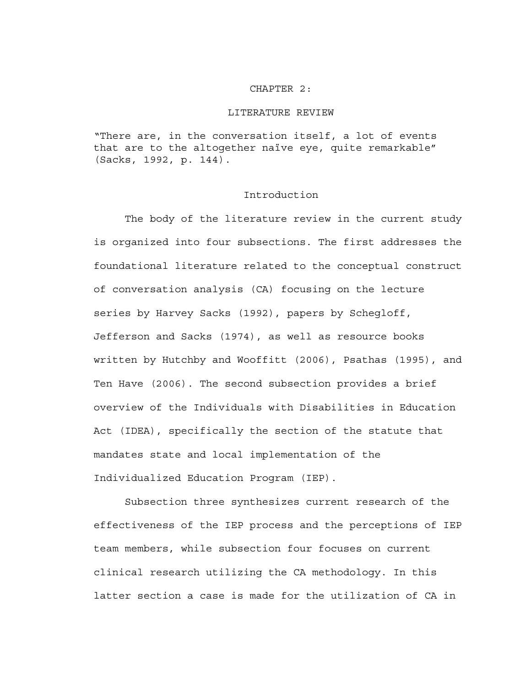### CHAPTER 2:

### LITERATURE REVIEW

"There are, in the conversation itself, a lot of events that are to the altogether naïve eye, quite remarkable" (Sacks, 1992, p. 144).

# Introduction

 The body of the literature review in the current study is organized into four subsections. The first addresses the foundational literature related to the conceptual construct of conversation analysis (CA) focusing on the lecture series by Harvey Sacks (1992), papers by Schegloff, Jefferson and Sacks (1974), as well as resource books written by Hutchby and Wooffitt (2006), Psathas (1995), and Ten Have (2006). The second subsection provides a brief overview of the Individuals with Disabilities in Education Act (IDEA), specifically the section of the statute that mandates state and local implementation of the Individualized Education Program (IEP).

Subsection three synthesizes current research of the effectiveness of the IEP process and the perceptions of IEP team members, while subsection four focuses on current clinical research utilizing the CA methodology. In this latter section a case is made for the utilization of CA in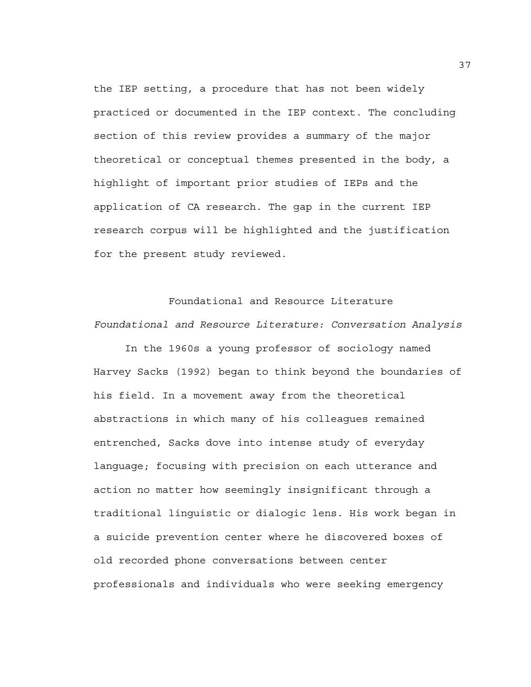the IEP setting, a procedure that has not been widely practiced or documented in the IEP context. The concluding section of this review provides a summary of the major theoretical or conceptual themes presented in the body, a highlight of important prior studies of IEPs and the application of CA research. The gap in the current IEP research corpus will be highlighted and the justification for the present study reviewed.

Foundational and Resource Literature *Foundational and Resource Literature: Conversation Analysis* 

 In the 1960s a young professor of sociology named Harvey Sacks (1992) began to think beyond the boundaries of his field. In a movement away from the theoretical abstractions in which many of his colleagues remained entrenched, Sacks dove into intense study of everyday language; focusing with precision on each utterance and action no matter how seemingly insignificant through a traditional linguistic or dialogic lens. His work began in a suicide prevention center where he discovered boxes of old recorded phone conversations between center professionals and individuals who were seeking emergency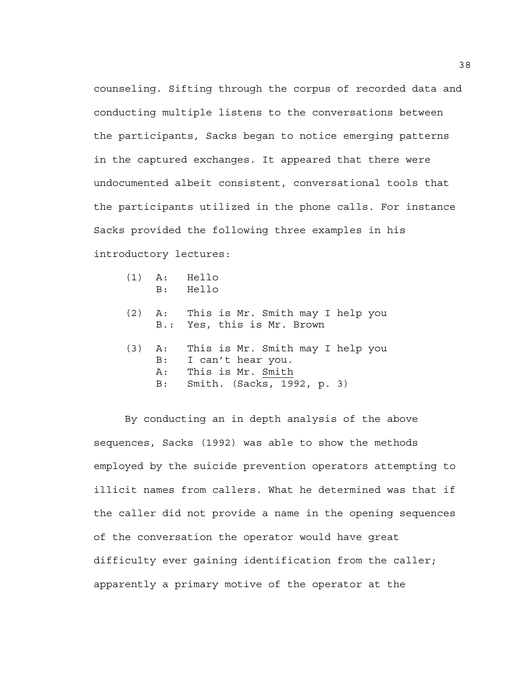counseling. Sifting through the corpus of recorded data and conducting multiple listens to the conversations between the participants, Sacks began to notice emerging patterns in the captured exchanges. It appeared that there were undocumented albeit consistent, conversational tools that the participants utilized in the phone calls. For instance Sacks provided the following three examples in his introductory lectures:

| $(1)$ A: |    | Hello |
|----------|----|-------|
|          | B: | Hello |

- (2) A: This is Mr. Smith may I help you B.: Yes, this is Mr. Brown
- (3) A: This is Mr. Smith may I help you B: I can't hear you. A: This is Mr. Smith B: Smith. (Sacks, 1992, p. 3)

 By conducting an in depth analysis of the above sequences, Sacks (1992) was able to show the methods employed by the suicide prevention operators attempting to illicit names from callers. What he determined was that if the caller did not provide a name in the opening sequences of the conversation the operator would have great difficulty ever gaining identification from the caller; apparently a primary motive of the operator at the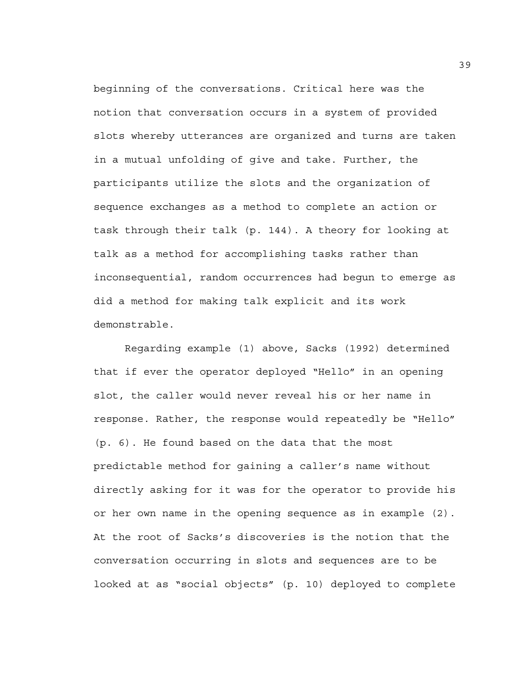beginning of the conversations. Critical here was the notion that conversation occurs in a system of provided slots whereby utterances are organized and turns are taken in a mutual unfolding of give and take. Further, the participants utilize the slots and the organization of sequence exchanges as a method to complete an action or task through their talk (p. 144). A theory for looking at talk as a method for accomplishing tasks rather than inconsequential, random occurrences had begun to emerge as did a method for making talk explicit and its work demonstrable.

Regarding example (1) above, Sacks (1992) determined that if ever the operator deployed "Hello" in an opening slot, the caller would never reveal his or her name in response. Rather, the response would repeatedly be "Hello" (p. 6). He found based on the data that the most predictable method for gaining a caller's name without directly asking for it was for the operator to provide his or her own name in the opening sequence as in example (2). At the root of Sacks's discoveries is the notion that the conversation occurring in slots and sequences are to be looked at as "social objects" (p. 10) deployed to complete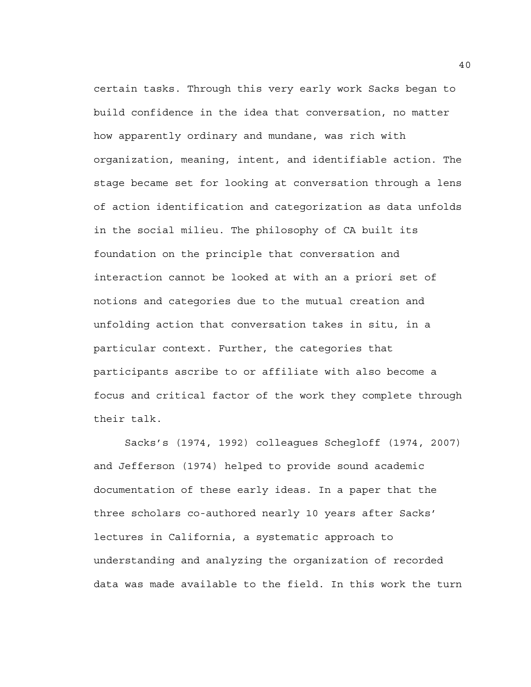certain tasks. Through this very early work Sacks began to build confidence in the idea that conversation, no matter how apparently ordinary and mundane, was rich with organization, meaning, intent, and identifiable action. The stage became set for looking at conversation through a lens of action identification and categorization as data unfolds in the social milieu. The philosophy of CA built its foundation on the principle that conversation and interaction cannot be looked at with an a priori set of notions and categories due to the mutual creation and unfolding action that conversation takes in situ, in a particular context. Further, the categories that participants ascribe to or affiliate with also become a focus and critical factor of the work they complete through their talk.

Sacks's (1974, 1992) colleagues Schegloff (1974, 2007) and Jefferson (1974) helped to provide sound academic documentation of these early ideas. In a paper that the three scholars co-authored nearly 10 years after Sacks' lectures in California, a systematic approach to understanding and analyzing the organization of recorded data was made available to the field. In this work the turn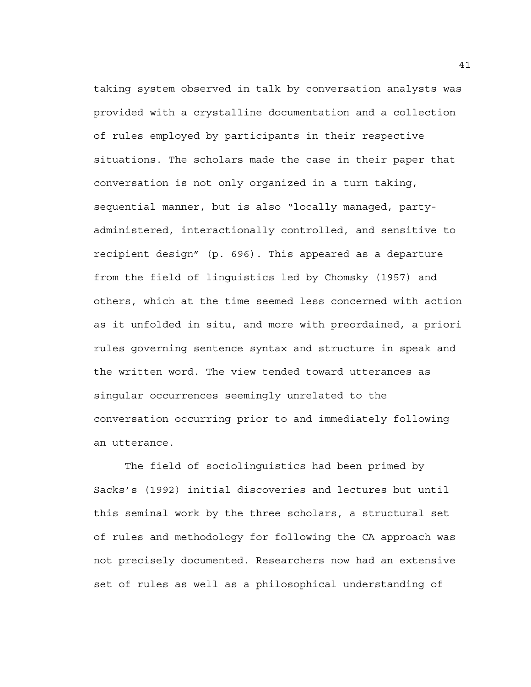taking system observed in talk by conversation analysts was provided with a crystalline documentation and a collection of rules employed by participants in their respective situations. The scholars made the case in their paper that conversation is not only organized in a turn taking, sequential manner, but is also "locally managed, partyadministered, interactionally controlled, and sensitive to recipient design" (p. 696). This appeared as a departure from the field of linguistics led by Chomsky (1957) and others, which at the time seemed less concerned with action as it unfolded in situ, and more with preordained, a priori rules governing sentence syntax and structure in speak and the written word. The view tended toward utterances as singular occurrences seemingly unrelated to the conversation occurring prior to and immediately following an utterance.

The field of sociolinguistics had been primed by Sacks's (1992) initial discoveries and lectures but until this seminal work by the three scholars, a structural set of rules and methodology for following the CA approach was not precisely documented. Researchers now had an extensive set of rules as well as a philosophical understanding of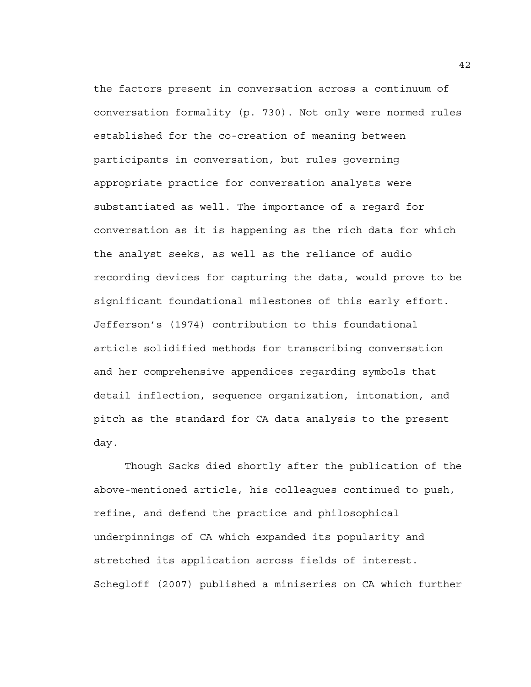the factors present in conversation across a continuum of conversation formality (p. 730). Not only were normed rules established for the co-creation of meaning between participants in conversation, but rules governing appropriate practice for conversation analysts were substantiated as well. The importance of a regard for conversation as it is happening as the rich data for which the analyst seeks, as well as the reliance of audio recording devices for capturing the data, would prove to be significant foundational milestones of this early effort. Jefferson's (1974) contribution to this foundational article solidified methods for transcribing conversation and her comprehensive appendices regarding symbols that detail inflection, sequence organization, intonation, and pitch as the standard for CA data analysis to the present day.

Though Sacks died shortly after the publication of the above-mentioned article, his colleagues continued to push, refine, and defend the practice and philosophical underpinnings of CA which expanded its popularity and stretched its application across fields of interest. Schegloff (2007) published a miniseries on CA which further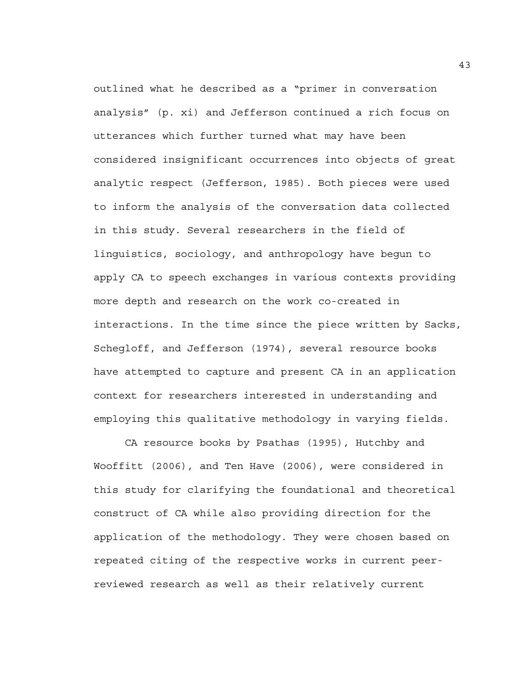outlined what he described as a "primer in conversation analysis" (p. xi) and Jefferson continued a rich focus on utterances which further turned what may have been considered insignificant occurrences into objects of great analytic respect (Jefferson, 1985). Both pieces were used to inform the analysis of the conversation data collected in this study. Several researchers in the field of linguistics, sociology, and anthropology have begun to apply CA to speech exchanges in various contexts providing more depth and research on the work co-created in interactions. In the time since the piece written by Sacks, Schegloff, and Jefferson (1974), several resource books have attempted to capture and present CA in an application context for researchers interested in understanding and employing this qualitative methodology in varying fields.

 CA resource books by Psathas (1995), Hutchby and Wooffitt (2006), and Ten Have (2006), were considered in this study for clarifying the foundational and theoretical construct of CA while also providing direction for the application of the methodology. They were chosen based on repeated citing of the respective works in current peerreviewed research as well as their relatively current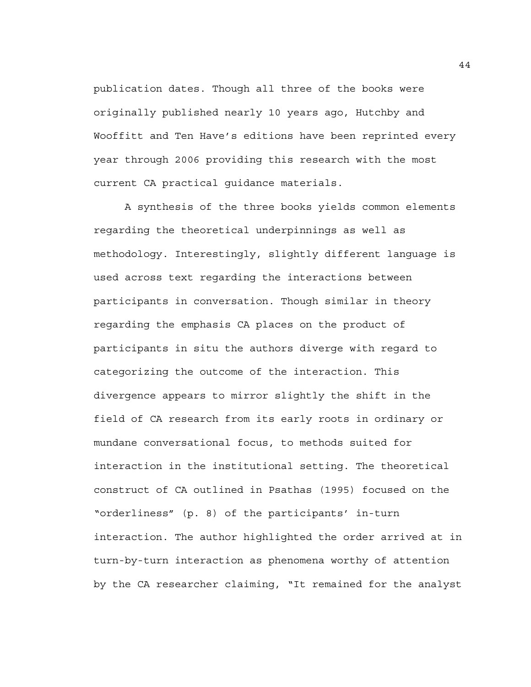publication dates. Though all three of the books were originally published nearly 10 years ago, Hutchby and Wooffitt and Ten Have's editions have been reprinted every year through 2006 providing this research with the most current CA practical guidance materials.

 A synthesis of the three books yields common elements regarding the theoretical underpinnings as well as methodology. Interestingly, slightly different language is used across text regarding the interactions between participants in conversation. Though similar in theory regarding the emphasis CA places on the product of participants in situ the authors diverge with regard to categorizing the outcome of the interaction. This divergence appears to mirror slightly the shift in the field of CA research from its early roots in ordinary or mundane conversational focus, to methods suited for interaction in the institutional setting. The theoretical construct of CA outlined in Psathas (1995) focused on the "orderliness" (p. 8) of the participants' in-turn interaction. The author highlighted the order arrived at in turn-by-turn interaction as phenomena worthy of attention by the CA researcher claiming, "It remained for the analyst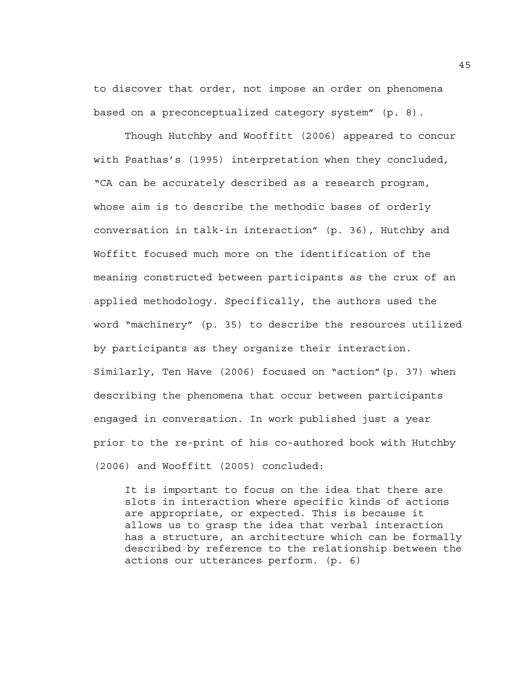to discover that order, not impose an order on phenomena based on a preconceptualized category system" (p. 8).

 Though Hutchby and Wooffitt (2006) appeared to concur with Psathas's (1995) interpretation when they concluded, "CA can be accurately described as a research program, whose aim is to describe the methodic bases of orderly conversation in talk-in interaction" (p. 36), Hutchby and Woffitt focused much more on the identification of the meaning constructed between participants as the crux of an applied methodology. Specifically, the authors used the word "machinery" (p. 35) to describe the resources utilized by participants as they organize their interaction. Similarly, Ten Have (2006) focused on "action"(p. 37) when describing the phenomena that occur between participants engaged in conversation. In work published just a year prior to the re-print of his co-authored book with Hutchby (2006) and Wooffitt (2005) concluded:

It is important to focus on the idea that there are slots in interaction where specific kinds of actions are appropriate, or expected. This is because it allows us to grasp the idea that verbal interaction has a structure, an architecture which can be formally described by reference to the relationship between the actions our utterances perform. (p. 6)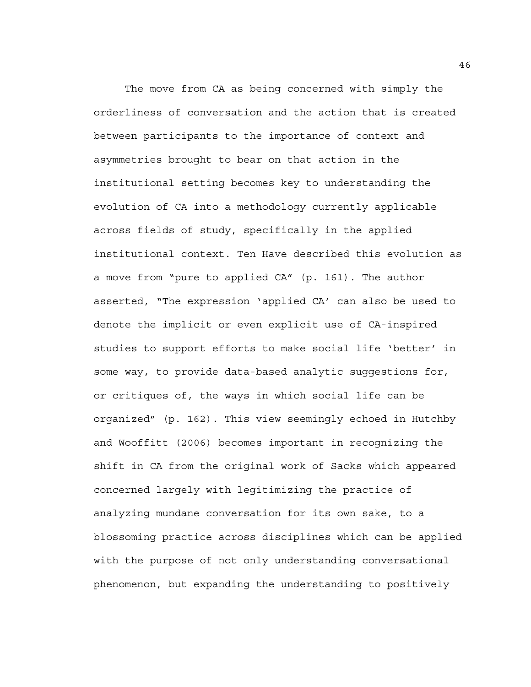The move from CA as being concerned with simply the orderliness of conversation and the action that is created between participants to the importance of context and asymmetries brought to bear on that action in the institutional setting becomes key to understanding the evolution of CA into a methodology currently applicable across fields of study, specifically in the applied institutional context. Ten Have described this evolution as a move from "pure to applied CA" (p. 161). The author asserted, "The expression 'applied CA' can also be used to denote the implicit or even explicit use of CA-inspired studies to support efforts to make social life 'better' in some way, to provide data-based analytic suggestions for, or critiques of, the ways in which social life can be organized" (p. 162). This view seemingly echoed in Hutchby and Wooffitt (2006) becomes important in recognizing the shift in CA from the original work of Sacks which appeared concerned largely with legitimizing the practice of analyzing mundane conversation for its own sake, to a blossoming practice across disciplines which can be applied with the purpose of not only understanding conversational phenomenon, but expanding the understanding to positively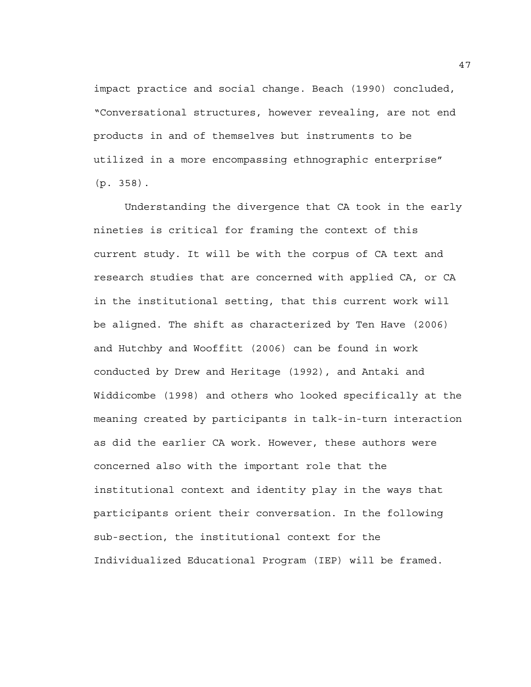impact practice and social change. Beach (1990) concluded, "Conversational structures, however revealing, are not end products in and of themselves but instruments to be utilized in a more encompassing ethnographic enterprise" (p. 358).

 Understanding the divergence that CA took in the early nineties is critical for framing the context of this current study. It will be with the corpus of CA text and research studies that are concerned with applied CA, or CA in the institutional setting, that this current work will be aligned. The shift as characterized by Ten Have (2006) and Hutchby and Wooffitt (2006) can be found in work conducted by Drew and Heritage (1992), and Antaki and Widdicombe (1998) and others who looked specifically at the meaning created by participants in talk-in-turn interaction as did the earlier CA work. However, these authors were concerned also with the important role that the institutional context and identity play in the ways that participants orient their conversation. In the following sub-section, the institutional context for the Individualized Educational Program (IEP) will be framed.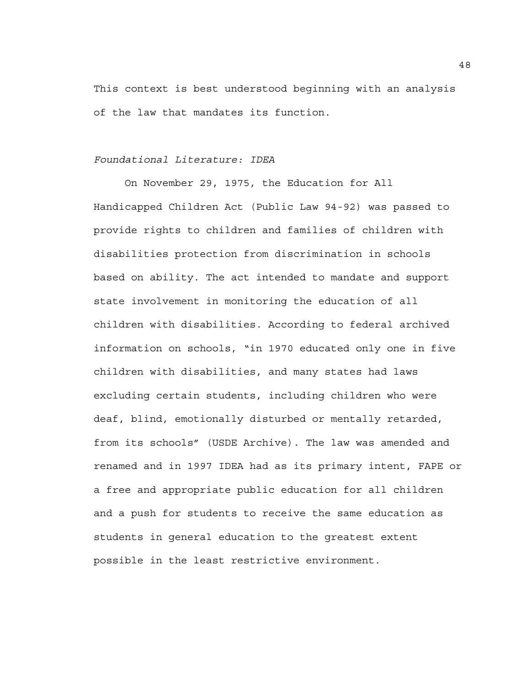This context is best understood beginning with an analysis of the law that mandates its function.

# *Foundational Literature: IDEA*

 On November 29, 1975, the Education for All Handicapped Children Act (Public Law 94-92) was passed to provide rights to children and families of children with disabilities protection from discrimination in schools based on ability. The act intended to mandate and support state involvement in monitoring the education of all children with disabilities. According to federal archived information on schools, "in 1970 educated only one in five children with disabilities, and many states had laws excluding certain students, including children who were deaf, blind, emotionally disturbed or mentally retarded, from its schools" (USDE Archive). The law was amended and renamed and in 1997 IDEA had as its primary intent, FAPE or a free and appropriate public education for all children and a push for students to receive the same education as students in general education to the greatest extent possible in the least restrictive environment.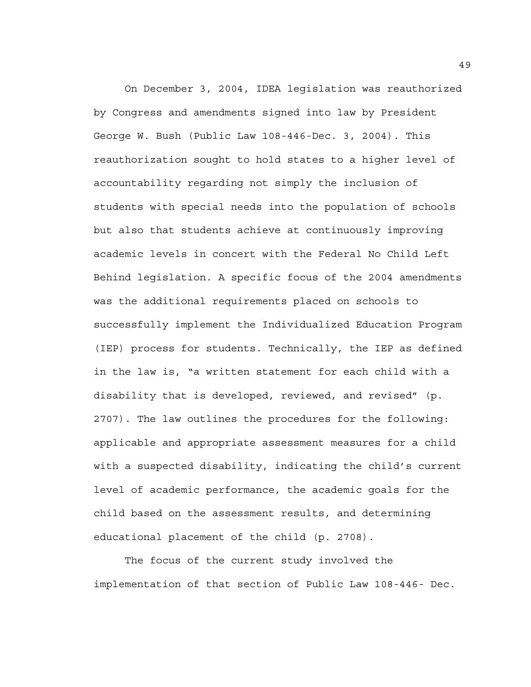On December 3, 2004, IDEA legislation was reauthorized by Congress and amendments signed into law by President George W. Bush (Public Law 108-446-Dec. 3, 2004). This reauthorization sought to hold states to a higher level of accountability regarding not simply the inclusion of students with special needs into the population of schools but also that students achieve at continuously improving academic levels in concert with the Federal No Child Left Behind legislation. A specific focus of the 2004 amendments was the additional requirements placed on schools to successfully implement the Individualized Education Program (IEP) process for students. Technically, the IEP as defined in the law is, "a written statement for each child with a disability that is developed, reviewed, and revised" (p. 2707). The law outlines the procedures for the following: applicable and appropriate assessment measures for a child with a suspected disability, indicating the child's current level of academic performance, the academic goals for the child based on the assessment results, and determining educational placement of the child (p. 2708).

 The focus of the current study involved the implementation of that section of Public Law 108-446- Dec.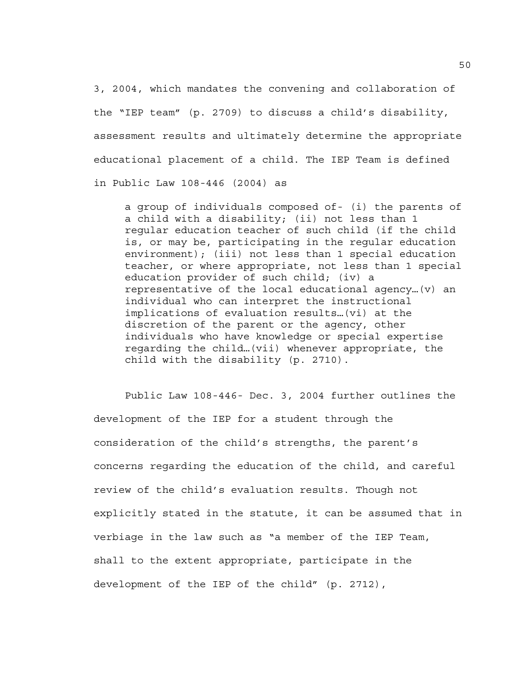3, 2004, which mandates the convening and collaboration of the "IEP team" (p. 2709) to discuss a child's disability, assessment results and ultimately determine the appropriate educational placement of a child. The IEP Team is defined in Public Law 108-446 (2004) as

a group of individuals composed of- (i) the parents of a child with a disability; (ii) not less than 1 regular education teacher of such child (if the child is, or may be, participating in the regular education environment); (iii) not less than 1 special education teacher, or where appropriate, not less than 1 special education provider of such child; (iv) a representative of the local educational agency…(v) an individual who can interpret the instructional implications of evaluation results…(vi) at the discretion of the parent or the agency, other individuals who have knowledge or special expertise regarding the child…(vii) whenever appropriate, the child with the disability (p. 2710).

 Public Law 108-446- Dec. 3, 2004 further outlines the development of the IEP for a student through the consideration of the child's strengths, the parent's concerns regarding the education of the child, and careful review of the child's evaluation results. Though not explicitly stated in the statute, it can be assumed that in verbiage in the law such as "a member of the IEP Team, shall to the extent appropriate, participate in the development of the IEP of the child" (p. 2712),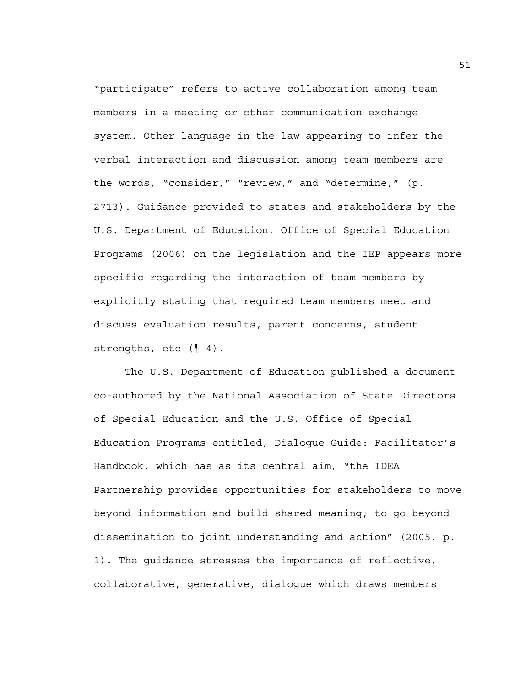"participate" refers to active collaboration among team members in a meeting or other communication exchange system. Other language in the law appearing to infer the verbal interaction and discussion among team members are the words, "consider," "review," and "determine," (p. 2713). Guidance provided to states and stakeholders by the U.S. Department of Education, Office of Special Education Programs (2006) on the legislation and the IEP appears more specific regarding the interaction of team members by explicitly stating that required team members meet and discuss evaluation results, parent concerns, student strengths, etc  $(\P 4)$ .

The U.S. Department of Education published a document co-authored by the National Association of State Directors of Special Education and the U.S. Office of Special Education Programs entitled, Dialogue Guide: Facilitator's Handbook, which has as its central aim, "the IDEA Partnership provides opportunities for stakeholders to move beyond information and build shared meaning; to go beyond dissemination to joint understanding and action" (2005, p. 1). The guidance stresses the importance of reflective, collaborative, generative, dialogue which draws members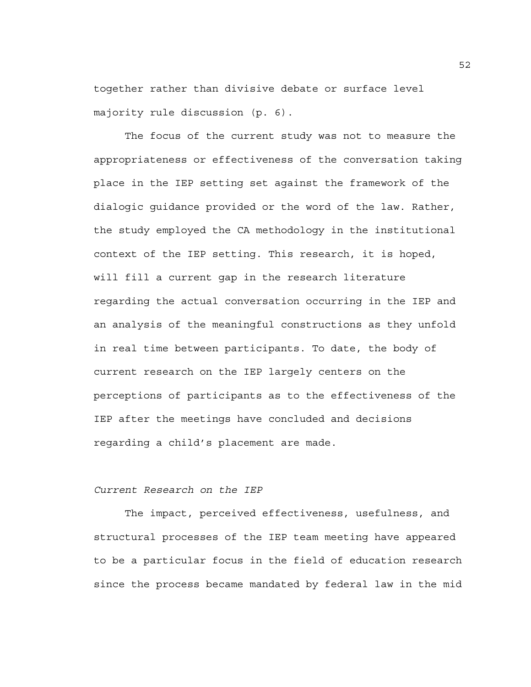together rather than divisive debate or surface level majority rule discussion (p. 6).

The focus of the current study was not to measure the appropriateness or effectiveness of the conversation taking place in the IEP setting set against the framework of the dialogic guidance provided or the word of the law. Rather, the study employed the CA methodology in the institutional context of the IEP setting. This research, it is hoped, will fill a current gap in the research literature regarding the actual conversation occurring in the IEP and an analysis of the meaningful constructions as they unfold in real time between participants. To date, the body of current research on the IEP largely centers on the perceptions of participants as to the effectiveness of the IEP after the meetings have concluded and decisions regarding a child's placement are made.

### *Current Research on the IEP*

 The impact, perceived effectiveness, usefulness, and structural processes of the IEP team meeting have appeared to be a particular focus in the field of education research since the process became mandated by federal law in the mid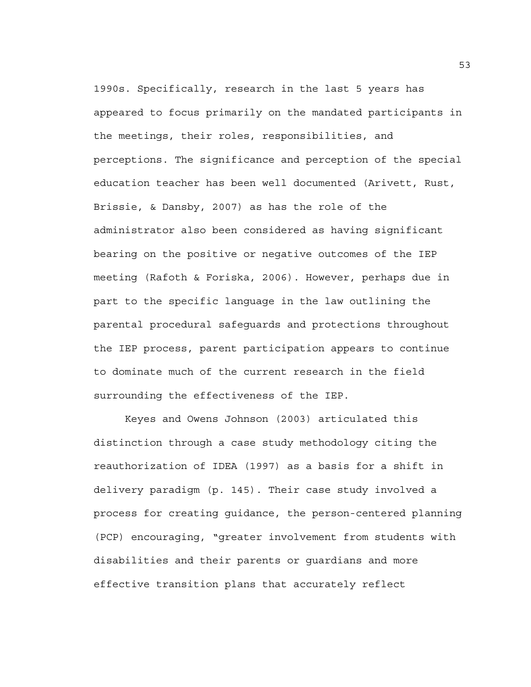1990s. Specifically, research in the last 5 years has appeared to focus primarily on the mandated participants in the meetings, their roles, responsibilities, and perceptions. The significance and perception of the special education teacher has been well documented (Arivett, Rust, Brissie, & Dansby, 2007) as has the role of the administrator also been considered as having significant bearing on the positive or negative outcomes of the IEP meeting (Rafoth & Foriska, 2006). However, perhaps due in part to the specific language in the law outlining the parental procedural safeguards and protections throughout the IEP process, parent participation appears to continue to dominate much of the current research in the field surrounding the effectiveness of the IEP.

Keyes and Owens Johnson (2003) articulated this distinction through a case study methodology citing the reauthorization of IDEA (1997) as a basis for a shift in delivery paradigm (p. 145). Their case study involved a process for creating guidance, the person-centered planning (PCP) encouraging, "greater involvement from students with disabilities and their parents or guardians and more effective transition plans that accurately reflect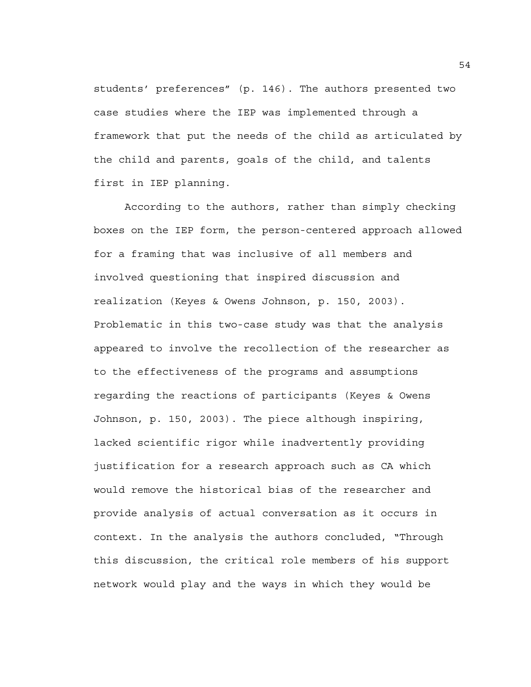students' preferences" (p. 146). The authors presented two case studies where the IEP was implemented through a framework that put the needs of the child as articulated by the child and parents, goals of the child, and talents first in IEP planning.

According to the authors, rather than simply checking boxes on the IEP form, the person-centered approach allowed for a framing that was inclusive of all members and involved questioning that inspired discussion and realization (Keyes & Owens Johnson, p. 150, 2003). Problematic in this two-case study was that the analysis appeared to involve the recollection of the researcher as to the effectiveness of the programs and assumptions regarding the reactions of participants (Keyes & Owens Johnson, p. 150, 2003). The piece although inspiring, lacked scientific rigor while inadvertently providing justification for a research approach such as CA which would remove the historical bias of the researcher and provide analysis of actual conversation as it occurs in context. In the analysis the authors concluded, "Through this discussion, the critical role members of his support network would play and the ways in which they would be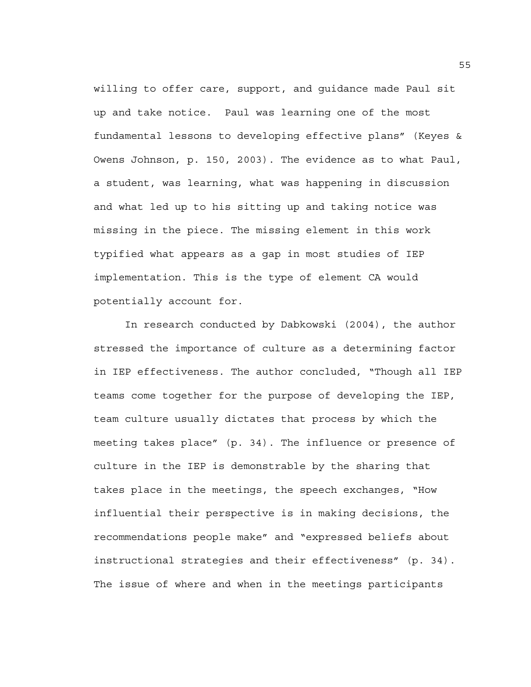willing to offer care, support, and guidance made Paul sit up and take notice. Paul was learning one of the most fundamental lessons to developing effective plans" (Keyes & Owens Johnson, p. 150, 2003). The evidence as to what Paul, a student, was learning, what was happening in discussion and what led up to his sitting up and taking notice was missing in the piece. The missing element in this work typified what appears as a gap in most studies of IEP implementation. This is the type of element CA would potentially account for.

In research conducted by Dabkowski (2004), the author stressed the importance of culture as a determining factor in IEP effectiveness. The author concluded, "Though all IEP teams come together for the purpose of developing the IEP, team culture usually dictates that process by which the meeting takes place" (p. 34). The influence or presence of culture in the IEP is demonstrable by the sharing that takes place in the meetings, the speech exchanges, "How influential their perspective is in making decisions, the recommendations people make" and "expressed beliefs about instructional strategies and their effectiveness" (p. 34). The issue of where and when in the meetings participants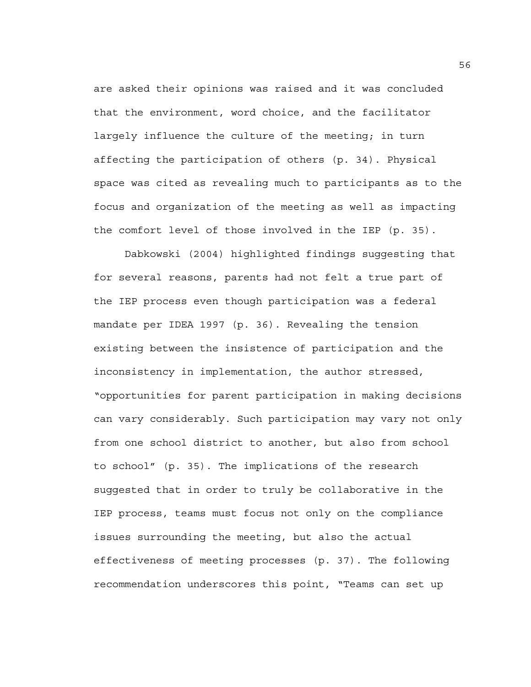are asked their opinions was raised and it was concluded that the environment, word choice, and the facilitator largely influence the culture of the meeting; in turn affecting the participation of others (p. 34). Physical space was cited as revealing much to participants as to the focus and organization of the meeting as well as impacting the comfort level of those involved in the IEP (p. 35).

Dabkowski (2004) highlighted findings suggesting that for several reasons, parents had not felt a true part of the IEP process even though participation was a federal mandate per IDEA 1997 (p. 36). Revealing the tension existing between the insistence of participation and the inconsistency in implementation, the author stressed, "opportunities for parent participation in making decisions can vary considerably. Such participation may vary not only from one school district to another, but also from school to school" (p. 35). The implications of the research suggested that in order to truly be collaborative in the IEP process, teams must focus not only on the compliance issues surrounding the meeting, but also the actual effectiveness of meeting processes (p. 37). The following recommendation underscores this point, "Teams can set up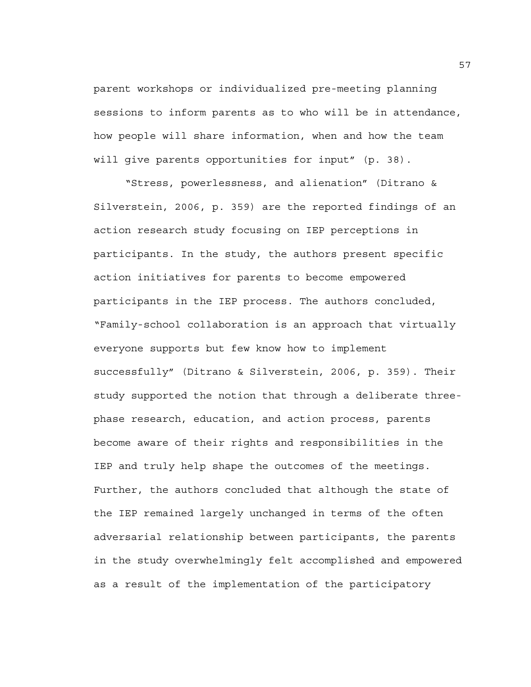parent workshops or individualized pre-meeting planning sessions to inform parents as to who will be in attendance, how people will share information, when and how the team will give parents opportunities for input" (p. 38).

"Stress, powerlessness, and alienation" (Ditrano & Silverstein, 2006, p. 359) are the reported findings of an action research study focusing on IEP perceptions in participants. In the study, the authors present specific action initiatives for parents to become empowered participants in the IEP process. The authors concluded, "Family-school collaboration is an approach that virtually everyone supports but few know how to implement successfully" (Ditrano & Silverstein, 2006, p. 359). Their study supported the notion that through a deliberate threephase research, education, and action process, parents become aware of their rights and responsibilities in the IEP and truly help shape the outcomes of the meetings. Further, the authors concluded that although the state of the IEP remained largely unchanged in terms of the often adversarial relationship between participants, the parents in the study overwhelmingly felt accomplished and empowered as a result of the implementation of the participatory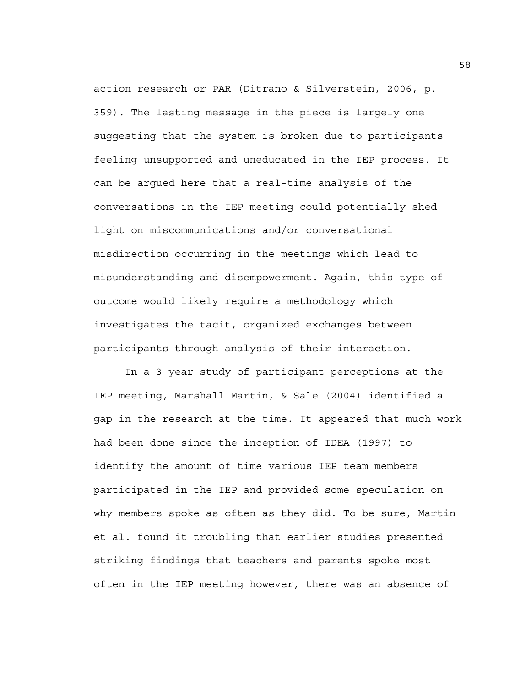action research or PAR (Ditrano & Silverstein, 2006, p. 359). The lasting message in the piece is largely one suggesting that the system is broken due to participants feeling unsupported and uneducated in the IEP process. It can be argued here that a real-time analysis of the conversations in the IEP meeting could potentially shed light on miscommunications and/or conversational misdirection occurring in the meetings which lead to misunderstanding and disempowerment. Again, this type of outcome would likely require a methodology which investigates the tacit, organized exchanges between participants through analysis of their interaction.

In a 3 year study of participant perceptions at the IEP meeting, Marshall Martin, & Sale (2004) identified a gap in the research at the time. It appeared that much work had been done since the inception of IDEA (1997) to identify the amount of time various IEP team members participated in the IEP and provided some speculation on why members spoke as often as they did. To be sure, Martin et al. found it troubling that earlier studies presented striking findings that teachers and parents spoke most often in the IEP meeting however, there was an absence of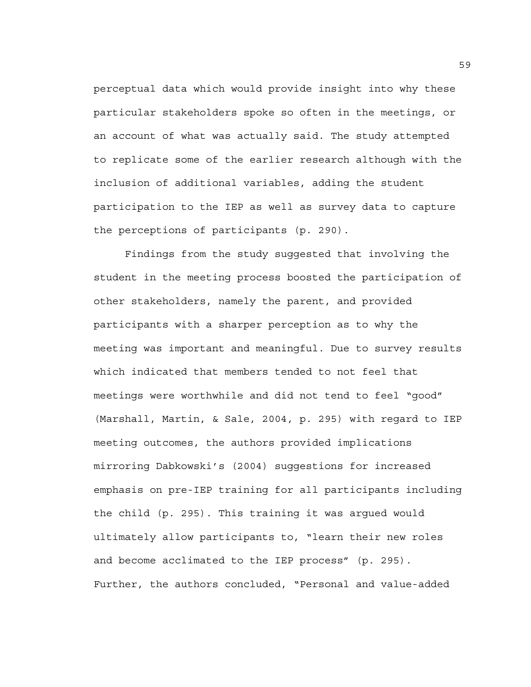perceptual data which would provide insight into why these particular stakeholders spoke so often in the meetings, or an account of what was actually said. The study attempted to replicate some of the earlier research although with the inclusion of additional variables, adding the student participation to the IEP as well as survey data to capture the perceptions of participants (p. 290).

Findings from the study suggested that involving the student in the meeting process boosted the participation of other stakeholders, namely the parent, and provided participants with a sharper perception as to why the meeting was important and meaningful. Due to survey results which indicated that members tended to not feel that meetings were worthwhile and did not tend to feel "good" (Marshall, Martin, & Sale, 2004, p. 295) with regard to IEP meeting outcomes, the authors provided implications mirroring Dabkowski's (2004) suggestions for increased emphasis on pre-IEP training for all participants including the child (p. 295). This training it was argued would ultimately allow participants to, "learn their new roles and become acclimated to the IEP process" (p. 295). Further, the authors concluded, "Personal and value-added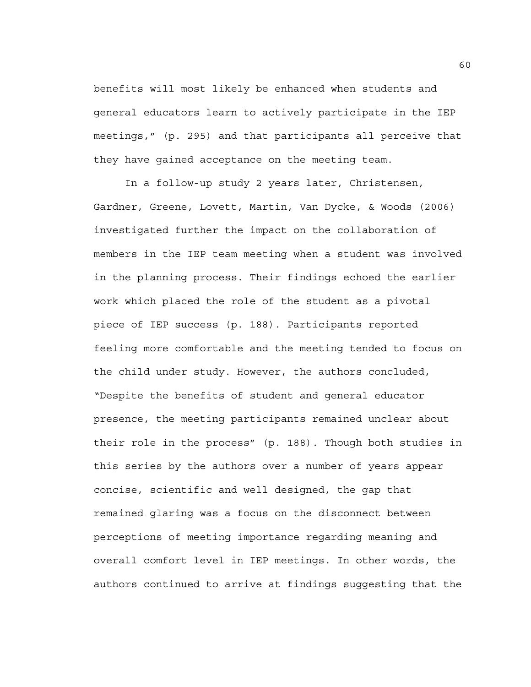benefits will most likely be enhanced when students and general educators learn to actively participate in the IEP meetings," (p. 295) and that participants all perceive that they have gained acceptance on the meeting team.

In a follow-up study 2 years later, Christensen, Gardner, Greene, Lovett, Martin, Van Dycke, & Woods (2006) investigated further the impact on the collaboration of members in the IEP team meeting when a student was involved in the planning process. Their findings echoed the earlier work which placed the role of the student as a pivotal piece of IEP success (p. 188). Participants reported feeling more comfortable and the meeting tended to focus on the child under study. However, the authors concluded, "Despite the benefits of student and general educator presence, the meeting participants remained unclear about their role in the process" (p. 188). Though both studies in this series by the authors over a number of years appear concise, scientific and well designed, the gap that remained glaring was a focus on the disconnect between perceptions of meeting importance regarding meaning and overall comfort level in IEP meetings. In other words, the authors continued to arrive at findings suggesting that the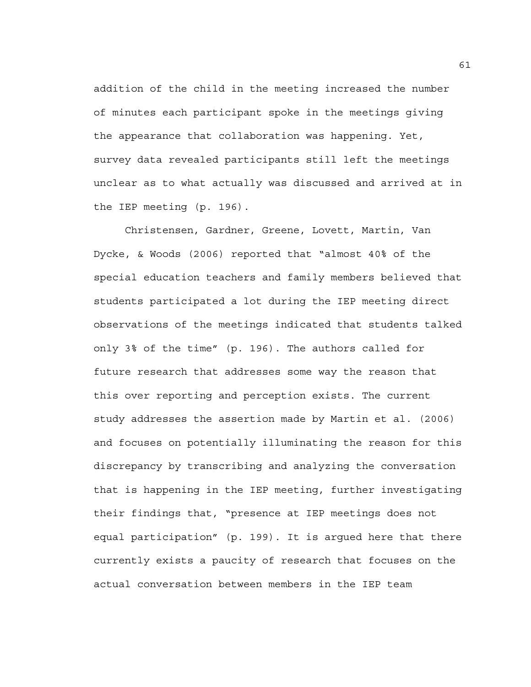addition of the child in the meeting increased the number of minutes each participant spoke in the meetings giving the appearance that collaboration was happening. Yet, survey data revealed participants still left the meetings unclear as to what actually was discussed and arrived at in the IEP meeting (p. 196).

Christensen, Gardner, Greene, Lovett, Martin, Van Dycke, & Woods (2006) reported that "almost 40% of the special education teachers and family members believed that students participated a lot during the IEP meeting direct observations of the meetings indicated that students talked only 3% of the time" (p. 196). The authors called for future research that addresses some way the reason that this over reporting and perception exists. The current study addresses the assertion made by Martin et al. (2006) and focuses on potentially illuminating the reason for this discrepancy by transcribing and analyzing the conversation that is happening in the IEP meeting, further investigating their findings that, "presence at IEP meetings does not equal participation" (p. 199). It is argued here that there currently exists a paucity of research that focuses on the actual conversation between members in the IEP team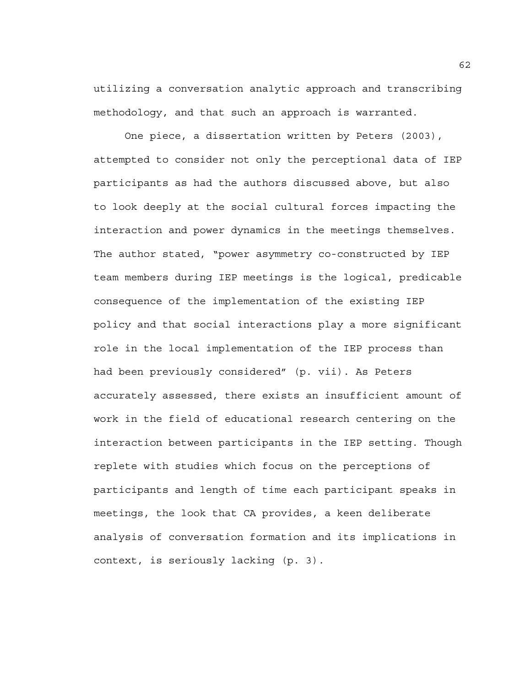utilizing a conversation analytic approach and transcribing methodology, and that such an approach is warranted.

One piece, a dissertation written by Peters (2003), attempted to consider not only the perceptional data of IEP participants as had the authors discussed above, but also to look deeply at the social cultural forces impacting the interaction and power dynamics in the meetings themselves. The author stated, "power asymmetry co-constructed by IEP team members during IEP meetings is the logical, predicable consequence of the implementation of the existing IEP policy and that social interactions play a more significant role in the local implementation of the IEP process than had been previously considered" (p. vii). As Peters accurately assessed, there exists an insufficient amount of work in the field of educational research centering on the interaction between participants in the IEP setting. Though replete with studies which focus on the perceptions of participants and length of time each participant speaks in meetings, the look that CA provides, a keen deliberate analysis of conversation formation and its implications in context, is seriously lacking (p. 3).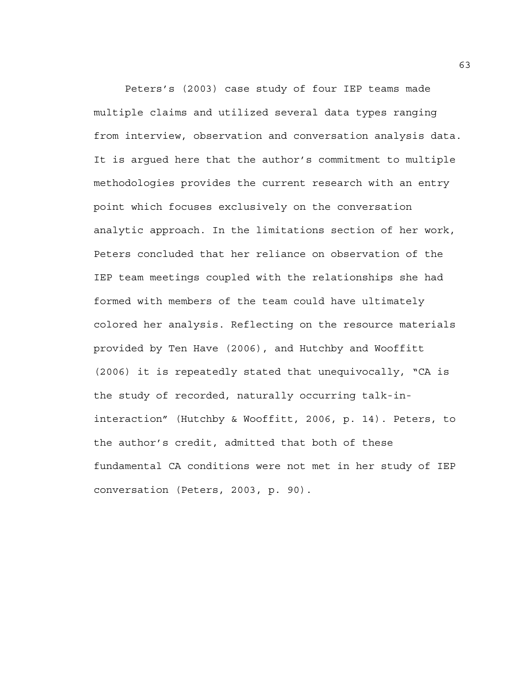Peters's (2003) case study of four IEP teams made multiple claims and utilized several data types ranging from interview, observation and conversation analysis data. It is argued here that the author's commitment to multiple methodologies provides the current research with an entry point which focuses exclusively on the conversation analytic approach. In the limitations section of her work, Peters concluded that her reliance on observation of the IEP team meetings coupled with the relationships she had formed with members of the team could have ultimately colored her analysis. Reflecting on the resource materials provided by Ten Have (2006), and Hutchby and Wooffitt (2006) it is repeatedly stated that unequivocally, "CA is the study of recorded, naturally occurring talk-ininteraction" (Hutchby & Wooffitt, 2006, p. 14). Peters, to the author's credit, admitted that both of these fundamental CA conditions were not met in her study of IEP conversation (Peters, 2003, p. 90).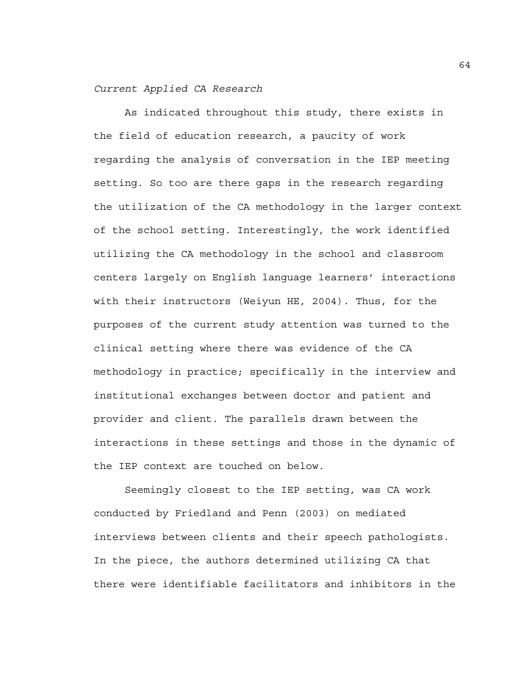#### *Current Applied CA Research*

 As indicated throughout this study, there exists in the field of education research, a paucity of work regarding the analysis of conversation in the IEP meeting setting. So too are there gaps in the research regarding the utilization of the CA methodology in the larger context of the school setting. Interestingly, the work identified utilizing the CA methodology in the school and classroom centers largely on English language learners' interactions with their instructors (Weiyun HE, 2004). Thus, for the purposes of the current study attention was turned to the clinical setting where there was evidence of the CA methodology in practice; specifically in the interview and institutional exchanges between doctor and patient and provider and client. The parallels drawn between the interactions in these settings and those in the dynamic of the IEP context are touched on below.

 Seemingly closest to the IEP setting, was CA work conducted by Friedland and Penn (2003) on mediated interviews between clients and their speech pathologists. In the piece, the authors determined utilizing CA that there were identifiable facilitators and inhibitors in the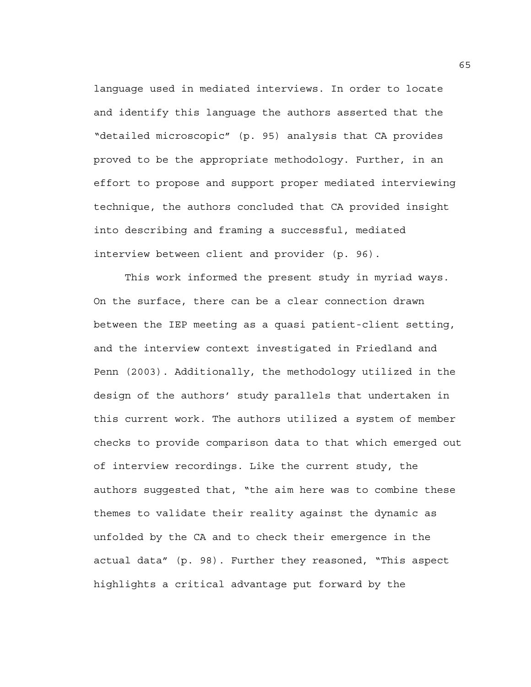language used in mediated interviews. In order to locate and identify this language the authors asserted that the "detailed microscopic" (p. 95) analysis that CA provides proved to be the appropriate methodology. Further, in an effort to propose and support proper mediated interviewing technique, the authors concluded that CA provided insight into describing and framing a successful, mediated interview between client and provider (p. 96).

 This work informed the present study in myriad ways. On the surface, there can be a clear connection drawn between the IEP meeting as a quasi patient-client setting, and the interview context investigated in Friedland and Penn (2003). Additionally, the methodology utilized in the design of the authors' study parallels that undertaken in this current work. The authors utilized a system of member checks to provide comparison data to that which emerged out of interview recordings. Like the current study, the authors suggested that, "the aim here was to combine these themes to validate their reality against the dynamic as unfolded by the CA and to check their emergence in the actual data" (p. 98). Further they reasoned, "This aspect highlights a critical advantage put forward by the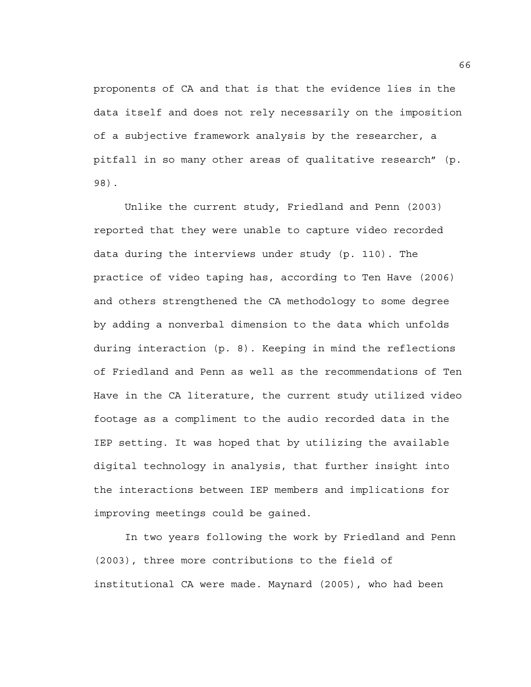proponents of CA and that is that the evidence lies in the data itself and does not rely necessarily on the imposition of a subjective framework analysis by the researcher, a pitfall in so many other areas of qualitative research" (p. 98).

 Unlike the current study, Friedland and Penn (2003) reported that they were unable to capture video recorded data during the interviews under study (p. 110). The practice of video taping has, according to Ten Have (2006) and others strengthened the CA methodology to some degree by adding a nonverbal dimension to the data which unfolds during interaction (p. 8). Keeping in mind the reflections of Friedland and Penn as well as the recommendations of Ten Have in the CA literature, the current study utilized video footage as a compliment to the audio recorded data in the IEP setting. It was hoped that by utilizing the available digital technology in analysis, that further insight into the interactions between IEP members and implications for improving meetings could be gained.

 In two years following the work by Friedland and Penn (2003), three more contributions to the field of institutional CA were made. Maynard (2005), who had been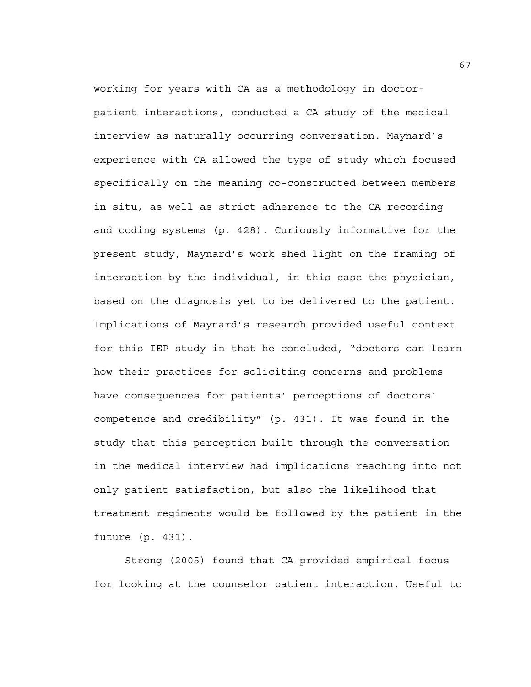working for years with CA as a methodology in doctorpatient interactions, conducted a CA study of the medical interview as naturally occurring conversation. Maynard's experience with CA allowed the type of study which focused specifically on the meaning co-constructed between members in situ, as well as strict adherence to the CA recording and coding systems (p. 428). Curiously informative for the present study, Maynard's work shed light on the framing of interaction by the individual, in this case the physician, based on the diagnosis yet to be delivered to the patient. Implications of Maynard's research provided useful context for this IEP study in that he concluded, "doctors can learn how their practices for soliciting concerns and problems have consequences for patients' perceptions of doctors' competence and credibility" (p. 431). It was found in the study that this perception built through the conversation in the medical interview had implications reaching into not only patient satisfaction, but also the likelihood that treatment regiments would be followed by the patient in the future (p. 431).

 Strong (2005) found that CA provided empirical focus for looking at the counselor patient interaction. Useful to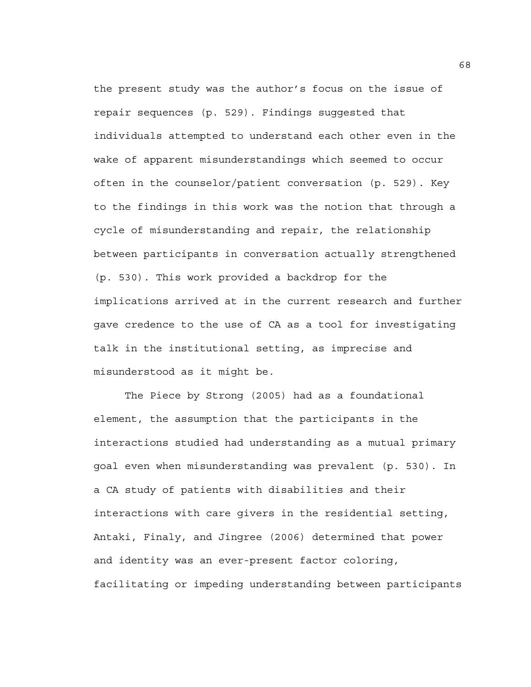the present study was the author's focus on the issue of repair sequences (p. 529). Findings suggested that individuals attempted to understand each other even in the wake of apparent misunderstandings which seemed to occur often in the counselor/patient conversation (p. 529). Key to the findings in this work was the notion that through a cycle of misunderstanding and repair, the relationship between participants in conversation actually strengthened (p. 530). This work provided a backdrop for the implications arrived at in the current research and further gave credence to the use of CA as a tool for investigating talk in the institutional setting, as imprecise and misunderstood as it might be.

 The Piece by Strong (2005) had as a foundational element, the assumption that the participants in the interactions studied had understanding as a mutual primary goal even when misunderstanding was prevalent (p. 530). In a CA study of patients with disabilities and their interactions with care givers in the residential setting, Antaki, Finaly, and Jingree (2006) determined that power and identity was an ever-present factor coloring, facilitating or impeding understanding between participants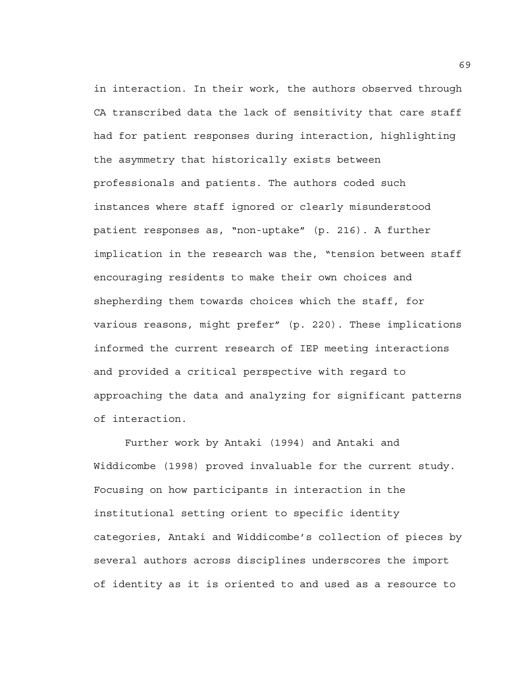in interaction. In their work, the authors observed through CA transcribed data the lack of sensitivity that care staff had for patient responses during interaction, highlighting the asymmetry that historically exists between professionals and patients. The authors coded such instances where staff ignored or clearly misunderstood patient responses as, "non-uptake" (p. 216). A further implication in the research was the, "tension between staff encouraging residents to make their own choices and shepherding them towards choices which the staff, for various reasons, might prefer" (p. 220). These implications informed the current research of IEP meeting interactions and provided a critical perspective with regard to approaching the data and analyzing for significant patterns of interaction.

 Further work by Antaki (1994) and Antaki and Widdicombe (1998) proved invaluable for the current study. Focusing on how participants in interaction in the institutional setting orient to specific identity categories, Antaki and Widdicombe's collection of pieces by several authors across disciplines underscores the import of identity as it is oriented to and used as a resource to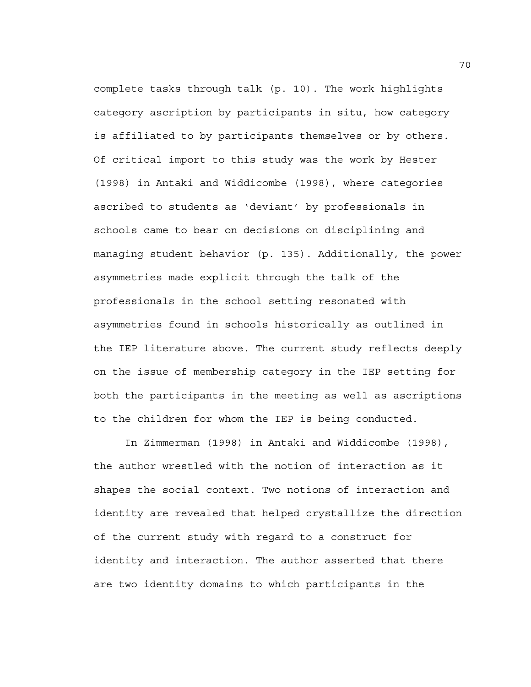complete tasks through talk (p. 10). The work highlights category ascription by participants in situ, how category is affiliated to by participants themselves or by others. Of critical import to this study was the work by Hester (1998) in Antaki and Widdicombe (1998), where categories ascribed to students as 'deviant' by professionals in schools came to bear on decisions on disciplining and managing student behavior (p. 135). Additionally, the power asymmetries made explicit through the talk of the professionals in the school setting resonated with asymmetries found in schools historically as outlined in the IEP literature above. The current study reflects deeply on the issue of membership category in the IEP setting for both the participants in the meeting as well as ascriptions to the children for whom the IEP is being conducted.

 In Zimmerman (1998) in Antaki and Widdicombe (1998), the author wrestled with the notion of interaction as it shapes the social context. Two notions of interaction and identity are revealed that helped crystallize the direction of the current study with regard to a construct for identity and interaction. The author asserted that there are two identity domains to which participants in the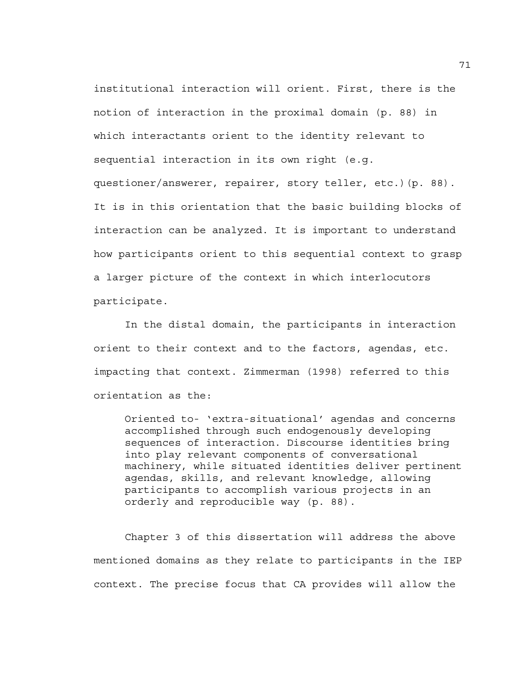institutional interaction will orient. First, there is the notion of interaction in the proximal domain (p. 88) in which interactants orient to the identity relevant to sequential interaction in its own right (e.g. questioner/answerer, repairer, story teller, etc.)(p. 88). It is in this orientation that the basic building blocks of interaction can be analyzed. It is important to understand how participants orient to this sequential context to grasp a larger picture of the context in which interlocutors participate.

 In the distal domain, the participants in interaction orient to their context and to the factors, agendas, etc. impacting that context. Zimmerman (1998) referred to this orientation as the:

Oriented to- 'extra-situational' agendas and concerns accomplished through such endogenously developing sequences of interaction. Discourse identities bring into play relevant components of conversational machinery, while situated identities deliver pertinent agendas, skills, and relevant knowledge, allowing participants to accomplish various projects in an orderly and reproducible way (p. 88).

Chapter 3 of this dissertation will address the above mentioned domains as they relate to participants in the IEP context. The precise focus that CA provides will allow the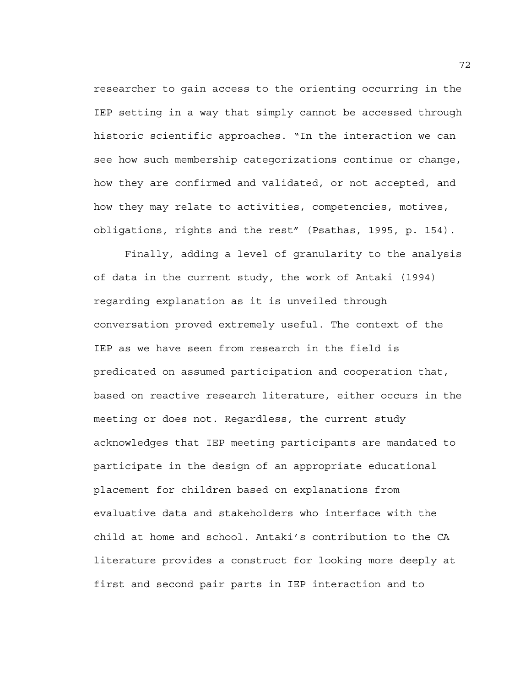researcher to gain access to the orienting occurring in the IEP setting in a way that simply cannot be accessed through historic scientific approaches. "In the interaction we can see how such membership categorizations continue or change, how they are confirmed and validated, or not accepted, and how they may relate to activities, competencies, motives, obligations, rights and the rest" (Psathas, 1995, p. 154).

Finally, adding a level of granularity to the analysis of data in the current study, the work of Antaki (1994) regarding explanation as it is unveiled through conversation proved extremely useful. The context of the IEP as we have seen from research in the field is predicated on assumed participation and cooperation that, based on reactive research literature, either occurs in the meeting or does not. Regardless, the current study acknowledges that IEP meeting participants are mandated to participate in the design of an appropriate educational placement for children based on explanations from evaluative data and stakeholders who interface with the child at home and school. Antaki's contribution to the CA literature provides a construct for looking more deeply at first and second pair parts in IEP interaction and to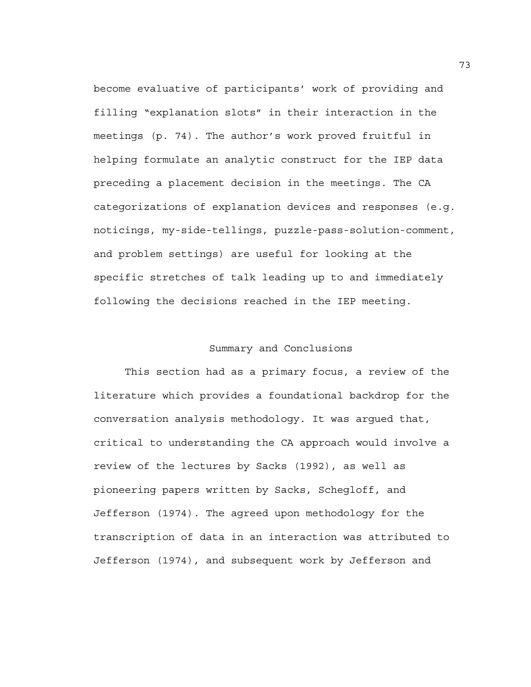become evaluative of participants' work of providing and filling "explanation slots" in their interaction in the meetings (p. 74). The author's work proved fruitful in helping formulate an analytic construct for the IEP data preceding a placement decision in the meetings. The CA categorizations of explanation devices and responses (e.g. noticings, my-side-tellings, puzzle-pass-solution-comment, and problem settings) are useful for looking at the specific stretches of talk leading up to and immediately following the decisions reached in the IEP meeting.

# Summary and Conclusions

 This section had as a primary focus, a review of the literature which provides a foundational backdrop for the conversation analysis methodology. It was argued that, critical to understanding the CA approach would involve a review of the lectures by Sacks (1992), as well as pioneering papers written by Sacks, Schegloff, and Jefferson (1974). The agreed upon methodology for the transcription of data in an interaction was attributed to Jefferson (1974), and subsequent work by Jefferson and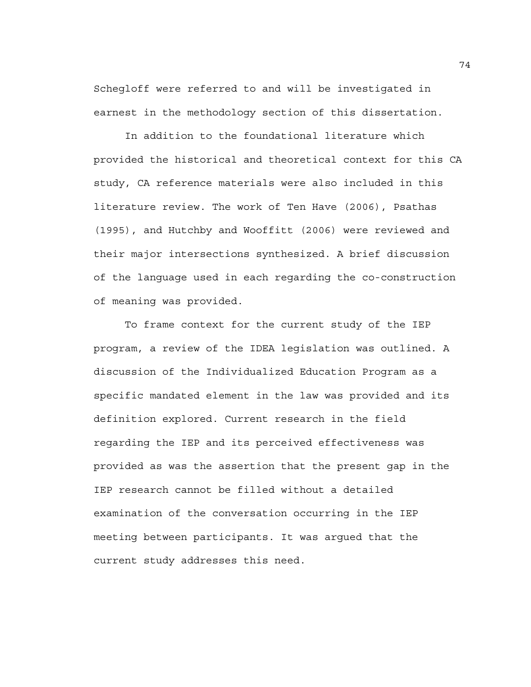Schegloff were referred to and will be investigated in earnest in the methodology section of this dissertation.

 In addition to the foundational literature which provided the historical and theoretical context for this CA study, CA reference materials were also included in this literature review. The work of Ten Have (2006), Psathas (1995), and Hutchby and Wooffitt (2006) were reviewed and their major intersections synthesized. A brief discussion of the language used in each regarding the co-construction of meaning was provided.

 To frame context for the current study of the IEP program, a review of the IDEA legislation was outlined. A discussion of the Individualized Education Program as a specific mandated element in the law was provided and its definition explored. Current research in the field regarding the IEP and its perceived effectiveness was provided as was the assertion that the present gap in the IEP research cannot be filled without a detailed examination of the conversation occurring in the IEP meeting between participants. It was argued that the current study addresses this need.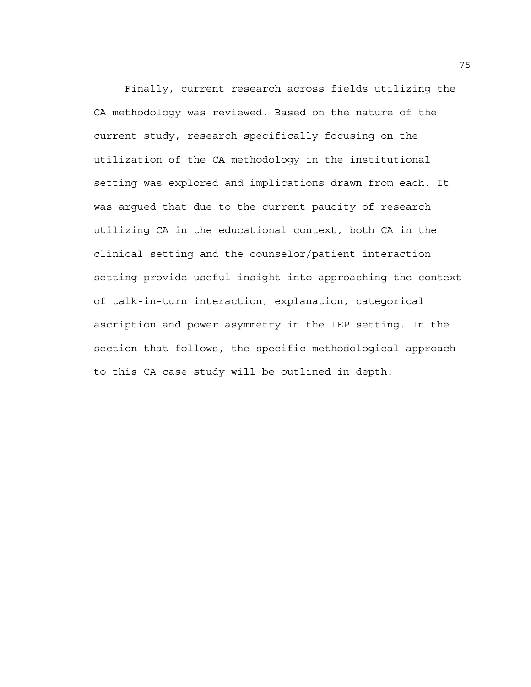Finally, current research across fields utilizing the CA methodology was reviewed. Based on the nature of the current study, research specifically focusing on the utilization of the CA methodology in the institutional setting was explored and implications drawn from each. It was argued that due to the current paucity of research utilizing CA in the educational context, both CA in the clinical setting and the counselor/patient interaction setting provide useful insight into approaching the context of talk-in-turn interaction, explanation, categorical ascription and power asymmetry in the IEP setting. In the section that follows, the specific methodological approach to this CA case study will be outlined in depth.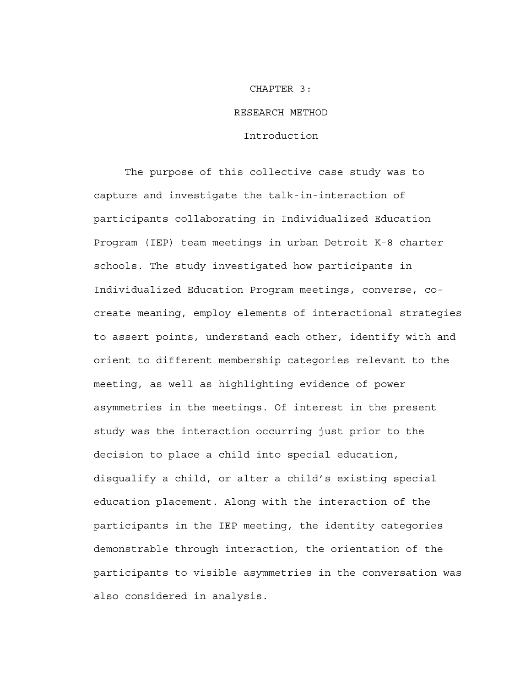# CHAPTER 3: RESEARCH METHOD

#### Introduction

The purpose of this collective case study was to capture and investigate the talk-in-interaction of participants collaborating in Individualized Education Program (IEP) team meetings in urban Detroit K-8 charter schools. The study investigated how participants in Individualized Education Program meetings, converse, cocreate meaning, employ elements of interactional strategies to assert points, understand each other, identify with and orient to different membership categories relevant to the meeting, as well as highlighting evidence of power asymmetries in the meetings. Of interest in the present study was the interaction occurring just prior to the decision to place a child into special education, disqualify a child, or alter a child's existing special education placement. Along with the interaction of the participants in the IEP meeting, the identity categories demonstrable through interaction, the orientation of the participants to visible asymmetries in the conversation was also considered in analysis.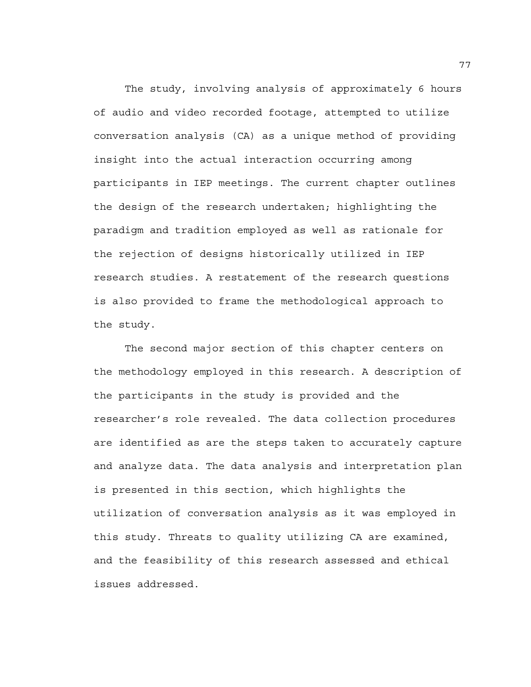The study, involving analysis of approximately 6 hours of audio and video recorded footage, attempted to utilize conversation analysis (CA) as a unique method of providing insight into the actual interaction occurring among participants in IEP meetings. The current chapter outlines the design of the research undertaken; highlighting the paradigm and tradition employed as well as rationale for the rejection of designs historically utilized in IEP research studies. A restatement of the research questions is also provided to frame the methodological approach to the study.

The second major section of this chapter centers on the methodology employed in this research. A description of the participants in the study is provided and the researcher's role revealed. The data collection procedures are identified as are the steps taken to accurately capture and analyze data. The data analysis and interpretation plan is presented in this section, which highlights the utilization of conversation analysis as it was employed in this study. Threats to quality utilizing CA are examined, and the feasibility of this research assessed and ethical issues addressed.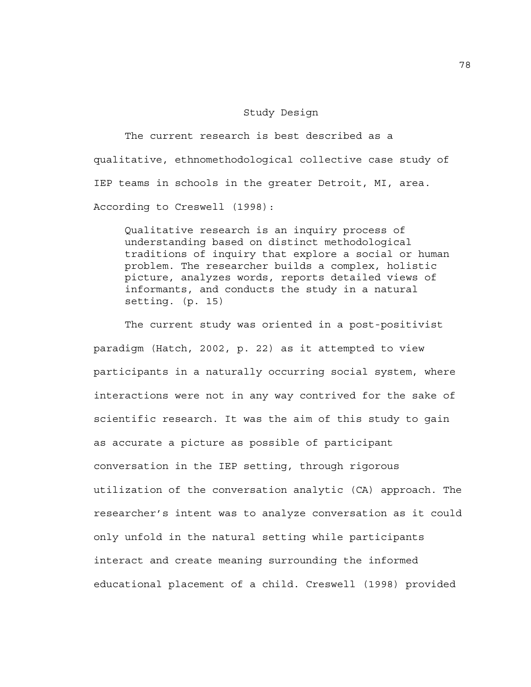#### Study Design

 The current research is best described as a qualitative, ethnomethodological collective case study of IEP teams in schools in the greater Detroit, MI, area. According to Creswell (1998):

Qualitative research is an inquiry process of understanding based on distinct methodological traditions of inquiry that explore a social or human problem. The researcher builds a complex, holistic picture, analyzes words, reports detailed views of informants, and conducts the study in a natural setting. (p. 15)

 The current study was oriented in a post-positivist paradigm (Hatch, 2002, p. 22) as it attempted to view participants in a naturally occurring social system, where interactions were not in any way contrived for the sake of scientific research. It was the aim of this study to gain as accurate a picture as possible of participant conversation in the IEP setting, through rigorous utilization of the conversation analytic (CA) approach. The researcher's intent was to analyze conversation as it could only unfold in the natural setting while participants interact and create meaning surrounding the informed educational placement of a child. Creswell (1998) provided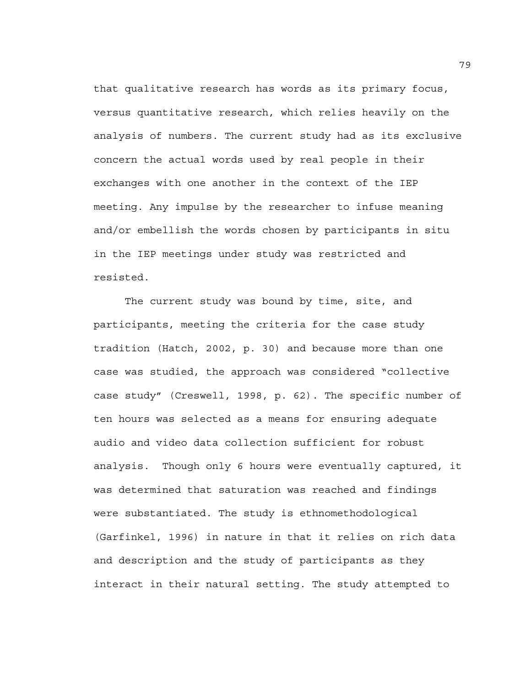that qualitative research has words as its primary focus, versus quantitative research, which relies heavily on the analysis of numbers. The current study had as its exclusive concern the actual words used by real people in their exchanges with one another in the context of the IEP meeting. Any impulse by the researcher to infuse meaning and/or embellish the words chosen by participants in situ in the IEP meetings under study was restricted and resisted.

 The current study was bound by time, site, and participants, meeting the criteria for the case study tradition (Hatch, 2002, p. 30) and because more than one case was studied, the approach was considered "collective case study" (Creswell, 1998, p. 62). The specific number of ten hours was selected as a means for ensuring adequate audio and video data collection sufficient for robust analysis. Though only 6 hours were eventually captured, it was determined that saturation was reached and findings were substantiated. The study is ethnomethodological (Garfinkel, 1996) in nature in that it relies on rich data and description and the study of participants as they interact in their natural setting. The study attempted to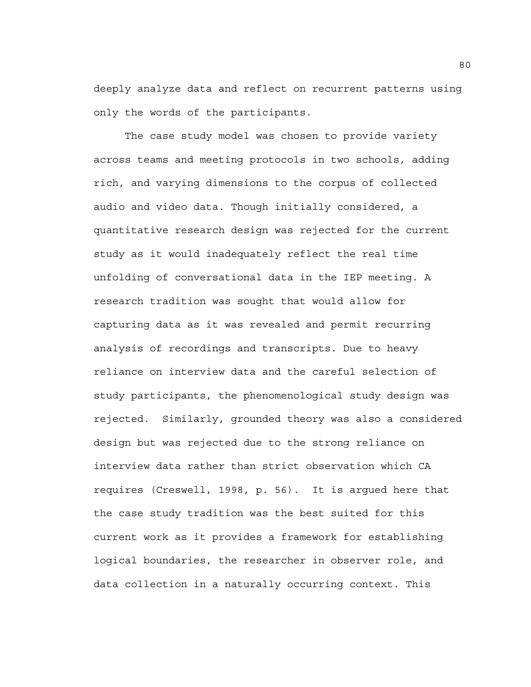deeply analyze data and reflect on recurrent patterns using only the words of the participants.

The case study model was chosen to provide variety across teams and meeting protocols in two schools, adding rich, and varying dimensions to the corpus of collected audio and video data. Though initially considered, a quantitative research design was rejected for the current study as it would inadequately reflect the real time unfolding of conversational data in the IEP meeting. A research tradition was sought that would allow for capturing data as it was revealed and permit recurring analysis of recordings and transcripts. Due to heavy reliance on interview data and the careful selection of study participants, the phenomenological study design was rejected. Similarly, grounded theory was also a considered design but was rejected due to the strong reliance on interview data rather than strict observation which CA requires (Creswell, 1998, p. 56). It is argued here that the case study tradition was the best suited for this current work as it provides a framework for establishing logical boundaries, the researcher in observer role, and data collection in a naturally occurring context. This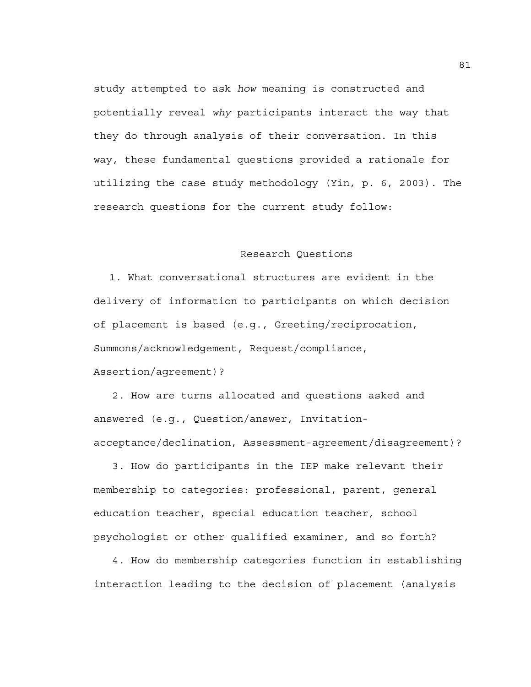study attempted to ask *how* meaning is constructed and potentially reveal *why* participants interact the way that they do through analysis of their conversation. In this way, these fundamental questions provided a rationale for utilizing the case study methodology (Yin, p. 6, 2003). The research questions for the current study follow:

## Research Questions

1. What conversational structures are evident in the delivery of information to participants on which decision of placement is based (e.g., Greeting/reciprocation, Summons/acknowledgement, Request/compliance, Assertion/agreement)?

 2. How are turns allocated and questions asked and answered (e.g., Question/answer, Invitationacceptance/declination, Assessment-agreement/disagreement)?

 3. How do participants in the IEP make relevant their membership to categories: professional, parent, general education teacher, special education teacher, school psychologist or other qualified examiner, and so forth?

 4. How do membership categories function in establishing interaction leading to the decision of placement (analysis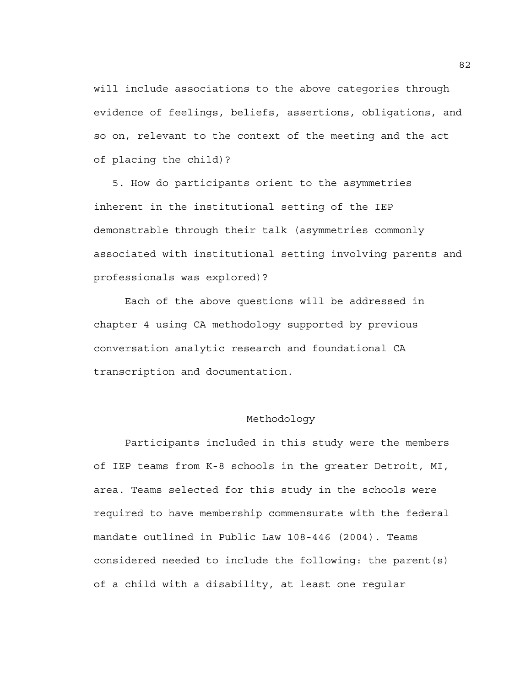will include associations to the above categories through evidence of feelings, beliefs, assertions, obligations, and so on, relevant to the context of the meeting and the act of placing the child)?

 5. How do participants orient to the asymmetries inherent in the institutional setting of the IEP demonstrable through their talk (asymmetries commonly associated with institutional setting involving parents and professionals was explored)?

 Each of the above questions will be addressed in chapter 4 using CA methodology supported by previous conversation analytic research and foundational CA transcription and documentation.

#### Methodology

 Participants included in this study were the members of IEP teams from K-8 schools in the greater Detroit, MI, area. Teams selected for this study in the schools were required to have membership commensurate with the federal mandate outlined in Public Law 108-446 (2004). Teams considered needed to include the following: the parent(s) of a child with a disability, at least one regular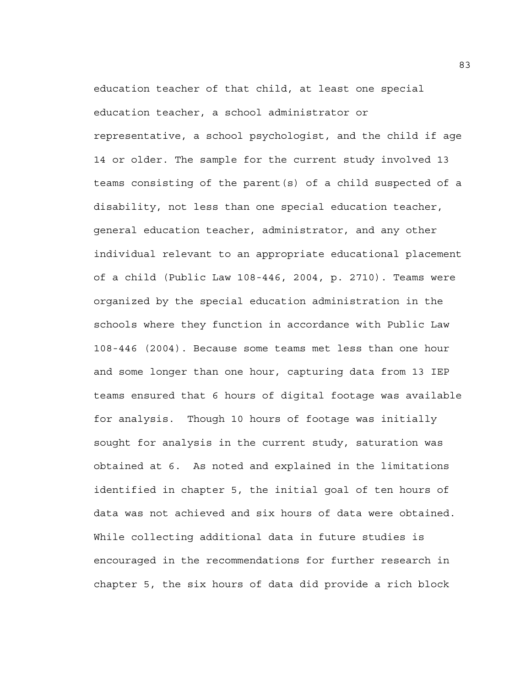education teacher of that child, at least one special education teacher, a school administrator or representative, a school psychologist, and the child if age 14 or older. The sample for the current study involved 13 teams consisting of the parent(s) of a child suspected of a disability, not less than one special education teacher, general education teacher, administrator, and any other individual relevant to an appropriate educational placement of a child (Public Law 108-446, 2004, p. 2710). Teams were organized by the special education administration in the schools where they function in accordance with Public Law 108-446 (2004). Because some teams met less than one hour and some longer than one hour, capturing data from 13 IEP teams ensured that 6 hours of digital footage was available for analysis. Though 10 hours of footage was initially sought for analysis in the current study, saturation was obtained at 6. As noted and explained in the limitations identified in chapter 5, the initial goal of ten hours of data was not achieved and six hours of data were obtained. While collecting additional data in future studies is encouraged in the recommendations for further research in chapter 5, the six hours of data did provide a rich block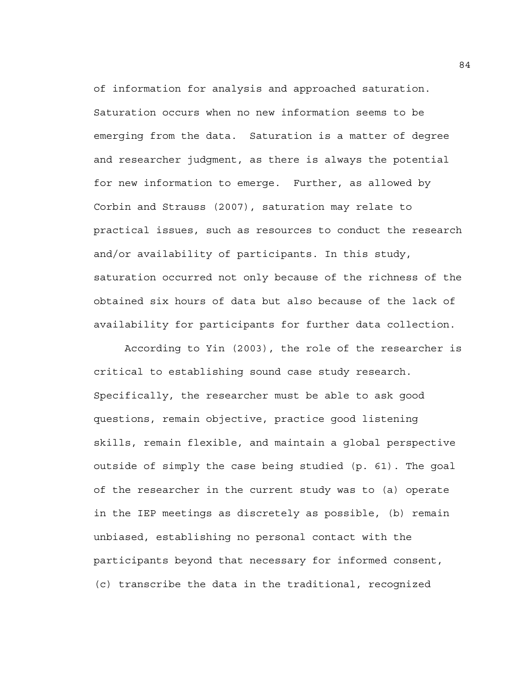of information for analysis and approached saturation. Saturation occurs when no new information seems to be emerging from the data. Saturation is a matter of degree and researcher judgment, as there is always the potential for new information to emerge. Further, as allowed by Corbin and Strauss (2007), saturation may relate to practical issues, such as resources to conduct the research and/or availability of participants. In this study, saturation occurred not only because of the richness of the obtained six hours of data but also because of the lack of availability for participants for further data collection.

 According to Yin (2003), the role of the researcher is critical to establishing sound case study research. Specifically, the researcher must be able to ask good questions, remain objective, practice good listening skills, remain flexible, and maintain a global perspective outside of simply the case being studied (p. 61). The goal of the researcher in the current study was to (a) operate in the IEP meetings as discretely as possible, (b) remain unbiased, establishing no personal contact with the participants beyond that necessary for informed consent, (c) transcribe the data in the traditional, recognized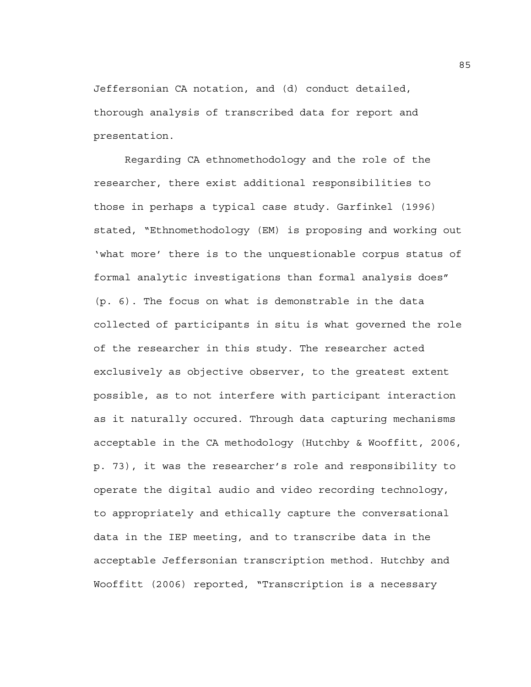Jeffersonian CA notation, and (d) conduct detailed, thorough analysis of transcribed data for report and presentation.

 Regarding CA ethnomethodology and the role of the researcher, there exist additional responsibilities to those in perhaps a typical case study. Garfinkel (1996) stated, "Ethnomethodology (EM) is proposing and working out 'what more' there is to the unquestionable corpus status of formal analytic investigations than formal analysis does" (p. 6). The focus on what is demonstrable in the data collected of participants in situ is what governed the role of the researcher in this study. The researcher acted exclusively as objective observer, to the greatest extent possible, as to not interfere with participant interaction as it naturally occured. Through data capturing mechanisms acceptable in the CA methodology (Hutchby & Wooffitt, 2006, p. 73), it was the researcher's role and responsibility to operate the digital audio and video recording technology, to appropriately and ethically capture the conversational data in the IEP meeting, and to transcribe data in the acceptable Jeffersonian transcription method. Hutchby and Wooffitt (2006) reported, "Transcription is a necessary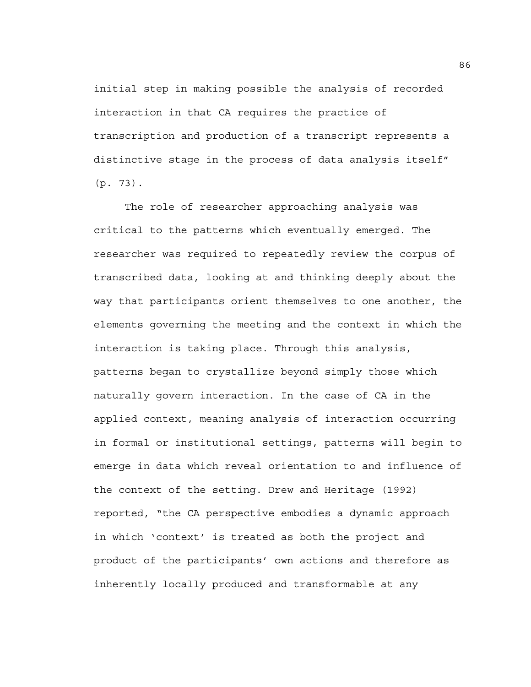initial step in making possible the analysis of recorded interaction in that CA requires the practice of transcription and production of a transcript represents a distinctive stage in the process of data analysis itself" (p. 73).

 The role of researcher approaching analysis was critical to the patterns which eventually emerged. The researcher was required to repeatedly review the corpus of transcribed data, looking at and thinking deeply about the way that participants orient themselves to one another, the elements governing the meeting and the context in which the interaction is taking place. Through this analysis, patterns began to crystallize beyond simply those which naturally govern interaction. In the case of CA in the applied context, meaning analysis of interaction occurring in formal or institutional settings, patterns will begin to emerge in data which reveal orientation to and influence of the context of the setting. Drew and Heritage (1992) reported, "the CA perspective embodies a dynamic approach in which 'context' is treated as both the project and product of the participants' own actions and therefore as inherently locally produced and transformable at any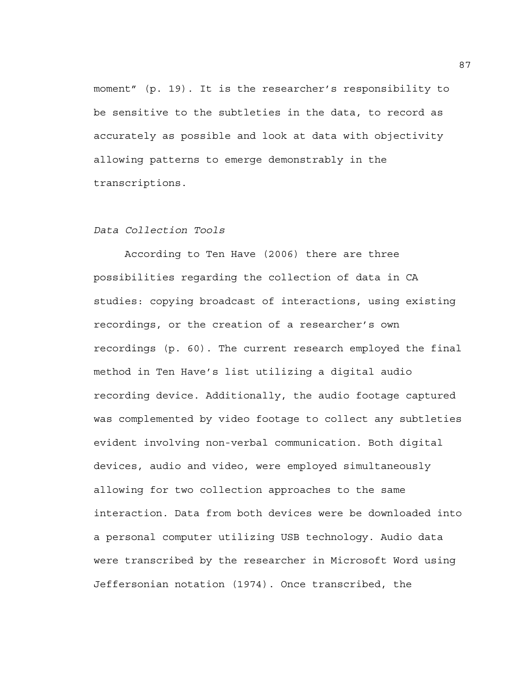moment" (p. 19). It is the researcher's responsibility to be sensitive to the subtleties in the data, to record as accurately as possible and look at data with objectivity allowing patterns to emerge demonstrably in the transcriptions.

## *Data Collection Tools*

 According to Ten Have (2006) there are three possibilities regarding the collection of data in CA studies: copying broadcast of interactions, using existing recordings, or the creation of a researcher's own recordings (p. 60). The current research employed the final method in Ten Have's list utilizing a digital audio recording device. Additionally, the audio footage captured was complemented by video footage to collect any subtleties evident involving non-verbal communication. Both digital devices, audio and video, were employed simultaneously allowing for two collection approaches to the same interaction. Data from both devices were be downloaded into a personal computer utilizing USB technology. Audio data were transcribed by the researcher in Microsoft Word using Jeffersonian notation (1974). Once transcribed, the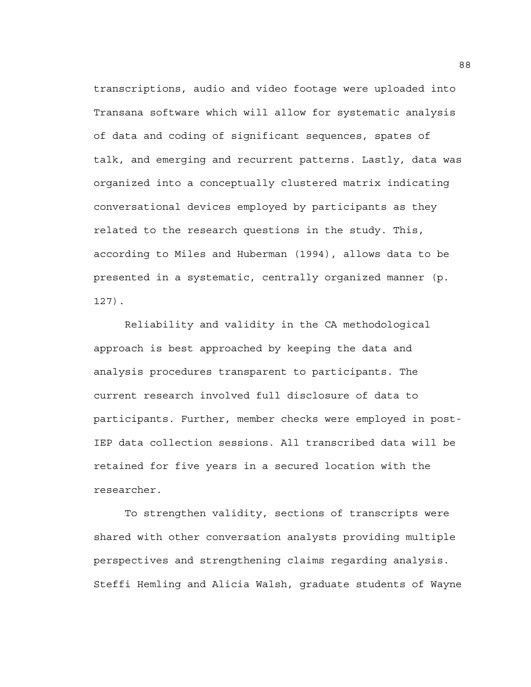transcriptions, audio and video footage were uploaded into Transana software which will allow for systematic analysis of data and coding of significant sequences, spates of talk, and emerging and recurrent patterns. Lastly, data was organized into a conceptually clustered matrix indicating conversational devices employed by participants as they related to the research questions in the study. This, according to Miles and Huberman (1994), allows data to be presented in a systematic, centrally organized manner (p. 127).

 Reliability and validity in the CA methodological approach is best approached by keeping the data and analysis procedures transparent to participants. The current research involved full disclosure of data to participants. Further, member checks were employed in post-IEP data collection sessions. All transcribed data will be retained for five years in a secured location with the researcher.

To strengthen validity, sections of transcripts were shared with other conversation analysts providing multiple perspectives and strengthening claims regarding analysis. Steffi Hemling and Alicia Walsh, graduate students of Wayne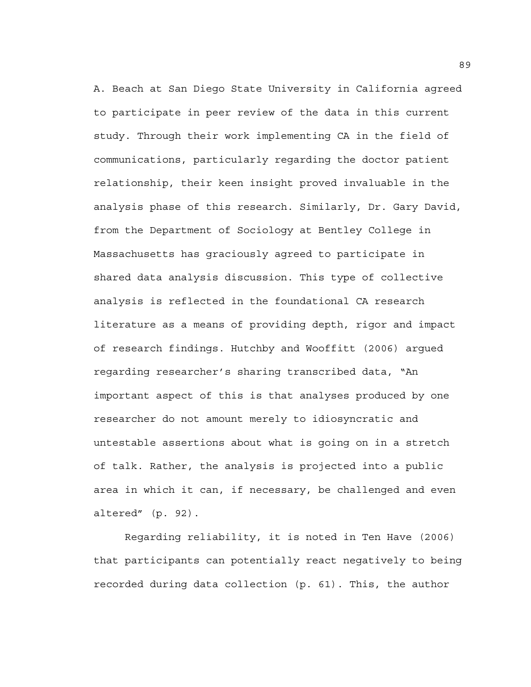A. Beach at San Diego State University in California agreed to participate in peer review of the data in this current study. Through their work implementing CA in the field of communications, particularly regarding the doctor patient relationship, their keen insight proved invaluable in the analysis phase of this research. Similarly, Dr. Gary David, from the Department of Sociology at Bentley College in Massachusetts has graciously agreed to participate in shared data analysis discussion. This type of collective analysis is reflected in the foundational CA research literature as a means of providing depth, rigor and impact of research findings. Hutchby and Wooffitt (2006) argued regarding researcher's sharing transcribed data, "An important aspect of this is that analyses produced by one researcher do not amount merely to idiosyncratic and untestable assertions about what is going on in a stretch of talk. Rather, the analysis is projected into a public area in which it can, if necessary, be challenged and even altered" (p. 92).

 Regarding reliability, it is noted in Ten Have (2006) that participants can potentially react negatively to being recorded during data collection (p. 61). This, the author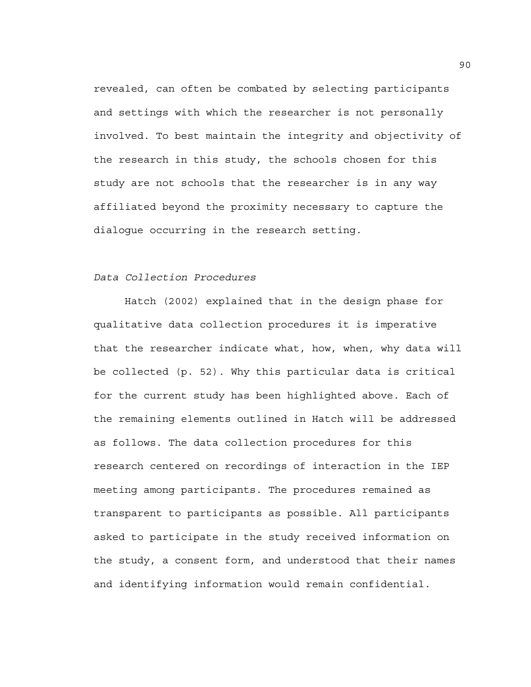revealed, can often be combated by selecting participants and settings with which the researcher is not personally involved. To best maintain the integrity and objectivity of the research in this study, the schools chosen for this study are not schools that the researcher is in any way affiliated beyond the proximity necessary to capture the dialogue occurring in the research setting.

## *Data Collection Procedures*

 Hatch (2002) explained that in the design phase for qualitative data collection procedures it is imperative that the researcher indicate what, how, when, why data will be collected (p. 52). Why this particular data is critical for the current study has been highlighted above. Each of the remaining elements outlined in Hatch will be addressed as follows. The data collection procedures for this research centered on recordings of interaction in the IEP meeting among participants. The procedures remained as transparent to participants as possible. All participants asked to participate in the study received information on the study, a consent form, and understood that their names and identifying information would remain confidential.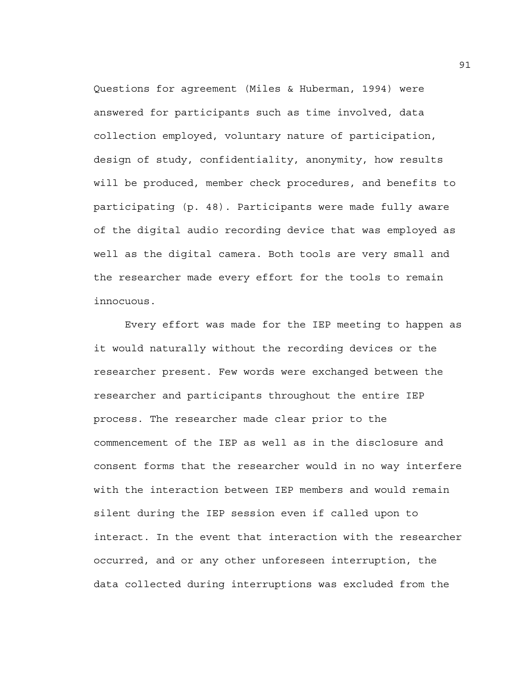Questions for agreement (Miles & Huberman, 1994) were answered for participants such as time involved, data collection employed, voluntary nature of participation, design of study, confidentiality, anonymity, how results will be produced, member check procedures, and benefits to participating (p. 48). Participants were made fully aware of the digital audio recording device that was employed as well as the digital camera. Both tools are very small and the researcher made every effort for the tools to remain innocuous.

 Every effort was made for the IEP meeting to happen as it would naturally without the recording devices or the researcher present. Few words were exchanged between the researcher and participants throughout the entire IEP process. The researcher made clear prior to the commencement of the IEP as well as in the disclosure and consent forms that the researcher would in no way interfere with the interaction between IEP members and would remain silent during the IEP session even if called upon to interact. In the event that interaction with the researcher occurred, and or any other unforeseen interruption, the data collected during interruptions was excluded from the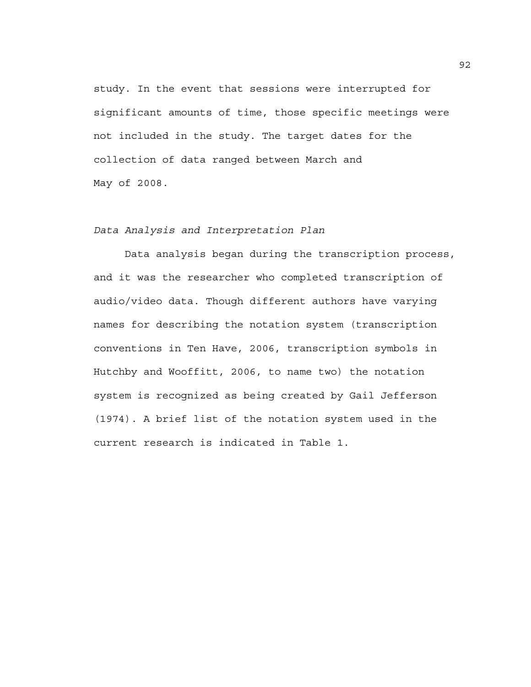study. In the event that sessions were interrupted for significant amounts of time, those specific meetings were not included in the study. The target dates for the collection of data ranged between March and May of 2008.

## *Data Analysis and Interpretation Plan*

 Data analysis began during the transcription process, and it was the researcher who completed transcription of audio/video data. Though different authors have varying names for describing the notation system (transcription conventions in Ten Have, 2006, transcription symbols in Hutchby and Wooffitt, 2006, to name two) the notation system is recognized as being created by Gail Jefferson (1974). A brief list of the notation system used in the current research is indicated in Table 1.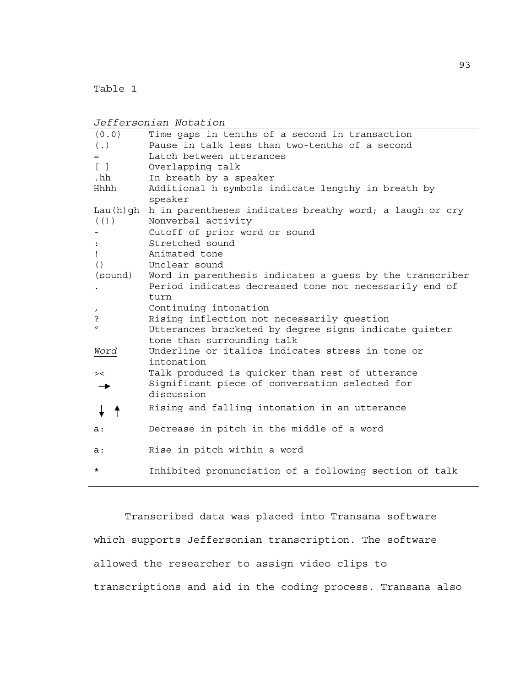Table 1

*Jeffersonian Notation*  (0.0) Time gaps in tenths of a second in transaction (.) Pause in talk less than two-tenths of a second = Latch between utterances [ ] Overlapping talk .hh In breath by a speaker Hhhh Additional h symbols indicate lengthy in breath by speaker Lau(h)gh h in parentheses indicates breathy word; a laugh or cry (()) Nonverbal activity - Cutoff of prior word or sound : Stretched sound ! Animated tone () Unclear sound (sound) Word in parenthesis indicates a guess by the transcriber . Period indicates decreased tone not necessarily end of turn , Continuing intonation ? Rising inflection not necessarily question Utterances bracketed by degree signs indicate quieter tone than surrounding talk *Word* Underline or italics indicates stress in tone or intonation >< Talk produced is quicker than rest of utterance Significant piece of conversation selected for  $\rightarrow$ discussion Rising and falling intonation in an utterance  $\downarrow$   $\uparrow$ a: Decrease in pitch in the middle of a word a: Rise in pitch within a word Inhibited pronunciation of a following section of talk

Transcribed data was placed into Transana software which supports Jeffersonian transcription. The software allowed the researcher to assign video clips to transcriptions and aid in the coding process. Transana also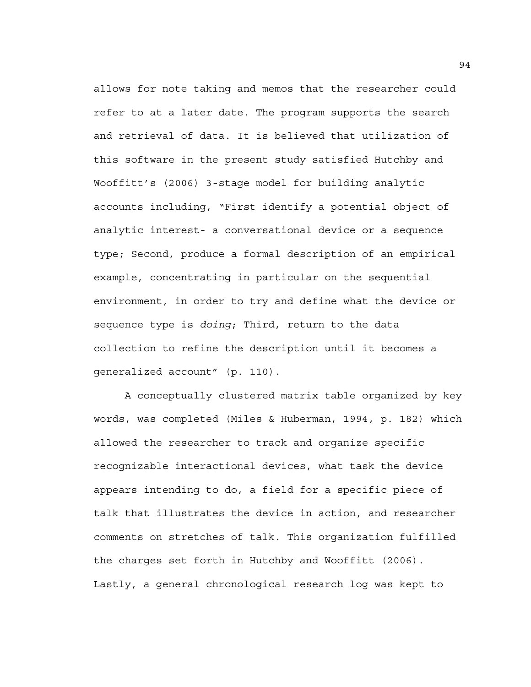allows for note taking and memos that the researcher could refer to at a later date. The program supports the search and retrieval of data. It is believed that utilization of this software in the present study satisfied Hutchby and Wooffitt's (2006) 3-stage model for building analytic accounts including, "First identify a potential object of analytic interest- a conversational device or a sequence type; Second, produce a formal description of an empirical example, concentrating in particular on the sequential environment, in order to try and define what the device or sequence type is *doing*; Third, return to the data collection to refine the description until it becomes a generalized account" (p. 110).

A conceptually clustered matrix table organized by key words, was completed (Miles & Huberman, 1994, p. 182) which allowed the researcher to track and organize specific recognizable interactional devices, what task the device appears intending to do, a field for a specific piece of talk that illustrates the device in action, and researcher comments on stretches of talk. This organization fulfilled the charges set forth in Hutchby and Wooffitt (2006). Lastly, a general chronological research log was kept to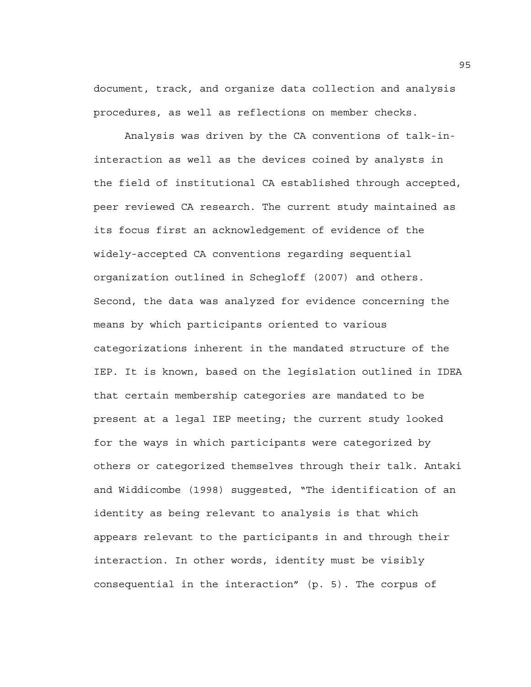document, track, and organize data collection and analysis procedures, as well as reflections on member checks.

Analysis was driven by the CA conventions of talk-ininteraction as well as the devices coined by analysts in the field of institutional CA established through accepted, peer reviewed CA research. The current study maintained as its focus first an acknowledgement of evidence of the widely-accepted CA conventions regarding sequential organization outlined in Schegloff (2007) and others. Second, the data was analyzed for evidence concerning the means by which participants oriented to various categorizations inherent in the mandated structure of the IEP. It is known, based on the legislation outlined in IDEA that certain membership categories are mandated to be present at a legal IEP meeting; the current study looked for the ways in which participants were categorized by others or categorized themselves through their talk. Antaki and Widdicombe (1998) suggested, "The identification of an identity as being relevant to analysis is that which appears relevant to the participants in and through their interaction. In other words, identity must be visibly consequential in the interaction" (p. 5). The corpus of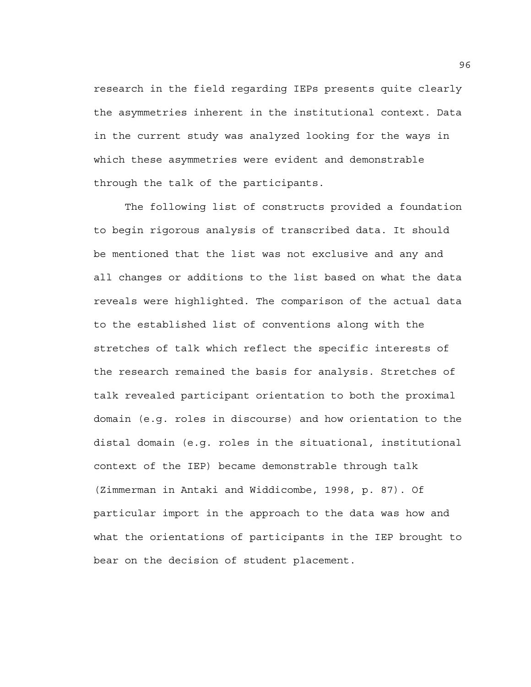research in the field regarding IEPs presents quite clearly the asymmetries inherent in the institutional context. Data in the current study was analyzed looking for the ways in which these asymmetries were evident and demonstrable through the talk of the participants.

The following list of constructs provided a foundation to begin rigorous analysis of transcribed data. It should be mentioned that the list was not exclusive and any and all changes or additions to the list based on what the data reveals were highlighted. The comparison of the actual data to the established list of conventions along with the stretches of talk which reflect the specific interests of the research remained the basis for analysis. Stretches of talk revealed participant orientation to both the proximal domain (e.g. roles in discourse) and how orientation to the distal domain (e.g. roles in the situational, institutional context of the IEP) became demonstrable through talk (Zimmerman in Antaki and Widdicombe, 1998, p. 87). Of particular import in the approach to the data was how and what the orientations of participants in the IEP brought to bear on the decision of student placement.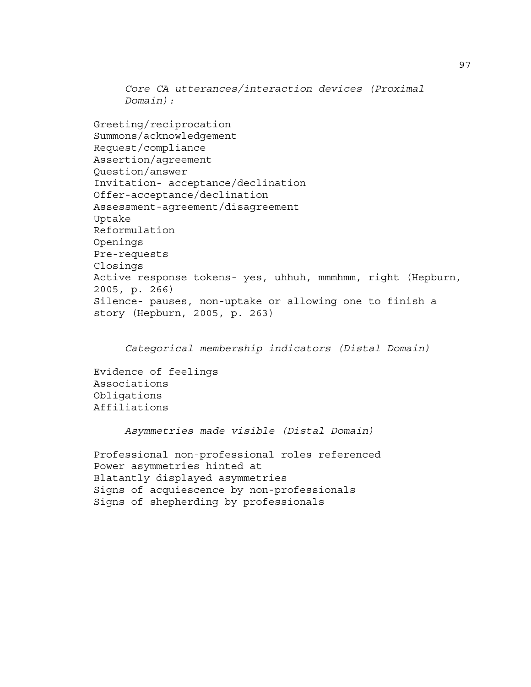*Core CA utterances/interaction devices (Proximal Domain):* 

Greeting/reciprocation Summons/acknowledgement Request/compliance Assertion/agreement Question/answer Invitation- acceptance/declination Offer-acceptance/declination Assessment-agreement/disagreement Uptake Reformulation Openings Pre-requests Closings Active response tokens- yes, uhhuh, mmmhmm, right (Hepburn, 2005, p. 266) Silence- pauses, non-uptake or allowing one to finish a story (Hepburn, 2005, p. 263)

*Categorical membership indicators (Distal Domain)* 

Evidence of feelings Associations Obligations Affiliations

 *Asymmetries made visible (Distal Domain)* 

```
Professional non-professional roles referenced 
Power asymmetries hinted at 
Blatantly displayed asymmetries 
Signs of acquiescence by non-professionals 
Signs of shepherding by professionals
```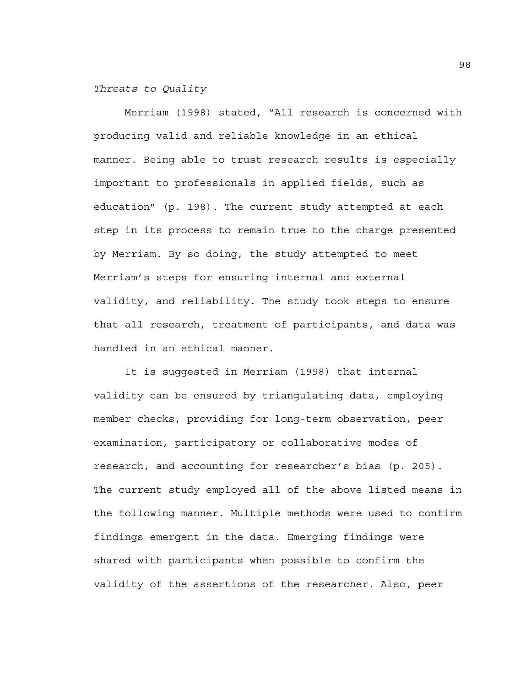*Threats to Quality* 

 Merriam (1998) stated, "All research is concerned with producing valid and reliable knowledge in an ethical manner. Being able to trust research results is especially important to professionals in applied fields, such as education" (p. 198). The current study attempted at each step in its process to remain true to the charge presented by Merriam. By so doing, the study attempted to meet Merriam's steps for ensuring internal and external validity, and reliability. The study took steps to ensure that all research, treatment of participants, and data was handled in an ethical manner.

 It is suggested in Merriam (1998) that internal validity can be ensured by triangulating data, employing member checks, providing for long-term observation, peer examination, participatory or collaborative modes of research, and accounting for researcher's bias (p. 205). The current study employed all of the above listed means in the following manner. Multiple methods were used to confirm findings emergent in the data. Emerging findings were shared with participants when possible to confirm the validity of the assertions of the researcher. Also, peer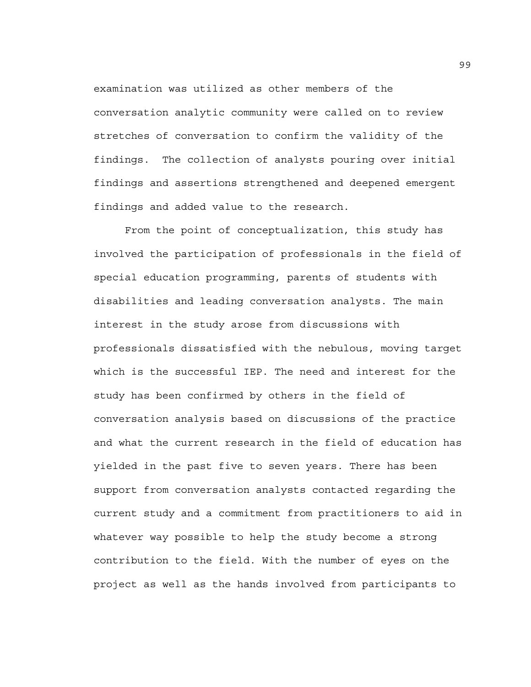examination was utilized as other members of the conversation analytic community were called on to review stretches of conversation to confirm the validity of the findings. The collection of analysts pouring over initial findings and assertions strengthened and deepened emergent findings and added value to the research.

 From the point of conceptualization, this study has involved the participation of professionals in the field of special education programming, parents of students with disabilities and leading conversation analysts. The main interest in the study arose from discussions with professionals dissatisfied with the nebulous, moving target which is the successful IEP. The need and interest for the study has been confirmed by others in the field of conversation analysis based on discussions of the practice and what the current research in the field of education has yielded in the past five to seven years. There has been support from conversation analysts contacted regarding the current study and a commitment from practitioners to aid in whatever way possible to help the study become a strong contribution to the field. With the number of eyes on the project as well as the hands involved from participants to

99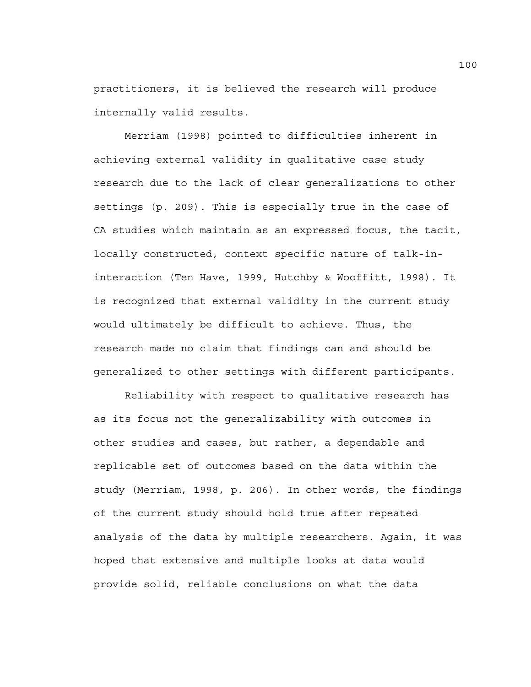practitioners, it is believed the research will produce internally valid results.

 Merriam (1998) pointed to difficulties inherent in achieving external validity in qualitative case study research due to the lack of clear generalizations to other settings (p. 209). This is especially true in the case of CA studies which maintain as an expressed focus, the tacit, locally constructed, context specific nature of talk-ininteraction (Ten Have, 1999, Hutchby & Wooffitt, 1998). It is recognized that external validity in the current study would ultimately be difficult to achieve. Thus, the research made no claim that findings can and should be generalized to other settings with different participants.

Reliability with respect to qualitative research has as its focus not the generalizability with outcomes in other studies and cases, but rather, a dependable and replicable set of outcomes based on the data within the study (Merriam, 1998, p. 206). In other words, the findings of the current study should hold true after repeated analysis of the data by multiple researchers. Again, it was hoped that extensive and multiple looks at data would provide solid, reliable conclusions on what the data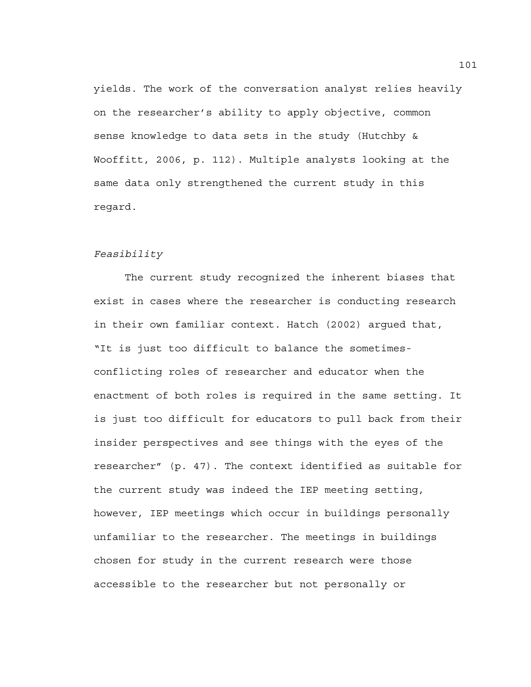yields. The work of the conversation analyst relies heavily on the researcher's ability to apply objective, common sense knowledge to data sets in the study (Hutchby & Wooffitt, 2006, p. 112). Multiple analysts looking at the same data only strengthened the current study in this regard.

### *Feasibility*

 The current study recognized the inherent biases that exist in cases where the researcher is conducting research in their own familiar context. Hatch (2002) argued that, "It is just too difficult to balance the sometimesconflicting roles of researcher and educator when the enactment of both roles is required in the same setting. It is just too difficult for educators to pull back from their insider perspectives and see things with the eyes of the researcher" (p. 47). The context identified as suitable for the current study was indeed the IEP meeting setting, however, IEP meetings which occur in buildings personally unfamiliar to the researcher. The meetings in buildings chosen for study in the current research were those accessible to the researcher but not personally or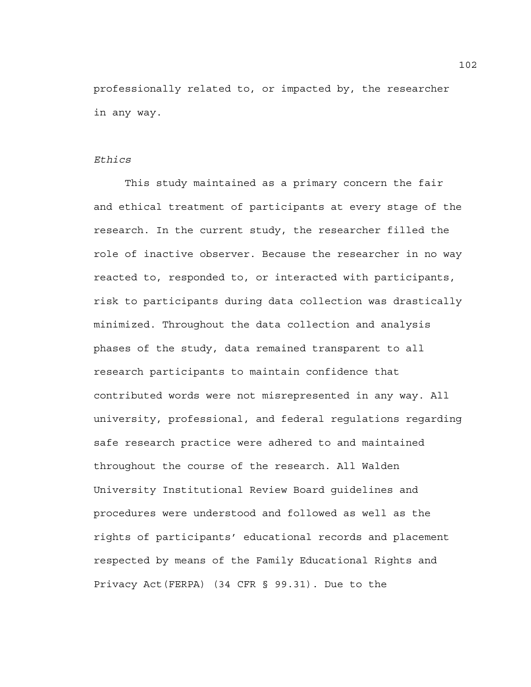professionally related to, or impacted by, the researcher in any way.

## *Ethics*

 This study maintained as a primary concern the fair and ethical treatment of participants at every stage of the research. In the current study, the researcher filled the role of inactive observer. Because the researcher in no way reacted to, responded to, or interacted with participants, risk to participants during data collection was drastically minimized. Throughout the data collection and analysis phases of the study, data remained transparent to all research participants to maintain confidence that contributed words were not misrepresented in any way. All university, professional, and federal regulations regarding safe research practice were adhered to and maintained throughout the course of the research. All Walden University Institutional Review Board guidelines and procedures were understood and followed as well as the rights of participants' educational records and placement respected by means of the Family Educational Rights and Privacy Act(FERPA) (34 CFR § 99.31). Due to the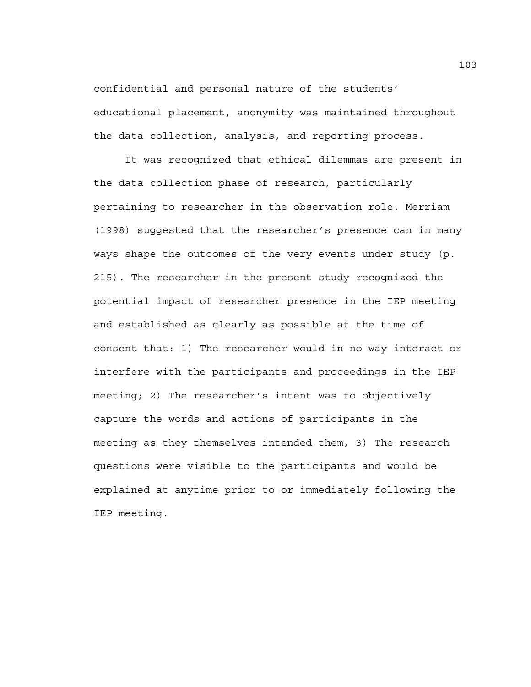confidential and personal nature of the students' educational placement, anonymity was maintained throughout the data collection, analysis, and reporting process.

 It was recognized that ethical dilemmas are present in the data collection phase of research, particularly pertaining to researcher in the observation role. Merriam (1998) suggested that the researcher's presence can in many ways shape the outcomes of the very events under study (p. 215). The researcher in the present study recognized the potential impact of researcher presence in the IEP meeting and established as clearly as possible at the time of consent that: 1) The researcher would in no way interact or interfere with the participants and proceedings in the IEP meeting; 2) The researcher's intent was to objectively capture the words and actions of participants in the meeting as they themselves intended them, 3) The research questions were visible to the participants and would be explained at anytime prior to or immediately following the IEP meeting.

103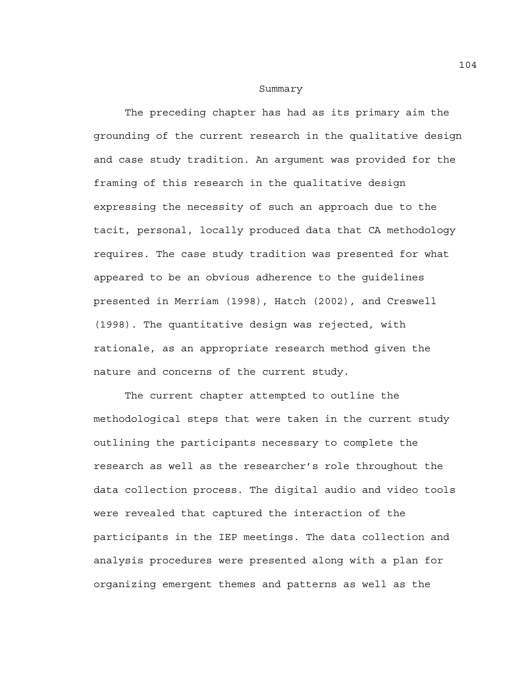#### Summary

 The preceding chapter has had as its primary aim the grounding of the current research in the qualitative design and case study tradition. An argument was provided for the framing of this research in the qualitative design expressing the necessity of such an approach due to the tacit, personal, locally produced data that CA methodology requires. The case study tradition was presented for what appeared to be an obvious adherence to the guidelines presented in Merriam (1998), Hatch (2002), and Creswell (1998). The quantitative design was rejected, with rationale, as an appropriate research method given the nature and concerns of the current study.

 The current chapter attempted to outline the methodological steps that were taken in the current study outlining the participants necessary to complete the research as well as the researcher's role throughout the data collection process. The digital audio and video tools were revealed that captured the interaction of the participants in the IEP meetings. The data collection and analysis procedures were presented along with a plan for organizing emergent themes and patterns as well as the

104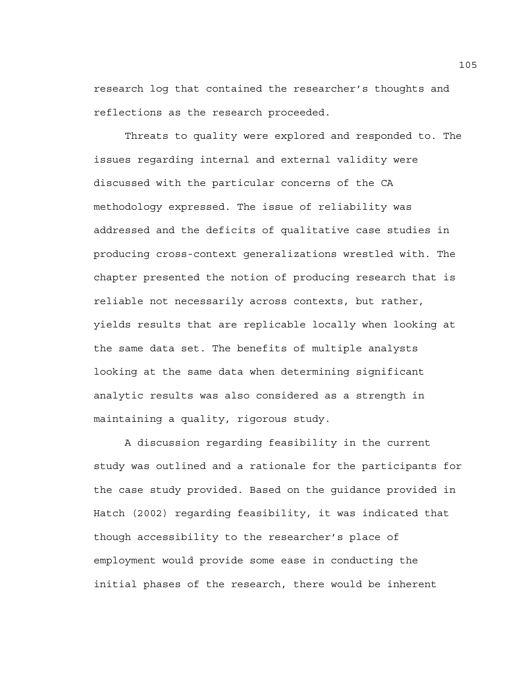research log that contained the researcher's thoughts and reflections as the research proceeded.

 Threats to quality were explored and responded to. The issues regarding internal and external validity were discussed with the particular concerns of the CA methodology expressed. The issue of reliability was addressed and the deficits of qualitative case studies in producing cross-context generalizations wrestled with. The chapter presented the notion of producing research that is reliable not necessarily across contexts, but rather, yields results that are replicable locally when looking at the same data set. The benefits of multiple analysts looking at the same data when determining significant analytic results was also considered as a strength in maintaining a quality, rigorous study.

 A discussion regarding feasibility in the current study was outlined and a rationale for the participants for the case study provided. Based on the guidance provided in Hatch (2002) regarding feasibility, it was indicated that though accessibility to the researcher's place of employment would provide some ease in conducting the initial phases of the research, there would be inherent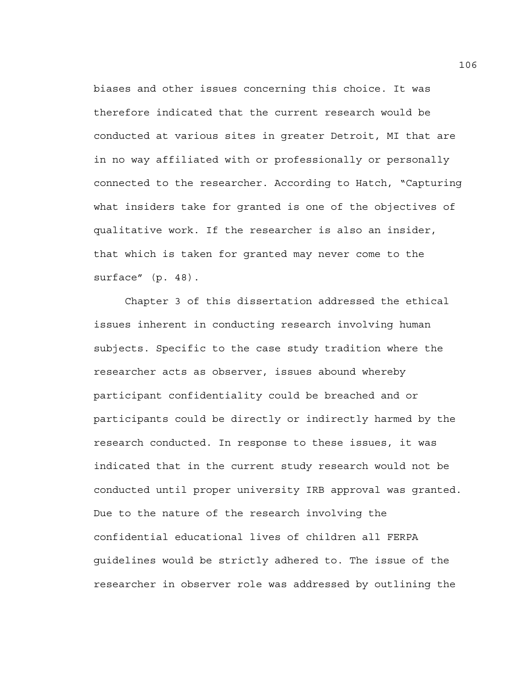biases and other issues concerning this choice. It was therefore indicated that the current research would be conducted at various sites in greater Detroit, MI that are in no way affiliated with or professionally or personally connected to the researcher. According to Hatch, "Capturing what insiders take for granted is one of the objectives of qualitative work. If the researcher is also an insider, that which is taken for granted may never come to the surface" (p. 48).

 Chapter 3 of this dissertation addressed the ethical issues inherent in conducting research involving human subjects. Specific to the case study tradition where the researcher acts as observer, issues abound whereby participant confidentiality could be breached and or participants could be directly or indirectly harmed by the research conducted. In response to these issues, it was indicated that in the current study research would not be conducted until proper university IRB approval was granted. Due to the nature of the research involving the confidential educational lives of children all FERPA guidelines would be strictly adhered to. The issue of the researcher in observer role was addressed by outlining the

106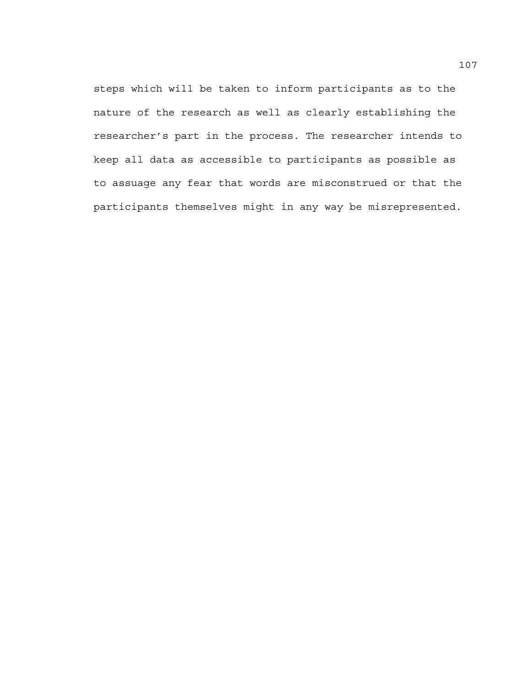steps which will be taken to inform participants as to the nature of the research as well as clearly establishing the researcher's part in the process. The researcher intends to keep all data as accessible to participants as possible as to assuage any fear that words are misconstrued or that the participants themselves might in any way be misrepresented.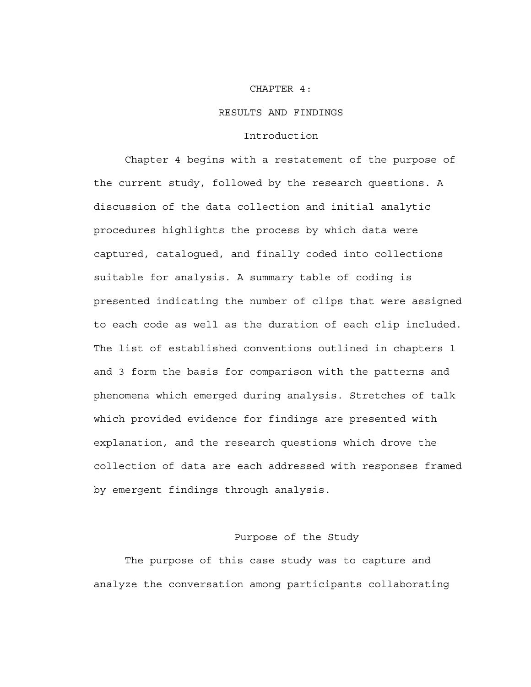#### CHAPTER 4:

#### RESULTS AND FINDINGS

## Introduction

 Chapter 4 begins with a restatement of the purpose of the current study, followed by the research questions. A discussion of the data collection and initial analytic procedures highlights the process by which data were captured, catalogued, and finally coded into collections suitable for analysis. A summary table of coding is presented indicating the number of clips that were assigned to each code as well as the duration of each clip included. The list of established conventions outlined in chapters 1 and 3 form the basis for comparison with the patterns and phenomena which emerged during analysis. Stretches of talk which provided evidence for findings are presented with explanation, and the research questions which drove the collection of data are each addressed with responses framed by emergent findings through analysis.

## Purpose of the Study

The purpose of this case study was to capture and analyze the conversation among participants collaborating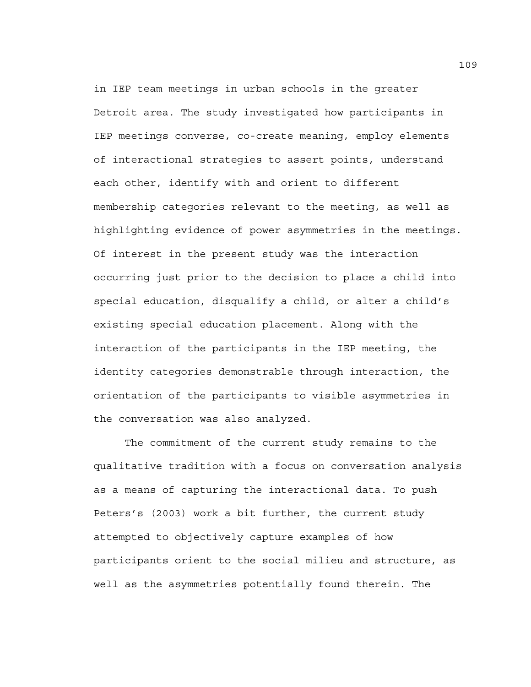in IEP team meetings in urban schools in the greater Detroit area. The study investigated how participants in IEP meetings converse, co-create meaning, employ elements of interactional strategies to assert points, understand each other, identify with and orient to different membership categories relevant to the meeting, as well as highlighting evidence of power asymmetries in the meetings. Of interest in the present study was the interaction occurring just prior to the decision to place a child into special education, disqualify a child, or alter a child's existing special education placement. Along with the interaction of the participants in the IEP meeting, the identity categories demonstrable through interaction, the orientation of the participants to visible asymmetries in the conversation was also analyzed.

The commitment of the current study remains to the qualitative tradition with a focus on conversation analysis as a means of capturing the interactional data. To push Peters's (2003) work a bit further, the current study attempted to objectively capture examples of how participants orient to the social milieu and structure, as well as the asymmetries potentially found therein. The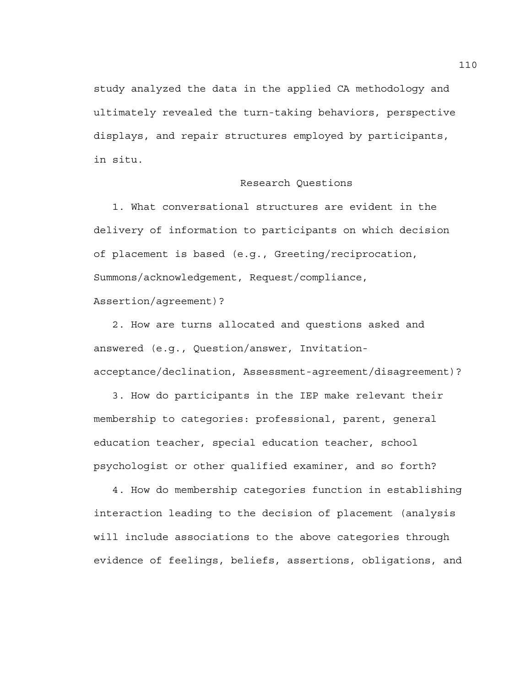study analyzed the data in the applied CA methodology and ultimately revealed the turn-taking behaviors, perspective displays, and repair structures employed by participants, in situ.

### Research Questions

 1. What conversational structures are evident in the delivery of information to participants on which decision of placement is based (e.g., Greeting/reciprocation, Summons/acknowledgement, Request/compliance,

Assertion/agreement)?

 2. How are turns allocated and questions asked and answered (e.g., Question/answer, Invitationacceptance/declination, Assessment-agreement/disagreement)?

 3. How do participants in the IEP make relevant their membership to categories: professional, parent, general education teacher, special education teacher, school psychologist or other qualified examiner, and so forth?

 4. How do membership categories function in establishing interaction leading to the decision of placement (analysis will include associations to the above categories through evidence of feelings, beliefs, assertions, obligations, and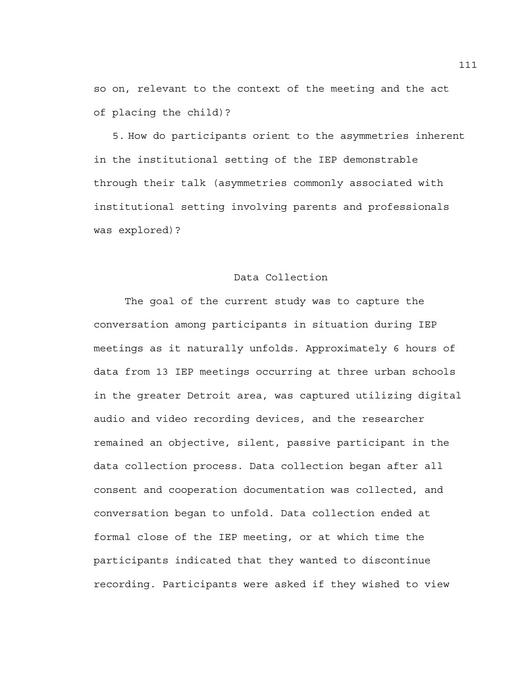so on, relevant to the context of the meeting and the act of placing the child)?

5. How do participants orient to the asymmetries inherent in the institutional setting of the IEP demonstrable through their talk (asymmetries commonly associated with institutional setting involving parents and professionals was explored)?

# Data Collection

The goal of the current study was to capture the conversation among participants in situation during IEP meetings as it naturally unfolds. Approximately 6 hours of data from 13 IEP meetings occurring at three urban schools in the greater Detroit area, was captured utilizing digital audio and video recording devices, and the researcher remained an objective, silent, passive participant in the data collection process. Data collection began after all consent and cooperation documentation was collected, and conversation began to unfold. Data collection ended at formal close of the IEP meeting, or at which time the participants indicated that they wanted to discontinue recording. Participants were asked if they wished to view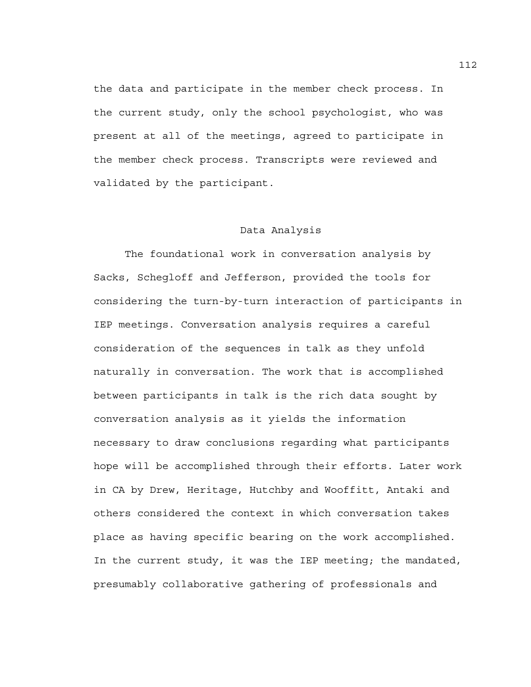the data and participate in the member check process. In the current study, only the school psychologist, who was present at all of the meetings, agreed to participate in the member check process. Transcripts were reviewed and validated by the participant.

### Data Analysis

The foundational work in conversation analysis by Sacks, Schegloff and Jefferson, provided the tools for considering the turn-by-turn interaction of participants in IEP meetings. Conversation analysis requires a careful consideration of the sequences in talk as they unfold naturally in conversation. The work that is accomplished between participants in talk is the rich data sought by conversation analysis as it yields the information necessary to draw conclusions regarding what participants hope will be accomplished through their efforts. Later work in CA by Drew, Heritage, Hutchby and Wooffitt, Antaki and others considered the context in which conversation takes place as having specific bearing on the work accomplished. In the current study, it was the IEP meeting; the mandated, presumably collaborative gathering of professionals and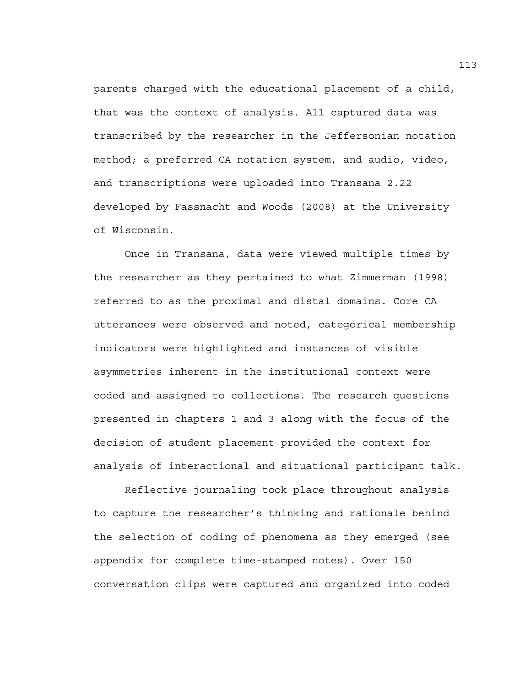parents charged with the educational placement of a child, that was the context of analysis. All captured data was transcribed by the researcher in the Jeffersonian notation method; a preferred CA notation system, and audio, video, and transcriptions were uploaded into Transana 2.22 developed by Fassnacht and Woods (2008) at the University of Wisconsin.

Once in Transana, data were viewed multiple times by the researcher as they pertained to what Zimmerman (1998) referred to as the proximal and distal domains. Core CA utterances were observed and noted, categorical membership indicators were highlighted and instances of visible asymmetries inherent in the institutional context were coded and assigned to collections. The research questions presented in chapters 1 and 3 along with the focus of the decision of student placement provided the context for analysis of interactional and situational participant talk.

Reflective journaling took place throughout analysis to capture the researcher's thinking and rationale behind the selection of coding of phenomena as they emerged (see appendix for complete time-stamped notes). Over 150 conversation clips were captured and organized into coded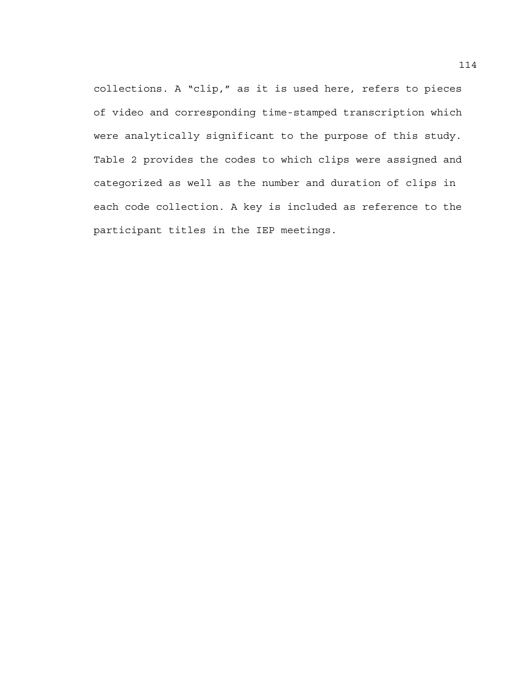collections. A "clip," as it is used here, refers to pieces of video and corresponding time-stamped transcription which were analytically significant to the purpose of this study. Table 2 provides the codes to which clips were assigned and categorized as well as the number and duration of clips in each code collection. A key is included as reference to the participant titles in the IEP meetings.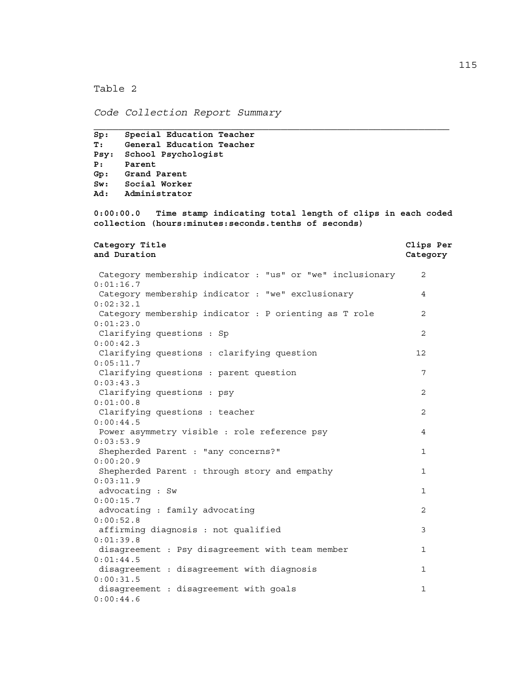Table 2

*Code Collection Report Summary* 

**Sp: Special Education Teacher** 

```
T: General Education Teacher 
Psy: School Psychologist 
P: Parent 
Gp: Grand Parent 
Sw: Social Worker 
Ad: Administrator 
0:00:00.0 Time stamp indicating total length of clips in each coded 
collection (hours:minutes:seconds.tenths of seconds) 
Category Title Clips Per 
and Duration Category 
 Category membership indicator : "us" or "we" inclusionary 2 
0:01:16.7 
 Category membership indicator : "we" exclusionary 4 
0:02:32.1 
Category membership indicator : P orienting as T role 2
0:01:23.0 
Clarifying questions : Sp 2
0:00:42.3 
 Clarifying questions : clarifying question 12 
0:05:11.7 
 Clarifying questions : parent question 7 
0:03:43.3 
 Clarifying questions : psy 2 
0:01:00.8 
Clarifying questions : teacher 2
0:00:44.5 
Power asymmetry visible : role reference psy 40:03:53.9 
Shepherded Parent : "any concerns?" 1
0:00:20.9 
Shepherded Parent : through story and empathy 1
0:03:11.9 
advocating : Sw 1
0:00:15.7 
advocating : family advocating 2
0:00:52.8 
affirming diagnosis : not qualified 3
0:01:39.8 
 disagreement : Psy disagreement with team member 1 
0:01:44.5 
disagreement : disagreement with diagnosis 10:00:31.5 
disagreement : disagreement with goals 1
0:00:44.6
```
 $\overline{\phantom{a}}$  , and the contribution of the contribution of the contribution of the contribution of the contribution of the contribution of the contribution of the contribution of the contribution of the contribution of the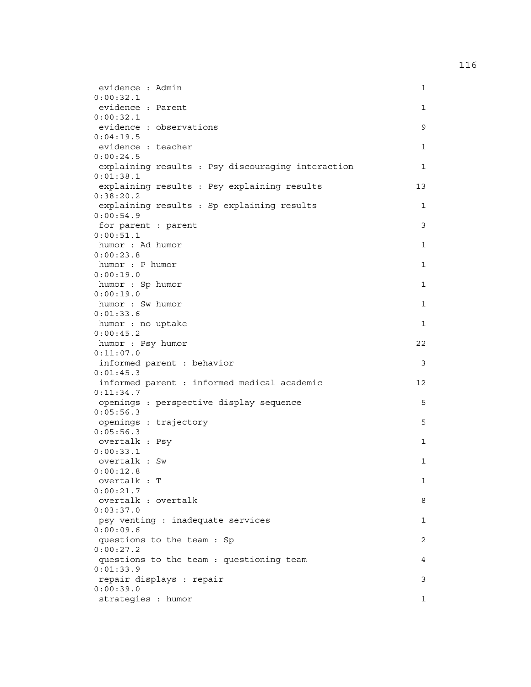| evidence : Admin                                  | 1  |
|---------------------------------------------------|----|
| 0:00:32.1                                         |    |
| evidence : Parent                                 | 1  |
| 0:00:32.1                                         |    |
| evidence : observations                           | 9  |
| 0:04:19.5                                         |    |
| evidence : teacher                                | 1  |
| 0:00:24.5                                         |    |
| explaining results : Psy discouraging interaction | 1  |
| 0:01:38.1                                         |    |
| explaining results : Psy explaining results       | 13 |
| 0:38:20.2                                         |    |
| explaining results : Sp explaining results        | 1  |
| 0:00:54.9                                         |    |
| for parent : parent                               | 3  |
| 0:00:51.1                                         |    |
| humor : Ad humor                                  | 1  |
| 0:00:23.8                                         |    |
| humor : P humor                                   | 1  |
| 0:00:19.0                                         |    |
| humor : Sp humor                                  | 1  |
| 0:00:19.0                                         |    |
| humor : Sw humor                                  | 1  |
| 0:01:33.6                                         |    |
| humor : no uptake                                 | 1  |
| 0:00:45.2                                         |    |
| humor : Psy humor                                 | 22 |
| 0:11:07.0                                         |    |
| informed parent : behavior                        | 3  |
| 0:01:45.3                                         |    |
| informed parent : informed medical academic       | 12 |
| 0:11:34.7                                         |    |
| openings : perspective display sequence           | 5  |
| 0:05:56.3                                         |    |
| openings : trajectory                             | 5  |
| 0:05:56.3                                         |    |
| overtalk : Psy<br>0:00:33.1                       | 1  |
| overtalk : Sw                                     |    |
| 0:00:12.8                                         | 1  |
| overtalk : T                                      | 1  |
| 0:00:21.7                                         |    |
| overtalk : overtalk                               | 8  |
| 0:03:37.0                                         |    |
| psy venting : inadequate services                 | 1  |
| 0:00:09.6                                         |    |
| questions to the team : Sp                        | 2  |
| 0:00:27.2                                         |    |
| questions to the team : questioning team          | 4  |
| 0:01:33.9                                         |    |
| repair displays : repair                          | 3  |
| 0:00:39.0                                         |    |
| strategies : humor                                | 1  |
|                                                   |    |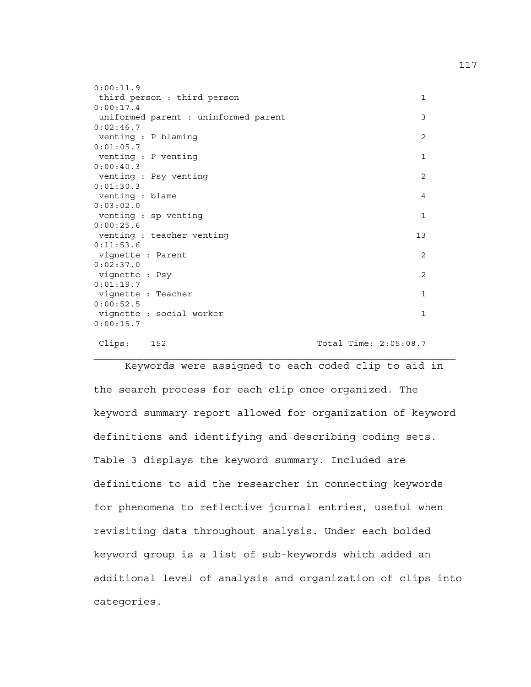| 0:00:11.9                            |                       |  |
|--------------------------------------|-----------------------|--|
| third person : third person          | $\mathbf{1}$          |  |
| 0:00:17.4                            |                       |  |
| uniformed parent : uninformed parent | 3                     |  |
| 0:02:46.7                            |                       |  |
| venting : P blaming                  | $\overline{2}$        |  |
| 0:01:05.7                            |                       |  |
| venting : P venting                  | $\mathbf{1}$          |  |
| 0:00:40.3                            |                       |  |
| venting : Psy venting                | 2                     |  |
| 0:01:30.3                            |                       |  |
| venting : blame                      | 4                     |  |
| 0:03:02.0                            |                       |  |
| venting : sp venting                 | $\mathbf{1}$          |  |
| 0:00:25.6                            |                       |  |
| venting : teacher venting            | 13                    |  |
| 0:11:53.6                            |                       |  |
| vignette : Parent                    | 2                     |  |
| 0:02:37.0                            |                       |  |
| vignette : Psy                       | 2                     |  |
| 0:01:19.7                            |                       |  |
| vignette : Teacher                   | $\mathbf{1}$          |  |
| 0:00:52.5                            |                       |  |
| vignette : social worker             | $\mathbf{1}$          |  |
| 0:00:15.7                            |                       |  |
|                                      |                       |  |
| Clips:<br>152                        | Total Time: 2:05:08.7 |  |

 Keywords were assigned to each coded clip to aid in the search process for each clip once organized. The keyword summary report allowed for organization of keyword definitions and identifying and describing coding sets. Table 3 displays the keyword summary. Included are definitions to aid the researcher in connecting keywords for phenomena to reflective journal entries, useful when revisiting data throughout analysis. Under each bolded keyword group is a list of sub-keywords which added an additional level of analysis and organization of clips into categories.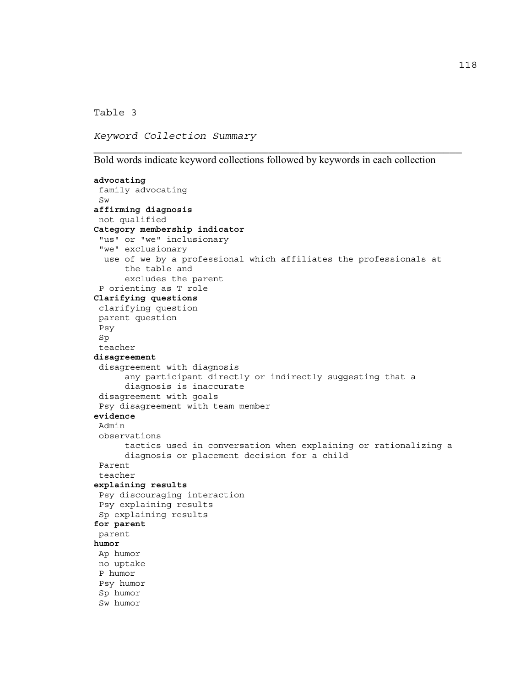Table 3

*Keyword Collection Summary* 

Bold words indicate keyword collections followed by keywords in each collection

\_\_\_\_\_\_\_\_\_\_\_\_\_\_\_\_\_\_\_\_\_\_\_\_\_\_\_\_\_\_\_\_\_\_\_\_\_\_\_\_\_\_\_\_\_\_\_\_\_\_\_\_\_\_\_\_\_\_\_

```
advocating 
 family advocating 
 Sw 
affirming diagnosis 
 not qualified 
Category membership indicator 
  "us" or "we" inclusionary 
  "we" exclusionary 
  use of we by a professional which affiliates the professionals at 
      the table and 
       excludes the parent 
  P orienting as T role 
Clarifying questions 
 clarifying question 
 parent question 
 Psy 
 Sp 
  teacher 
disagreement 
 disagreement with diagnosis 
       any participant directly or indirectly suggesting that a 
      diagnosis is inaccurate 
 disagreement with goals 
 Psy disagreement with team member 
evidence 
 Admin 
 observations 
       tactics used in conversation when explaining or rationalizing a 
      diagnosis or placement decision for a child 
 Parent 
 teacher 
explaining results 
 Psy discouraging interaction 
 Psy explaining results 
 Sp explaining results 
for parent 
 parent 
humor 
 Ap humor 
 no uptake 
 P humor 
 Psy humor 
 Sp humor 
 Sw humor
```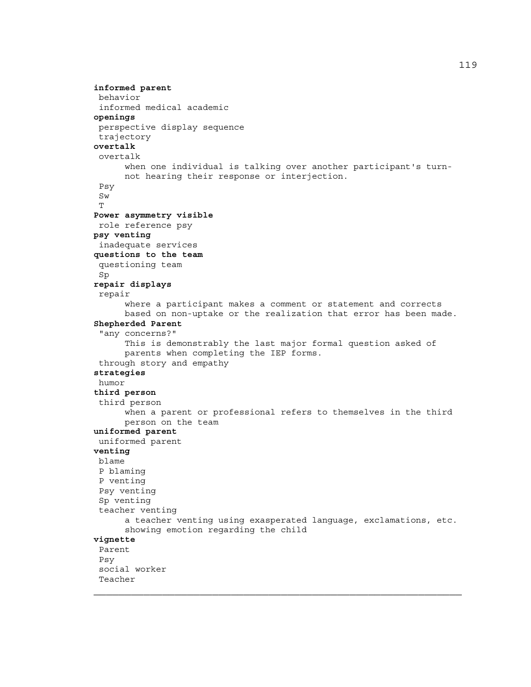```
informed parent 
 behavior 
  informed medical academic 
openings 
 perspective display sequence 
 trajectory 
overtalk 
  overtalk 
       when one individual is talking over another participant's turn-
      not hearing their response or interjection. 
  Psy 
 Sw 
 \mathbf{T}Power asymmetry visible 
 role reference psy 
psy venting 
  inadequate services 
questions to the team 
  questioning team 
 Sp 
repair displays 
  repair 
       where a participant makes a comment or statement and corrects 
      based on non-uptake or the realization that error has been made. 
Shepherded Parent 
  "any concerns?" 
       This is demonstrably the last major formal question asked of 
      parents when completing the IEP forms. 
  through story and empathy 
strategies 
 humor 
third person 
  third person 
       when a parent or professional refers to themselves in the third 
      person on the team 
uniformed parent 
 uniformed parent 
venting 
 blame 
  P blaming 
  P venting 
 Psy venting 
 Sp venting 
  teacher venting 
       a teacher venting using exasperated language, exclamations, etc. 
      showing emotion regarding the child 
vignette 
  Parent 
  Psy 
  social worker 
 Teacher
```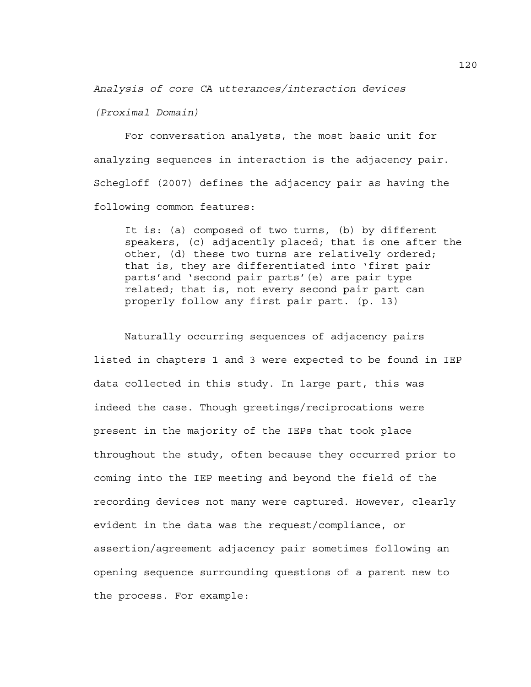*Analysis of core CA utterances/interaction devices* 

*(Proximal Domain)* 

 For conversation analysts, the most basic unit for analyzing sequences in interaction is the adjacency pair. Schegloff (2007) defines the adjacency pair as having the following common features:

It is: (a) composed of two turns, (b) by different speakers, (c) adjacently placed; that is one after the other, (d) these two turns are relatively ordered; that is, they are differentiated into 'first pair parts'and 'second pair parts'(e) are pair type related; that is, not every second pair part can properly follow any first pair part. (p. 13)

Naturally occurring sequences of adjacency pairs listed in chapters 1 and 3 were expected to be found in IEP data collected in this study. In large part, this was indeed the case. Though greetings/reciprocations were present in the majority of the IEPs that took place throughout the study, often because they occurred prior to coming into the IEP meeting and beyond the field of the recording devices not many were captured. However, clearly evident in the data was the request/compliance, or assertion/agreement adjacency pair sometimes following an opening sequence surrounding questions of a parent new to the process. For example:

120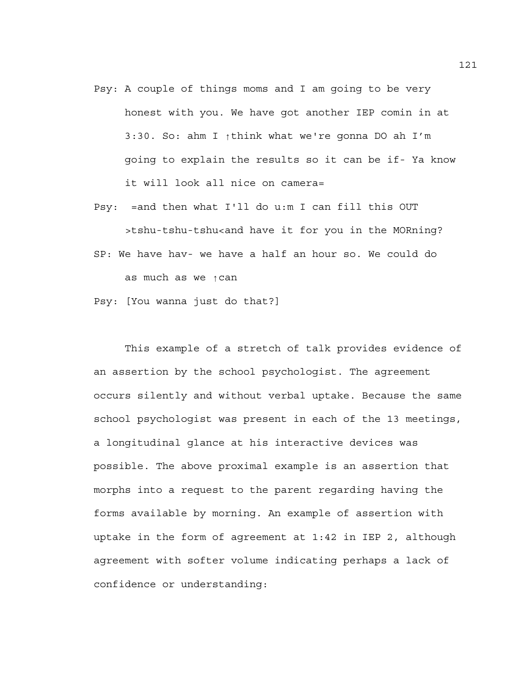- Psy: A couple of things moms and I am going to be very honest with you. We have got another IEP comin in at 3:30. So: ahm I ↑think what we're gonna DO ah I'm going to explain the results so it can be if- Ya know it will look all nice on camera=
- Psy: =and then what I'll do u:m I can fill this OUT >tshu-tshu-tshu<and have it for you in the MORning? SP: We have hav- we have a half an hour so. We could do

as much as we ↑can

Psy: [You wanna just do that?]

This example of a stretch of talk provides evidence of an assertion by the school psychologist. The agreement occurs silently and without verbal uptake. Because the same school psychologist was present in each of the 13 meetings, a longitudinal glance at his interactive devices was possible. The above proximal example is an assertion that morphs into a request to the parent regarding having the forms available by morning. An example of assertion with uptake in the form of agreement at 1:42 in IEP 2, although agreement with softer volume indicating perhaps a lack of confidence or understanding: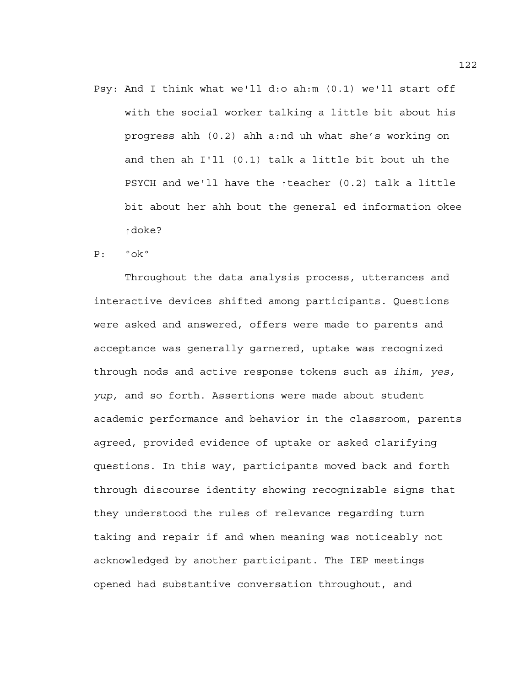Psy: And I think what we'll d:o ah:m (0.1) we'll start off with the social worker talking a little bit about his progress ahh (0.2) ahh a:nd uh what she's working on and then ah I'll (0.1) talk a little bit bout uh the PSYCH and we'll have the ↑teacher (0.2) talk a little bit about her ahh bout the general ed information okee ↑doke?

### P: ºokº

 Throughout the data analysis process, utterances and interactive devices shifted among participants. Questions were asked and answered, offers were made to parents and acceptance was generally garnered, uptake was recognized through nods and active response tokens such as *ihim, yes, yup,* and so forth. Assertions were made about student academic performance and behavior in the classroom, parents agreed, provided evidence of uptake or asked clarifying questions. In this way, participants moved back and forth through discourse identity showing recognizable signs that they understood the rules of relevance regarding turn taking and repair if and when meaning was noticeably not acknowledged by another participant. The IEP meetings opened had substantive conversation throughout, and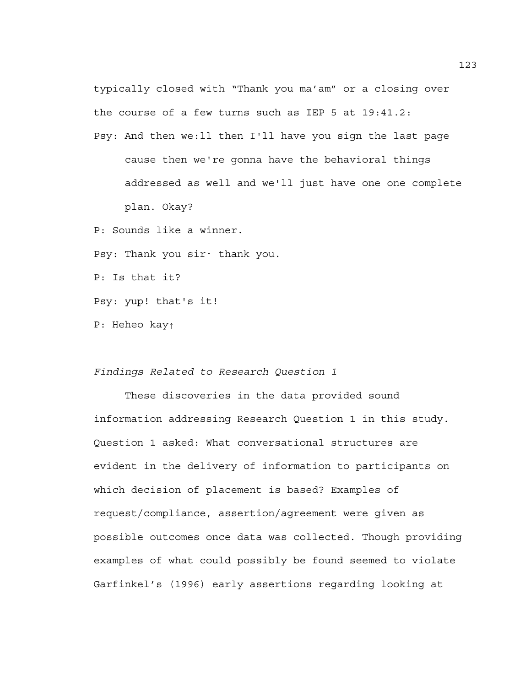typically closed with "Thank you ma'am" or a closing over the course of a few turns such as IEP 5 at 19:41.2: Psy: And then we:ll then I'll have you sign the last page cause then we're gonna have the behavioral things addressed as well and we'll just have one one complete plan. Okay? P: Sounds like a winner. Psy: Thank you sir↑ thank you.

P: Is that it?

Psy: yup! that's it!

P: Heheo kay↑

# *Findings Related to Research Question 1*

These discoveries in the data provided sound information addressing Research Question 1 in this study. Question 1 asked: What conversational structures are evident in the delivery of information to participants on which decision of placement is based? Examples of request/compliance, assertion/agreement were given as possible outcomes once data was collected. Though providing examples of what could possibly be found seemed to violate Garfinkel's (1996) early assertions regarding looking at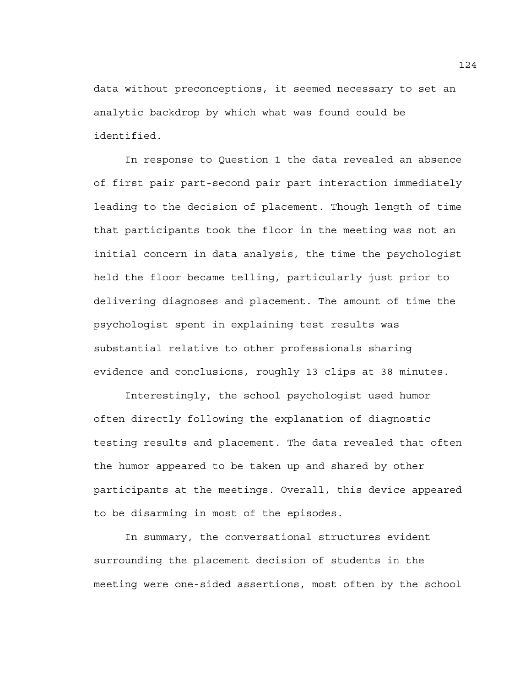data without preconceptions, it seemed necessary to set an analytic backdrop by which what was found could be identified.

In response to Question 1 the data revealed an absence of first pair part-second pair part interaction immediately leading to the decision of placement. Though length of time that participants took the floor in the meeting was not an initial concern in data analysis, the time the psychologist held the floor became telling, particularly just prior to delivering diagnoses and placement. The amount of time the psychologist spent in explaining test results was substantial relative to other professionals sharing evidence and conclusions, roughly 13 clips at 38 minutes.

Interestingly, the school psychologist used humor often directly following the explanation of diagnostic testing results and placement. The data revealed that often the humor appeared to be taken up and shared by other participants at the meetings. Overall, this device appeared to be disarming in most of the episodes.

In summary, the conversational structures evident surrounding the placement decision of students in the meeting were one-sided assertions, most often by the school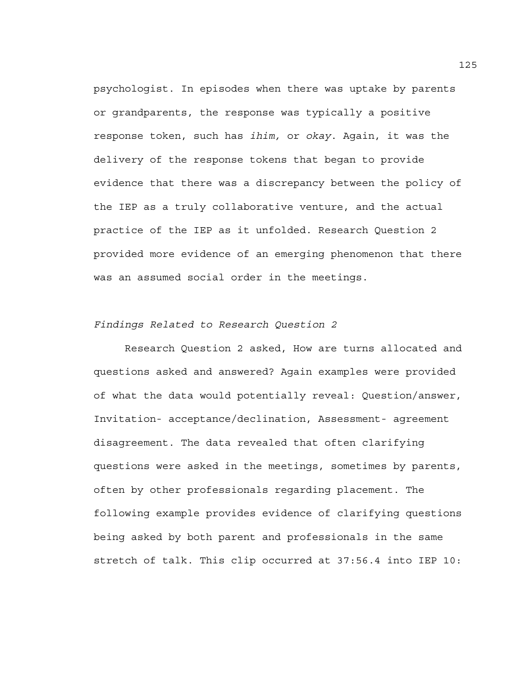psychologist. In episodes when there was uptake by parents or grandparents, the response was typically a positive response token, such has *ihim,* or *okay*. Again, it was the delivery of the response tokens that began to provide evidence that there was a discrepancy between the policy of the IEP as a truly collaborative venture, and the actual practice of the IEP as it unfolded. Research Question 2 provided more evidence of an emerging phenomenon that there was an assumed social order in the meetings.

# *Findings Related to Research Question 2*

Research Question 2 asked, How are turns allocated and questions asked and answered? Again examples were provided of what the data would potentially reveal: Question/answer, Invitation- acceptance/declination, Assessment- agreement disagreement. The data revealed that often clarifying questions were asked in the meetings, sometimes by parents, often by other professionals regarding placement. The following example provides evidence of clarifying questions being asked by both parent and professionals in the same stretch of talk. This clip occurred at 37:56.4 into IEP 10: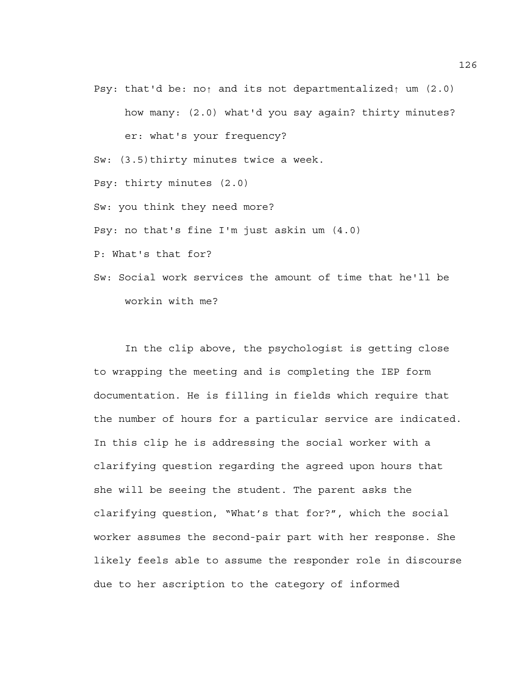Psy: that'd be: no↑ and its not departmentalized↑ um (2.0)

how many: (2.0) what'd you say again? thirty minutes? er: what's your frequency? Sw: (3.5)thirty minutes twice a week. Psy: thirty minutes (2.0) Sw: you think they need more? Psy: no that's fine I'm just askin um (4.0) P: What's that for? Sw: Social work services the amount of time that he'll be

workin with me?

In the clip above, the psychologist is getting close to wrapping the meeting and is completing the IEP form documentation. He is filling in fields which require that the number of hours for a particular service are indicated. In this clip he is addressing the social worker with a clarifying question regarding the agreed upon hours that she will be seeing the student. The parent asks the clarifying question, "What's that for?", which the social worker assumes the second-pair part with her response. She likely feels able to assume the responder role in discourse due to her ascription to the category of informed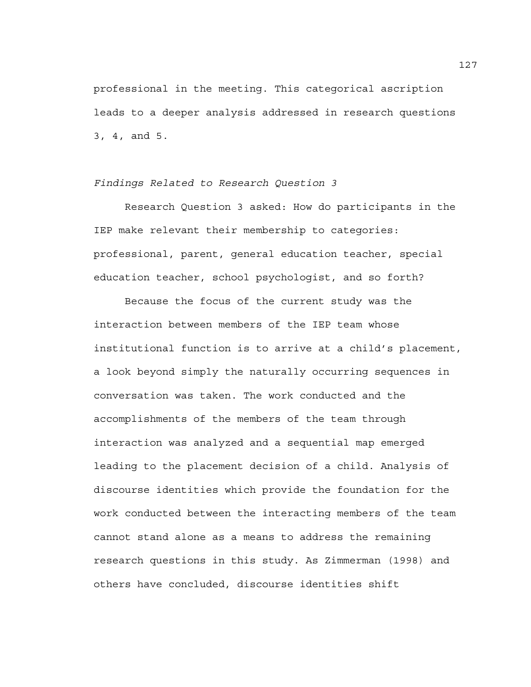professional in the meeting. This categorical ascription leads to a deeper analysis addressed in research questions 3, 4, and 5.

*Findings Related to Research Question 3* 

Research Question 3 asked: How do participants in the IEP make relevant their membership to categories: professional, parent, general education teacher, special education teacher, school psychologist, and so forth?

Because the focus of the current study was the interaction between members of the IEP team whose institutional function is to arrive at a child's placement, a look beyond simply the naturally occurring sequences in conversation was taken. The work conducted and the accomplishments of the members of the team through interaction was analyzed and a sequential map emerged leading to the placement decision of a child. Analysis of discourse identities which provide the foundation for the work conducted between the interacting members of the team cannot stand alone as a means to address the remaining research questions in this study. As Zimmerman (1998) and others have concluded, discourse identities shift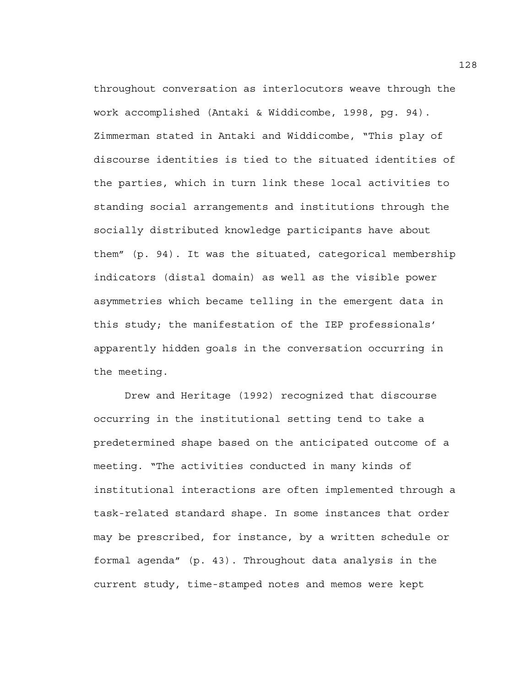throughout conversation as interlocutors weave through the work accomplished (Antaki & Widdicombe, 1998, pg. 94). Zimmerman stated in Antaki and Widdicombe, "This play of discourse identities is tied to the situated identities of the parties, which in turn link these local activities to standing social arrangements and institutions through the socially distributed knowledge participants have about them" (p. 94). It was the situated, categorical membership indicators (distal domain) as well as the visible power asymmetries which became telling in the emergent data in this study; the manifestation of the IEP professionals' apparently hidden goals in the conversation occurring in the meeting.

 Drew and Heritage (1992) recognized that discourse occurring in the institutional setting tend to take a predetermined shape based on the anticipated outcome of a meeting. "The activities conducted in many kinds of institutional interactions are often implemented through a task-related standard shape. In some instances that order may be prescribed, for instance, by a written schedule or formal agenda" (p. 43). Throughout data analysis in the current study, time-stamped notes and memos were kept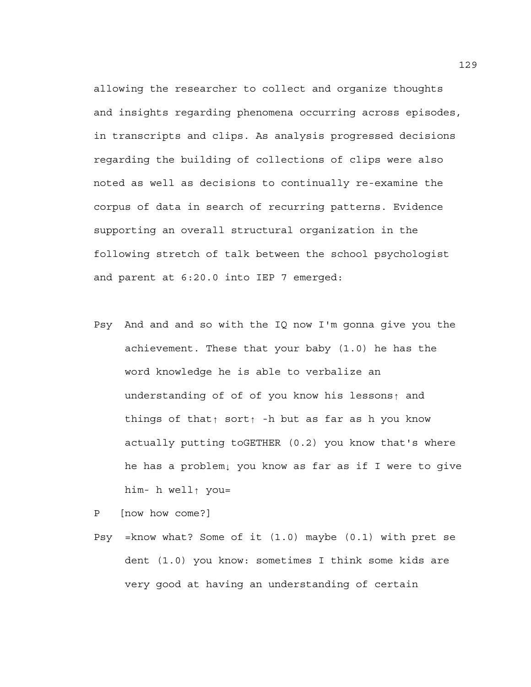allowing the researcher to collect and organize thoughts and insights regarding phenomena occurring across episodes, in transcripts and clips. As analysis progressed decisions regarding the building of collections of clips were also noted as well as decisions to continually re-examine the corpus of data in search of recurring patterns. Evidence supporting an overall structural organization in the following stretch of talk between the school psychologist and parent at 6:20.0 into IEP 7 emerged:

Psy And and and so with the IQ now I'm gonna give you the achievement. These that your baby (1.0) he has the word knowledge he is able to verbalize an understanding of of of you know his lessons↑ and things of that↑ sort↑ -h but as far as h you know actually putting toGETHER (0.2) you know that's where he has a problem↓ you know as far as if I were to give him- h well↑ you=

```
P [now how come?]
```
Psy =know what? Some of it (1.0) maybe (0.1) with pret se dent (1.0) you know: sometimes I think some kids are very good at having an understanding of certain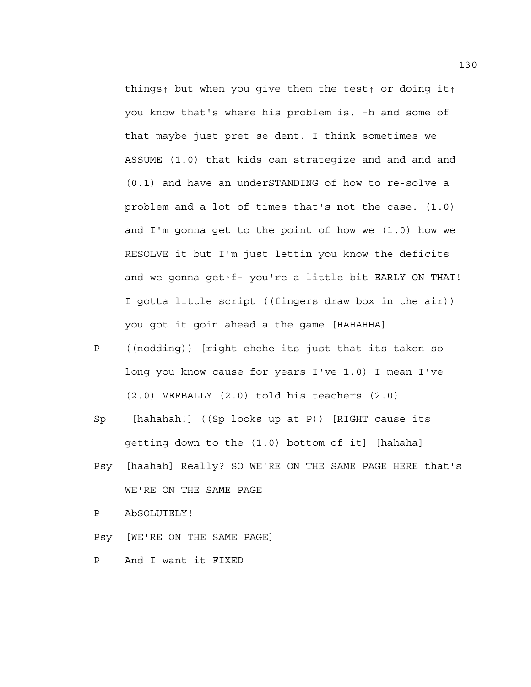things↑ but when you give them the test↑ or doing it↑ you know that's where his problem is. -h and some of that maybe just pret se dent. I think sometimes we ASSUME (1.0) that kids can strategize and and and and (0.1) and have an underSTANDING of how to re-solve a problem and a lot of times that's not the case. (1.0) and I'm gonna get to the point of how we  $(1.0)$  how we RESOLVE it but I'm just lettin you know the deficits and we gonna get↑f- you're a little bit EARLY ON THAT! I gotta little script ((fingers draw box in the air)) you got it goin ahead a the game [HAHAHHA]

- P ((nodding)) [right ehehe its just that its taken so long you know cause for years I've 1.0) I mean I've (2.0) VERBALLY (2.0) told his teachers (2.0)
- Sp [hahahah!] ((Sp looks up at P)) [RIGHT cause its getting down to the (1.0) bottom of it] [hahaha]
- Psy [haahah] Really? SO WE'RE ON THE SAME PAGE HERE that's WE'RE ON THE SAME PAGE

P AbSOLUTELY!

Psy [WE'RE ON THE SAME PAGE]

P And I want it FIXED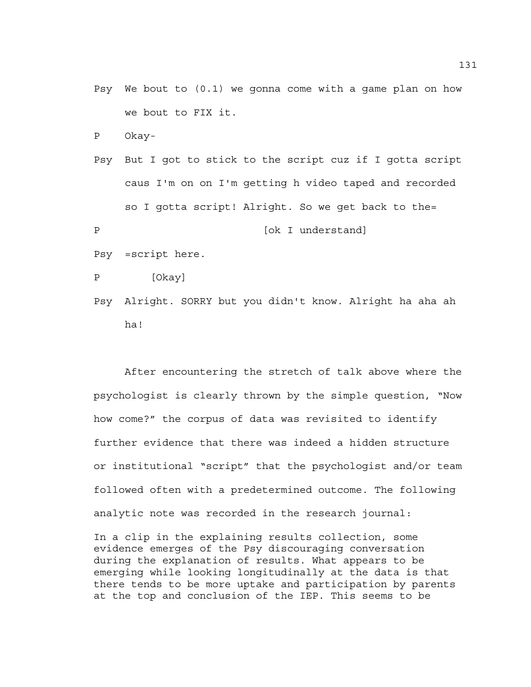Psy We bout to (0.1) we gonna come with a game plan on how we bout to FIX it.

P Okay-

```
Psy But I got to stick to the script cuz if I gotta script 
    caus I'm on on I'm getting h video taped and recorded 
    so I gotta script! Alright. So we get back to the= 
P [ok I understand]
```
Psy =script here.

```
P [Okay]
```
Psy Alright. SORRY but you didn't know. Alright ha aha ah ha!

After encountering the stretch of talk above where the psychologist is clearly thrown by the simple question, "Now how come?" the corpus of data was revisited to identify further evidence that there was indeed a hidden structure or institutional "script" that the psychologist and/or team followed often with a predetermined outcome. The following analytic note was recorded in the research journal:

In a clip in the explaining results collection, some evidence emerges of the Psy discouraging conversation during the explanation of results. What appears to be emerging while looking longitudinally at the data is that there tends to be more uptake and participation by parents at the top and conclusion of the IEP. This seems to be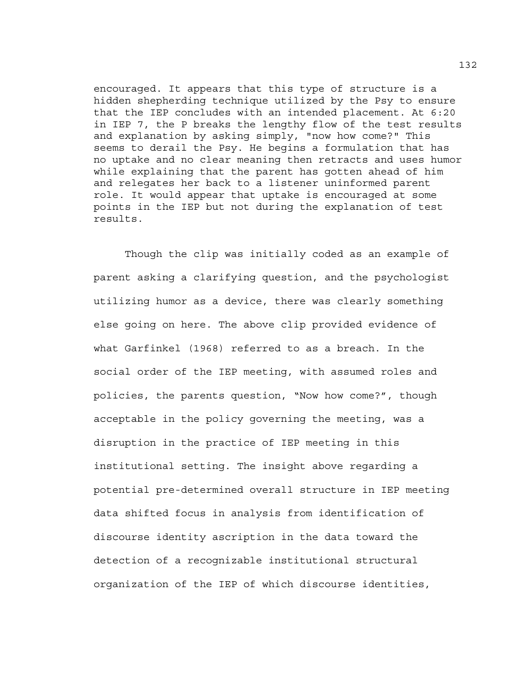encouraged. It appears that this type of structure is a hidden shepherding technique utilized by the Psy to ensure that the IEP concludes with an intended placement. At 6:20 in IEP 7, the P breaks the lengthy flow of the test results and explanation by asking simply, "now how come?" This seems to derail the Psy. He begins a formulation that has no uptake and no clear meaning then retracts and uses humor while explaining that the parent has gotten ahead of him and relegates her back to a listener uninformed parent role. It would appear that uptake is encouraged at some points in the IEP but not during the explanation of test results.

 Though the clip was initially coded as an example of parent asking a clarifying question, and the psychologist utilizing humor as a device, there was clearly something else going on here. The above clip provided evidence of what Garfinkel (1968) referred to as a breach. In the social order of the IEP meeting, with assumed roles and policies, the parents question, "Now how come?", though acceptable in the policy governing the meeting, was a disruption in the practice of IEP meeting in this institutional setting. The insight above regarding a potential pre-determined overall structure in IEP meeting data shifted focus in analysis from identification of discourse identity ascription in the data toward the detection of a recognizable institutional structural organization of the IEP of which discourse identities,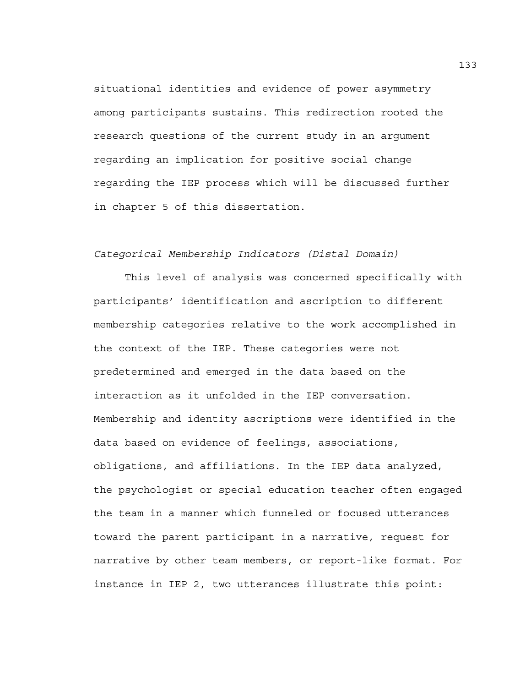situational identities and evidence of power asymmetry among participants sustains. This redirection rooted the research questions of the current study in an argument regarding an implication for positive social change regarding the IEP process which will be discussed further in chapter 5 of this dissertation.

# *Categorical Membership Indicators (Distal Domain)*

 This level of analysis was concerned specifically with participants' identification and ascription to different membership categories relative to the work accomplished in the context of the IEP. These categories were not predetermined and emerged in the data based on the interaction as it unfolded in the IEP conversation. Membership and identity ascriptions were identified in the data based on evidence of feelings, associations, obligations, and affiliations. In the IEP data analyzed, the psychologist or special education teacher often engaged the team in a manner which funneled or focused utterances toward the parent participant in a narrative, request for narrative by other team members, or report-like format. For instance in IEP 2, two utterances illustrate this point:

133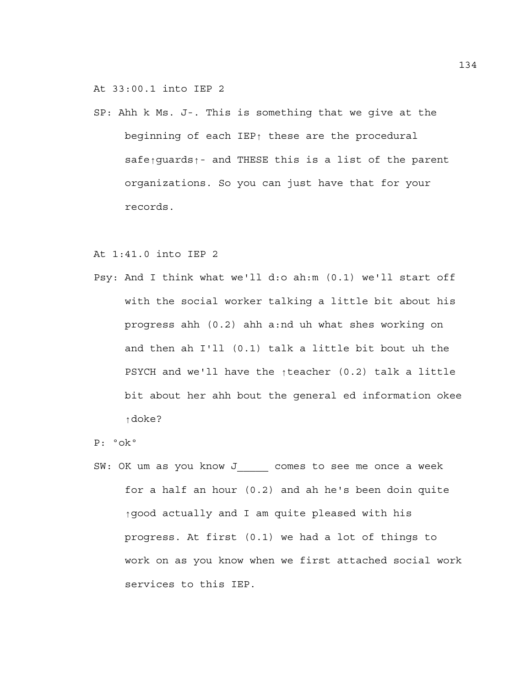At 33:00.1 into IEP 2

SP: Ahh k Ms. J-. This is something that we give at the beginning of each IEP↑ these are the procedural safe<sub>↑</sub>quards↑- and THESE this is a list of the parent organizations. So you can just have that for your records.

At 1:41.0 into IEP 2

Psy: And I think what we'll d:o ah:m (0.1) we'll start off with the social worker talking a little bit about his progress ahh (0.2) ahh a:nd uh what shes working on and then ah I'll (0.1) talk a little bit bout uh the PSYCH and we'll have the ↑teacher (0.2) talk a little bit about her ahh bout the general ed information okee ↑doke?

P: ºokº

SW: OK um as you know J comes to see me once a week for a half an hour (0.2) and ah he's been doin quite ↑good actually and I am quite pleased with his progress. At first (0.1) we had a lot of things to work on as you know when we first attached social work services to this IEP.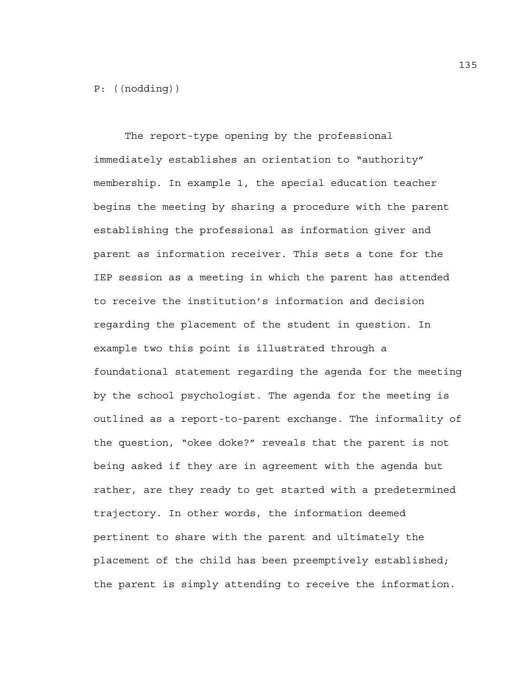# P: ((nodding))

 The report-type opening by the professional immediately establishes an orientation to "authority" membership. In example 1, the special education teacher begins the meeting by sharing a procedure with the parent establishing the professional as information giver and parent as information receiver. This sets a tone for the IEP session as a meeting in which the parent has attended to receive the institution's information and decision regarding the placement of the student in question. In example two this point is illustrated through a foundational statement regarding the agenda for the meeting by the school psychologist. The agenda for the meeting is outlined as a report-to-parent exchange. The informality of the question, "okee doke?" reveals that the parent is not being asked if they are in agreement with the agenda but rather, are they ready to get started with a predetermined trajectory. In other words, the information deemed pertinent to share with the parent and ultimately the placement of the child has been preemptively established; the parent is simply attending to receive the information.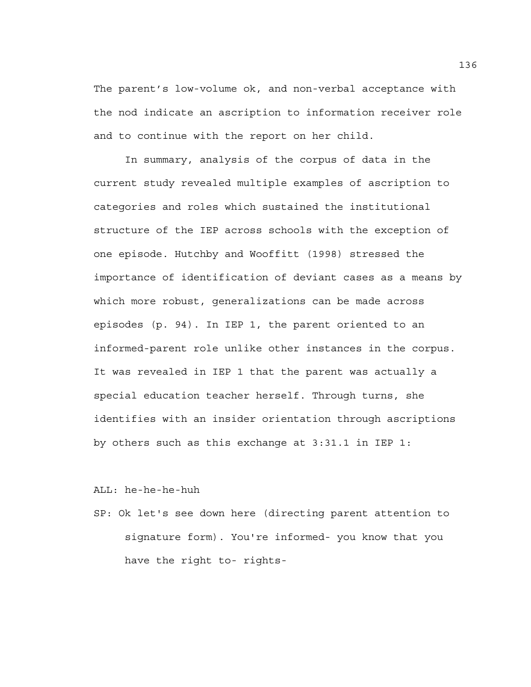The parent's low-volume ok, and non-verbal acceptance with the nod indicate an ascription to information receiver role and to continue with the report on her child.

 In summary, analysis of the corpus of data in the current study revealed multiple examples of ascription to categories and roles which sustained the institutional structure of the IEP across schools with the exception of one episode. Hutchby and Wooffitt (1998) stressed the importance of identification of deviant cases as a means by which more robust, generalizations can be made across episodes (p. 94). In IEP 1, the parent oriented to an informed-parent role unlike other instances in the corpus. It was revealed in IEP 1 that the parent was actually a special education teacher herself. Through turns, she identifies with an insider orientation through ascriptions by others such as this exchange at 3:31.1 in IEP 1:

ALL: he-he-he-huh

SP: Ok let's see down here (directing parent attention to signature form). You're informed- you know that you have the right to- rights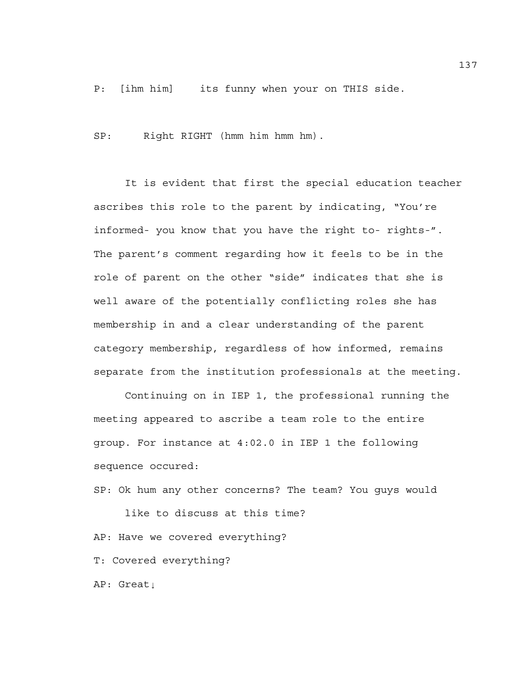P: [ihm him] its funny when your on THIS side.

SP: Right RIGHT (hmm him hmm hm).

It is evident that first the special education teacher ascribes this role to the parent by indicating, "You're informed- you know that you have the right to- rights-". The parent's comment regarding how it feels to be in the role of parent on the other "side" indicates that she is well aware of the potentially conflicting roles she has membership in and a clear understanding of the parent category membership, regardless of how informed, remains separate from the institution professionals at the meeting.

Continuing on in IEP 1, the professional running the meeting appeared to ascribe a team role to the entire group. For instance at 4:02.0 in IEP 1 the following sequence occured:

SP: Ok hum any other concerns? The team? You guys would

like to discuss at this time? AP: Have we covered everything? T: Covered everything? AP: Great↓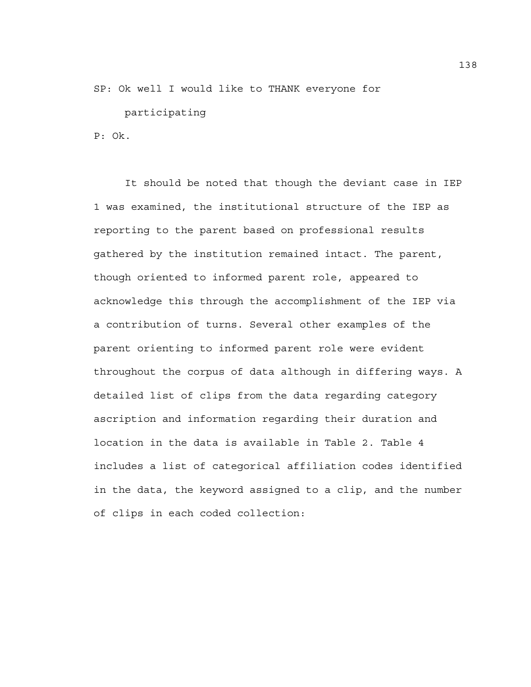SP: Ok well I would like to THANK everyone for

participating

P: Ok.

 It should be noted that though the deviant case in IEP 1 was examined, the institutional structure of the IEP as reporting to the parent based on professional results gathered by the institution remained intact. The parent, though oriented to informed parent role, appeared to acknowledge this through the accomplishment of the IEP via a contribution of turns. Several other examples of the parent orienting to informed parent role were evident throughout the corpus of data although in differing ways. A detailed list of clips from the data regarding category ascription and information regarding their duration and location in the data is available in Table 2. Table 4 includes a list of categorical affiliation codes identified in the data, the keyword assigned to a clip, and the number of clips in each coded collection: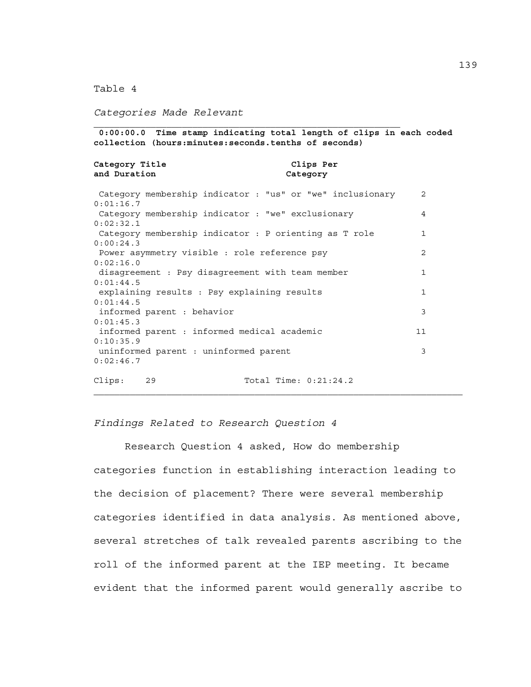Table 4

*Categories Made Relevant* 

\_\_\_\_\_\_\_\_\_\_\_\_\_\_\_\_\_\_\_\_\_\_\_\_\_\_\_\_\_\_\_\_\_\_\_\_\_\_\_\_\_\_\_\_\_\_\_\_\_\_\_\_\_\_\_\_\_\_\_ **0:00:00.0 Time stamp indicating total length of clips in each coded collection (hours:minutes:seconds.tenths of seconds)**  Category Title **Clips Per and Duration Category**  Category membership indicator : "us" or "we" inclusionary 2 0:01:16.7 Category membership indicator : "we" exclusionary 4 0:02:32.1 Category membership indicator : P orienting as T role 1 0:00:24.3 Power asymmetry visible : role reference psy 2 0:02:16.0 disagreement : Psy disagreement with team member 1 0:01:44.5 explaining results : Psy explaining results 1 0:01:44.5 informed parent : behavior 3 0:01:45.3 informed parent : informed medical academic 11 0:10:35.9 uninformed parent : uninformed parent 3 0:02:46.7

Clips: 29 Total Time: 0:21:24.2

 $\overline{\phantom{a}}$  , and the contribution of the contribution of the contribution of the contribution of the contribution of the contribution of the contribution of the contribution of the contribution of the contribution of the

#### *Findings Related to Research Question 4*

Research Question 4 asked, How do membership categories function in establishing interaction leading to the decision of placement? There were several membership categories identified in data analysis. As mentioned above, several stretches of talk revealed parents ascribing to the roll of the informed parent at the IEP meeting. It became evident that the informed parent would generally ascribe to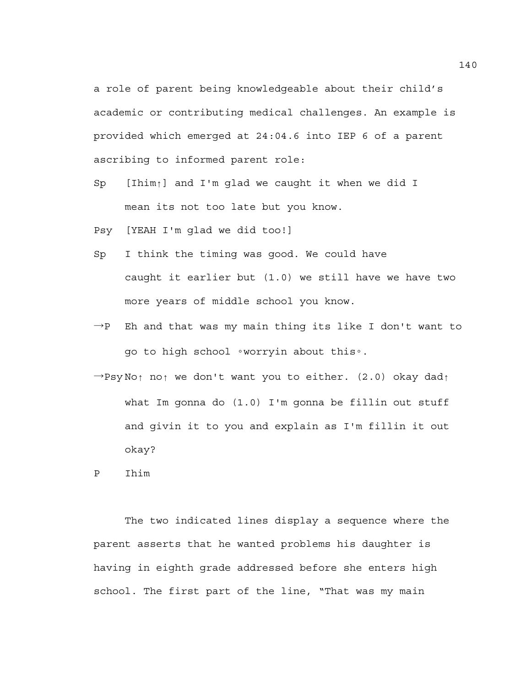a role of parent being knowledgeable about their child's academic or contributing medical challenges. An example is provided which emerged at 24:04.6 into IEP 6 of a parent ascribing to informed parent role:

- Sp [Ihim↑] and I'm glad we caught it when we did I mean its not too late but you know.
- Psy [YEAH I'm glad we did too!]
- Sp I think the timing was good. We could have caught it earlier but (1.0) we still have we have two more years of middle school you know.
- $\rightarrow$ P Eh and that was my main thing its like I don't want to go to high school ◦worryin about this◦.
- →Psy No↑ no↑ we don't want you to either. (2.0) okay dad↑ what Im gonna do (1.0) I'm gonna be fillin out stuff and givin it to you and explain as I'm fillin it out okay?

P Ihim

The two indicated lines display a sequence where the parent asserts that he wanted problems his daughter is having in eighth grade addressed before she enters high school. The first part of the line, "That was my main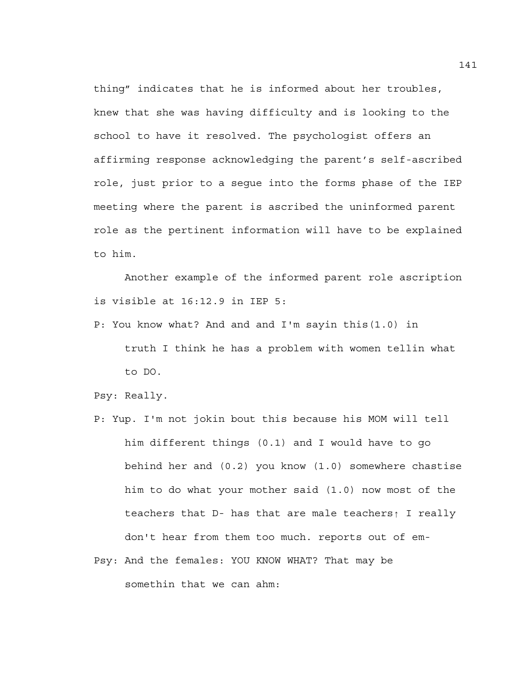thing" indicates that he is informed about her troubles, knew that she was having difficulty and is looking to the school to have it resolved. The psychologist offers an affirming response acknowledging the parent's self-ascribed role, just prior to a segue into the forms phase of the IEP meeting where the parent is ascribed the uninformed parent role as the pertinent information will have to be explained to him.

Another example of the informed parent role ascription is visible at 16:12.9 in IEP 5:

P: You know what? And and and I'm sayin this(1.0) in truth I think he has a problem with women tellin what to DO.

Psy: Really.

- P: Yup. I'm not jokin bout this because his MOM will tell him different things (0.1) and I would have to go behind her and (0.2) you know (1.0) somewhere chastise him to do what your mother said (1.0) now most of the teachers that D- has that are male teachers↑ I really don't hear from them too much. reports out of em-
- Psy: And the females: YOU KNOW WHAT? That may be somethin that we can ahm: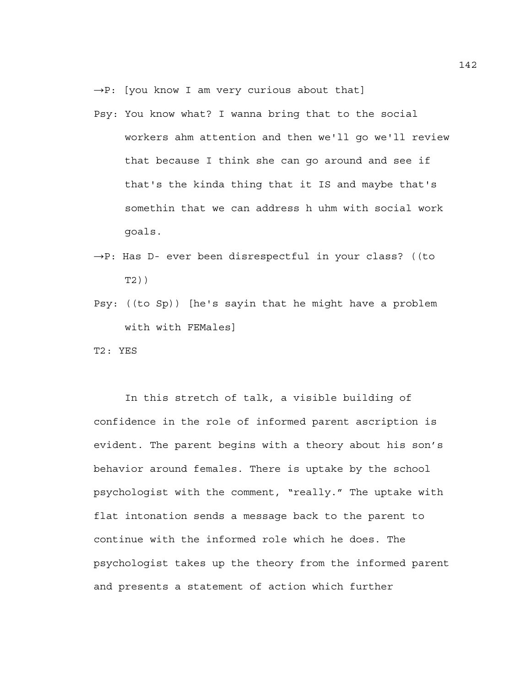- $\rightarrow$ P: [you know I am very curious about that]
- Psy: You know what? I wanna bring that to the social workers ahm attention and then we'll go we'll review that because I think she can go around and see if that's the kinda thing that it IS and maybe that's somethin that we can address h uhm with social work goals.
- →P: Has D- ever been disrespectful in your class? ((to T2))
- Psy: ((to Sp)) [he's sayin that he might have a problem with with FEMales]

T2: YES

 In this stretch of talk, a visible building of confidence in the role of informed parent ascription is evident. The parent begins with a theory about his son's behavior around females. There is uptake by the school psychologist with the comment, "really." The uptake with flat intonation sends a message back to the parent to continue with the informed role which he does. The psychologist takes up the theory from the informed parent and presents a statement of action which further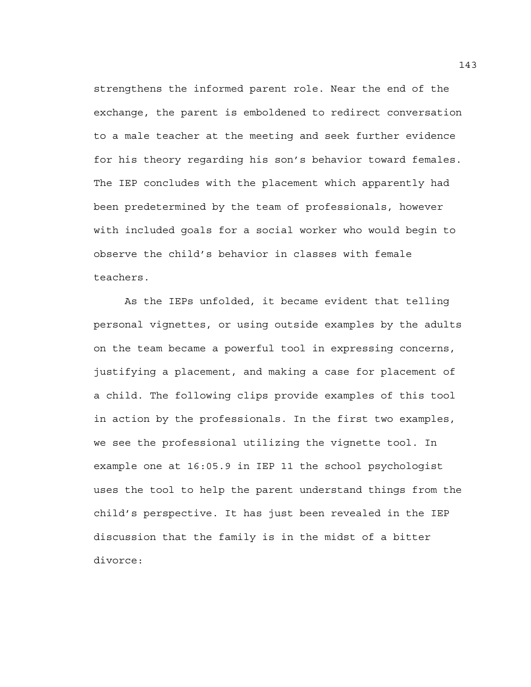strengthens the informed parent role. Near the end of the exchange, the parent is emboldened to redirect conversation to a male teacher at the meeting and seek further evidence for his theory regarding his son's behavior toward females. The IEP concludes with the placement which apparently had been predetermined by the team of professionals, however with included goals for a social worker who would begin to observe the child's behavior in classes with female teachers.

 As the IEPs unfolded, it became evident that telling personal vignettes, or using outside examples by the adults on the team became a powerful tool in expressing concerns, justifying a placement, and making a case for placement of a child. The following clips provide examples of this tool in action by the professionals. In the first two examples, we see the professional utilizing the vignette tool. In example one at 16:05.9 in IEP 11 the school psychologist uses the tool to help the parent understand things from the child's perspective. It has just been revealed in the IEP discussion that the family is in the midst of a bitter divorce: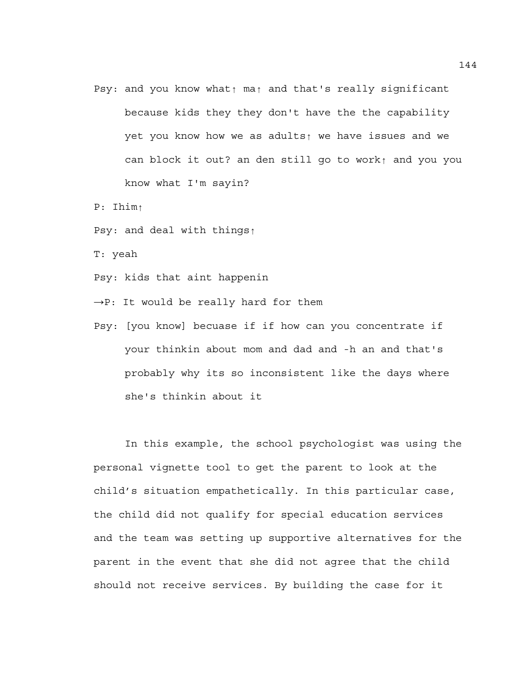- Psy: and you know what↑ ma↑ and that's really significant because kids they they don't have the the capability yet you know how we as adults↑ we have issues and we can block it out? an den still go to work↑ and you you know what I'm sayin?
- P: Ihim↑
- Psy: and deal with things↑
- T: yeah
- Psy: kids that aint happenin
- $\rightarrow$ P: It would be really hard for them
- Psy: [you know] becuase if if how can you concentrate if your thinkin about mom and dad and -h an and that's probably why its so inconsistent like the days where she's thinkin about it

In this example, the school psychologist was using the personal vignette tool to get the parent to look at the child's situation empathetically. In this particular case, the child did not qualify for special education services and the team was setting up supportive alternatives for the parent in the event that she did not agree that the child should not receive services. By building the case for it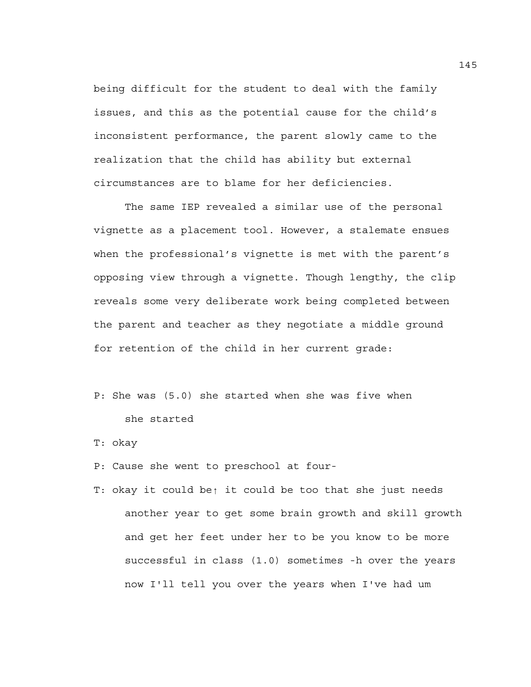being difficult for the student to deal with the family issues, and this as the potential cause for the child's inconsistent performance, the parent slowly came to the realization that the child has ability but external circumstances are to blame for her deficiencies.

The same IEP revealed a similar use of the personal vignette as a placement tool. However, a stalemate ensues when the professional's vignette is met with the parent's opposing view through a vignette. Though lengthy, the clip reveals some very deliberate work being completed between the parent and teacher as they negotiate a middle ground for retention of the child in her current grade:

- P: She was (5.0) she started when she was five when she started
- T: okay
- P: Cause she went to preschool at four-
- T: okay it could be↑ it could be too that she just needs another year to get some brain growth and skill growth and get her feet under her to be you know to be more successful in class (1.0) sometimes -h over the years now I'll tell you over the years when I've had um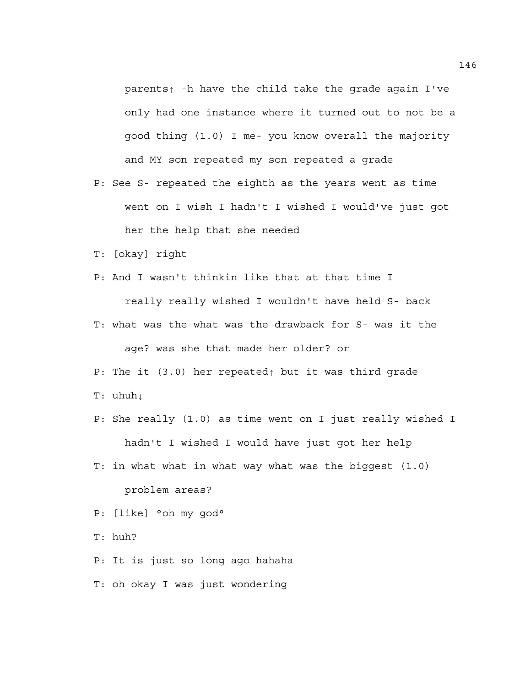parents↑ -h have the child take the grade again I've only had one instance where it turned out to not be a good thing (1.0) I me- you know overall the majority and MY son repeated my son repeated a grade

- P: See S- repeated the eighth as the years went as time went on I wish I hadn't I wished I would've just got her the help that she needed
- T: [okay] right
- P: And I wasn't thinkin like that at that time I

really really wished I wouldn't have held S- back

- T: what was the what was the drawback for S- was it the age? was she that made her older? or
- P: The it (3.0) her repeated↑ but it was third grade
- T: uhuh⊥
- P: She really (1.0) as time went on I just really wished I hadn't I wished I would have just got her help
- T: in what what in what way what was the biggest (1.0) problem areas?
- P: [like] °oh my god°

T: huh?

- P: It is just so long ago hahaha
- T: oh okay I was just wondering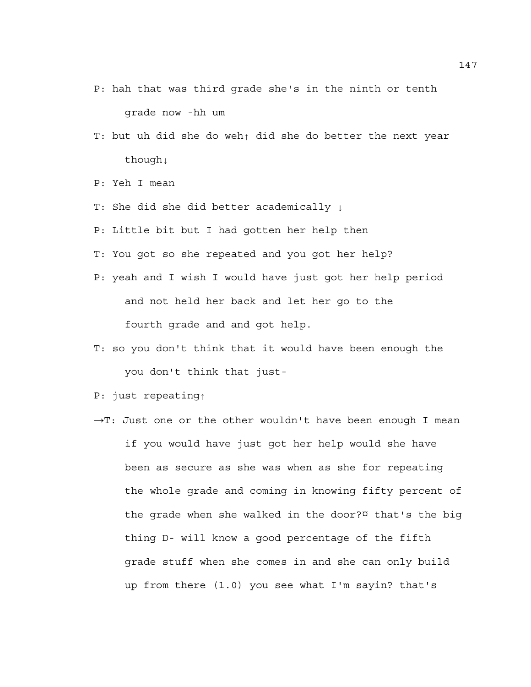- P: hah that was third grade she's in the ninth or tenth grade now -hh um
- T: but uh did she do weh↑ did she do better the next year though↓
- P: Yeh I mean
- T: She did she did better academically ↓
- P: Little bit but I had gotten her help then
- T: You got so she repeated and you got her help?
- P: yeah and I wish I would have just got her help period and not held her back and let her go to the fourth grade and and got help.
- T: so you don't think that it would have been enough the you don't think that just-
- P: just repeating↑
- →T: Just one or the other wouldn't have been enough I mean if you would have just got her help would she have been as secure as she was when as she for repeating the whole grade and coming in knowing fifty percent of the grade when she walked in the door?¤ that's the big thing D- will know a good percentage of the fifth grade stuff when she comes in and she can only build up from there (1.0) you see what I'm sayin? that's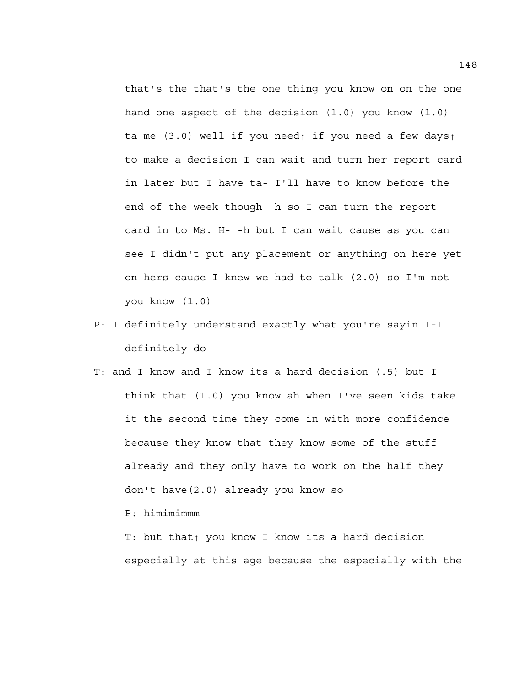that's the that's the one thing you know on on the one hand one aspect of the decision (1.0) you know (1.0) ta me (3.0) well if you need↑ if you need a few days↑ to make a decision I can wait and turn her report card in later but I have ta- I'll have to know before the end of the week though -h so I can turn the report card in to Ms. H- -h but I can wait cause as you can see I didn't put any placement or anything on here yet on hers cause I knew we had to talk (2.0) so I'm not you know (1.0)

- P: I definitely understand exactly what you're sayin I-I definitely do
- T: and I know and I know its a hard decision (.5) but I think that (1.0) you know ah when I've seen kids take it the second time they come in with more confidence because they know that they know some of the stuff already and they only have to work on the half they don't have(2.0) already you know so

P: himimimmm

T: but that↑ you know I know its a hard decision especially at this age because the especially with the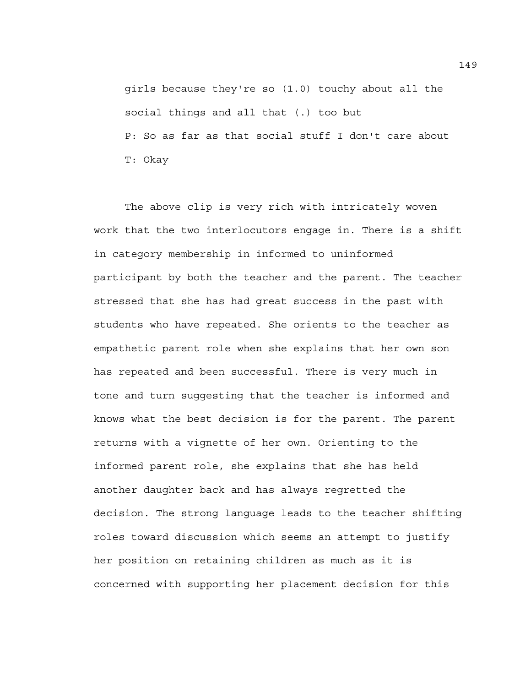girls because they're so (1.0) touchy about all the social things and all that (.) too but P: So as far as that social stuff I don't care about T: Okay

 The above clip is very rich with intricately woven work that the two interlocutors engage in. There is a shift in category membership in informed to uninformed participant by both the teacher and the parent. The teacher stressed that she has had great success in the past with students who have repeated. She orients to the teacher as empathetic parent role when she explains that her own son has repeated and been successful. There is very much in tone and turn suggesting that the teacher is informed and knows what the best decision is for the parent. The parent returns with a vignette of her own. Orienting to the informed parent role, she explains that she has held another daughter back and has always regretted the decision. The strong language leads to the teacher shifting roles toward discussion which seems an attempt to justify her position on retaining children as much as it is concerned with supporting her placement decision for this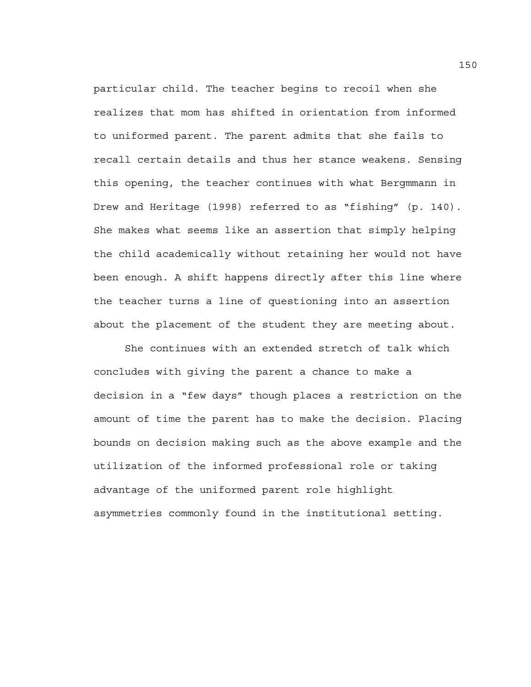particular child. The teacher begins to recoil when she realizes that mom has shifted in orientation from informed to uniformed parent. The parent admits that she fails to recall certain details and thus her stance weakens. Sensing this opening, the teacher continues with what Bergmmann in Drew and Heritage (1998) referred to as "fishing" (p. 140). She makes what seems like an assertion that simply helping the child academically without retaining her would not have been enough. A shift happens directly after this line where the teacher turns a line of questioning into an assertion about the placement of the student they are meeting about.

She continues with an extended stretch of talk which concludes with giving the parent a chance to make a decision in a "few days" though places a restriction on the amount of time the parent has to make the decision. Placing bounds on decision making such as the above example and the utilization of the informed professional role or taking advantage of the uniformed parent role highlight asymmetries commonly found in the institutional setting.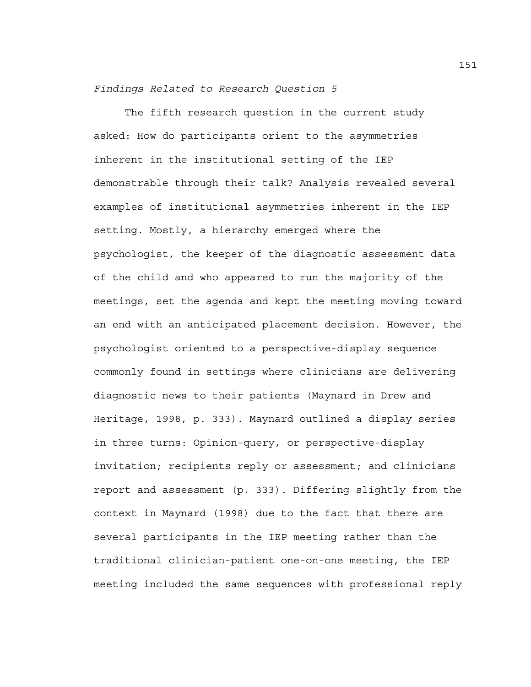*Findings Related to Research Question 5* 

 The fifth research question in the current study asked: How do participants orient to the asymmetries inherent in the institutional setting of the IEP demonstrable through their talk? Analysis revealed several examples of institutional asymmetries inherent in the IEP setting. Mostly, a hierarchy emerged where the psychologist, the keeper of the diagnostic assessment data of the child and who appeared to run the majority of the meetings, set the agenda and kept the meeting moving toward an end with an anticipated placement decision. However, the psychologist oriented to a perspective-display sequence commonly found in settings where clinicians are delivering diagnostic news to their patients (Maynard in Drew and Heritage, 1998, p. 333). Maynard outlined a display series in three turns: Opinion-query, or perspective-display invitation; recipients reply or assessment; and clinicians report and assessment (p. 333). Differing slightly from the context in Maynard (1998) due to the fact that there are several participants in the IEP meeting rather than the traditional clinician-patient one-on-one meeting, the IEP meeting included the same sequences with professional reply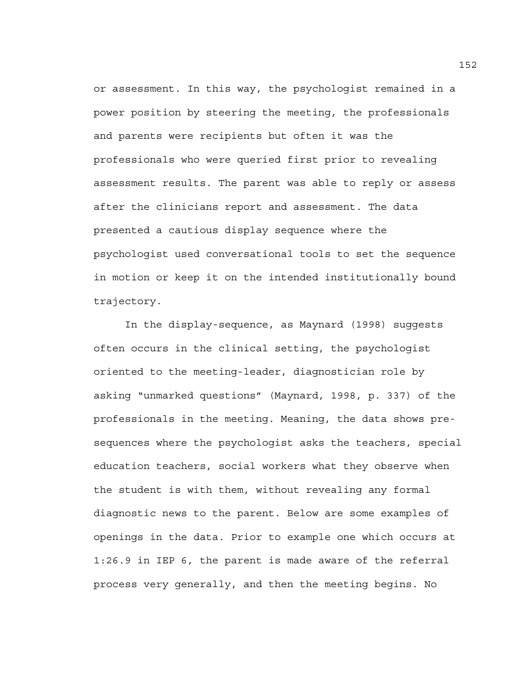or assessment. In this way, the psychologist remained in a power position by steering the meeting, the professionals and parents were recipients but often it was the professionals who were queried first prior to revealing assessment results. The parent was able to reply or assess after the clinicians report and assessment. The data presented a cautious display sequence where the psychologist used conversational tools to set the sequence in motion or keep it on the intended institutionally bound trajectory.

 In the display-sequence, as Maynard (1998) suggests often occurs in the clinical setting, the psychologist oriented to the meeting-leader, diagnostician role by asking "unmarked questions" (Maynard, 1998, p. 337) of the professionals in the meeting. Meaning, the data shows presequences where the psychologist asks the teachers, special education teachers, social workers what they observe when the student is with them, without revealing any formal diagnostic news to the parent. Below are some examples of openings in the data. Prior to example one which occurs at 1:26.9 in IEP 6, the parent is made aware of the referral process very generally, and then the meeting begins. No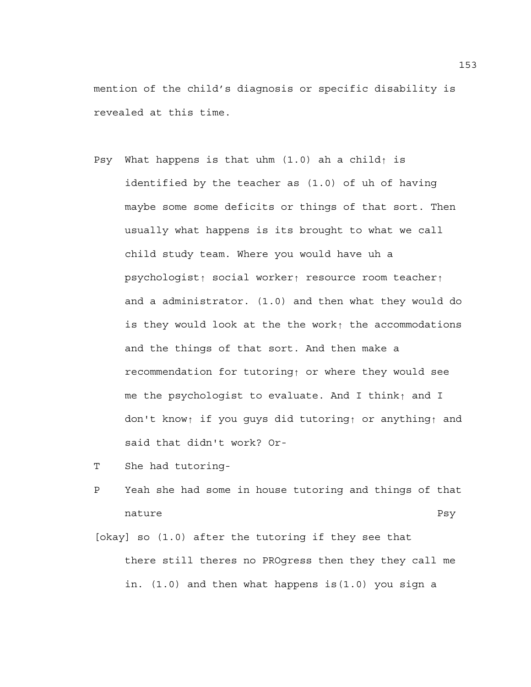mention of the child's diagnosis or specific disability is revealed at this time.

- Psy What happens is that uhm  $(1.0)$  ah a child↑ is identified by the teacher as (1.0) of uh of having maybe some some deficits or things of that sort. Then usually what happens is its brought to what we call child study team. Where you would have uh a psychologist↑ social worker↑ resource room teacher↑ and a administrator. (1.0) and then what they would do is they would look at the the work↑ the accommodations and the things of that sort. And then make a recommendation for tutoring↑ or where they would see me the psychologist to evaluate. And I think↑ and I don't know↑ if you guys did tutoring↑ or anything↑ and said that didn't work? Or-
- T She had tutoring-
- P Yeah she had some in house tutoring and things of that nature Psy
- [okay] so (1.0) after the tutoring if they see that there still theres no PROgress then they they call me in. (1.0) and then what happens is(1.0) you sign a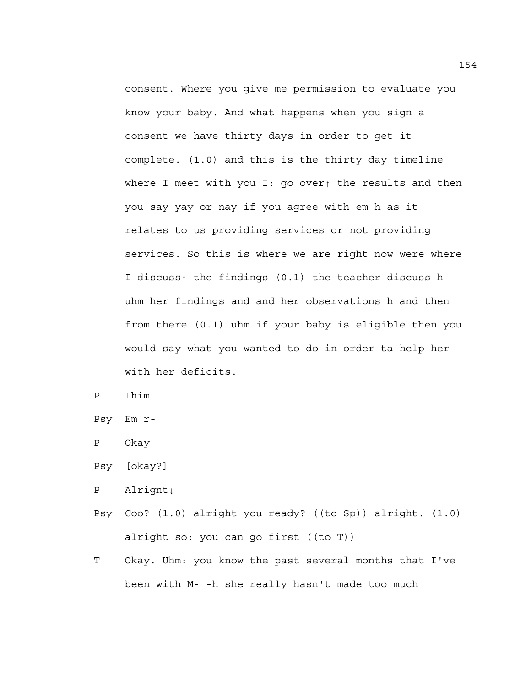consent. Where you give me permission to evaluate you know your baby. And what happens when you sign a consent we have thirty days in order to get it complete. (1.0) and this is the thirty day timeline where I meet with you I: go over↑ the results and then you say yay or nay if you agree with em h as it relates to us providing services or not providing services. So this is where we are right now were where I discuss↑ the findings (0.1) the teacher discuss h uhm her findings and and her observations h and then from there (0.1) uhm if your baby is eligible then you would say what you wanted to do in order ta help her with her deficits.

P Ihim

Psy Em r-

P Okay

P Alrignt↓

- Psy Coo? (1.0) alright you ready? ((to Sp)) alright. (1.0) alright so: you can go first ((to T))
- T Okay. Uhm: you know the past several months that I've been with M- -h she really hasn't made too much

Psy [okay?]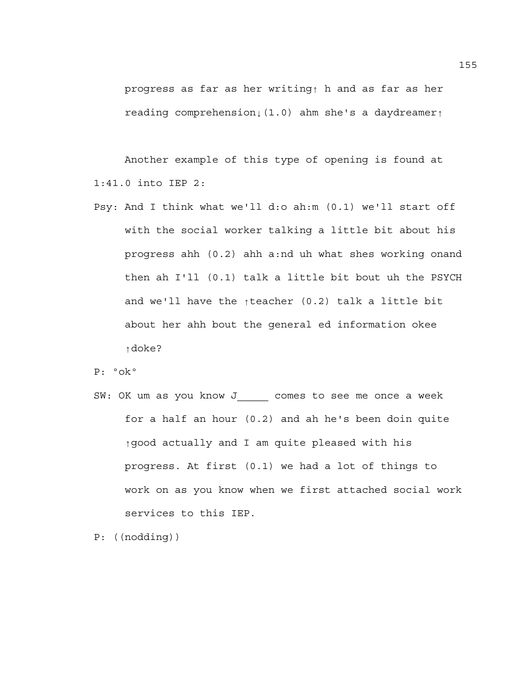progress as far as her writing↑ h and as far as her reading comprehension↓(1.0) ahm she's a daydreamer↑

Another example of this type of opening is found at 1:41.0 into IEP 2:

Psy: And I think what we'll d:o ah:m (0.1) we'll start off with the social worker talking a little bit about his progress ahh (0.2) ahh a:nd uh what shes working onand then ah I'll (0.1) talk a little bit bout uh the PSYCH and we'll have the ↑teacher (0.2) talk a little bit about her ahh bout the general ed information okee ↑doke?

P: ºokº

SW: OK um as you know J\_\_\_\_\_ comes to see me once a week for a half an hour (0.2) and ah he's been doin quite ↑good actually and I am quite pleased with his progress. At first (0.1) we had a lot of things to work on as you know when we first attached social work services to this IEP.

P: ((nodding))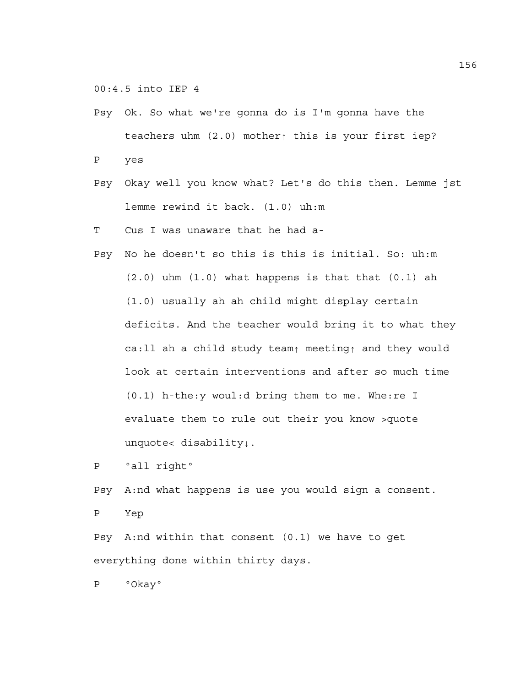00:4.5 into IEP 4

- Psy Ok. So what we're gonna do is I'm gonna have the teachers uhm (2.0) mother↑ this is your first iep? P yes
- Psy Okay well you know what? Let's do this then. Lemme jst lemme rewind it back. (1.0) uh:m
- T Cus I was unaware that he had a-
- Psy No he doesn't so this is this is initial. So: uh:m  $(2.0)$  uhm  $(1.0)$  what happens is that that  $(0.1)$  ah (1.0) usually ah ah child might display certain deficits. And the teacher would bring it to what they ca:ll ah a child study team↑ meeting↑ and they would look at certain interventions and after so much time (0.1) h-the:y woul:d bring them to me. Whe:re I evaluate them to rule out their you know >quote unquote< disability↓.

```
P °all right°
```
Psy A:nd what happens is use you would sign a consent.

P Yep

Psy A:nd within that consent (0.1) we have to get everything done within thirty days.

P ºOkayº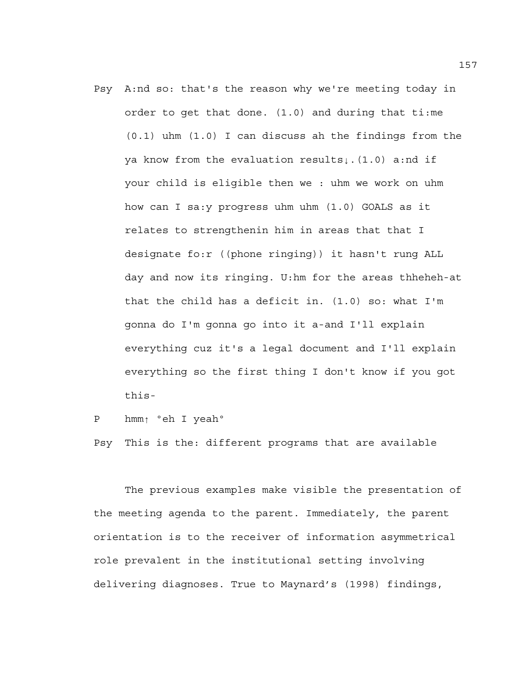Psy A:nd so: that's the reason why we're meeting today in order to get that done. (1.0) and during that ti:me (0.1) uhm (1.0) I can discuss ah the findings from the ya know from the evaluation results↓.(1.0) a:nd if your child is eligible then we : uhm we work on uhm how can I sa:y progress uhm uhm (1.0) GOALS as it relates to strengthenin him in areas that that I designate fo:r ((phone ringing)) it hasn't rung ALL day and now its ringing. U:hm for the areas thheheh-at that the child has a deficit in. (1.0) so: what I'm gonna do I'm gonna go into it a-and I'll explain everything cuz it's a legal document and I'll explain everything so the first thing I don't know if you got this-

```
P hmm↑ ºeh I yeahº
```
Psy This is the: different programs that are available

The previous examples make visible the presentation of the meeting agenda to the parent. Immediately, the parent orientation is to the receiver of information asymmetrical role prevalent in the institutional setting involving delivering diagnoses. True to Maynard's (1998) findings,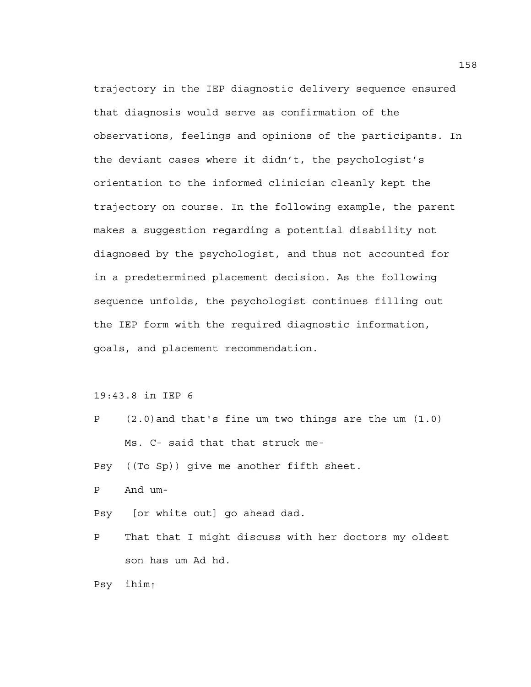trajectory in the IEP diagnostic delivery sequence ensured that diagnosis would serve as confirmation of the observations, feelings and opinions of the participants. In the deviant cases where it didn't, the psychologist's orientation to the informed clinician cleanly kept the trajectory on course. In the following example, the parent makes a suggestion regarding a potential disability not diagnosed by the psychologist, and thus not accounted for in a predetermined placement decision. As the following sequence unfolds, the psychologist continues filling out the IEP form with the required diagnostic information, goals, and placement recommendation.

19:43.8 in IEP 6

- P (2.0)and that's fine um two things are the um (1.0) Ms. C- said that that struck me-
- Psy ((To Sp)) give me another fifth sheet.
- P And um-
- Psy [or white out] go ahead dad.
- P That that I might discuss with her doctors my oldest son has um Ad hd.

Psy ihim↑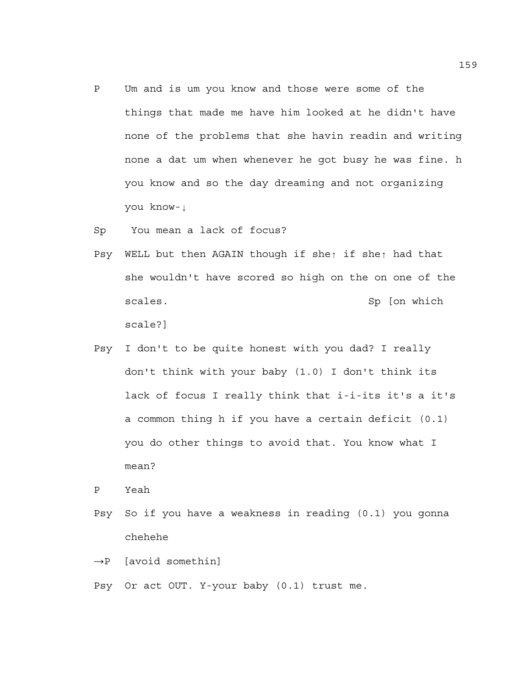- P Um and is um you know and those were some of the things that made me have him looked at he didn't have none of the problems that she havin readin and writing none a dat um when whenever he got busy he was fine. h you know and so the day dreaming and not organizing you know-↓
- Sp You mean a lack of focus?
- Psy WELL but then AGAIN though if she↑ if she↑ had that she wouldn't have scored so high on the on one of the scales. Sp [on which Sp [on which Sp ] scale?]
- Psy I don't to be quite honest with you dad? I really don't think with your baby (1.0) I don't think its lack of focus I really think that i-i-its it's a it's a common thing h if you have a certain deficit (0.1) you do other things to avoid that. You know what I mean?

P Yeah

- Psy So if you have a weakness in reading (0.1) you gonna chehehe
- $\rightarrow$ P [avoid somethin]
- Psy Or act OUT. Y-your baby (0.1) trust me.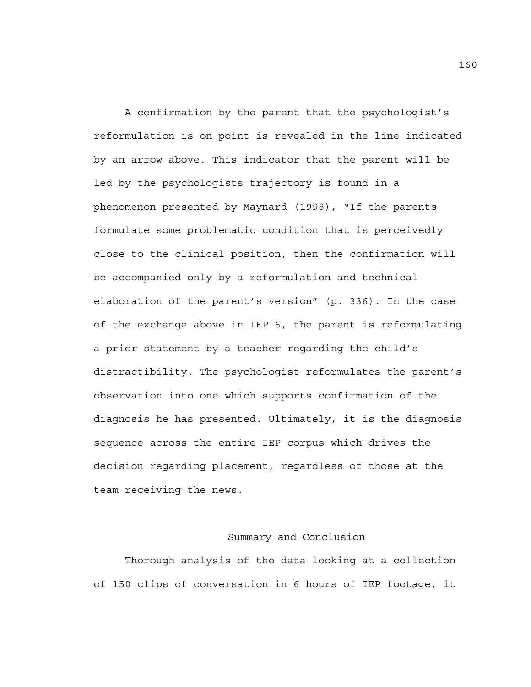A confirmation by the parent that the psychologist's reformulation is on point is revealed in the line indicated by an arrow above. This indicator that the parent will be led by the psychologists trajectory is found in a phenomenon presented by Maynard (1998), "If the parents formulate some problematic condition that is perceivedly close to the clinical position, then the confirmation will be accompanied only by a reformulation and technical elaboration of the parent's version" (p. 336). In the case of the exchange above in IEP 6, the parent is reformulating a prior statement by a teacher regarding the child's distractibility. The psychologist reformulates the parent's observation into one which supports confirmation of the diagnosis he has presented. Ultimately, it is the diagnosis sequence across the entire IEP corpus which drives the decision regarding placement, regardless of those at the team receiving the news.

### Summary and Conclusion

Thorough analysis of the data looking at a collection of 150 clips of conversation in 6 hours of IEP footage, it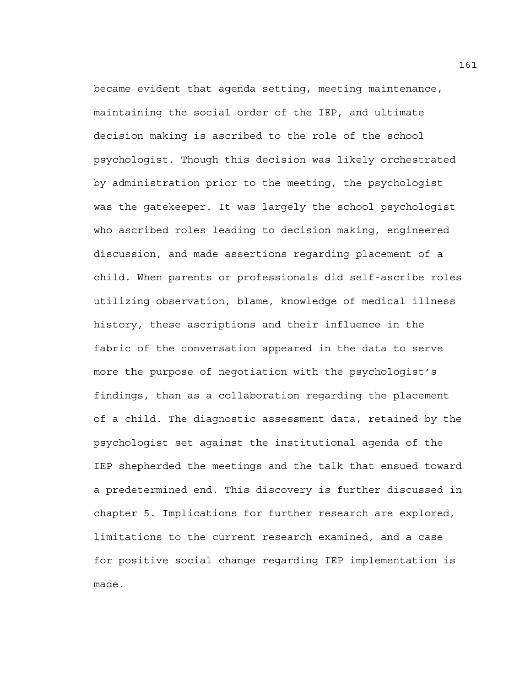became evident that agenda setting, meeting maintenance, maintaining the social order of the IEP, and ultimate decision making is ascribed to the role of the school psychologist. Though this decision was likely orchestrated by administration prior to the meeting, the psychologist was the gatekeeper. It was largely the school psychologist who ascribed roles leading to decision making, engineered discussion, and made assertions regarding placement of a child. When parents or professionals did self-ascribe roles utilizing observation, blame, knowledge of medical illness history, these ascriptions and their influence in the fabric of the conversation appeared in the data to serve more the purpose of negotiation with the psychologist's findings, than as a collaboration regarding the placement of a child. The diagnostic assessment data, retained by the psychologist set against the institutional agenda of the IEP shepherded the meetings and the talk that ensued toward a predetermined end. This discovery is further discussed in chapter 5. Implications for further research are explored, limitations to the current research examined, and a case for positive social change regarding IEP implementation is made.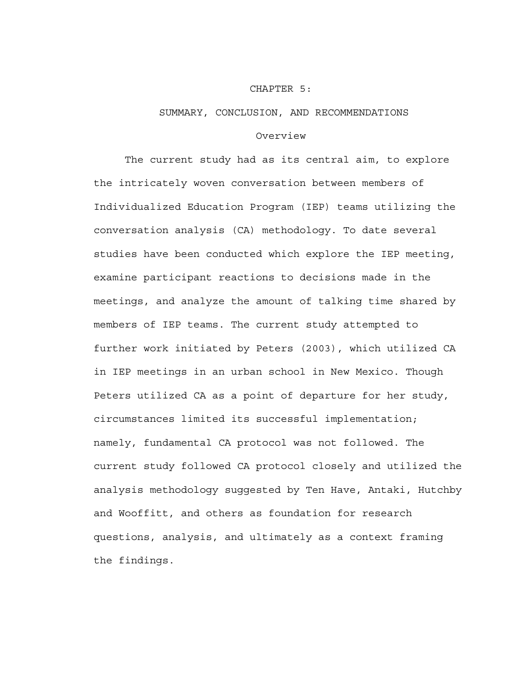#### CHAPTER 5:

#### SUMMARY, CONCLUSION, AND RECOMMENDATIONS

### Overview

 The current study had as its central aim, to explore the intricately woven conversation between members of Individualized Education Program (IEP) teams utilizing the conversation analysis (CA) methodology. To date several studies have been conducted which explore the IEP meeting, examine participant reactions to decisions made in the meetings, and analyze the amount of talking time shared by members of IEP teams. The current study attempted to further work initiated by Peters (2003), which utilized CA in IEP meetings in an urban school in New Mexico. Though Peters utilized CA as a point of departure for her study, circumstances limited its successful implementation; namely, fundamental CA protocol was not followed. The current study followed CA protocol closely and utilized the analysis methodology suggested by Ten Have, Antaki, Hutchby and Wooffitt, and others as foundation for research questions, analysis, and ultimately as a context framing the findings.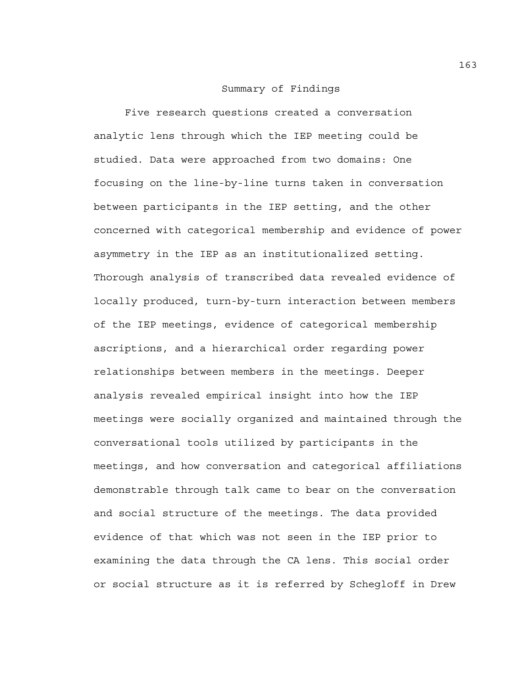### Summary of Findings

 Five research questions created a conversation analytic lens through which the IEP meeting could be studied. Data were approached from two domains: One focusing on the line-by-line turns taken in conversation between participants in the IEP setting, and the other concerned with categorical membership and evidence of power asymmetry in the IEP as an institutionalized setting. Thorough analysis of transcribed data revealed evidence of locally produced, turn-by-turn interaction between members of the IEP meetings, evidence of categorical membership ascriptions, and a hierarchical order regarding power relationships between members in the meetings. Deeper analysis revealed empirical insight into how the IEP meetings were socially organized and maintained through the conversational tools utilized by participants in the meetings, and how conversation and categorical affiliations demonstrable through talk came to bear on the conversation and social structure of the meetings. The data provided evidence of that which was not seen in the IEP prior to examining the data through the CA lens. This social order or social structure as it is referred by Schegloff in Drew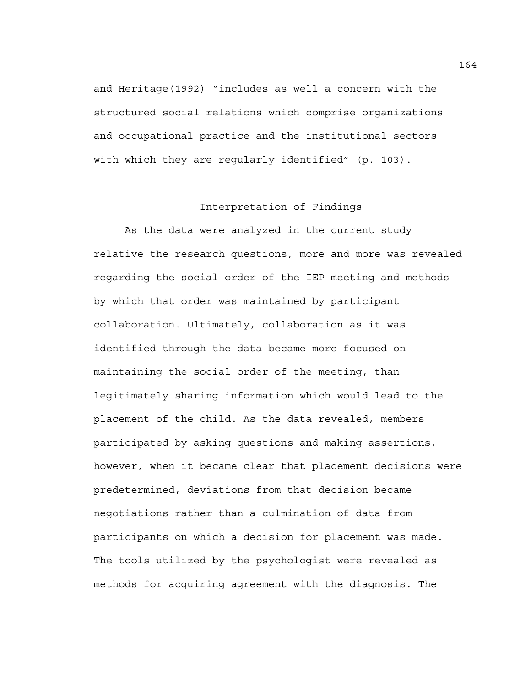and Heritage(1992) "includes as well a concern with the structured social relations which comprise organizations and occupational practice and the institutional sectors with which they are regularly identified" (p. 103).

# Interpretation of Findings

As the data were analyzed in the current study relative the research questions, more and more was revealed regarding the social order of the IEP meeting and methods by which that order was maintained by participant collaboration. Ultimately, collaboration as it was identified through the data became more focused on maintaining the social order of the meeting, than legitimately sharing information which would lead to the placement of the child. As the data revealed, members participated by asking questions and making assertions, however, when it became clear that placement decisions were predetermined, deviations from that decision became negotiations rather than a culmination of data from participants on which a decision for placement was made. The tools utilized by the psychologist were revealed as methods for acquiring agreement with the diagnosis. The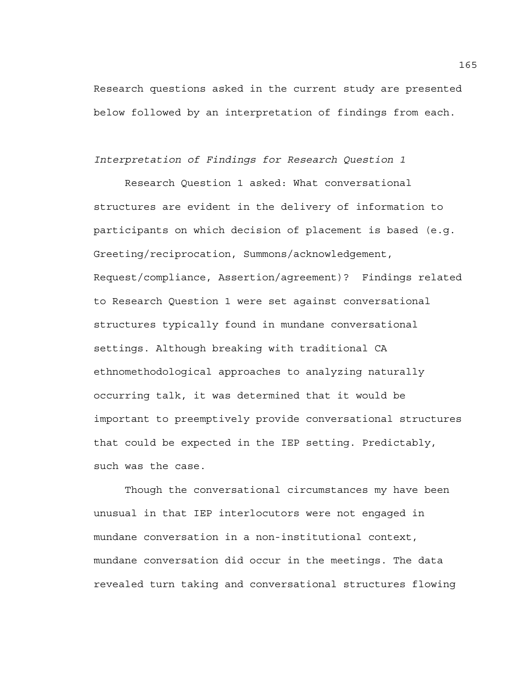Research questions asked in the current study are presented below followed by an interpretation of findings from each.

# *Interpretation of Findings for Research Question 1*

Research Question 1 asked: What conversational structures are evident in the delivery of information to participants on which decision of placement is based (e.g. Greeting/reciprocation, Summons/acknowledgement, Request/compliance, Assertion/agreement)? Findings related to Research Question 1 were set against conversational structures typically found in mundane conversational settings. Although breaking with traditional CA ethnomethodological approaches to analyzing naturally occurring talk, it was determined that it would be important to preemptively provide conversational structures that could be expected in the IEP setting. Predictably, such was the case.

Though the conversational circumstances my have been unusual in that IEP interlocutors were not engaged in mundane conversation in a non-institutional context, mundane conversation did occur in the meetings. The data revealed turn taking and conversational structures flowing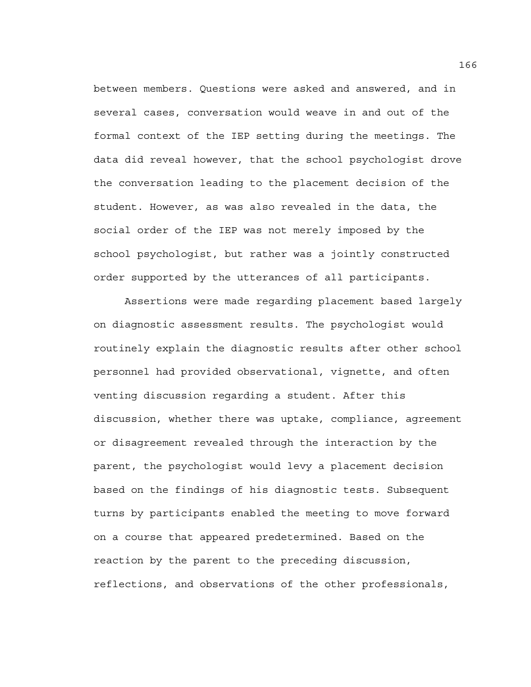between members. Questions were asked and answered, and in several cases, conversation would weave in and out of the formal context of the IEP setting during the meetings. The data did reveal however, that the school psychologist drove the conversation leading to the placement decision of the student. However, as was also revealed in the data, the social order of the IEP was not merely imposed by the school psychologist, but rather was a jointly constructed order supported by the utterances of all participants.

Assertions were made regarding placement based largely on diagnostic assessment results. The psychologist would routinely explain the diagnostic results after other school personnel had provided observational, vignette, and often venting discussion regarding a student. After this discussion, whether there was uptake, compliance, agreement or disagreement revealed through the interaction by the parent, the psychologist would levy a placement decision based on the findings of his diagnostic tests. Subsequent turns by participants enabled the meeting to move forward on a course that appeared predetermined. Based on the reaction by the parent to the preceding discussion, reflections, and observations of the other professionals,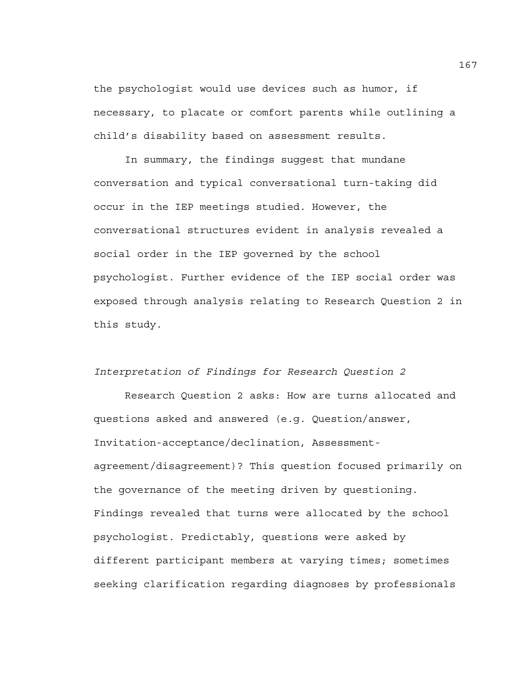the psychologist would use devices such as humor, if necessary, to placate or comfort parents while outlining a child's disability based on assessment results.

 In summary, the findings suggest that mundane conversation and typical conversational turn-taking did occur in the IEP meetings studied. However, the conversational structures evident in analysis revealed a social order in the IEP governed by the school psychologist. Further evidence of the IEP social order was exposed through analysis relating to Research Question 2 in this study.

*Interpretation of Findings for Research Question 2* 

 Research Question 2 asks: How are turns allocated and questions asked and answered (e.g. Question/answer, Invitation-acceptance/declination, Assessmentagreement/disagreement)? This question focused primarily on the governance of the meeting driven by questioning. Findings revealed that turns were allocated by the school psychologist. Predictably, questions were asked by different participant members at varying times; sometimes seeking clarification regarding diagnoses by professionals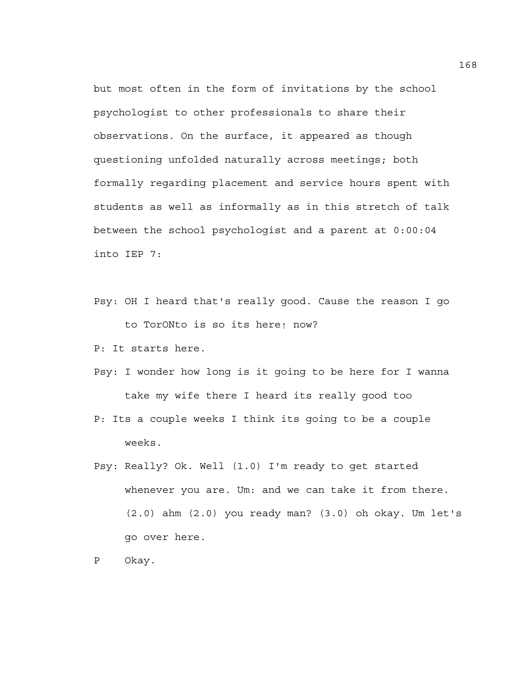but most often in the form of invitations by the school psychologist to other professionals to share their observations. On the surface, it appeared as though questioning unfolded naturally across meetings; both formally regarding placement and service hours spent with students as well as informally as in this stretch of talk between the school psychologist and a parent at 0:00:04 into IEP 7:

- Psy: OH I heard that's really good. Cause the reason I go to TorONto is so its here↑ now?
- P: It starts here.
- Psy: I wonder how long is it going to be here for I wanna take my wife there I heard its really good too
- P: Its a couple weeks I think its going to be a couple weeks.
- Psy: Really? Ok. Well (1.0) I'm ready to get started whenever you are. Um: and we can take it from there. (2.0) ahm (2.0) you ready man? (3.0) oh okay. Um let's go over here.
- P Okay.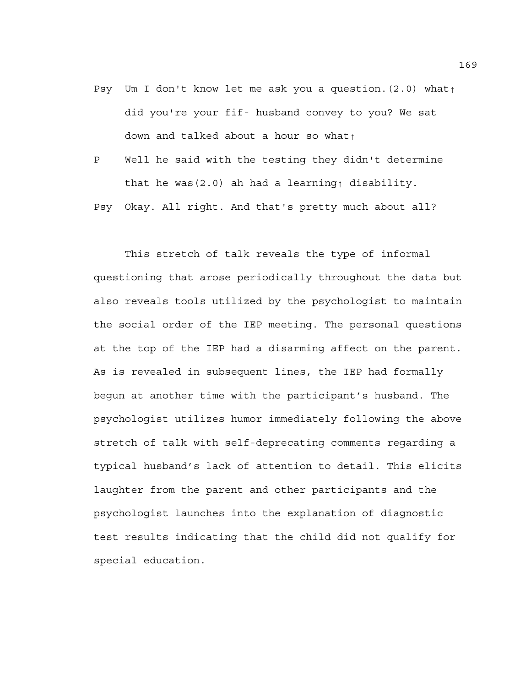- Psy Um I don't know let me ask you a question.(2.0) what↑ did you're your fif- husband convey to you? We sat down and talked about a hour so what↑
- P Well he said with the testing they didn't determine that he was(2.0) ah had a learning↑ disability.

Psy Okay. All right. And that's pretty much about all?

 This stretch of talk reveals the type of informal questioning that arose periodically throughout the data but also reveals tools utilized by the psychologist to maintain the social order of the IEP meeting. The personal questions at the top of the IEP had a disarming affect on the parent. As is revealed in subsequent lines, the IEP had formally begun at another time with the participant's husband. The psychologist utilizes humor immediately following the above stretch of talk with self-deprecating comments regarding a typical husband's lack of attention to detail. This elicits laughter from the parent and other participants and the psychologist launches into the explanation of diagnostic test results indicating that the child did not qualify for special education.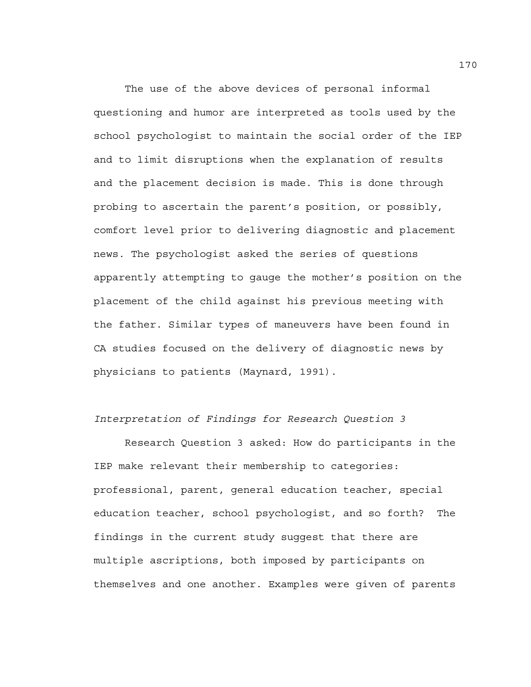The use of the above devices of personal informal questioning and humor are interpreted as tools used by the school psychologist to maintain the social order of the IEP and to limit disruptions when the explanation of results and the placement decision is made. This is done through probing to ascertain the parent's position, or possibly, comfort level prior to delivering diagnostic and placement news. The psychologist asked the series of questions apparently attempting to gauge the mother's position on the placement of the child against his previous meeting with the father. Similar types of maneuvers have been found in CA studies focused on the delivery of diagnostic news by physicians to patients (Maynard, 1991).

### *Interpretation of Findings for Research Question 3*

 Research Question 3 asked: How do participants in the IEP make relevant their membership to categories: professional, parent, general education teacher, special education teacher, school psychologist, and so forth? The findings in the current study suggest that there are multiple ascriptions, both imposed by participants on themselves and one another. Examples were given of parents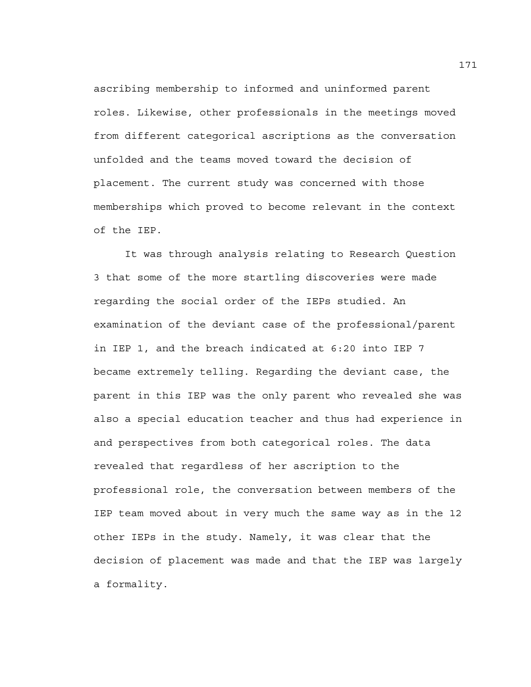ascribing membership to informed and uninformed parent roles. Likewise, other professionals in the meetings moved from different categorical ascriptions as the conversation unfolded and the teams moved toward the decision of placement. The current study was concerned with those memberships which proved to become relevant in the context of the IEP.

 It was through analysis relating to Research Question 3 that some of the more startling discoveries were made regarding the social order of the IEPs studied. An examination of the deviant case of the professional/parent in IEP 1, and the breach indicated at 6:20 into IEP 7 became extremely telling. Regarding the deviant case, the parent in this IEP was the only parent who revealed she was also a special education teacher and thus had experience in and perspectives from both categorical roles. The data revealed that regardless of her ascription to the professional role, the conversation between members of the IEP team moved about in very much the same way as in the 12 other IEPs in the study. Namely, it was clear that the decision of placement was made and that the IEP was largely a formality.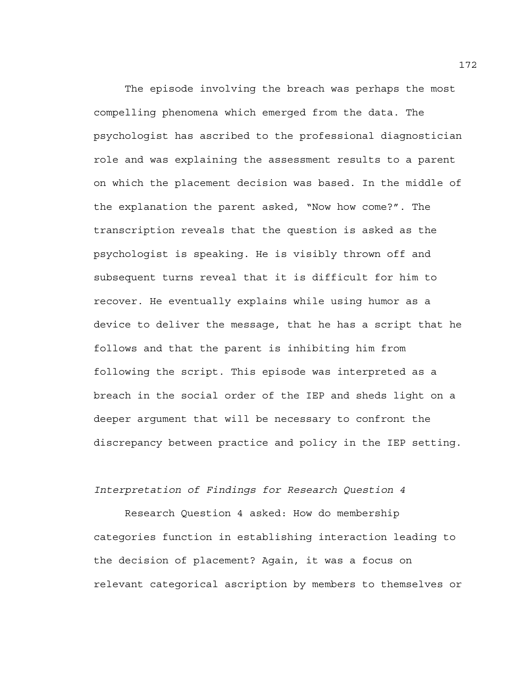The episode involving the breach was perhaps the most compelling phenomena which emerged from the data. The psychologist has ascribed to the professional diagnostician role and was explaining the assessment results to a parent on which the placement decision was based. In the middle of the explanation the parent asked, "Now how come?". The transcription reveals that the question is asked as the psychologist is speaking. He is visibly thrown off and subsequent turns reveal that it is difficult for him to recover. He eventually explains while using humor as a device to deliver the message, that he has a script that he follows and that the parent is inhibiting him from following the script. This episode was interpreted as a breach in the social order of the IEP and sheds light on a deeper argument that will be necessary to confront the discrepancy between practice and policy in the IEP setting.

### *Interpretation of Findings for Research Question 4*

 Research Question 4 asked: How do membership categories function in establishing interaction leading to the decision of placement? Again, it was a focus on relevant categorical ascription by members to themselves or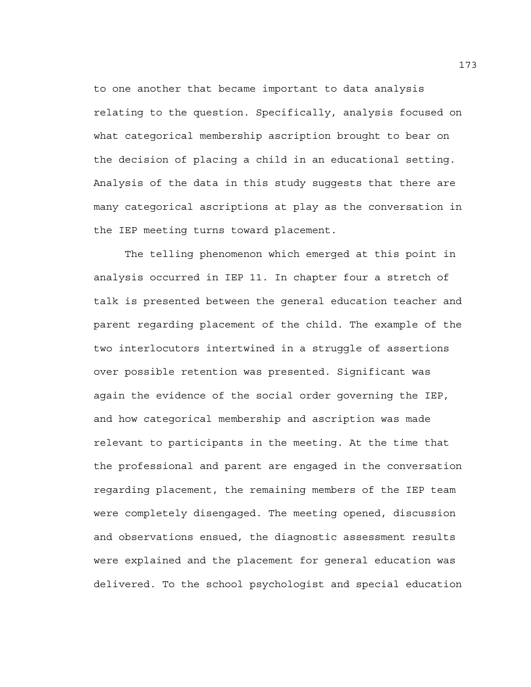to one another that became important to data analysis relating to the question. Specifically, analysis focused on what categorical membership ascription brought to bear on the decision of placing a child in an educational setting. Analysis of the data in this study suggests that there are many categorical ascriptions at play as the conversation in the IEP meeting turns toward placement.

The telling phenomenon which emerged at this point in analysis occurred in IEP 11. In chapter four a stretch of talk is presented between the general education teacher and parent regarding placement of the child. The example of the two interlocutors intertwined in a struggle of assertions over possible retention was presented. Significant was again the evidence of the social order governing the IEP, and how categorical membership and ascription was made relevant to participants in the meeting. At the time that the professional and parent are engaged in the conversation regarding placement, the remaining members of the IEP team were completely disengaged. The meeting opened, discussion and observations ensued, the diagnostic assessment results were explained and the placement for general education was delivered. To the school psychologist and special education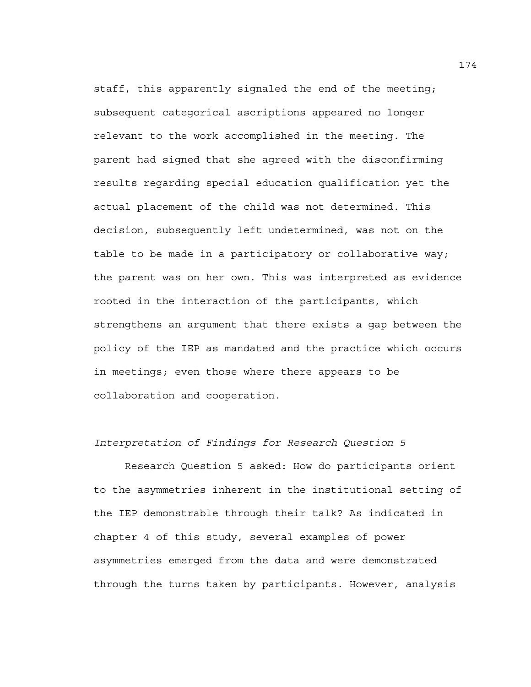staff, this apparently signaled the end of the meeting; subsequent categorical ascriptions appeared no longer relevant to the work accomplished in the meeting. The parent had signed that she agreed with the disconfirming results regarding special education qualification yet the actual placement of the child was not determined. This decision, subsequently left undetermined, was not on the table to be made in a participatory or collaborative way; the parent was on her own. This was interpreted as evidence rooted in the interaction of the participants, which strengthens an argument that there exists a gap between the policy of the IEP as mandated and the practice which occurs in meetings; even those where there appears to be collaboration and cooperation.

### *Interpretation of Findings for Research Question 5*

Research Question 5 asked: How do participants orient to the asymmetries inherent in the institutional setting of the IEP demonstrable through their talk? As indicated in chapter 4 of this study, several examples of power asymmetries emerged from the data and were demonstrated through the turns taken by participants. However, analysis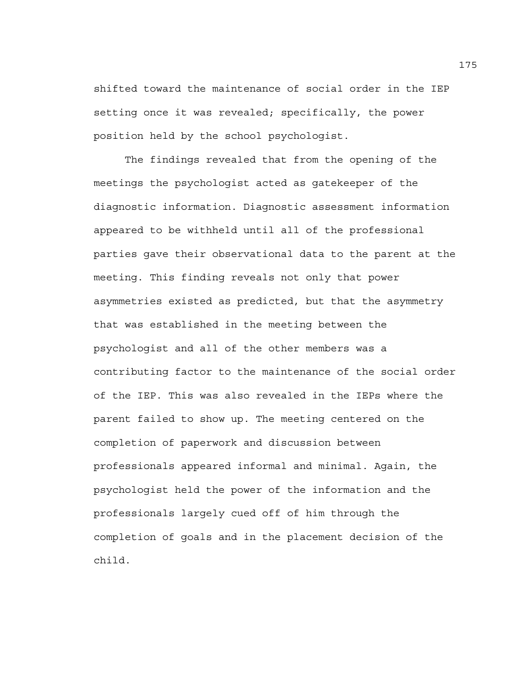shifted toward the maintenance of social order in the IEP setting once it was revealed; specifically, the power position held by the school psychologist.

The findings revealed that from the opening of the meetings the psychologist acted as gatekeeper of the diagnostic information. Diagnostic assessment information appeared to be withheld until all of the professional parties gave their observational data to the parent at the meeting. This finding reveals not only that power asymmetries existed as predicted, but that the asymmetry that was established in the meeting between the psychologist and all of the other members was a contributing factor to the maintenance of the social order of the IEP. This was also revealed in the IEPs where the parent failed to show up. The meeting centered on the completion of paperwork and discussion between professionals appeared informal and minimal. Again, the psychologist held the power of the information and the professionals largely cued off of him through the completion of goals and in the placement decision of the child.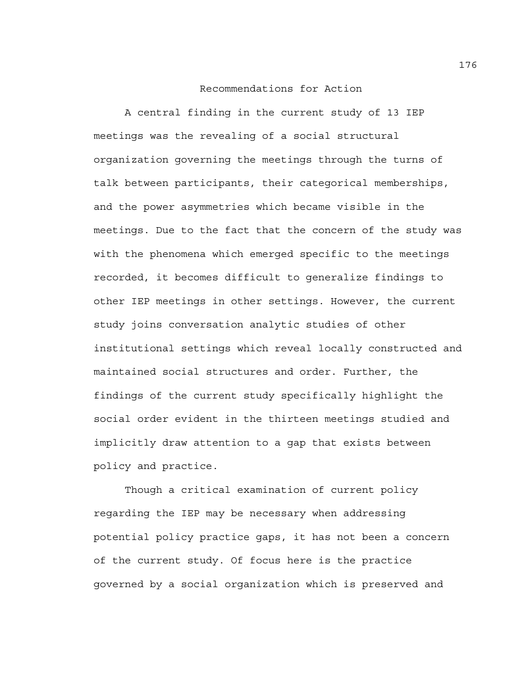### Recommendations for Action

A central finding in the current study of 13 IEP meetings was the revealing of a social structural organization governing the meetings through the turns of talk between participants, their categorical memberships, and the power asymmetries which became visible in the meetings. Due to the fact that the concern of the study was with the phenomena which emerged specific to the meetings recorded, it becomes difficult to generalize findings to other IEP meetings in other settings. However, the current study joins conversation analytic studies of other institutional settings which reveal locally constructed and maintained social structures and order. Further, the findings of the current study specifically highlight the social order evident in the thirteen meetings studied and implicitly draw attention to a gap that exists between policy and practice.

Though a critical examination of current policy regarding the IEP may be necessary when addressing potential policy practice gaps, it has not been a concern of the current study. Of focus here is the practice governed by a social organization which is preserved and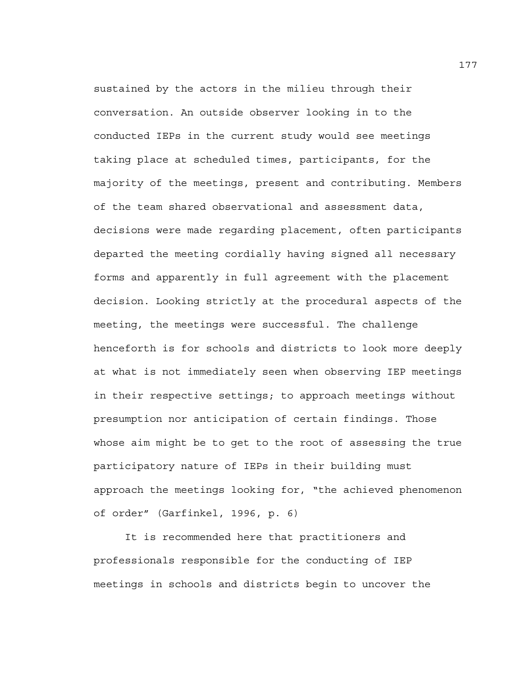sustained by the actors in the milieu through their conversation. An outside observer looking in to the conducted IEPs in the current study would see meetings taking place at scheduled times, participants, for the majority of the meetings, present and contributing. Members of the team shared observational and assessment data, decisions were made regarding placement, often participants departed the meeting cordially having signed all necessary forms and apparently in full agreement with the placement decision. Looking strictly at the procedural aspects of the meeting, the meetings were successful. The challenge henceforth is for schools and districts to look more deeply at what is not immediately seen when observing IEP meetings in their respective settings; to approach meetings without presumption nor anticipation of certain findings. Those whose aim might be to get to the root of assessing the true participatory nature of IEPs in their building must approach the meetings looking for, "the achieved phenomenon of order" (Garfinkel, 1996, p. 6)

It is recommended here that practitioners and professionals responsible for the conducting of IEP meetings in schools and districts begin to uncover the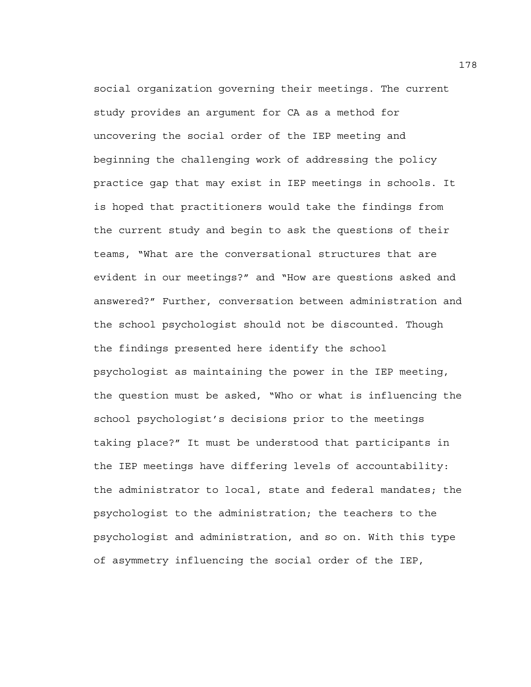social organization governing their meetings. The current study provides an argument for CA as a method for uncovering the social order of the IEP meeting and beginning the challenging work of addressing the policy practice gap that may exist in IEP meetings in schools. It is hoped that practitioners would take the findings from the current study and begin to ask the questions of their teams, "What are the conversational structures that are evident in our meetings?" and "How are questions asked and answered?" Further, conversation between administration and the school psychologist should not be discounted. Though the findings presented here identify the school psychologist as maintaining the power in the IEP meeting, the question must be asked, "Who or what is influencing the school psychologist's decisions prior to the meetings taking place?" It must be understood that participants in the IEP meetings have differing levels of accountability: the administrator to local, state and federal mandates; the psychologist to the administration; the teachers to the psychologist and administration, and so on. With this type of asymmetry influencing the social order of the IEP,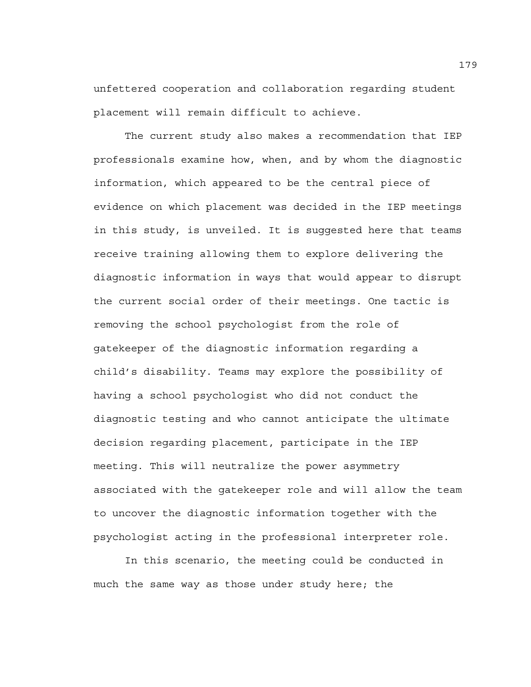unfettered cooperation and collaboration regarding student placement will remain difficult to achieve.

The current study also makes a recommendation that IEP professionals examine how, when, and by whom the diagnostic information, which appeared to be the central piece of evidence on which placement was decided in the IEP meetings in this study, is unveiled. It is suggested here that teams receive training allowing them to explore delivering the diagnostic information in ways that would appear to disrupt the current social order of their meetings. One tactic is removing the school psychologist from the role of gatekeeper of the diagnostic information regarding a child's disability. Teams may explore the possibility of having a school psychologist who did not conduct the diagnostic testing and who cannot anticipate the ultimate decision regarding placement, participate in the IEP meeting. This will neutralize the power asymmetry associated with the gatekeeper role and will allow the team to uncover the diagnostic information together with the psychologist acting in the professional interpreter role.

In this scenario, the meeting could be conducted in much the same way as those under study here; the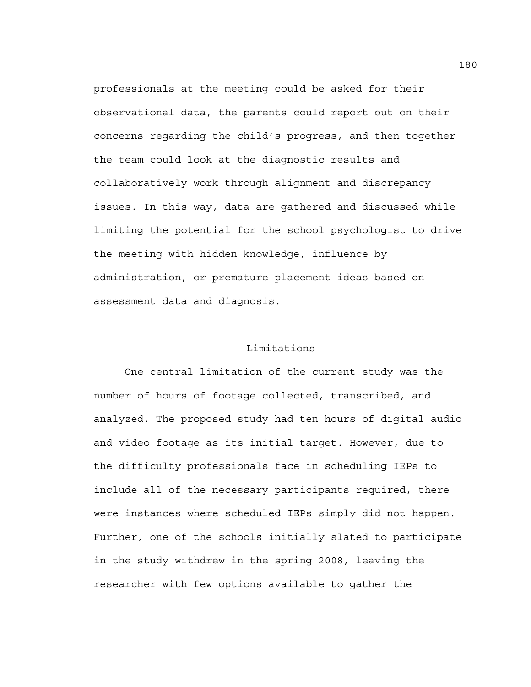professionals at the meeting could be asked for their observational data, the parents could report out on their concerns regarding the child's progress, and then together the team could look at the diagnostic results and collaboratively work through alignment and discrepancy issues. In this way, data are gathered and discussed while limiting the potential for the school psychologist to drive the meeting with hidden knowledge, influence by administration, or premature placement ideas based on assessment data and diagnosis.

### Limitations

 One central limitation of the current study was the number of hours of footage collected, transcribed, and analyzed. The proposed study had ten hours of digital audio and video footage as its initial target. However, due to the difficulty professionals face in scheduling IEPs to include all of the necessary participants required, there were instances where scheduled IEPs simply did not happen. Further, one of the schools initially slated to participate in the study withdrew in the spring 2008, leaving the researcher with few options available to gather the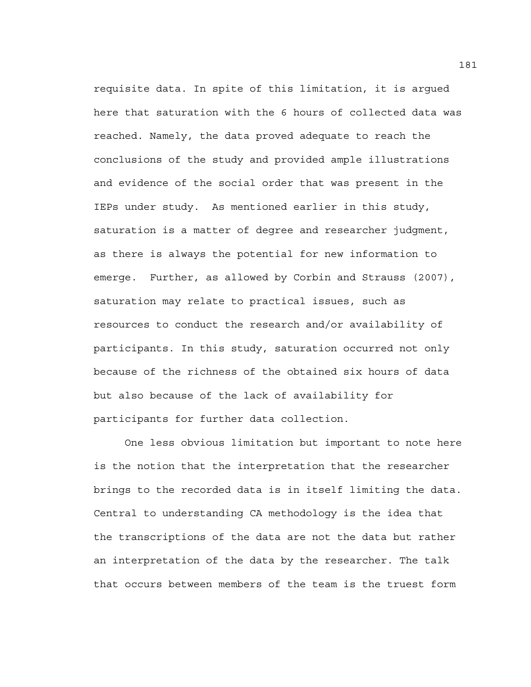requisite data. In spite of this limitation, it is argued here that saturation with the 6 hours of collected data was reached. Namely, the data proved adequate to reach the conclusions of the study and provided ample illustrations and evidence of the social order that was present in the IEPs under study. As mentioned earlier in this study, saturation is a matter of degree and researcher judgment, as there is always the potential for new information to emerge. Further, as allowed by Corbin and Strauss (2007), saturation may relate to practical issues, such as resources to conduct the research and/or availability of participants. In this study, saturation occurred not only because of the richness of the obtained six hours of data but also because of the lack of availability for participants for further data collection.

 One less obvious limitation but important to note here is the notion that the interpretation that the researcher brings to the recorded data is in itself limiting the data. Central to understanding CA methodology is the idea that the transcriptions of the data are not the data but rather an interpretation of the data by the researcher. The talk that occurs between members of the team is the truest form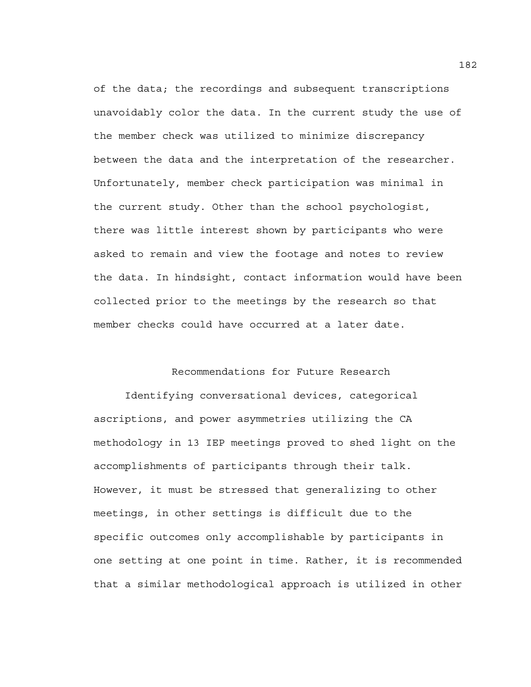of the data; the recordings and subsequent transcriptions unavoidably color the data. In the current study the use of the member check was utilized to minimize discrepancy between the data and the interpretation of the researcher. Unfortunately, member check participation was minimal in the current study. Other than the school psychologist, there was little interest shown by participants who were asked to remain and view the footage and notes to review the data. In hindsight, contact information would have been collected prior to the meetings by the research so that member checks could have occurred at a later date.

# Recommendations for Future Research

Identifying conversational devices, categorical ascriptions, and power asymmetries utilizing the CA methodology in 13 IEP meetings proved to shed light on the accomplishments of participants through their talk. However, it must be stressed that generalizing to other meetings, in other settings is difficult due to the specific outcomes only accomplishable by participants in one setting at one point in time. Rather, it is recommended that a similar methodological approach is utilized in other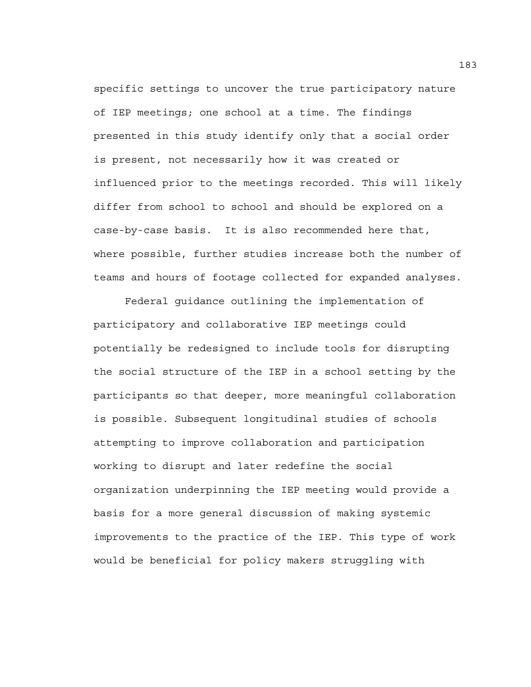specific settings to uncover the true participatory nature of IEP meetings; one school at a time. The findings presented in this study identify only that a social order is present, not necessarily how it was created or influenced prior to the meetings recorded. This will likely differ from school to school and should be explored on a case-by-case basis. It is also recommended here that, where possible, further studies increase both the number of teams and hours of footage collected for expanded analyses.

Federal guidance outlining the implementation of participatory and collaborative IEP meetings could potentially be redesigned to include tools for disrupting the social structure of the IEP in a school setting by the participants so that deeper, more meaningful collaboration is possible. Subsequent longitudinal studies of schools attempting to improve collaboration and participation working to disrupt and later redefine the social organization underpinning the IEP meeting would provide a basis for a more general discussion of making systemic improvements to the practice of the IEP. This type of work would be beneficial for policy makers struggling with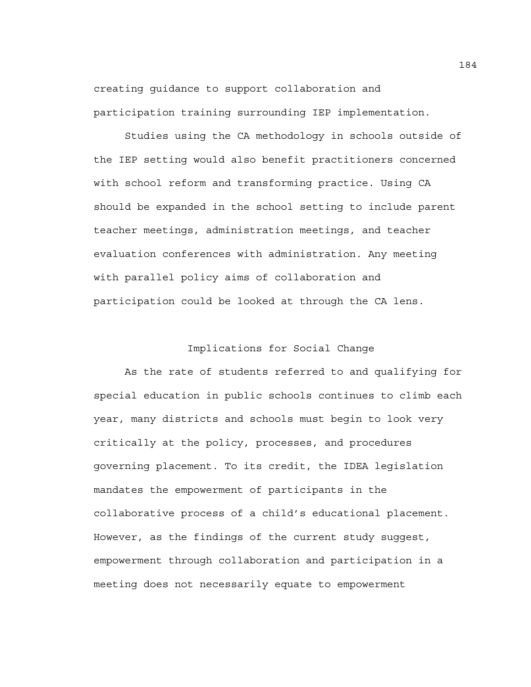creating guidance to support collaboration and participation training surrounding IEP implementation.

Studies using the CA methodology in schools outside of the IEP setting would also benefit practitioners concerned with school reform and transforming practice. Using CA should be expanded in the school setting to include parent teacher meetings, administration meetings, and teacher evaluation conferences with administration. Any meeting with parallel policy aims of collaboration and participation could be looked at through the CA lens.

# Implications for Social Change

 As the rate of students referred to and qualifying for special education in public schools continues to climb each year, many districts and schools must begin to look very critically at the policy, processes, and procedures governing placement. To its credit, the IDEA legislation mandates the empowerment of participants in the collaborative process of a child's educational placement. However, as the findings of the current study suggest, empowerment through collaboration and participation in a meeting does not necessarily equate to empowerment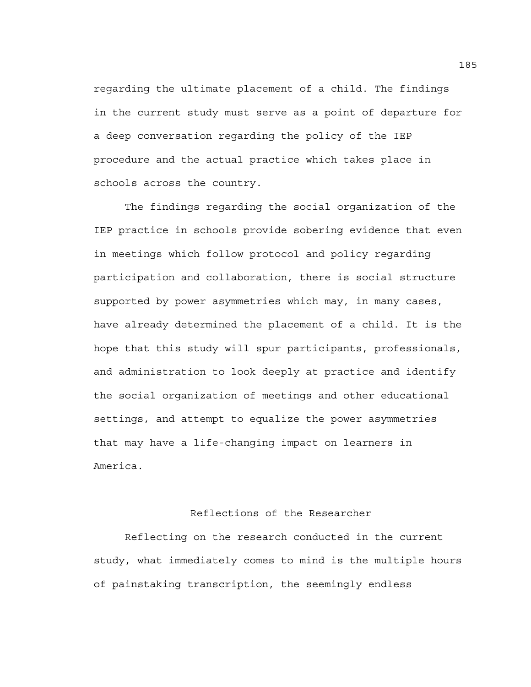regarding the ultimate placement of a child. The findings in the current study must serve as a point of departure for a deep conversation regarding the policy of the IEP procedure and the actual practice which takes place in schools across the country.

The findings regarding the social organization of the IEP practice in schools provide sobering evidence that even in meetings which follow protocol and policy regarding participation and collaboration, there is social structure supported by power asymmetries which may, in many cases, have already determined the placement of a child. It is the hope that this study will spur participants, professionals, and administration to look deeply at practice and identify the social organization of meetings and other educational settings, and attempt to equalize the power asymmetries that may have a life-changing impact on learners in America.

# Reflections of the Researcher

 Reflecting on the research conducted in the current study, what immediately comes to mind is the multiple hours of painstaking transcription, the seemingly endless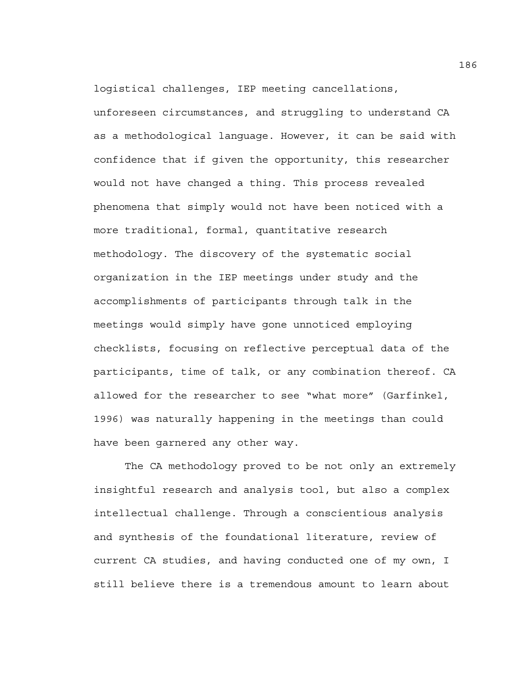logistical challenges, IEP meeting cancellations,

unforeseen circumstances, and struggling to understand CA as a methodological language. However, it can be said with confidence that if given the opportunity, this researcher would not have changed a thing. This process revealed phenomena that simply would not have been noticed with a more traditional, formal, quantitative research methodology. The discovery of the systematic social organization in the IEP meetings under study and the accomplishments of participants through talk in the meetings would simply have gone unnoticed employing checklists, focusing on reflective perceptual data of the participants, time of talk, or any combination thereof. CA allowed for the researcher to see "what more" (Garfinkel, 1996) was naturally happening in the meetings than could have been garnered any other way.

The CA methodology proved to be not only an extremely insightful research and analysis tool, but also a complex intellectual challenge. Through a conscientious analysis and synthesis of the foundational literature, review of current CA studies, and having conducted one of my own, I still believe there is a tremendous amount to learn about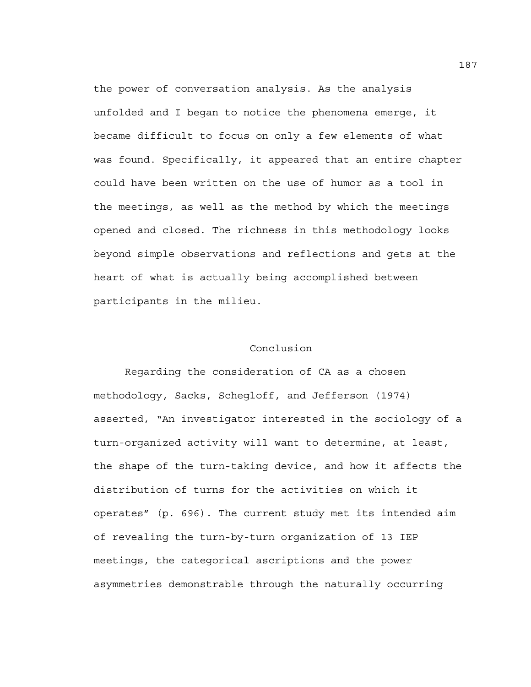the power of conversation analysis. As the analysis unfolded and I began to notice the phenomena emerge, it became difficult to focus on only a few elements of what was found. Specifically, it appeared that an entire chapter could have been written on the use of humor as a tool in the meetings, as well as the method by which the meetings opened and closed. The richness in this methodology looks beyond simple observations and reflections and gets at the heart of what is actually being accomplished between participants in the milieu.

# Conclusion

 Regarding the consideration of CA as a chosen methodology, Sacks, Schegloff, and Jefferson (1974) asserted, "An investigator interested in the sociology of a turn-organized activity will want to determine, at least, the shape of the turn-taking device, and how it affects the distribution of turns for the activities on which it operates" (p. 696). The current study met its intended aim of revealing the turn-by-turn organization of 13 IEP meetings, the categorical ascriptions and the power asymmetries demonstrable through the naturally occurring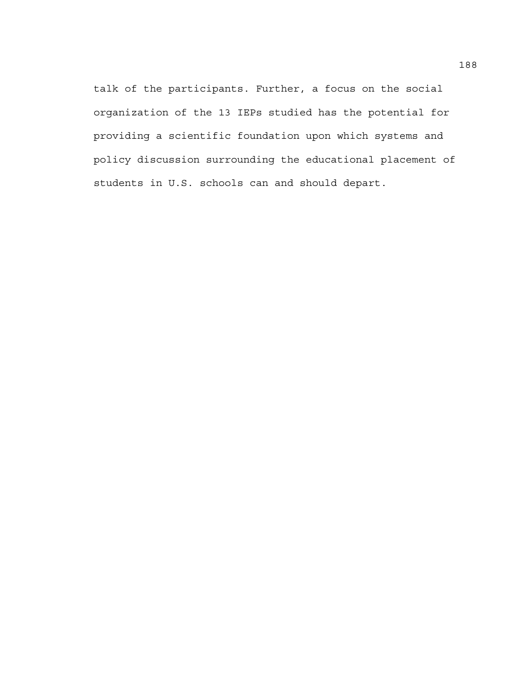talk of the participants. Further, a focus on the social organization of the 13 IEPs studied has the potential for providing a scientific foundation upon which systems and policy discussion surrounding the educational placement of students in U.S. schools can and should depart.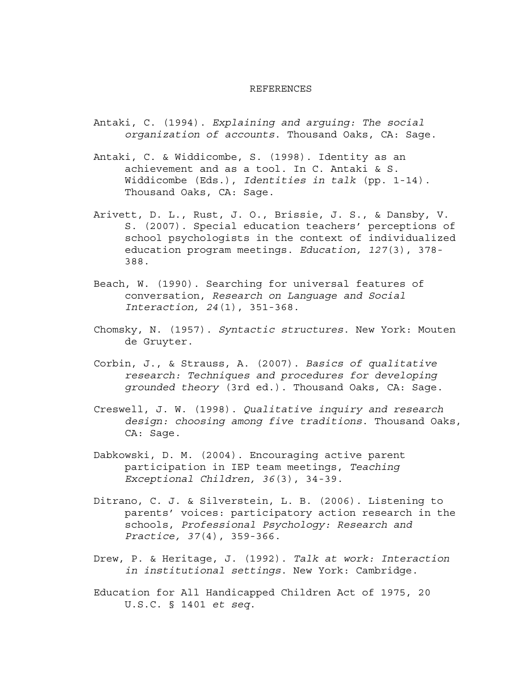#### REFERENCES

- Antaki, C. (1994). *Explaining and arguing: The social organization of accounts*. Thousand Oaks, CA: Sage.
- Antaki, C. & Widdicombe, S. (1998). Identity as an achievement and as a tool. In C. Antaki & S. Widdicombe (Eds.), *Identities in talk* (pp. 1-14). Thousand Oaks, CA: Sage.
- Arivett, D. L., Rust, J. O., Brissie, J. S., & Dansby, V. S. (2007). Special education teachers' perceptions of school psychologists in the context of individualized education program meetings. *Education, 127*(3), 378- 388.
- Beach, W. (1990). Searching for universal features of conversation, *Research on Language and Social Interaction, 24*(1), 351-368.
- Chomsky, N. (1957). *Syntactic structures*. New York: Mouten de Gruyter.
- Corbin, J., & Strauss, A. (2007). *Basics of qualitative research: Techniques and procedures for developing grounded theory* (3rd ed.). Thousand Oaks, CA: Sage.
- Creswell, J. W. (1998). *Qualitative inquiry and research design: choosing among five traditions*. Thousand Oaks, CA: Sage.
- Dabkowski, D. M. (2004). Encouraging active parent participation in IEP team meetings, *Teaching Exceptional Children, 36*(3), 34-39.
- Ditrano, C. J. & Silverstein, L. B. (2006). Listening to parents' voices: participatory action research in the schools, *Professional Psychology: Research and Practice, 37*(4), 359-366.
- Drew, P. & Heritage, J. (1992). *Talk at work: Interaction in institutional settings*. New York: Cambridge.
- Education for All Handicapped Children Act of 1975, 20 U.S.C. § 1401 *et seq*.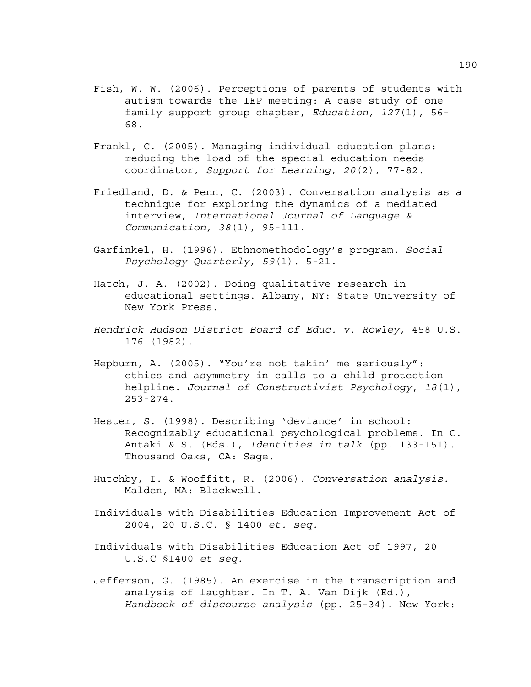- Fish, W. W. (2006). Perceptions of parents of students with autism towards the IEP meeting: A case study of one family support group chapter, *Education, 127*(1), 56- 68.
- Frankl, C. (2005). Managing individual education plans: reducing the load of the special education needs coordinator, *Support for Learning, 20*(2), 77-82.
- Friedland, D. & Penn, C. (2003). Conversation analysis as a technique for exploring the dynamics of a mediated interview, *International Journal of Language & Communication, 38*(1), 95-111.
- Garfinkel, H. (1996). Ethnomethodology's program. *Social Psychology Quarterly, 59*(1). 5-21.
- Hatch, J. A. (2002). Doing qualitative research in educational settings. Albany, NY: State University of New York Press.
- *Hendrick Hudson District Board of Educ. v. Rowley*, 458 U.S. 176 (1982).
- Hepburn, A. (2005). "You're not takin' me seriously": ethics and asymmetry in calls to a child protection helpline. *Journal of Constructivist Psychology*, *18*(1), 253-274.
- Hester, S. (1998). Describing 'deviance' in school: Recognizably educational psychological problems. In C. Antaki & S. (Eds.), *Identities in talk* (pp. 133-151). Thousand Oaks, CA: Sage.
- Hutchby, I. & Wooffitt, R. (2006). *Conversation analysis*. Malden, MA: Blackwell.
- Individuals with Disabilities Education Improvement Act of 2004, 20 U.S.C. § 1400 *et. seq.*
- Individuals with Disabilities Education Act of 1997, 20 U.S.C §1400 *et seq.*
- Jefferson, G. (1985). An exercise in the transcription and analysis of laughter. In T. A. Van Dijk (Ed.), *Handbook of discourse analysis* (pp. 25-34). New York: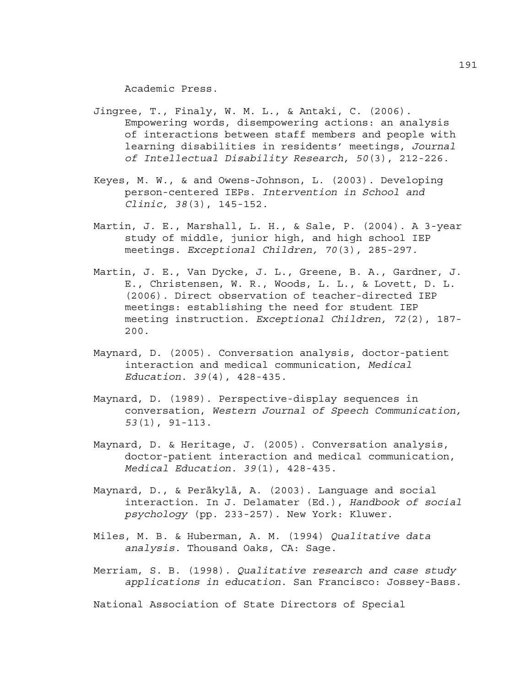Academic Press.

- Jingree, T., Finaly, W. M. L., & Antaki, C. (2006). Empowering words, disempowering actions: an analysis of interactions between staff members and people with learning disabilities in residents' meetings, *Journal of Intellectual Disability Research, 50*(3), 212-226.
- Keyes, M. W., & and Owens-Johnson, L. (2003). Developing person-centered IEPs. *Intervention in School and Clinic, 38*(3), 145-152.
- Martin, J. E., Marshall, L. H., & Sale, P. (2004). A 3-year study of middle, junior high, and high school IEP meetings. *Exceptional Children, 70*(3), 285-297.
- Martin, J. E., Van Dycke, J. L., Greene, B. A., Gardner, J. E., Christensen, W. R., Woods, L. L., & Lovett, D. L. (2006). Direct observation of teacher-directed IEP meetings: establishing the need for student IEP meeting instruction. *Exceptional Children, 72*(2), 187- 200.
- Maynard, D. (2005). Conversation analysis, doctor-patient interaction and medical communication, *Medical Education. 39*(4), 428-435.
- Maynard, D. (1989). Perspective-display sequences in conversation, *Western Journal of Speech Communication, 53*(1), 91-113.
- Maynard, D. & Heritage, J. (2005). Conversation analysis, doctor-patient interaction and medical communication, *Medical Education. 39*(1), 428-435.
- Maynard, D., & Peräkylä, A. (2003). Language and social interaction. In J. Delamater (Ed.), *Handbook of social psychology* (pp. 233-257). New York: Kluwer.
- Miles, M. B. & Huberman, A. M. (1994) *Qualitative data analysis*. Thousand Oaks, CA: Sage.
- Merriam, S. B. (1998). *Qualitative research and case study applications in education*. San Francisco: Jossey-Bass.

National Association of State Directors of Special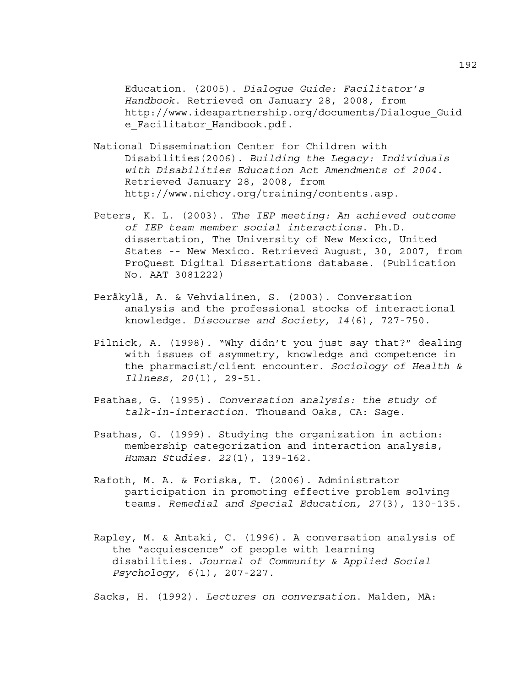Education. (2005). *Dialogue Guide: Facilitator's Handbook*. Retrieved on January 28, 2008, from http://www.ideapartnership.org/documents/Dialogue\_Guid e Facilitator Handbook.pdf.

- National Dissemination Center for Children with Disabilities(2006). *Building the Legacy: Individuals with Disabilities Education Act Amendments of 2004*. Retrieved January 28, 2008, from http://www.nichcy.org/training/contents.asp.
- Peters, K. L. (2003). *The IEP meeting: An achieved outcome of IEP team member social interactions*. Ph.D. dissertation, The University of New Mexico, United States -- New Mexico. Retrieved August, 30, 2007, from ProQuest Digital Dissertations database. (Publication No. AAT 3081222)
- Peräkylä, A. & Vehvialinen, S. (2003). Conversation analysis and the professional stocks of interactional knowledge. *Discourse and Society, 14*(6), 727-750.
- Pilnick, A. (1998). "Why didn't you just say that?" dealing with issues of asymmetry, knowledge and competence in the pharmacist/client encounter. *Sociology of Health & Illness, 20*(1), 29-51.
- Psathas, G. (1995). *Conversation analysis: the study of talk-in-interaction*. Thousand Oaks, CA: Sage.
- Psathas, G. (1999). Studying the organization in action: membership categorization and interaction analysis, *Human Studies. 22*(1), 139-162.
- Rafoth, M. A. & Foriska, T. (2006). Administrator participation in promoting effective problem solving teams. *Remedial and Special Education, 27*(3), 130-135.
- Rapley, M. & Antaki, C. (1996). A conversation analysis of the "acquiescence" of people with learning disabilities. *Journal of Community & Applied Social Psychology, 6*(1), 207-227.

Sacks, H. (1992). *Lectures on conversation*. Malden, MA: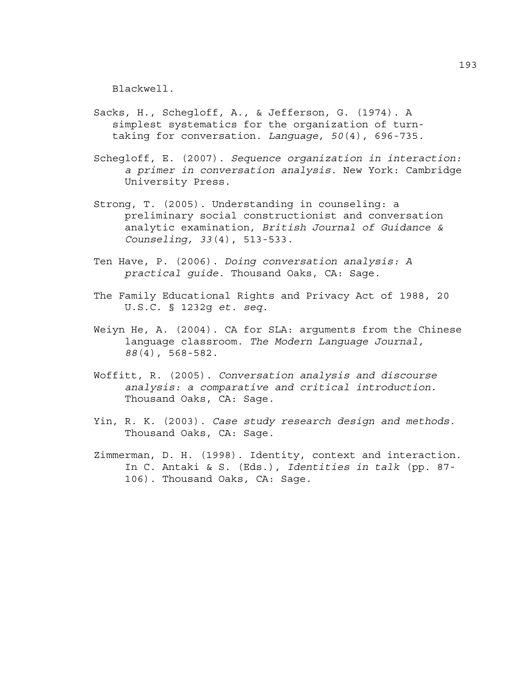Blackwell.

- Sacks, H., Schegloff, A., & Jefferson, G. (1974). A simplest systematics for the organization of turn taking for conversation. *Language, 50*(4), 696-735.
- Schegloff, E. (2007). *Sequence organization in interaction: a primer in conversation analysis*. New York: Cambridge University Press.
- Strong, T. (2005). Understanding in counseling: a preliminary social constructionist and conversation analytic examination, *British Journal of Guidance & Counseling, 33*(4), 513-533.
- Ten Have, P. (2006). *Doing conversation analysis: A practical guide*. Thousand Oaks, CA: Sage.
- The Family Educational Rights and Privacy Act of 1988, 20 U.S.C. § 1232g *et. seq*.
- Weiyn He, A. (2004). CA for SLA: arguments from the Chinese language classroom. *The Modern Language Journal, 88*(4), 568-582.
- Woffitt, R. (2005). *Conversation analysis and discourse analysis: a comparative and critical introduction*. Thousand Oaks, CA: Sage.
- Yin, R. K. (2003). *Case study research design and methods*. Thousand Oaks, CA: Sage.
- Zimmerman, D. H. (1998). Identity, context and interaction. In C. Antaki & S. (Eds.), *Identities in talk* (pp. 87- 106). Thousand Oaks, CA: Sage.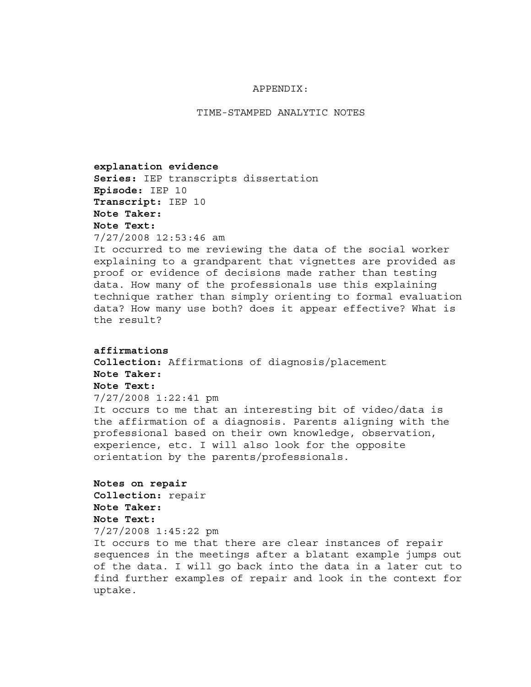#### APPENDIX:

TIME-STAMPED ANALYTIC NOTES

**explanation evidence Series:** IEP transcripts dissertation **Episode:** IEP 10 **Transcript:** IEP 10 **Note Taker: Note Text:**  7/27/2008 12:53:46 am

It occurred to me reviewing the data of the social worker explaining to a grandparent that vignettes are provided as proof or evidence of decisions made rather than testing data. How many of the professionals use this explaining technique rather than simply orienting to formal evaluation data? How many use both? does it appear effective? What is the result?

```
affirmations 
Collection: Affirmations of diagnosis/placement 
Note Taker: 
Note Text: 
7/27/2008 1:22:41 pm
```
It occurs to me that an interesting bit of video/data is the affirmation of a diagnosis. Parents aligning with the professional based on their own knowledge, observation, experience, etc. I will also look for the opposite orientation by the parents/professionals.

```
Notes on repair 
Collection: repair 
Note Taker: 
Note Text: 
7/27/2008 1:45:22 pm
```
It occurs to me that there are clear instances of repair sequences in the meetings after a blatant example jumps out of the data. I will go back into the data in a later cut to find further examples of repair and look in the context for uptake.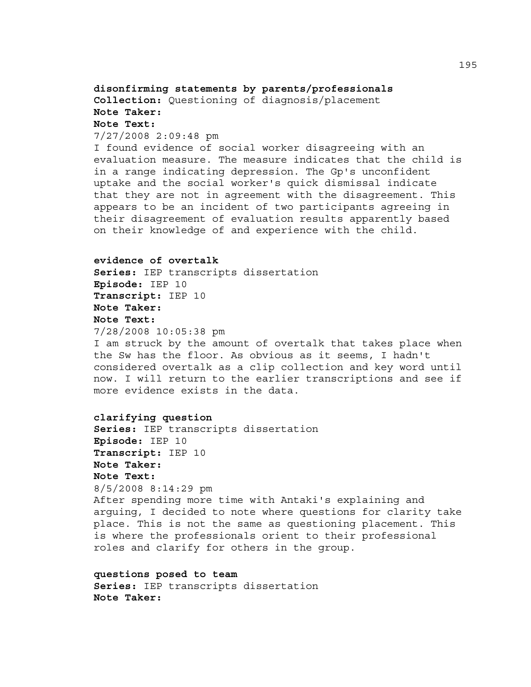# **disonfirming statements by parents/professionals Collection:** Questioning of diagnosis/placement **Note Taker: Note Text:**

#### 7/27/2008 2:09:48 pm

I found evidence of social worker disagreeing with an evaluation measure. The measure indicates that the child is in a range indicating depression. The Gp's unconfident uptake and the social worker's quick dismissal indicate that they are not in agreement with the disagreement. This appears to be an incident of two participants agreeing in their disagreement of evaluation results apparently based on their knowledge of and experience with the child.

#### **evidence of overtalk**

**Series:** IEP transcripts dissertation **Episode:** IEP 10 **Transcript:** IEP 10 **Note Taker: Note Text:**  7/28/2008 10:05:38 pm

I am struck by the amount of overtalk that takes place when the Sw has the floor. As obvious as it seems, I hadn't considered overtalk as a clip collection and key word until now. I will return to the earlier transcriptions and see if more evidence exists in the data.

### **clarifying question**

**Series:** IEP transcripts dissertation **Episode:** IEP 10 **Transcript:** IEP 10 **Note Taker: Note Text:**  8/5/2008 8:14:29 pm After spending more time with Antaki's explaining and arguing, I decided to note where questions for clarity take place. This is not the same as questioning placement. This is where the professionals orient to their professional roles and clarify for others in the group.

**questions posed to team Series:** IEP transcripts dissertation **Note Taker:**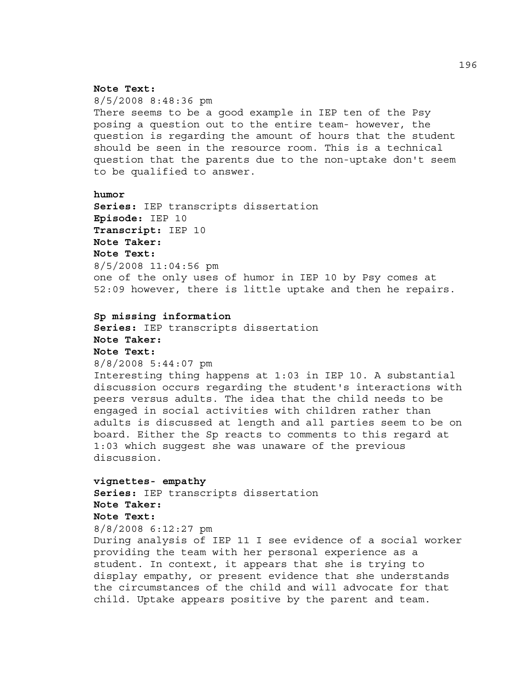### **Note Text:**

8/5/2008 8:48:36 pm There seems to be a good example in IEP ten of the Psy posing a question out to the entire team- however, the question is regarding the amount of hours that the student should be seen in the resource room. This is a technical question that the parents due to the non-uptake don't seem to be qualified to answer.

### **humor**

**Series:** IEP transcripts dissertation **Episode:** IEP 10 **Transcript:** IEP 10 **Note Taker: Note Text:**  8/5/2008 11:04:56 pm one of the only uses of humor in IEP 10 by Psy comes at 52:09 however, there is little uptake and then he repairs.

#### **Sp missing information**

**Series:** IEP transcripts dissertation **Note Taker: Note Text:** 

### 8/8/2008 5:44:07 pm

Interesting thing happens at 1:03 in IEP 10. A substantial discussion occurs regarding the student's interactions with peers versus adults. The idea that the child needs to be engaged in social activities with children rather than adults is discussed at length and all parties seem to be on board. Either the Sp reacts to comments to this regard at 1:03 which suggest she was unaware of the previous discussion.

### **vignettes- empathy**

**Series:** IEP transcripts dissertation **Note Taker: Note Text:**  8/8/2008 6:12:27 pm

During analysis of IEP 11 I see evidence of a social worker providing the team with her personal experience as a student. In context, it appears that she is trying to display empathy, or present evidence that she understands the circumstances of the child and will advocate for that child. Uptake appears positive by the parent and team.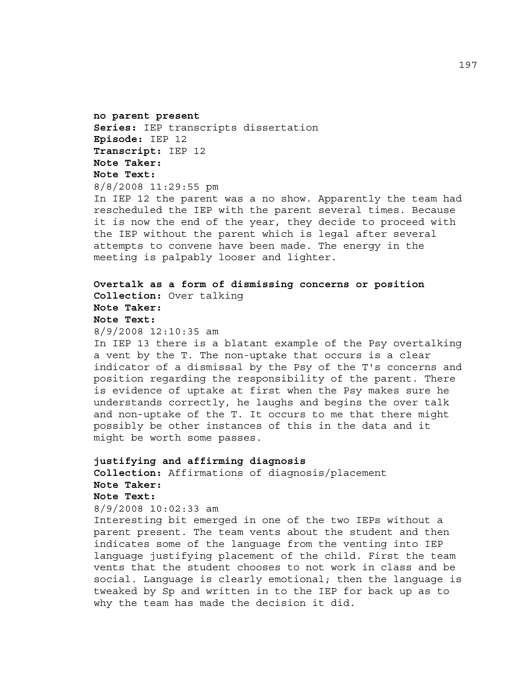**no parent present Series:** IEP transcripts dissertation **Episode:** IEP 12 **Transcript:** IEP 12 **Note Taker: Note Text:** 

8/8/2008 11:29:55 pm

In IEP 12 the parent was a no show. Apparently the team had rescheduled the IEP with the parent several times. Because it is now the end of the year, they decide to proceed with the IEP without the parent which is legal after several attempts to convene have been made. The energy in the meeting is palpably looser and lighter.

**Overtalk as a form of dismissing concerns or position Collection:** Over talking **Note Taker: Note Text:**  8/9/2008 12:10:35 am

In IEP 13 there is a blatant example of the Psy overtalking a vent by the T. The non-uptake that occurs is a clear indicator of a dismissal by the Psy of the T's concerns and position regarding the responsibility of the parent. There is evidence of uptake at first when the Psy makes sure he understands correctly, he laughs and begins the over talk and non-uptake of the T. It occurs to me that there might possibly be other instances of this in the data and it might be worth some passes.

# **justifying and affirming diagnosis Collection:** Affirmations of diagnosis/placement **Note Taker: Note Text:**  8/9/2008 10:02:33 am

Interesting bit emerged in one of the two IEPs without a parent present. The team vents about the student and then indicates some of the language from the venting into IEP language justifying placement of the child. First the team vents that the student chooses to not work in class and be social. Language is clearly emotional; then the language is tweaked by Sp and written in to the IEP for back up as to why the team has made the decision it did.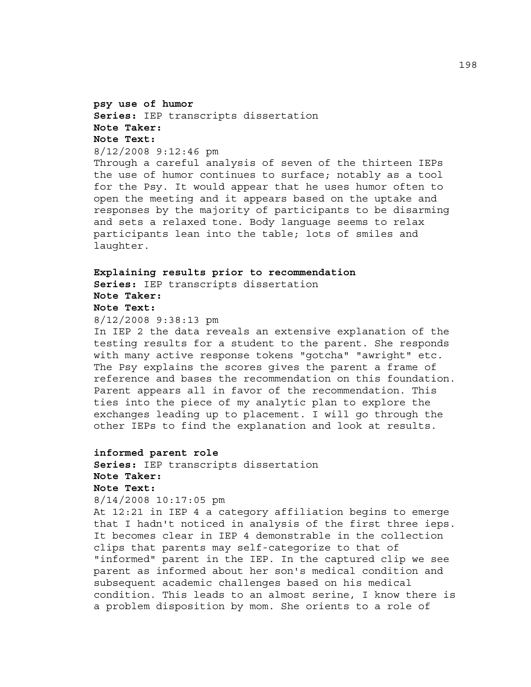# **psy use of humor Series:** IEP transcripts dissertation **Note Taker: Note Text:**  8/12/2008 9:12:46 pm

Through a careful analysis of seven of the thirteen IEPs the use of humor continues to surface; notably as a tool for the Psy. It would appear that he uses humor often to open the meeting and it appears based on the uptake and responses by the majority of participants to be disarming and sets a relaxed tone. Body language seems to relax participants lean into the table; lots of smiles and laughter.

# **Explaining results prior to recommendation Series:** IEP transcripts dissertation **Note Taker: Note Text:**

# 8/12/2008 9:38:13 pm

In IEP 2 the data reveals an extensive explanation of the testing results for a student to the parent. She responds with many active response tokens "gotcha" "awright" etc. The Psy explains the scores gives the parent a frame of reference and bases the recommendation on this foundation. Parent appears all in favor of the recommendation. This ties into the piece of my analytic plan to explore the exchanges leading up to placement. I will go through the other IEPs to find the explanation and look at results.

# **informed parent role**

**Series:** IEP transcripts dissertation **Note Taker: Note Text:**  8/14/2008 10:17:05 pm

At 12:21 in IEP 4 a category affiliation begins to emerge that I hadn't noticed in analysis of the first three ieps. It becomes clear in IEP 4 demonstrable in the collection clips that parents may self-categorize to that of "informed" parent in the IEP. In the captured clip we see parent as informed about her son's medical condition and subsequent academic challenges based on his medical condition. This leads to an almost serine, I know there is a problem disposition by mom. She orients to a role of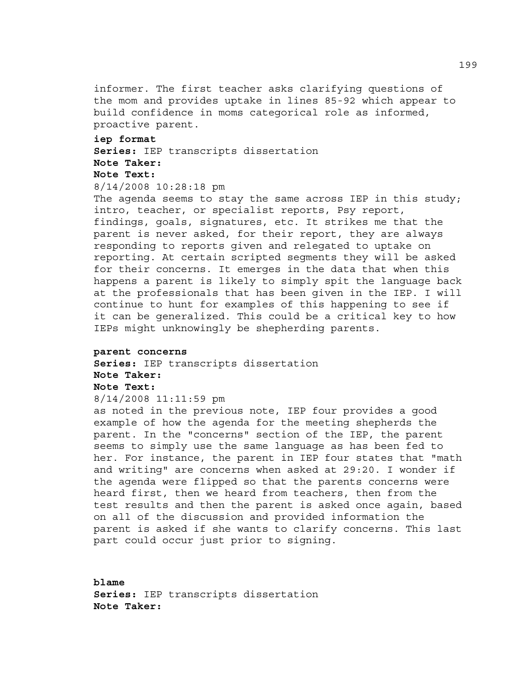informer. The first teacher asks clarifying questions of the mom and provides uptake in lines 85-92 which appear to build confidence in moms categorical role as informed, proactive parent.

#### **iep format**

**Series:** IEP transcripts dissertation **Note Taker:** 

### **Note Text:**

# 8/14/2008 10:28:18 pm

The agenda seems to stay the same across IEP in this study; intro, teacher, or specialist reports, Psy report, findings, goals, signatures, etc. It strikes me that the parent is never asked, for their report, they are always responding to reports given and relegated to uptake on reporting. At certain scripted segments they will be asked for their concerns. It emerges in the data that when this happens a parent is likely to simply spit the language back at the professionals that has been given in the IEP. I will continue to hunt for examples of this happening to see if it can be generalized. This could be a critical key to how IEPs might unknowingly be shepherding parents.

### **parent concerns**

**Series:** IEP transcripts dissertation **Note Taker: Note Text:**  8/14/2008 11:11:59 pm

as noted in the previous note, IEP four provides a good example of how the agenda for the meeting shepherds the parent. In the "concerns" section of the IEP, the parent seems to simply use the same language as has been fed to her. For instance, the parent in IEP four states that "math and writing" are concerns when asked at 29:20. I wonder if the agenda were flipped so that the parents concerns were heard first, then we heard from teachers, then from the test results and then the parent is asked once again, based on all of the discussion and provided information the parent is asked if she wants to clarify concerns. This last part could occur just prior to signing.

**blame Series:** IEP transcripts dissertation **Note Taker:**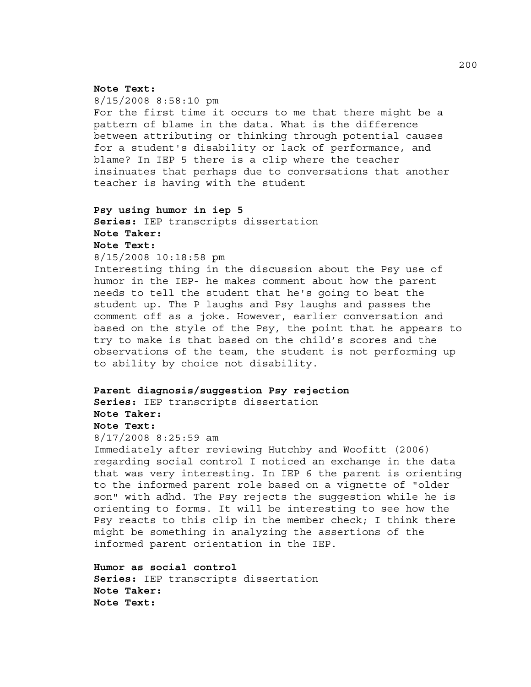#### **Note Text:**

8/15/2008 8:58:10 pm For the first time it occurs to me that there might be a pattern of blame in the data. What is the difference between attributing or thinking through potential causes for a student's disability or lack of performance, and blame? In IEP 5 there is a clip where the teacher insinuates that perhaps due to conversations that another teacher is having with the student

# **Psy using humor in iep 5 Series:** IEP transcripts dissertation **Note Taker: Note Text:**  8/15/2008 10:18:58 pm

Interesting thing in the discussion about the Psy use of humor in the IEP- he makes comment about how the parent needs to tell the student that he's going to beat the student up. The P laughs and Psy laughs and passes the comment off as a joke. However, earlier conversation and based on the style of the Psy, the point that he appears to try to make is that based on the child's scores and the observations of the team, the student is not performing up to ability by choice not disability.

### **Parent diagnosis/suggestion Psy rejection**

**Series:** IEP transcripts dissertation **Note Taker:** 

#### **Note Text:**

8/17/2008 8:25:59 am

Immediately after reviewing Hutchby and Woofitt (2006) regarding social control I noticed an exchange in the data that was very interesting. In IEP 6 the parent is orienting to the informed parent role based on a vignette of "older son" with adhd. The Psy rejects the suggestion while he is orienting to forms. It will be interesting to see how the Psy reacts to this clip in the member check; I think there might be something in analyzing the assertions of the informed parent orientation in the IEP.

**Humor as social control Series:** IEP transcripts dissertation **Note Taker: Note Text:**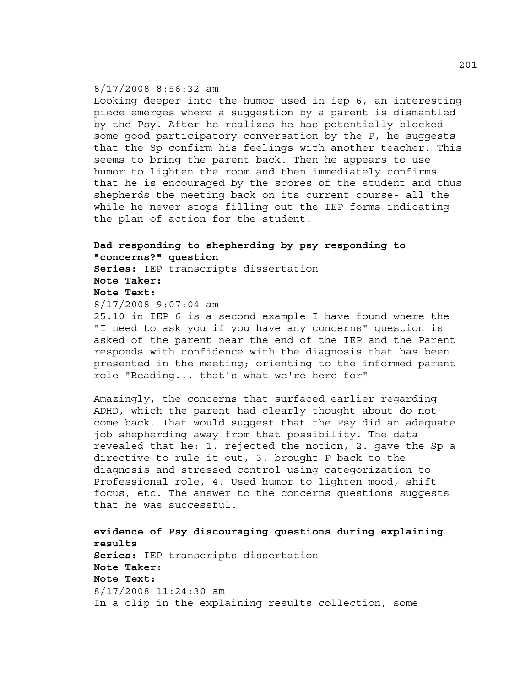### 8/17/2008 8:56:32 am

Looking deeper into the humor used in iep 6, an interesting piece emerges where a suggestion by a parent is dismantled by the Psy. After he realizes he has potentially blocked some good participatory conversation by the P, he suggests that the Sp confirm his feelings with another teacher. This seems to bring the parent back. Then he appears to use humor to lighten the room and then immediately confirms that he is encouraged by the scores of the student and thus shepherds the meeting back on its current course- all the while he never stops filling out the IEP forms indicating the plan of action for the student.

# **Dad responding to shepherding by psy responding to "concerns?" question Series:** IEP transcripts dissertation **Note Taker: Note Text:**

8/17/2008 9:07:04 am

25:10 in IEP 6 is a second example I have found where the "I need to ask you if you have any concerns" question is asked of the parent near the end of the IEP and the Parent responds with confidence with the diagnosis that has been presented in the meeting; orienting to the informed parent role "Reading... that's what we're here for"

Amazingly, the concerns that surfaced earlier regarding ADHD, which the parent had clearly thought about do not come back. That would suggest that the Psy did an adequate job shepherding away from that possibility. The data revealed that he: 1. rejected the notion, 2. gave the Sp a directive to rule it out, 3. brought P back to the diagnosis and stressed control using categorization to Professional role, 4. Used humor to lighten mood, shift focus, etc. The answer to the concerns questions suggests that he was successful.

**evidence of Psy discouraging questions during explaining results Series:** IEP transcripts dissertation **Note Taker: Note Text:**  8/17/2008 11:24:30 am In a clip in the explaining results collection, some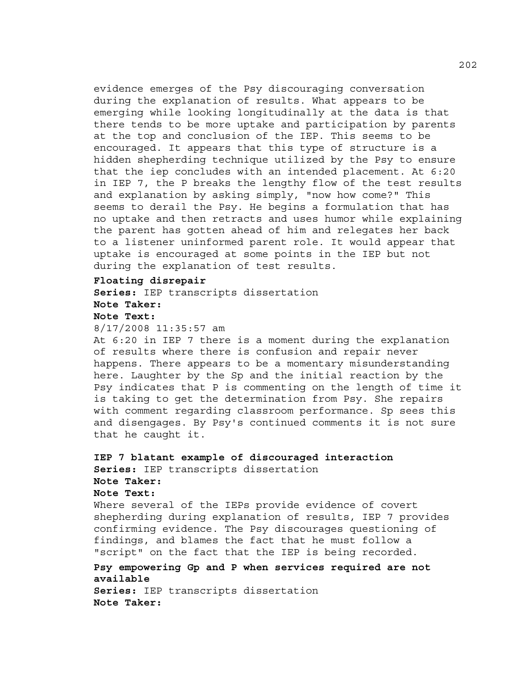evidence emerges of the Psy discouraging conversation during the explanation of results. What appears to be emerging while looking longitudinally at the data is that there tends to be more uptake and participation by parents at the top and conclusion of the IEP. This seems to be encouraged. It appears that this type of structure is a hidden shepherding technique utilized by the Psy to ensure that the iep concludes with an intended placement. At 6:20 in IEP 7, the P breaks the lengthy flow of the test results and explanation by asking simply, "now how come?" This seems to derail the Psy. He begins a formulation that has no uptake and then retracts and uses humor while explaining the parent has gotten ahead of him and relegates her back to a listener uninformed parent role. It would appear that uptake is encouraged at some points in the IEP but not during the explanation of test results.

#### **Floating disrepair**

**Series:** IEP transcripts dissertation **Note Taker:** 

#### **Note Text:**

8/17/2008 11:35:57 am

At 6:20 in IEP 7 there is a moment during the explanation of results where there is confusion and repair never happens. There appears to be a momentary misunderstanding here. Laughter by the Sp and the initial reaction by the Psy indicates that P is commenting on the length of time it is taking to get the determination from Psy. She repairs with comment regarding classroom performance. Sp sees this and disengages. By Psy's continued comments it is not sure that he caught it.

### **IEP 7 blatant example of discouraged interaction Series:** IEP transcripts dissertation **Note Taker:**

#### **Note Text:**

Where several of the IEPs provide evidence of covert shepherding during explanation of results, IEP 7 provides confirming evidence. The Psy discourages questioning of findings, and blames the fact that he must follow a "script" on the fact that the IEP is being recorded.

# **Psy empowering Gp and P when services required are not available**

**Series:** IEP transcripts dissertation **Note Taker:**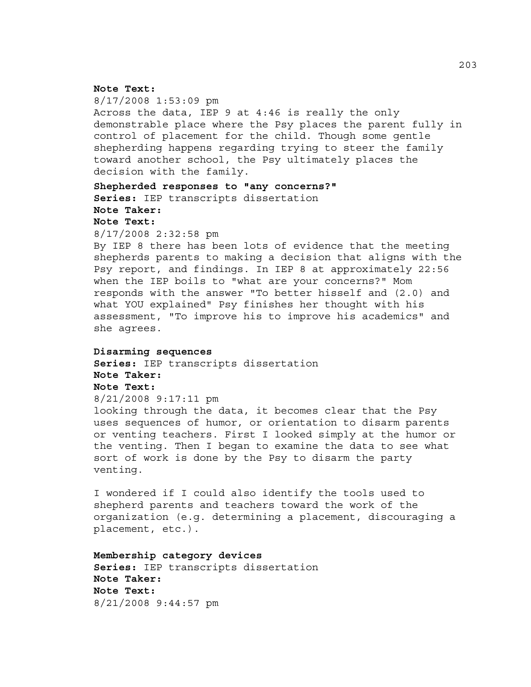#### **Note Text:**

8/17/2008 1:53:09 pm Across the data, IEP 9 at 4:46 is really the only demonstrable place where the Psy places the parent fully in control of placement for the child. Though some gentle shepherding happens regarding trying to steer the family toward another school, the Psy ultimately places the decision with the family.

### **Shepherded responses to "any concerns?"**

**Series:** IEP transcripts dissertation

# **Note Taker:**

**Note Text:** 

8/17/2008 2:32:58 pm

By IEP 8 there has been lots of evidence that the meeting shepherds parents to making a decision that aligns with the Psy report, and findings. In IEP 8 at approximately 22:56 when the IEP boils to "what are your concerns?" Mom responds with the answer "To better hisself and (2.0) and what YOU explained" Psy finishes her thought with his assessment, "To improve his to improve his academics" and she agrees.

#### **Disarming sequences**

**Series:** IEP transcripts dissertation **Note Taker: Note Text:**  8/21/2008 9:17:11 pm

looking through the data, it becomes clear that the Psy uses sequences of humor, or orientation to disarm parents or venting teachers. First I looked simply at the humor or the venting. Then I began to examine the data to see what sort of work is done by the Psy to disarm the party venting.

I wondered if I could also identify the tools used to shepherd parents and teachers toward the work of the organization (e.g. determining a placement, discouraging a placement, etc.).

**Membership category devices Series:** IEP transcripts dissertation **Note Taker: Note Text:**  8/21/2008 9:44:57 pm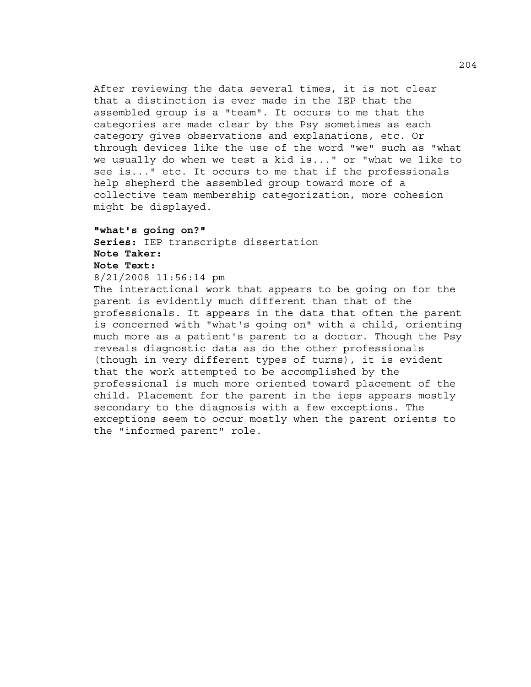After reviewing the data several times, it is not clear that a distinction is ever made in the IEP that the assembled group is a "team". It occurs to me that the categories are made clear by the Psy sometimes as each category gives observations and explanations, etc. Or through devices like the use of the word "we" such as "what we usually do when we test a kid is..." or "what we like to see is..." etc. It occurs to me that if the professionals help shepherd the assembled group toward more of a collective team membership categorization, more cohesion might be displayed.

# **"what's going on?" Series:** IEP transcripts dissertation **Note Taker: Note Text:**

#### 8/21/2008 11:56:14 pm

The interactional work that appears to be going on for the parent is evidently much different than that of the professionals. It appears in the data that often the parent is concerned with "what's going on" with a child, orienting much more as a patient's parent to a doctor. Though the Psy reveals diagnostic data as do the other professionals (though in very different types of turns), it is evident that the work attempted to be accomplished by the professional is much more oriented toward placement of the child. Placement for the parent in the ieps appears mostly secondary to the diagnosis with a few exceptions. The exceptions seem to occur mostly when the parent orients to the "informed parent" role.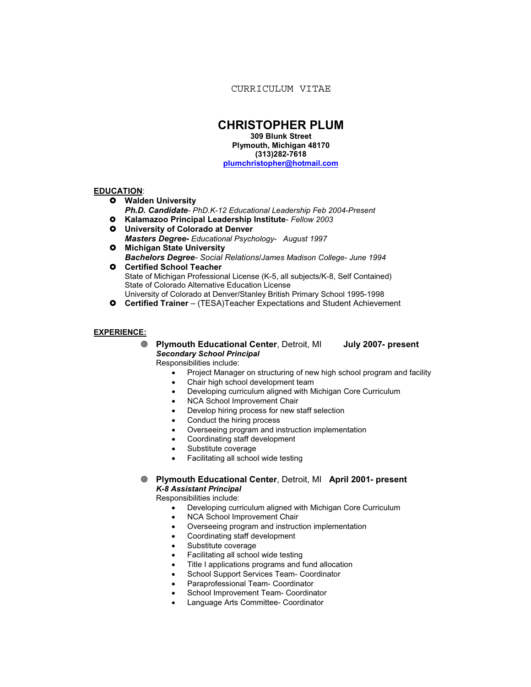CURRICULUM VITAE

# **CHRISTOPHER PLUM**

**309 Blunk Street Plymouth, Michigan 48170 (313)282-7618 plumchristopher@hotmail.com**

# **EDUCATION**:

- **Walden University** 
	- *Ph.D. Candidate PhD.K-12 Educational Leadership Feb 2004-Present*
- **Kalamazoo Principal Leadership Institute** *Fellow 2003*
- **University of Colorado at Denver** *Masters Degree- Educational Psychology*- *August 1997*
- **Michigan State University** *Bachelors Degree- Social Relations/James Madison College- June 1994*
- **O** Certified School Teacher State of Michigan Professional License (K-5, all subjects/K-8, Self Contained) State of Colorado Alternative Education License University of Colorado at Denver/Stanley British Primary School 1995-1998
- **Certified Trainer** (TESA)Teacher Expectations and Student Achievement

# **EXPERIENCE:**

෧ **Plymouth Educational Center**, Detroit, MI **July 2007- present** *Secondary School Principal*

Responsibilities include:

- Project Manager on structuring of new high school program and facility
- Chair high school development team
- Developing curriculum aligned with Michigan Core Curriculum
- NCA School Improvement Chair
- Develop hiring process for new staff selection
- Conduct the hiring process
- Overseeing program and instruction implementation
- Coordinating staff development
- Substitute coverage
- Facilitating all school wide testing
- ෧ **Plymouth Educational Center**, Detroit, MI **April 2001- present** *K-8 Assistant Principal*

Responsibilities include:

- Developing curriculum aligned with Michigan Core Curriculum
- NCA School Improvement Chair
- Overseeing program and instruction implementation
- Coordinating staff development
- Substitute coverage
- Facilitating all school wide testing
- Title I applications programs and fund allocation
- School Support Services Team- Coordinator
- Paraprofessional Team- Coordinator
- School Improvement Team- Coordinator
- Language Arts Committee- Coordinator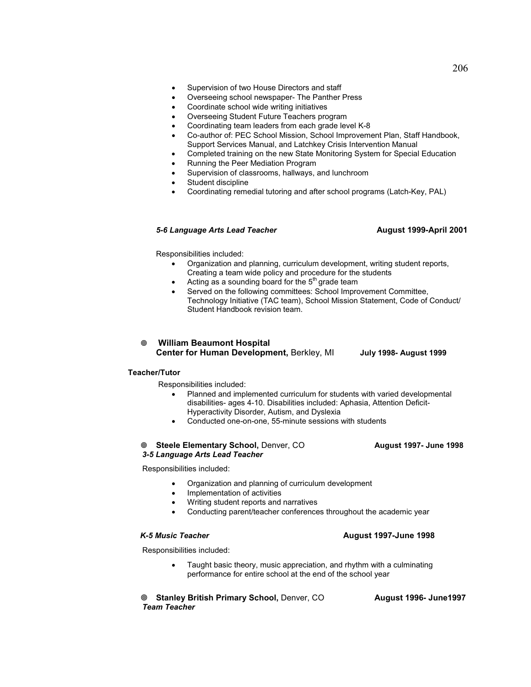- Overseeing school newspaper- The Panther Press
- Coordinate school wide writing initiatives
- Overseeing Student Future Teachers program
- Coordinating team leaders from each grade level K-8
- Co-author of: PEC School Mission, School Improvement Plan, Staff Handbook, Support Services Manual, and Latchkey Crisis Intervention Manual
- Completed training on the new State Monitoring System for Special Education
- Running the Peer Mediation Program
- Supervision of classrooms, hallways, and lunchroom
- Student discipline
- Coordinating remedial tutoring and after school programs (Latch-Key, PAL)

# *5-6 Language Arts Lead Teacher* **August 1999-April 2001**

Responsibilities included:

- Organization and planning, curriculum development, writing student reports, Creating a team wide policy and procedure for the students
- Acting as a sounding board for the  $5<sup>th</sup>$  grade team
- Served on the following committees: School Improvement Committee, Technology Initiative (TAC team), School Mission Statement, Code of Conduct/ Student Handbook revision team.
- - **William Beaumont Hospital Center for Human Development,** Berkley, MI **July 1998- August 1999**

# **Teacher/Tutor**

Responsibilities included:

- Planned and implemented curriculum for students with varied developmental disabilities- ages 4-10. Disabilities included: Aphasia, Attention Deficit-Hyperactivity Disorder, Autism, and Dyslexia
- Conducted one-on-one, 55-minute sessions with students

### **<b> Steele Elementary School, Denver, CO

<b>August 1997- June 1998**  *3-5 Language Arts Lead Teacher*

Responsibilities included:

- Organization and planning of curriculum development
- Implementation of activities
- Writing student reports and narratives
- Conducting parent/teacher conferences throughout the academic year

### *K-5 Music Teacher* **August 1997-June 1998**

Responsibilities included:

• Taught basic theory, music appreciation, and rhythm with a culminating performance for entire school at the end of the school year

**Stanley British Primary School, Denver, CO** August 1996- June1997  *Team Teacher*